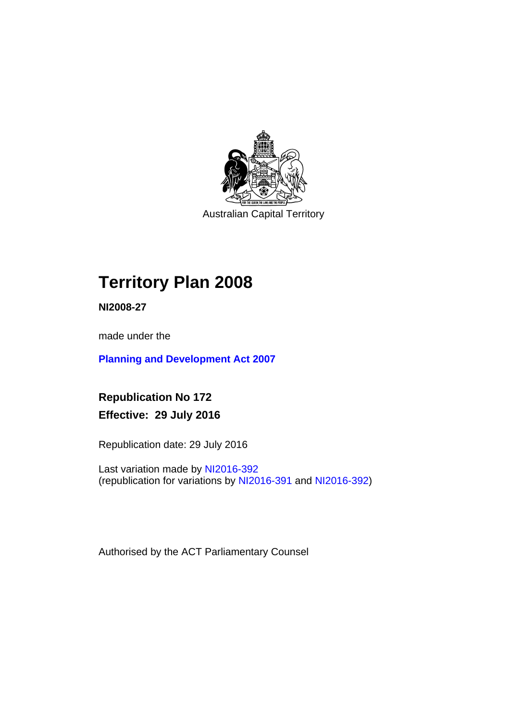

Australian Capital Territory

# **Territory Plan 2008**

**NI2008-27** 

made under the

**[Planning and Development Act 2007](http://www.legislation.act.gov.au/a/2007-24/default.asp)**

**Republication No 172 Effective: 29 July 2016** 

Republication date: 29 July 2016

Last variation made by [NI2016-392](http://www.legislation.act.gov.au/ni/2016-392/default.asp) (republication for variations by [NI2016-391](http://www.legislation.act.gov.au/ni/2016-391/default.asp) and [NI2016-392\)](http://www.legislation.act.gov.au/ni/2016-392/default.asp)

Authorised by the ACT Parliamentary Counsel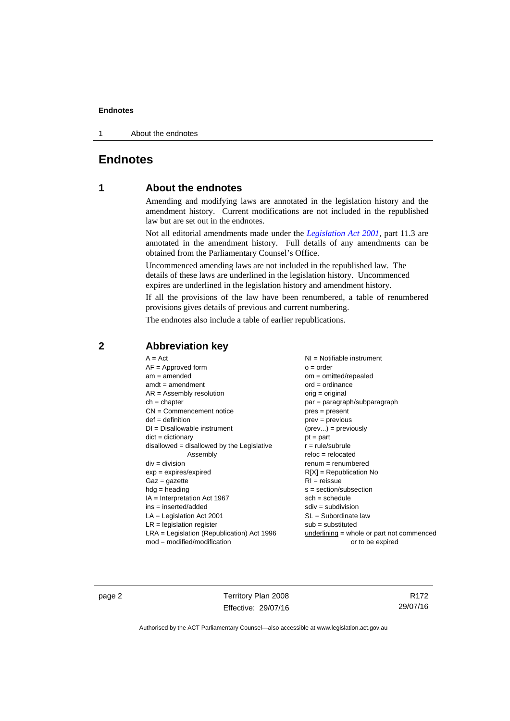1 About the endnotes

## **Endnotes**

## **1 About the endnotes**

Amending and modifying laws are annotated in the legislation history and the amendment history. Current modifications are not included in the republished law but are set out in the endnotes.

Not all editorial amendments made under the *[Legislation Act 2001](http://www.legislation.act.gov.au/a/2001-14/default.asp)*, part 11.3 are annotated in the amendment history. Full details of any amendments can be obtained from the Parliamentary Counsel's Office.

Uncommenced amending laws are not included in the republished law. The details of these laws are underlined in the legislation history. Uncommenced expires are underlined in the legislation history and amendment history.

If all the provisions of the law have been renumbered, a table of renumbered provisions gives details of previous and current numbering.

The endnotes also include a table of earlier republications.

| $A = Act$                                    | $NI =$ Notifiable instrument              |
|----------------------------------------------|-------------------------------------------|
| $AF =$ Approved form                         | $o = order$                               |
| $am = amended$                               | $om = omitted/repealed$                   |
| $amdt = amendment$                           | $ord = ordinance$                         |
| $AR = Assembly resolution$                   | $orig = original$                         |
| $ch = chapter$                               | par = paragraph/subparagraph              |
| $CN =$ Commencement notice                   | $pres = present$                          |
| $def = definition$                           | prev = previous                           |
| $DI = Disallowable instrument$               | $(\text{prev}) = \text{previously}$       |
| $dict = dictionary$                          | $pt = part$                               |
| disallowed = disallowed by the Legislative   | $r = rule/subrule$                        |
| Assembly                                     | $reloc = relocated$                       |
| $div = division$                             | $remum = renumbered$                      |
| $exp = expires/expired$                      | $R[X]$ = Republication No                 |
| $Gaz = gazette$                              | $RI =$ reissue                            |
| $h dq =$ heading                             | $s = section/subsection$                  |
| $IA = Interpretation Act 1967$               | $sch = schedule$                          |
| $ins = inserted/added$                       | $sdiv = subdivision$                      |
| $LA =$ Legislation Act 2001                  | $SL = Subordinate$ law                    |
| $LR =$ legislation register                  | $sub =$ substituted                       |
| $LRA =$ Legislation (Republication) Act 1996 | underlining = whole or part not commenced |
| $mod = modified/modification$                | or to be expired                          |
|                                              |                                           |

## **2 Abbreviation key**

page 2 Territory Plan 2008 Effective: 29/07/16

R172 29/07/16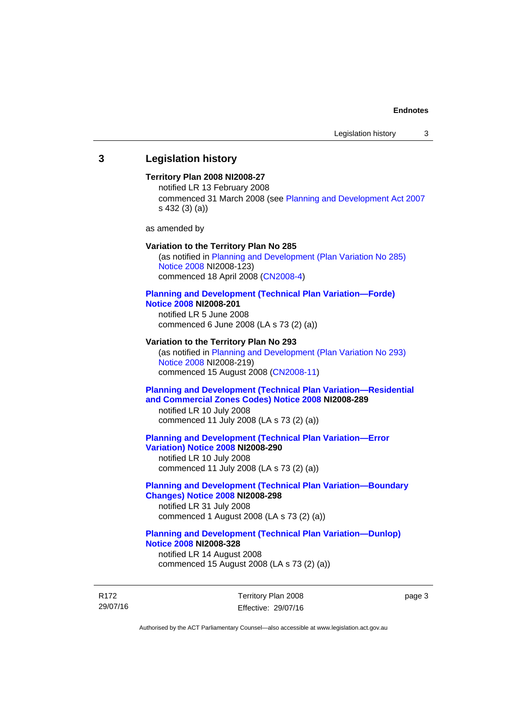## **3 Legislation history**

### **Territory Plan 2008 NI2008-27**

notified LR 13 February 2008 commenced 31 March 2008 (see [Planning and Development Act 2007](http://www.legislation.act.gov.au/a/2007-24/default.asp) s 432 (3) (a))

as amended by

#### **Variation to the Territory Plan No 285**

(as notified in [Planning and Development \(Plan Variation No 285\)](http://www.legislation.act.gov.au/ni/2008-123/)  [Notice 2008](http://www.legislation.act.gov.au/ni/2008-123/) NI2008-123) commenced 18 April 2008 [\(CN2008-4\)](http://www.legislation.act.gov.au/cn/2008-4/)

#### **[Planning and Development \(Technical Plan Variation—Forde\)](http://www.legislation.act.gov.au/ni/2008-201/)  [Notice 2008](http://www.legislation.act.gov.au/ni/2008-201/) NI2008-201**

notified LR 5 June 2008 commenced 6 June 2008 (LA s 73 (2) (a))

#### **Variation to the Territory Plan No 293**

(as notified in [Planning and Development \(Plan Variation No 293\)](http://www.legislation.act.gov.au/ni/2008-219/)  [Notice 2008](http://www.legislation.act.gov.au/ni/2008-219/) NI2008-219) commenced 15 August 2008 [\(CN2008-11\)](http://www.legislation.act.gov.au/cn/2008-11/)

## **[Planning and Development \(Technical Plan Variation—Residential](http://www.legislation.act.gov.au/ni/2008-289/)  [and Commercial Zones Codes\) Notice 2008](http://www.legislation.act.gov.au/ni/2008-289/) NI2008-289**

notified LR 10 July 2008 commenced 11 July 2008 (LA s 73 (2) (a))

#### **[Planning and Development \(Technical Plan Variation—Error](http://www.legislation.act.gov.au/ni/2008-290/)  [Variation\) Notice 2008](http://www.legislation.act.gov.au/ni/2008-290/) NI2008-290**

notified LR 10 July 2008 commenced 11 July 2008 (LA s 73 (2) (a))

## **[Planning and Development \(Technical Plan Variation—Boundary](http://www.legislation.act.gov.au/ni/2008-298/)  [Changes\) Notice 2008](http://www.legislation.act.gov.au/ni/2008-298/) NI2008-298**  notified LR 31 July 2008

commenced 1 August 2008 (LA s 73 (2) (a))

## **[Planning and Development \(Technical Plan Variation—Dunlop\)](http://www.legislation.act.gov.au/ni/2008-328/)  [Notice 2008](http://www.legislation.act.gov.au/ni/2008-328/) NI2008-328**

notified LR 14 August 2008 commenced 15 August 2008 (LA s 73 (2) (a))

R172 29/07/16 Territory Plan 2008 Effective: 29/07/16 page 3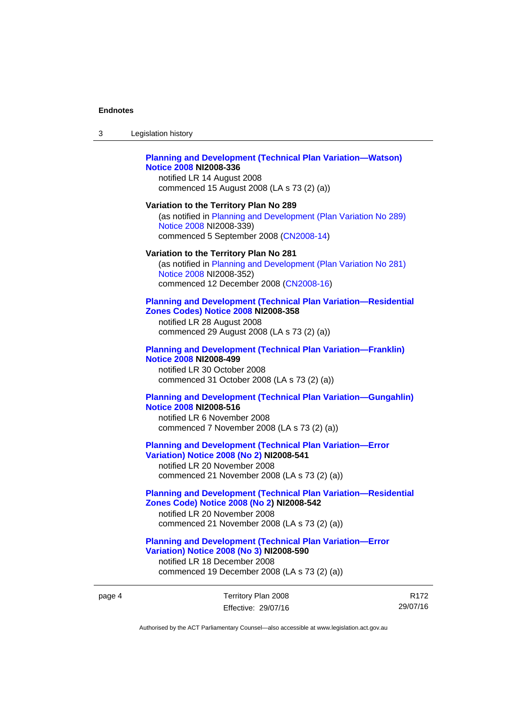$3<sub>l</sub>$ 

| Legislation history                                                                                                                                                                                | 3      |
|----------------------------------------------------------------------------------------------------------------------------------------------------------------------------------------------------|--------|
| <b>Planning and Development (Technical Plan Variation-Watson)</b><br><b>Notice 2008 NI2008-336</b><br>notified LR 14 August 2008<br>commenced 15 August 2008 (LA s 73 (2) (a))                     |        |
| Variation to the Territory Plan No 289<br>(as notified in Planning and Development (Plan Variation No 289)<br>Notice 2008 NI2008-339)<br>commenced 5 September 2008 (CN2008-14)                    |        |
| Variation to the Territory Plan No 281<br>(as notified in Planning and Development (Plan Variation No 281)<br>Notice 2008 NI2008-352)<br>commenced 12 December 2008 (CN2008-16)                    |        |
| <b>Planning and Development (Technical Plan Variation-Residential</b><br>Zones Codes) Notice 2008 NI2008-358<br>notified LR 28 August 2008<br>commenced 29 August 2008 (LA s 73 (2) (a))           |        |
| <b>Planning and Development (Technical Plan Variation-Franklin)</b><br><b>Notice 2008 NI2008-499</b><br>notified LR 30 October 2008<br>commenced 31 October 2008 (LA s 73 (2) (a))                 |        |
| <b>Planning and Development (Technical Plan Variation-Gungahlin)</b><br><b>Notice 2008 NI2008-516</b><br>notified LR 6 November 2008<br>commenced 7 November 2008 (LA s 73 (2) (a))                |        |
| <b>Planning and Development (Technical Plan Variation-Error</b><br><b>Variation) Notice 2008 (No 2) NI2008-541</b><br>notified LR 20 November 2008<br>commenced 21 November 2008 (LA s 73 (2) (a)) |        |
| <b>Planning and Development (Technical Plan Variation-Residential</b><br>Zones Code) Notice 2008 (No 2) NI2008-542<br>notified LR 20 November 2008<br>commenced 21 November 2008 (LA s 73 (2) (a)) |        |
| <b>Planning and Development (Technical Plan Variation-Error</b><br><b>Variation) Notice 2008 (No 3) NI2008-590</b><br>notified LR 18 December 2008<br>commenced 19 December 2008 (LA s 73 (2) (a)) |        |
| Territory Plan 2008<br>R<br>29/07<br>Effective: 29/07/16                                                                                                                                           | page 4 |

R172 29/07/16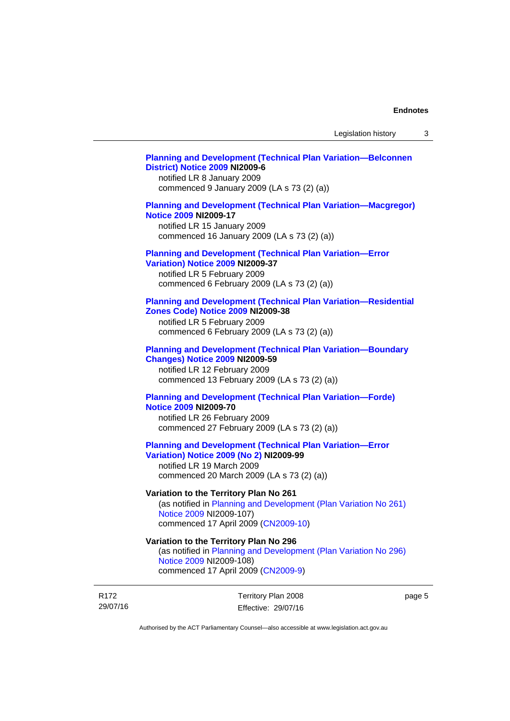## **[Planning and Development \(Technical Plan Variation—Belconnen](http://www.legislation.act.gov.au/ni/2009-6/)  [District\) Notice 2009](http://www.legislation.act.gov.au/ni/2009-6/) NI2009-6**

notified LR 8 January 2009 commenced 9 January 2009 (LA s 73 (2) (a))

## **[Planning and Development \(Technical Plan Variation—Macgregor\)](http://www.legislation.act.gov.au/ni/2009-17/)  [Notice 2009](http://www.legislation.act.gov.au/ni/2009-17/) NI2009-17**

notified LR 15 January 2009 commenced 16 January 2009 (LA s 73 (2) (a))

## **[Planning and Development \(Technical Plan Variation—Error](http://www.legislation.act.gov.au/ni/2009-37/)**

**[Variation\) Notice 2009](http://www.legislation.act.gov.au/ni/2009-37/) NI2009-37** 

notified LR 5 February 2009 commenced 6 February 2009 (LA s 73 (2) (a))

### **[Planning and Development \(Technical Plan Variation—Residential](http://www.legislation.act.gov.au/ni/2009-38/)  [Zones Code\) Notice 2009](http://www.legislation.act.gov.au/ni/2009-38/) NI2009-38**

notified LR 5 February 2009 commenced 6 February 2009 (LA s 73 (2) (a))

### **[Planning and Development \(Technical Plan Variation—Boundary](http://www.legislation.act.gov.au/ni/2009-59/)  [Changes\) Notice 2009](http://www.legislation.act.gov.au/ni/2009-59/) NI2009-59**

notified LR 12 February 2009 commenced 13 February 2009 (LA s 73 (2) (a))

## **[Planning and Development \(Technical Plan Variation—Forde\)](http://www.legislation.act.gov.au/ni/2009-70/)  [Notice 2009](http://www.legislation.act.gov.au/ni/2009-70/) NI2009-70**

notified LR 26 February 2009 commenced 27 February 2009 (LA s 73 (2) (a))

## **[Planning and Development \(Technical Plan Variation—Error](http://www.legislation.act.gov.au/ni/2009-99/)  [Variation\) Notice 2009 \(No 2\)](http://www.legislation.act.gov.au/ni/2009-99/) NI2009-99**

notified LR 19 March 2009 commenced 20 March 2009 (LA s 73 (2) (a))

## **Variation to the Territory Plan No 261**

(as notified in [Planning and Development \(Plan Variation No 261\)](http://www.legislation.act.gov.au/ni/2009-107/)  [Notice 2009](http://www.legislation.act.gov.au/ni/2009-107/) NI2009-107) commenced 17 April 2009 [\(CN2009-10\)](http://www.legislation.act.gov.au/cn/2009-10/)

## **Variation to the Territory Plan No 296**

(as notified in [Planning and Development \(Plan Variation No 296\)](http://www.legislation.act.gov.au/ni/2009-108/)  [Notice 2009](http://www.legislation.act.gov.au/ni/2009-108/) NI2009-108) commenced 17 April 2009 [\(CN2009-9\)](http://www.legislation.act.gov.au/cn/2009-9/)

R172 29/07/16 Territory Plan 2008 Effective: 29/07/16 page 5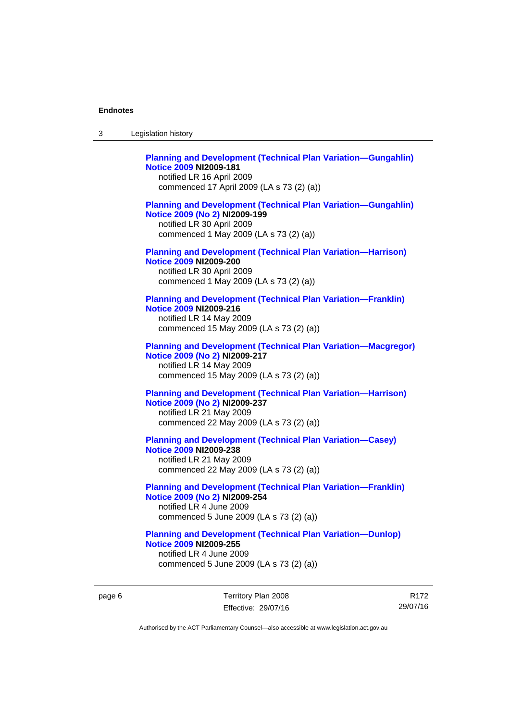| 3 | Legislation history                                                                                                                                                             |
|---|---------------------------------------------------------------------------------------------------------------------------------------------------------------------------------|
|   | <b>Planning and Development (Technical Plan Variation-Gungahlin)</b><br><b>Notice 2009 NI2009-181</b><br>notified LR 16 April 2009<br>commenced 17 April 2009 (LA s 73 (2) (a)) |
|   | <b>Planning and Development (Technical Plan Variation-Gungahlin)</b><br>Notice 2009 (No 2) NI2009-199<br>notified LR 30 April 2009<br>commenced 1 May 2009 (LA s 73 (2) (a))    |
|   | <b>Planning and Development (Technical Plan Variation-Harrison)</b><br><b>Notice 2009 NI2009-200</b><br>notified LR 30 April 2009<br>commenced 1 May 2009 (LA s 73 (2) (a))     |
|   | <b>Planning and Development (Technical Plan Variation-Franklin)</b><br><b>Notice 2009 NI2009-216</b><br>notified LR 14 May 2009<br>commenced 15 May 2009 (LA s 73 (2) (a))      |
|   | <b>Planning and Development (Technical Plan Variation-Macgregor)</b><br>Notice 2009 (No 2) NI2009-217<br>notified LR 14 May 2009<br>commenced 15 May 2009 (LA s 73 (2) (a))     |
|   | <b>Planning and Development (Technical Plan Variation-Harrison)</b><br>Notice 2009 (No 2) NI2009-237<br>notified LR 21 May 2009<br>commenced 22 May 2009 (LA s 73 (2) (a))      |
|   | <b>Planning and Development (Technical Plan Variation-Casey)</b><br><b>Notice 2009 NI2009-238</b><br>notified LR 21 May 2009<br>commenced 22 May 2009 (LA s 73 (2) (a))         |
|   | <b>Planning and Development (Technical Plan Variation-Franklin)</b><br>Notice 2009 (No 2) NI2009-254<br>notified LR 4 June 2009<br>commenced 5 June 2009 (LA s 73 (2) (a))      |
|   | <b>Planning and Development (Technical Plan Variation-Dunlop)</b><br><b>Notice 2009 NI2009-255</b><br>notified LR 4 June 2009<br>commenced 5 June 2009 (LA s 73 (2) (a))        |

page 6 Territory Plan 2008 Effective: 29/07/16

R172 29/07/16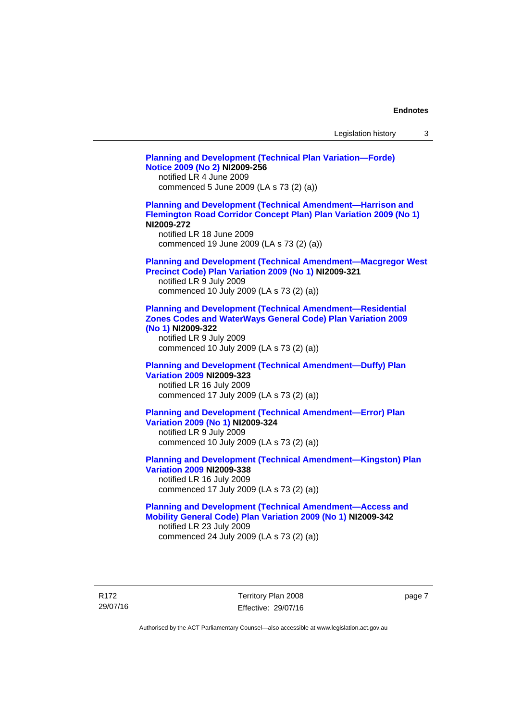| Legislation history |  |
|---------------------|--|
|---------------------|--|

**[Planning and Development \(Technical Plan Variation—Forde\)](http://www.legislation.act.gov.au/ni/2009-256/)  [Notice 2009 \(No 2\)](http://www.legislation.act.gov.au/ni/2009-256/) NI2009-256**  notified LR 4 June 2009 commenced 5 June 2009 (LA s 73 (2) (a)) **[Planning and Development \(Technical Amendment—Harrison and](http://www.legislation.act.gov.au/ni/2009-272/)  [Flemington Road Corridor Concept Plan\) Plan Variation 2009 \(No 1\)](http://www.legislation.act.gov.au/ni/2009-272/) NI2009-272**  notified LR 18 June 2009 commenced 19 June 2009 (LA s 73 (2) (a)) **[Planning and Development \(Technical Amendment—Macgregor West](http://www.legislation.act.gov.au/ni/2009-321/)  [Precinct Code\) Plan Variation 2009 \(No 1\)](http://www.legislation.act.gov.au/ni/2009-321/) NI2009-321**  notified LR 9 July 2009 commenced 10 July 2009 (LA s 73 (2) (a)) **[Planning and Development \(Technical Amendment—Residential](http://www.legislation.act.gov.au/ni/2009-322/)  [Zones Codes and WaterWays General Code\) Plan Variation 2009](http://www.legislation.act.gov.au/ni/2009-322/)  [\(No 1\)](http://www.legislation.act.gov.au/ni/2009-322/) NI2009-322**  notified LR 9 July 2009 commenced 10 July 2009 (LA s 73 (2) (a)) **[Planning and Development \(Technical Amendment—Duffy\) Plan](http://www.legislation.act.gov.au/ni/2009-323/)  [Variation 2009](http://www.legislation.act.gov.au/ni/2009-323/) NI2009-323**  notified LR 16 July 2009 commenced 17 July 2009 (LA s 73 (2) (a)) **[Planning and Development \(Technical Amendment—Error\) Plan](http://www.legislation.act.gov.au/ni/2009-324/)  [Variation 2009 \(No 1\)](http://www.legislation.act.gov.au/ni/2009-324/) NI2009-324**  notified LR 9 July 2009 commenced 10 July 2009 (LA s 73 (2) (a)) **[Planning and Development \(Technical Amendment—Kingston\) Plan](http://www.legislation.act.gov.au/ni/2009-338/)  [Variation 2009](http://www.legislation.act.gov.au/ni/2009-338/) NI2009-338**  notified LR 16 July 2009 commenced 17 July 2009 (LA s 73 (2) (a)) **[Planning and Development \(Technical Amendment—Access and](http://www.legislation.act.gov.au/ni/2009-342/)  [Mobility General Code\) Plan Variation 2009 \(No 1\)](http://www.legislation.act.gov.au/ni/2009-342/) NI2009-342**  notified LR 23 July 2009 commenced 24 July 2009 (LA s 73 (2) (a))

R172 29/07/16 Territory Plan 2008 Effective: 29/07/16 page 7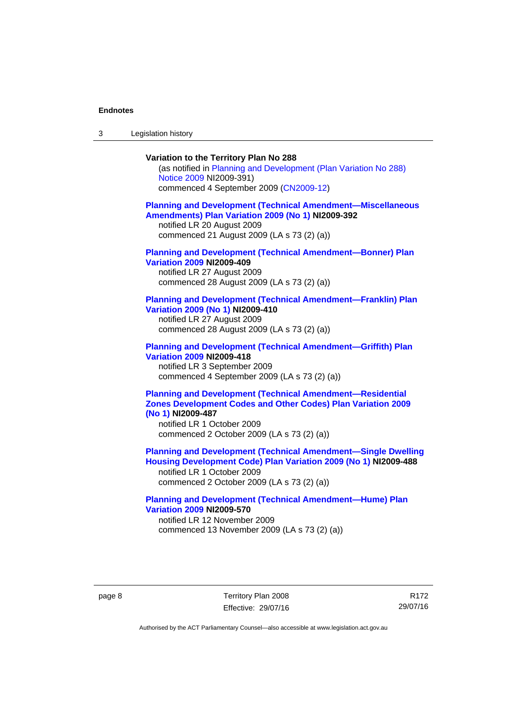3 Legislation history

## **Variation to the Territory Plan No 288**

(as notified in [Planning and Development \(Plan Variation No 288\)](http://www.legislation.act.gov.au/ni/2009-391/)  [Notice 2009](http://www.legislation.act.gov.au/ni/2009-391/) NI2009-391) commenced 4 September 2009 ([CN2009-12\)](http://www.legislation.act.gov.au/cn/2009-12/)

#### **[Planning and Development \(Technical Amendment—Miscellaneous](http://www.legislation.act.gov.au/ni/2009-392/)  [Amendments\) Plan Variation 2009 \(No 1\)](http://www.legislation.act.gov.au/ni/2009-392/) NI2009-392**  notified LR 20 August 2009

commenced 21 August 2009 (LA s 73 (2) (a))

## **[Planning and Development \(Technical Amendment—Bonner\) Plan](http://www.legislation.act.gov.au/ni/2009-409/)  [Variation 2009](http://www.legislation.act.gov.au/ni/2009-409/) NI2009-409**

notified LR 27 August 2009 commenced 28 August 2009 (LA s 73 (2) (a))

#### **[Planning and Development \(Technical Amendment—Franklin\) Plan](http://www.legislation.act.gov.au/ni/2009-410/)  [Variation 2009 \(No 1\)](http://www.legislation.act.gov.au/ni/2009-410/) NI2009-410**

notified LR 27 August 2009 commenced 28 August 2009 (LA s 73 (2) (a))

#### **[Planning and Development \(Technical Amendment—Griffith\) Plan](http://www.legislation.act.gov.au/ni/2009-418/)  [Variation 2009](http://www.legislation.act.gov.au/ni/2009-418/) NI2009-418**  notified LR 3 September 2009

commenced 4 September 2009 (LA s 73 (2) (a))

## **[Planning and Development \(Technical Amendment—Residential](http://www.legislation.act.gov.au/ni/2009-487/)  [Zones Development Codes and Other Codes\) Plan Variation 2009](http://www.legislation.act.gov.au/ni/2009-487/)  [\(No 1\)](http://www.legislation.act.gov.au/ni/2009-487/) NI2009-487**

notified LR 1 October 2009 commenced 2 October 2009 (LA s 73 (2) (a))

**[Planning and Development \(Technical Amendment—Single Dwelling](http://www.legislation.act.gov.au/ni/2009-488/)  [Housing Development Code\) Plan Variation 2009 \(No 1\)](http://www.legislation.act.gov.au/ni/2009-488/) NI2009-488** 

notified LR 1 October 2009 commenced 2 October 2009 (LA s 73 (2) (a))

## **[Planning and Development \(Technical Amendment—Hume\) Plan](http://www.legislation.act.gov.au/ni/2009-570/)  [Variation 2009](http://www.legislation.act.gov.au/ni/2009-570/) NI2009-570**

notified LR 12 November 2009 commenced 13 November 2009 (LA s 73 (2) (a))

page 8 Territory Plan 2008 Effective: 29/07/16

R172 29/07/16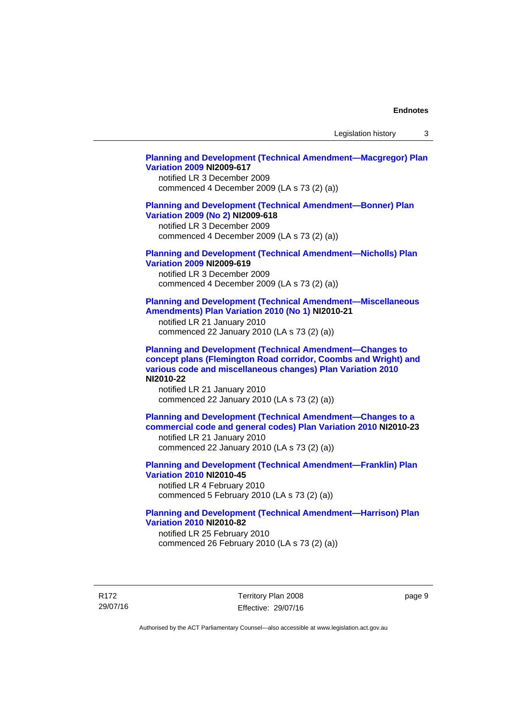Legislation history 3

### **[Planning and Development \(Technical Amendment—Macgregor\) Plan](http://www.legislation.act.gov.au/ni/2009-617/)  [Variation 2009](http://www.legislation.act.gov.au/ni/2009-617/) NI2009-617**

notified LR 3 December 2009 commenced 4 December 2009 (LA s 73 (2) (a))

## **[Planning and Development \(Technical Amendment—Bonner\) Plan](http://www.legislation.act.gov.au/ni/2009-618/)  [Variation 2009 \(No 2\)](http://www.legislation.act.gov.au/ni/2009-618/) NI2009-618**

notified LR 3 December 2009 commenced 4 December 2009 (LA s 73 (2) (a))

## **[Planning and Development \(Technical Amendment—Nicholls\) Plan](http://www.legislation.act.gov.au/ni/2009-619/)  [Variation 2009](http://www.legislation.act.gov.au/ni/2009-619/) NI2009-619**

notified LR 3 December 2009 commenced 4 December 2009 (LA s 73 (2) (a))

### **[Planning and Development \(Technical Amendment—Miscellaneous](http://www.legislation.act.gov.au/ni/2010-21/)  [Amendments\) Plan Variation 2010 \(No 1\)](http://www.legislation.act.gov.au/ni/2010-21/) NI2010-21**

notified LR 21 January 2010 commenced 22 January 2010 (LA s 73 (2) (a))

**[Planning and Development \(Technical Amendment—Changes to](http://www.legislation.act.gov.au/ni/2010-22/)  [concept plans \(Flemington Road corridor, Coombs and Wright\) and](http://www.legislation.act.gov.au/ni/2010-22/)  [various code and miscellaneous changes\) Plan Variation 2010](http://www.legislation.act.gov.au/ni/2010-22/) NI2010-22** 

notified LR 21 January 2010 commenced 22 January 2010 (LA s 73 (2) (a))

**[Planning and Development \(Technical Amendment—Changes to a](http://www.legislation.act.gov.au/ni/2010-23/)  [commercial code and general codes\) Plan Variation 2010](http://www.legislation.act.gov.au/ni/2010-23/) NI2010-23**  notified LR 21 January 2010

commenced 22 January 2010 (LA s 73 (2) (a))

**[Planning and Development \(Technical Amendment—Franklin\) Plan](http://www.legislation.act.gov.au/ni/2010-45/)  [Variation 2010](http://www.legislation.act.gov.au/ni/2010-45/) NI2010-45**  notified LR 4 February 2010 commenced 5 February 2010 (LA s 73 (2) (a))

## **[Planning and Development \(Technical Amendment—Harrison\) Plan](http://www.legislation.act.gov.au/ni/2010-82/)  [Variation 2010](http://www.legislation.act.gov.au/ni/2010-82/) NI2010-82**

notified LR 25 February 2010 commenced 26 February 2010 (LA s 73 (2) (a))

R172 29/07/16 Territory Plan 2008 Effective: 29/07/16 page 9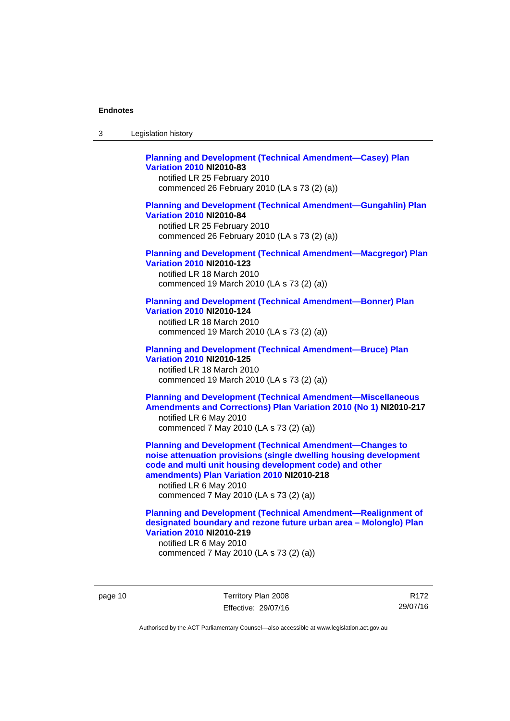| 3 | Legislation history |  |
|---|---------------------|--|
|---|---------------------|--|

## **[Planning and Development \(Technical Amendment—Casey\) Plan](http://www.legislation.act.gov.au/ni/2010-83/)  [Variation 2010](http://www.legislation.act.gov.au/ni/2010-83/) NI2010-83**

notified LR 25 February 2010 commenced 26 February 2010 (LA s 73 (2) (a))

## **[Planning and Development \(Technical Amendment—Gungahlin\) Plan](http://www.legislation.act.gov.au/ni/2010-84/)  [Variation 2010](http://www.legislation.act.gov.au/ni/2010-84/) NI2010-84**

notified LR 25 February 2010 commenced 26 February 2010 (LA s 73 (2) (a))

### **[Planning and Development \(Technical Amendment—Macgregor\) Plan](http://www.legislation.act.gov.au/ni/2010-123/)  [Variation 2010](http://www.legislation.act.gov.au/ni/2010-123/) NI2010-123**

notified LR 18 March 2010 commenced 19 March 2010 (LA s 73 (2) (a))

## **[Planning and Development \(Technical Amendment—Bonner\) Plan](http://www.legislation.act.gov.au/ni/2010-124/)**

**[Variation 2010](http://www.legislation.act.gov.au/ni/2010-124/) NI2010-124**  notified LR 18 March 2010 commenced 19 March 2010 (LA s 73 (2) (a))

#### **[Planning and Development \(Technical Amendment—Bruce\) Plan](http://www.legislation.act.gov.au/ni/2010-125/)  [Variation 2010](http://www.legislation.act.gov.au/ni/2010-125/) NI2010-125**

notified LR 18 March 2010 commenced 19 March 2010 (LA s 73 (2) (a))

## **[Planning and Development \(Technical Amendment—Miscellaneous](http://www.legislation.act.gov.au/ni/2010-217/)  [Amendments and Corrections\) Plan Variation 2010 \(No 1\)](http://www.legislation.act.gov.au/ni/2010-217/) NI2010-217**  notified LR 6 May 2010 commenced 7 May 2010 (LA s 73 (2) (a))

**[Planning and Development \(Technical Amendment—Changes to](http://www.legislation.act.gov.au/ni/2010-218/)  [noise attenuation provisions \(single dwelling housing development](http://www.legislation.act.gov.au/ni/2010-218/)  [code and multi unit housing development code\) and other](http://www.legislation.act.gov.au/ni/2010-218/)  [amendments\) Plan Variation 2010](http://www.legislation.act.gov.au/ni/2010-218/) NI2010-218** 

notified LR 6 May 2010 commenced 7 May 2010 (LA s 73 (2) (a))

## **[Planning and Development \(Technical Amendment—Realignment of](http://www.legislation.act.gov.au/ni/2010-219/)  [designated boundary and rezone future urban area – Molonglo\) Plan](http://www.legislation.act.gov.au/ni/2010-219/)  [Variation 2010](http://www.legislation.act.gov.au/ni/2010-219/) NI2010-219**

notified LR 6 May 2010 commenced 7 May 2010 (LA s 73 (2) (a))

page 10 Territory Plan 2008 Effective: 29/07/16

R172 29/07/16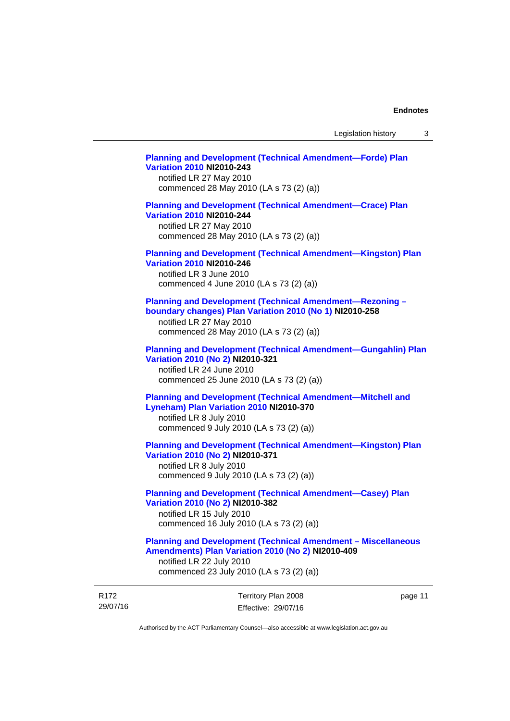## **[Planning and Development \(Technical Amendment—Forde\) Plan](http://www.legislation.act.gov.au/ni/2010-243/)  [Variation 2010](http://www.legislation.act.gov.au/ni/2010-243/) NI2010-243**  notified LR 27 May 2010 commenced 28 May 2010 (LA s 73 (2) (a))

## **[Planning and Development \(Technical Amendment—Crace\) Plan](http://www.legislation.act.gov.au/ni/2010-244/)  [Variation 2010](http://www.legislation.act.gov.au/ni/2010-244/) NI2010-244**

notified LR 27 May 2010 commenced 28 May 2010 (LA s 73 (2) (a))

## **[Planning and Development \(Technical Amendment—Kingston\) Plan](http://www.legislation.act.gov.au/ni/2010-246/)  [Variation 2010](http://www.legislation.act.gov.au/ni/2010-246/) NI2010-246**

notified LR 3 June 2010 commenced 4 June 2010 (LA s 73 (2) (a))

## **[Planning and Development \(Technical Amendment—Rezoning –](http://www.legislation.act.gov.au/ni/2010-258/)  [boundary changes\) Plan Variation 2010 \(No 1\)](http://www.legislation.act.gov.au/ni/2010-258/) NI2010-258**

notified LR 27 May 2010 commenced 28 May 2010 (LA s 73 (2) (a))

#### **[Planning and Development \(Technical Amendment—Gungahlin\) Plan](http://www.legislation.act.gov.au/ni/2010-321/)  [Variation 2010 \(No 2\)](http://www.legislation.act.gov.au/ni/2010-321/) NI2010-321**

notified LR 24 June 2010 commenced 25 June 2010 (LA s 73 (2) (a))

## **[Planning and Development \(Technical Amendment—Mitchell and](http://www.legislation.act.gov.au/ni/2010-370/)  [Lyneham\) Plan Variation 2010](http://www.legislation.act.gov.au/ni/2010-370/) NI2010-370**

notified LR 8 July 2010 commenced 9 July 2010 (LA s 73 (2) (a))

## **[Planning and Development \(Technical Amendment—Kingston\) Plan](http://www.legislation.act.gov.au/ni/2010-371/)  [Variation 2010 \(No 2\)](http://www.legislation.act.gov.au/ni/2010-371/) NI2010-371**

notified LR 8 July 2010 commenced 9 July 2010 (LA s 73 (2) (a))

## **[Planning and Development \(Technical Amendment—Casey\) Plan](http://www.legislation.act.gov.au/ni/2010-382/)  [Variation 2010 \(No 2\)](http://www.legislation.act.gov.au/ni/2010-382/) NI2010-382**

notified LR 15 July 2010 commenced 16 July 2010 (LA s 73 (2) (a))

## **[Planning and Development \(Technical Amendment – Miscellaneous](http://www.legislation.act.gov.au/ni/2010-409/)  [Amendments\) Plan Variation 2010 \(No 2\)](http://www.legislation.act.gov.au/ni/2010-409/) NI2010-409**

notified LR 22 July 2010 commenced 23 July 2010 (LA s 73 (2) (a))

| R172     | Territory Plan 2008 | page 11 |
|----------|---------------------|---------|
| 29/07/16 | Effective: 29/07/16 |         |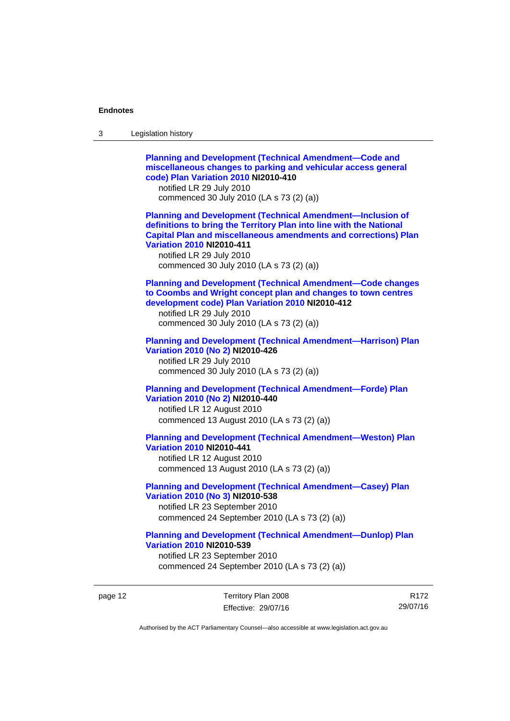| 3 | Legislation history                                                                                                                                                                                                                                                                                                            |
|---|--------------------------------------------------------------------------------------------------------------------------------------------------------------------------------------------------------------------------------------------------------------------------------------------------------------------------------|
|   | <b>Planning and Development (Technical Amendment-Code and</b><br>miscellaneous changes to parking and vehicular access general<br>code) Plan Variation 2010 NI2010-410<br>notified LR 29 July 2010<br>commenced 30 July 2010 (LA s 73 (2) (a))                                                                                 |
|   | <b>Planning and Development (Technical Amendment-Inclusion of</b><br>definitions to bring the Territory Plan into line with the National<br><b>Capital Plan and miscellaneous amendments and corrections) Plan</b><br><b>Variation 2010 NI2010-411</b><br>notified LR 29 July 2010<br>commenced 30 July 2010 (LA s 73 (2) (a)) |
|   | <b>Planning and Development (Technical Amendment-Code changes</b><br>to Coombs and Wright concept plan and changes to town centres<br>development code) Plan Variation 2010 NI2010-412<br>notified LR 29 July 2010<br>commenced 30 July 2010 (LA s 73 (2) (a))                                                                 |
|   | <b>Planning and Development (Technical Amendment-Harrison) Plan</b><br>Variation 2010 (No 2) NI2010-426<br>notified LR 29 July 2010<br>commenced 30 July 2010 (LA s 73 (2) (a))                                                                                                                                                |
|   | <b>Planning and Development (Technical Amendment-Forde) Plan</b><br>Variation 2010 (No 2) NI2010-440<br>notified LR 12 August 2010<br>commenced 13 August 2010 (LA s 73 (2) (a))                                                                                                                                               |
|   | <b>Planning and Development (Technical Amendment-Weston) Plan</b><br><b>Variation 2010 NI2010-441</b><br>notified LR 12 August 2010<br>commenced 13 August 2010 (LA s 73 (2) (a))                                                                                                                                              |
|   | <b>Planning and Development (Technical Amendment-Casey) Plan</b><br>Variation 2010 (No 3) NI2010-538<br>notified LR 23 September 2010<br>commenced 24 September 2010 (LA s 73 (2) (a))                                                                                                                                         |
|   | <b>Planning and Development (Technical Amendment-Dunlop) Plan</b><br><b>Variation 2010 NI2010-539</b><br>notified LR 23 September 2010<br>commenced 24 September 2010 (LA s 73 (2) (a))                                                                                                                                        |

page 12 Territory Plan 2008 Effective: 29/07/16

R172 29/07/16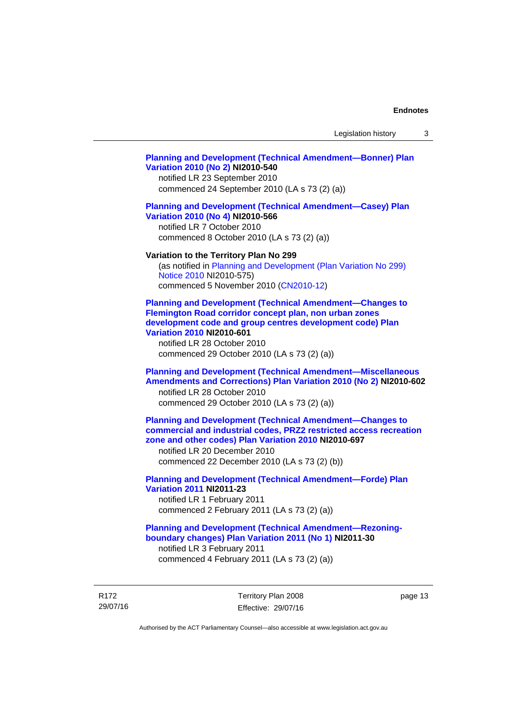### **[Planning and Development \(Technical Amendment—Bonner\) Plan](http://www.legislation.act.gov.au/ni/2010-540/)  [Variation 2010 \(No 2\)](http://www.legislation.act.gov.au/ni/2010-540/) NI2010-540**

notified LR 23 September 2010 commenced 24 September 2010 (LA s 73 (2) (a))

## **[Planning and Development \(Technical Amendment—Casey\) Plan](http://www.legislation.act.gov.au/ni/2010-566/)  [Variation 2010 \(No 4\)](http://www.legislation.act.gov.au/ni/2010-566/) NI2010-566**

notified LR 7 October 2010 commenced 8 October 2010 (LA s 73 (2) (a))

#### **Variation to the Territory Plan No 299**

(as notified in [Planning and Development \(Plan Variation No 299\)](http://www.legislation.act.gov.au/ni/2010-575/)  [Notice 2010](http://www.legislation.act.gov.au/ni/2010-575/) NI2010-575) commenced 5 November 2010 ([CN2010-12](http://www.legislation.act.gov.au/cn/2010-12/))

**[Planning and Development \(Technical Amendment—Changes to](http://www.legislation.act.gov.au/ni/2010-601/)  [Flemington Road corridor concept plan, non urban zones](http://www.legislation.act.gov.au/ni/2010-601/)  [development code and group centres development code\) Plan](http://www.legislation.act.gov.au/ni/2010-601/)  [Variation 2010](http://www.legislation.act.gov.au/ni/2010-601/) NI2010-601** 

notified LR 28 October 2010 commenced 29 October 2010 (LA s 73 (2) (a))

## **[Planning and Development \(Technical Amendment—Miscellaneous](http://www.legislation.act.gov.au/ni/2010-602/)  [Amendments and Corrections\) Plan Variation 2010 \(No 2\)](http://www.legislation.act.gov.au/ni/2010-602/) NI2010-602**

notified LR 28 October 2010 commenced 29 October 2010 (LA s 73 (2) (a))

## **[Planning and Development \(Technical Amendment—Changes to](http://www.legislation.act.gov.au/ni/2010-697/)  [commercial and industrial codes, PRZ2 restricted access recreation](http://www.legislation.act.gov.au/ni/2010-697/)  [zone and other codes\) Plan Variation 2010](http://www.legislation.act.gov.au/ni/2010-697/) NI2010-697**

notified LR 20 December 2010 commenced 22 December 2010 (LA s 73 (2) (b))

## **[Planning and Development \(Technical Amendment—Forde\) Plan](http://www.legislation.act.gov.au/ni/2011-23/)  [Variation 2011](http://www.legislation.act.gov.au/ni/2011-23/) NI2011-23**  notified LR 1 February 2011

commenced 2 February 2011 (LA s 73 (2) (a))

## **[Planning and Development \(Technical Amendment—Rezoning](http://www.legislation.act.gov.au/ni/2011-30/)[boundary changes\) Plan Variation 2011 \(No 1\)](http://www.legislation.act.gov.au/ni/2011-30/) NI2011-30**  notified LR 3 February 2011

commenced 4 February 2011 (LA s 73 (2) (a))

R172 29/07/16 Territory Plan 2008 Effective: 29/07/16 page 13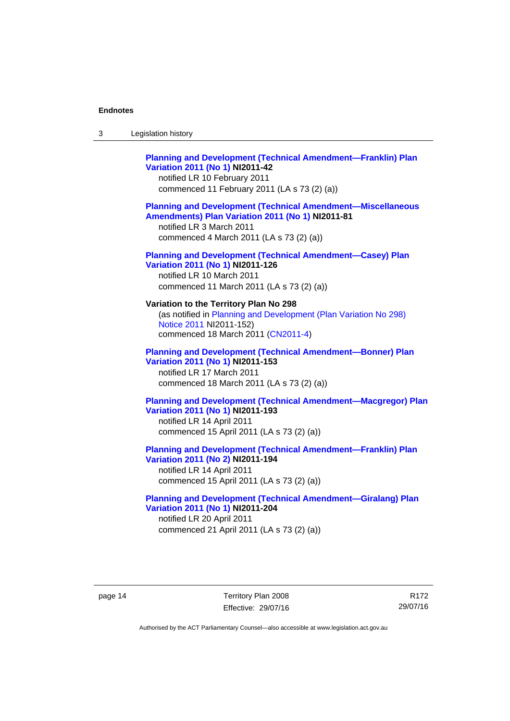| Legislation history<br>3 |  |
|--------------------------|--|
|--------------------------|--|

## **[Planning and Development \(Technical Amendment—Franklin\) Plan](http://www.legislation.act.gov.au/ni/2011-42/)  [Variation 2011 \(No 1\)](http://www.legislation.act.gov.au/ni/2011-42/) NI2011-42**  notified LR 10 February 2011 commenced 11 February 2011 (LA s 73 (2) (a)) **[Planning and Development \(Technical Amendment—Miscellaneous](http://www.legislation.act.gov.au/ni/2011-81/)  [Amendments\) Plan Variation 2011 \(No 1\)](http://www.legislation.act.gov.au/ni/2011-81/) NI2011-81**  notified LR 3 March 2011 commenced 4 March 2011 (LA s 73 (2) (a)) **[Planning and Development \(Technical Amendment—Casey\) Plan](http://www.legislation.act.gov.au/ni/2011-126/)  [Variation 2011 \(No 1\)](http://www.legislation.act.gov.au/ni/2011-126/) NI2011-126**  notified LR 10 March 2011 commenced 11 March 2011 (LA s 73 (2) (a)) **Variation to the Territory Plan No 298**  (as notified in [Planning and Development \(Plan Variation No 298\)](http://www.legislation.act.gov.au/ni/2011-152/)  [Notice 2011](http://www.legislation.act.gov.au/ni/2011-152/) NI2011-152) commenced 18 March 2011 [\(CN2011-4\)](http://www.legislation.act.gov.au/cn/2011-4/) **[Planning and Development \(Technical Amendment—Bonner\) Plan](http://www.legislation.act.gov.au/ni/2011-153/)**

**[Variation 2011 \(No 1\)](http://www.legislation.act.gov.au/ni/2011-153/) NI2011-153**  notified LR 17 March 2011 commenced 18 March 2011 (LA s 73 (2) (a))

## **[Planning and Development \(Technical Amendment—Macgregor\) Plan](http://www.legislation.act.gov.au/ni/2011-193/)  [Variation 2011 \(No 1\)](http://www.legislation.act.gov.au/ni/2011-193/) NI2011-193**

notified LR 14 April 2011 commenced 15 April 2011 (LA s 73 (2) (a))

## **[Planning and Development \(Technical Amendment—Franklin\) Plan](http://www.legislation.act.gov.au/ni/2011-194/)  [Variation 2011 \(No 2\)](http://www.legislation.act.gov.au/ni/2011-194/) NI2011-194**

notified LR 14 April 2011 commenced 15 April 2011 (LA s 73 (2) (a))

### **[Planning and Development \(Technical Amendment—Giralang\) Plan](http://www.legislation.act.gov.au/ni/2011-204/)  [Variation 2011 \(No 1\)](http://www.legislation.act.gov.au/ni/2011-204/) NI2011-204**  notified LR 20 April 2011

commenced 21 April 2011 (LA s 73 (2) (a))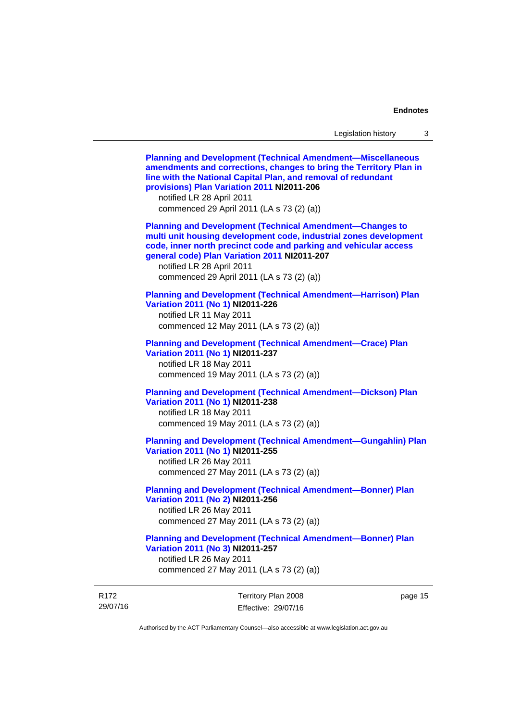29/07/16 Territory Plan 2008 Effective: 29/07/16 page 15 **[Planning and Development \(Technical Amendment—Miscellaneous](http://www.legislation.act.gov.au/ni/2011-206/)  [amendments and corrections, changes to bring the Territory Plan in](http://www.legislation.act.gov.au/ni/2011-206/)  [line with the National Capital Plan, and removal of redundant](http://www.legislation.act.gov.au/ni/2011-206/)  [provisions\) Plan Variation 2011](http://www.legislation.act.gov.au/ni/2011-206/) NI2011-206**  notified LR 28 April 2011 commenced 29 April 2011 (LA s 73 (2) (a)) **[Planning and Development \(Technical Amendment—Changes to](http://www.legislation.act.gov.au/ni/2011-207/)  [multi unit housing development code, industrial zones development](http://www.legislation.act.gov.au/ni/2011-207/)  [code, inner north precinct code and parking and vehicular access](http://www.legislation.act.gov.au/ni/2011-207/)  [general code\) Plan Variation 2011](http://www.legislation.act.gov.au/ni/2011-207/) NI2011-207**  notified LR 28 April 2011 commenced 29 April 2011 (LA s 73 (2) (a)) **[Planning and Development \(Technical Amendment—Harrison\) Plan](http://www.legislation.act.gov.au/ni/2011-226/)  [Variation 2011 \(No 1\)](http://www.legislation.act.gov.au/ni/2011-226/) NI2011-226**  notified LR 11 May 2011 commenced 12 May 2011 (LA s 73 (2) (a)) **[Planning and Development \(Technical Amendment—Crace\) Plan](http://www.legislation.act.gov.au/ni/2011-237/)  [Variation 2011 \(No 1\)](http://www.legislation.act.gov.au/ni/2011-237/) NI2011-237**  notified LR 18 May 2011 commenced 19 May 2011 (LA s 73 (2) (a)) **[Planning and Development \(Technical Amendment—Dickson\) Plan](http://www.legislation.act.gov.au/ni/2011-238/)  [Variation 2011 \(No 1\)](http://www.legislation.act.gov.au/ni/2011-238/) NI2011-238**  notified LR 18 May 2011 commenced 19 May 2011 (LA s 73 (2) (a)) **[Planning and Development \(Technical Amendment—Gungahlin\) Plan](http://www.legislation.act.gov.au/ni/2011-255/)  [Variation 2011 \(No 1\)](http://www.legislation.act.gov.au/ni/2011-255/) NI2011-255**  notified LR 26 May 2011 commenced 27 May 2011 (LA s 73 (2) (a)) **[Planning and Development \(Technical Amendment—Bonner\) Plan](http://www.legislation.act.gov.au/ni/2011-256/)  [Variation 2011 \(No 2\)](http://www.legislation.act.gov.au/ni/2011-256/) NI2011-256**  notified LR 26 May 2011 commenced 27 May 2011 (LA s 73 (2) (a)) **[Planning and Development \(Technical Amendment—Bonner\) Plan](http://www.legislation.act.gov.au/ni/2011-257/)  [Variation 2011 \(No 3\)](http://www.legislation.act.gov.au/ni/2011-257/) NI2011-257**  notified LR 26 May 2011 commenced 27 May 2011 (LA s 73 (2) (a))

Authorised by the ACT Parliamentary Counsel—also accessible at www.legislation.act.gov.au

R172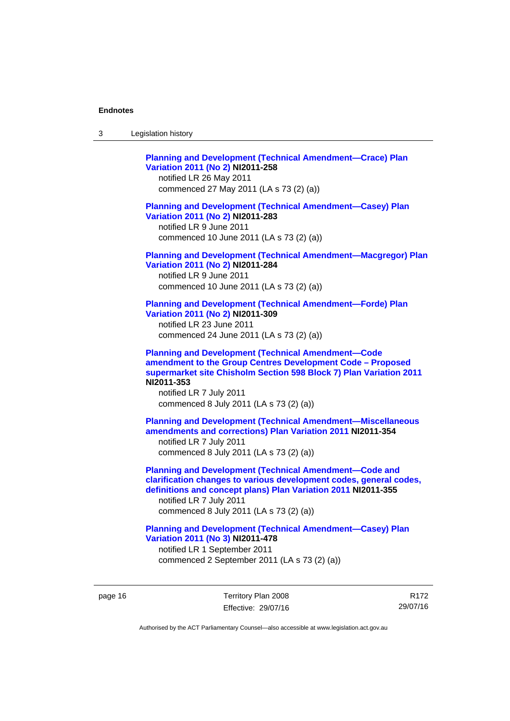| Legislation history<br>-3 |  |
|---------------------------|--|
|---------------------------|--|

**[Planning and Development \(Technical Amendment—Crace\) Plan](http://www.legislation.act.gov.au/ni/2011-258/)  [Variation 2011 \(No 2\)](http://www.legislation.act.gov.au/ni/2011-258/) NI2011-258**  notified LR 26 May 2011 commenced 27 May 2011 (LA s 73 (2) (a)) **[Planning and Development \(Technical Amendment—Casey\) Plan](http://www.legislation.act.gov.au/ni/2011-283/)  [Variation 2011 \(No 2\)](http://www.legislation.act.gov.au/ni/2011-283/) NI2011-283**  notified LR 9 June 2011 commenced 10 June 2011 (LA s 73 (2) (a)) **[Planning and Development \(Technical Amendment—Macgregor\) Plan](http://www.legislation.act.gov.au/ni/2011-284/)  [Variation 2011 \(No 2\)](http://www.legislation.act.gov.au/ni/2011-284/) NI2011-284**  notified LR 9 June 2011 commenced 10 June 2011 (LA s 73 (2) (a)) **[Planning and Development \(Technical Amendment—Forde\) Plan](http://www.legislation.act.gov.au/ni/2011-309/)  [Variation 2011 \(No 2\)](http://www.legislation.act.gov.au/ni/2011-309/) NI2011-309**  notified LR 23 June 2011 commenced 24 June 2011 (LA s 73 (2) (a)) **[Planning and Development \(Technical Amendment—Code](http://www.legislation.act.gov.au/ni/2011-353/)  [amendment to the Group Centres Development Code – Proposed](http://www.legislation.act.gov.au/ni/2011-353/)  [supermarket site Chisholm Section 598 Block 7\) Plan Variation 2011](http://www.legislation.act.gov.au/ni/2011-353/) NI2011-353**  notified LR 7 July 2011 commenced 8 July 2011 (LA s 73 (2) (a)) **[Planning and Development \(Technical Amendment—Miscellaneous](http://www.legislation.act.gov.au/ni/2011-354/)  [amendments and corrections\) Plan Variation 2011](http://www.legislation.act.gov.au/ni/2011-354/) NI2011-354**  notified LR 7 July 2011 commenced 8 July 2011 (LA s 73 (2) (a)) **[Planning and Development \(Technical Amendment—Code and](http://www.legislation.act.gov.au/ni/2011-355/)  [clarification changes to various development codes, general codes,](http://www.legislation.act.gov.au/ni/2011-355/)  [definitions and concept plans\) Plan Variation 2011](http://www.legislation.act.gov.au/ni/2011-355/) NI2011-355**  notified LR 7 July 2011 commenced 8 July 2011 (LA s 73 (2) (a)) **[Planning and Development \(Technical Amendment—Casey\) Plan](http://www.legislation.act.gov.au/ni/2011-478/)  [Variation 2011 \(No 3\)](http://www.legislation.act.gov.au/ni/2011-478/) NI2011-478** 

notified LR 1 September 2011 commenced 2 September 2011 (LA s 73 (2) (a))

page 16 Territory Plan 2008 Effective: 29/07/16

R172 29/07/16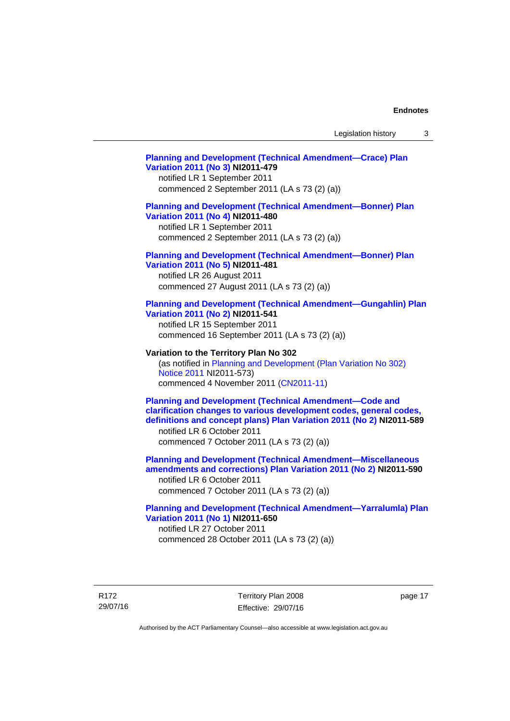## **[Planning and Development \(Technical Amendment—Crace\) Plan](http://www.legislation.act.gov.au/ni/2011-479/)  [Variation 2011 \(No 3\)](http://www.legislation.act.gov.au/ni/2011-479/) NI2011-479**  notified LR 1 September 2011 commenced 2 September 2011 (LA s 73 (2) (a)) **[Planning and Development \(Technical Amendment—Bonner\) Plan](http://www.legislation.act.gov.au/ni/2011-480/)  [Variation 2011 \(No 4\)](http://www.legislation.act.gov.au/ni/2011-480/) NI2011-480**  notified LR 1 September 2011 commenced 2 September 2011 (LA s 73 (2) (a)) **[Planning and Development \(Technical Amendment—Bonner\) Plan](http://www.legislation.act.gov.au/ni/2011-481/)  [Variation 2011 \(No 5\)](http://www.legislation.act.gov.au/ni/2011-481/) NI2011-481**  notified LR 26 August 2011 commenced 27 August 2011 (LA s 73 (2) (a)) **[Planning and Development \(Technical Amendment—Gungahlin\) Plan](http://www.legislation.act.gov.au/ni/2011-541/)  [Variation 2011 \(No 2\)](http://www.legislation.act.gov.au/ni/2011-541/) NI2011-541**  notified LR 15 September 2011 commenced 16 September 2011 (LA s 73 (2) (a)) **Variation to the Territory Plan No 302**  (as notified in [Planning and Development \(Plan Variation No 302\)](http://www.legislation.act.gov.au/ni/2011-573/)  [Notice 2011](http://www.legislation.act.gov.au/ni/2011-573/) NI2011-573) commenced 4 November 2011 ([CN2011-11](http://www.legislation.act.gov.au/cn/2011-11/)) **[Planning and Development \(Technical Amendment—Code and](http://www.legislation.act.gov.au/ni/2011-589/)  [clarification changes to various development codes, general codes,](http://www.legislation.act.gov.au/ni/2011-589/)  [definitions and concept plans\) Plan Variation 2011 \(No 2\)](http://www.legislation.act.gov.au/ni/2011-589/) NI2011-589**  notified LR 6 October 2011 commenced 7 October 2011 (LA s 73 (2) (a)) **[Planning and Development \(Technical Amendment—Miscellaneous](http://www.legislation.act.gov.au/ni/2011-590/)  [amendments and corrections\) Plan Variation 2011 \(No 2\)](http://www.legislation.act.gov.au/ni/2011-590/) NI2011-590**  notified LR 6 October 2011 commenced 7 October 2011 (LA s 73 (2) (a)) **[Planning and Development \(Technical Amendment—Yarralumla\) Plan](http://www.legislation.act.gov.au/ni/2011-650/)  [Variation 2011 \(No 1\)](http://www.legislation.act.gov.au/ni/2011-650/) NI2011-650**

notified LR 27 October 2011 commenced 28 October 2011 (LA s 73 (2) (a))

R172 29/07/16 Territory Plan 2008 Effective: 29/07/16 page 17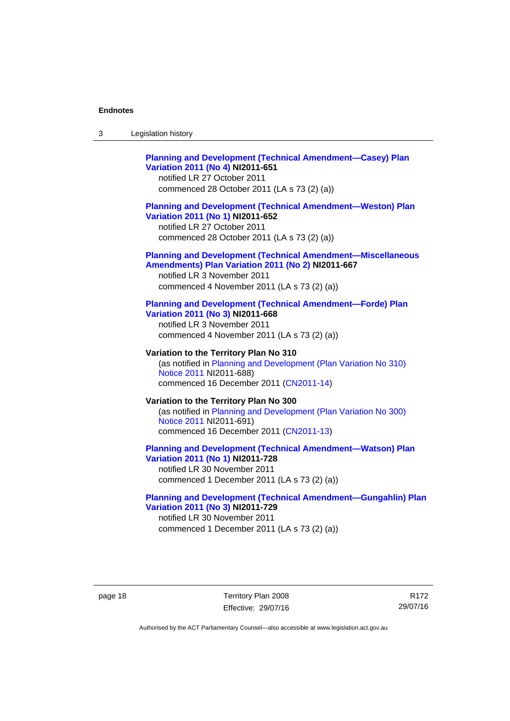| -3 | Legislation history |  |
|----|---------------------|--|
|----|---------------------|--|

## **[Planning and Development \(Technical Amendment—Casey\) Plan](http://www.legislation.act.gov.au/ni/2011-651/)  [Variation 2011 \(No 4\)](http://www.legislation.act.gov.au/ni/2011-651/) NI2011-651**

notified LR 27 October 2011 commenced 28 October 2011 (LA s 73 (2) (a))

## **[Planning and Development \(Technical Amendment—Weston\) Plan](http://www.legislation.act.gov.au/ni/2011-652/)  [Variation 2011 \(No 1\)](http://www.legislation.act.gov.au/ni/2011-652/) NI2011-652**

notified LR 27 October 2011 commenced 28 October 2011 (LA s 73 (2) (a))

#### **[Planning and Development \(Technical Amendment—Miscellaneous](http://www.legislation.act.gov.au/ni/2011-667/)  [Amendments\) Plan Variation 2011 \(No 2\)](http://www.legislation.act.gov.au/ni/2011-667/) NI2011-667**

notified LR 3 November 2011 commenced 4 November 2011 (LA s 73 (2) (a))

#### **[Planning and Development \(Technical Amendment—Forde\) Plan](http://www.legislation.act.gov.au/ni/2011-668/)  [Variation 2011 \(No 3\)](http://www.legislation.act.gov.au/ni/2011-668/) NI2011-668**

notified LR 3 November 2011 commenced 4 November 2011 (LA s 73 (2) (a))

**Variation to the Territory Plan No 310**  (as notified in [Planning and Development \(Plan Variation No 310\)](http://www.legislation.act.gov.au/ni/2011-688/)  [Notice 2011](http://www.legislation.act.gov.au/ni/2011-688/) NI2011-688) commenced 16 December 2011 [\(CN2011-14\)](http://www.legislation.act.gov.au/cn/2011-14/)

## **Variation to the Territory Plan No 300**  (as notified in [Planning and Development \(Plan Variation No 300\)](http://www.legislation.act.gov.au/ni/2011-691/)  [Notice 2011](http://www.legislation.act.gov.au/ni/2011-691/) NI2011-691) commenced 16 December 2011 [\(CN2011-13\)](http://www.legislation.act.gov.au/cn/2011-13/)

### **[Planning and Development \(Technical Amendment—Watson\) Plan](http://www.legislation.act.gov.au/ni/2011-728/)  [Variation 2011 \(No 1\)](http://www.legislation.act.gov.au/ni/2011-728/) NI2011-728**

notified LR 30 November 2011 commenced 1 December 2011 (LA s 73 (2) (a))

## **[Planning and Development \(Technical Amendment—Gungahlin\) Plan](http://www.legislation.act.gov.au/ni/2011-729/)  [Variation 2011 \(No 3\)](http://www.legislation.act.gov.au/ni/2011-729/) NI2011-729**

notified LR 30 November 2011 commenced 1 December 2011 (LA s 73 (2) (a))

page 18 Territory Plan 2008 Effective: 29/07/16

R172 29/07/16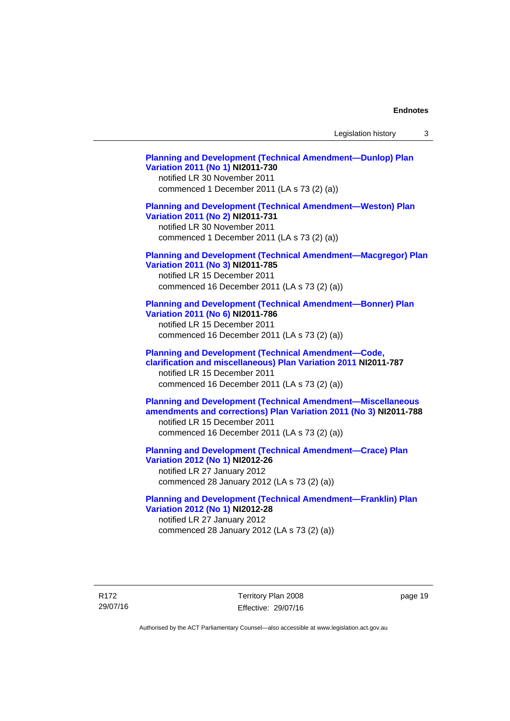Legislation history 3

**[Planning and Development \(Technical Amendment—Dunlop\) Plan](http://www.legislation.act.gov.au/ni/2011-730/)  [Variation 2011 \(No 1\)](http://www.legislation.act.gov.au/ni/2011-730/) NI2011-730**  notified LR 30 November 2011 commenced 1 December 2011 (LA s 73 (2) (a)) **[Planning and Development \(Technical Amendment—Weston\) Plan](http://www.legislation.act.gov.au/ni/2011-731/)  [Variation 2011 \(No 2\)](http://www.legislation.act.gov.au/ni/2011-731/) NI2011-731**  notified LR 30 November 2011 commenced 1 December 2011 (LA s 73 (2) (a)) **[Planning and Development \(Technical Amendment—Macgregor\) Plan](http://www.legislation.act.gov.au/ni/2011-785/)  [Variation 2011 \(No 3\)](http://www.legislation.act.gov.au/ni/2011-785/) NI2011-785**  notified LR 15 December 2011 commenced 16 December 2011 (LA s 73 (2) (a)) **[Planning and Development \(Technical Amendment—Bonner\) Plan](http://www.legislation.act.gov.au/ni/2011-786/)  [Variation 2011 \(No 6\)](http://www.legislation.act.gov.au/ni/2011-786/) NI2011-786**  notified LR 15 December 2011 commenced 16 December 2011 (LA s 73 (2) (a)) **[Planning and Development \(Technical Amendment—Code,](http://www.legislation.act.gov.au/ni/2011-787/)  [clarification and miscellaneous\) Plan Variation 2011](http://www.legislation.act.gov.au/ni/2011-787/) NI2011-787**  notified LR 15 December 2011 commenced 16 December 2011 (LA s 73 (2) (a)) **[Planning and Development \(Technical Amendment—Miscellaneous](http://www.legislation.act.gov.au/ni/2011-788/)  [amendments and corrections\) Plan Variation 2011 \(No 3\)](http://www.legislation.act.gov.au/ni/2011-788/) NI2011-788**  notified LR 15 December 2011 commenced 16 December 2011 (LA s 73 (2) (a)) **[Planning and Development \(Technical Amendment—Crace\) Plan](http://www.legislation.act.gov.au/ni/2012-26/)  [Variation 2012 \(No 1\)](http://www.legislation.act.gov.au/ni/2012-26/) NI2012-26**  notified LR 27 January 2012 commenced 28 January 2012 (LA s 73 (2) (a)) **[Planning and Development \(Technical Amendment—Franklin\) Plan](http://www.legislation.act.gov.au/ni/2012-28/)  [Variation 2012 \(No 1\)](http://www.legislation.act.gov.au/ni/2012-28/) NI2012-28**  notified LR 27 January 2012

R172 29/07/16 Territory Plan 2008 Effective: 29/07/16 page 19

Authorised by the ACT Parliamentary Counsel—also accessible at www.legislation.act.gov.au

commenced 28 January 2012 (LA s 73 (2) (a))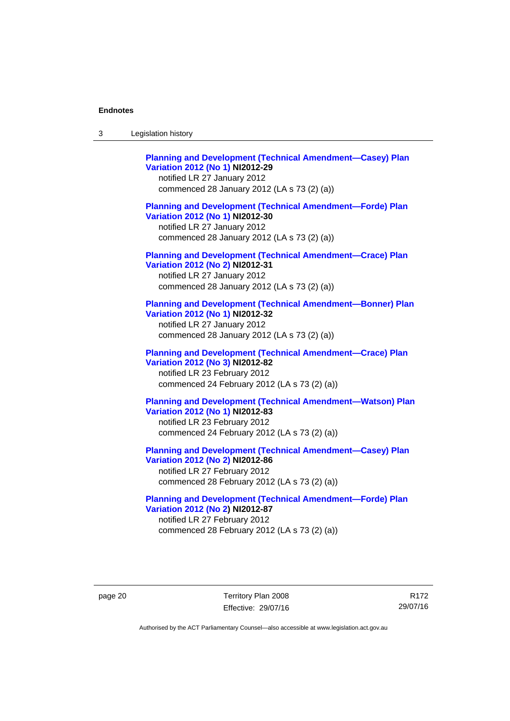| -3 | Legislation history |  |
|----|---------------------|--|
|----|---------------------|--|

**[Planning and Development \(Technical Amendment—Casey\) Plan](http://www.legislation.act.gov.au/ni/2012-29/)  [Variation 2012 \(No 1\)](http://www.legislation.act.gov.au/ni/2012-29/) NI2012-29**  notified LR 27 January 2012 commenced 28 January 2012 (LA s 73 (2) (a)) **[Planning and Development \(Technical Amendment—Forde\) Plan](http://www.legislation.act.gov.au/ni/2012-30/)  [Variation 2012 \(No 1\)](http://www.legislation.act.gov.au/ni/2012-30/) NI2012-30**  notified LR 27 January 2012 commenced 28 January 2012 (LA s 73 (2) (a)) **[Planning and Development \(Technical Amendment—Crace\) Plan](http://www.legislation.act.gov.au/ni/2012-31/)  [Variation 2012 \(No 2\)](http://www.legislation.act.gov.au/ni/2012-31/) NI2012-31**  notified LR 27 January 2012 commenced 28 January 2012 (LA s 73 (2) (a)) **[Planning and Development \(Technical Amendment—Bonner\) Plan](http://www.legislation.act.gov.au/ni/2012-32/)  [Variation 2012 \(No 1\)](http://www.legislation.act.gov.au/ni/2012-32/) NI2012-32**  notified LR 27 January 2012 commenced 28 January 2012 (LA s 73 (2) (a)) **[Planning and Development \(Technical Amendment—Crace\) Plan](http://www.legislation.act.gov.au/ni/2012-82/)  [Variation 2012 \(No 3\)](http://www.legislation.act.gov.au/ni/2012-82/) NI2012-82**  notified LR 23 February 2012 commenced 24 February 2012 (LA s 73 (2) (a)) **[Planning and Development \(Technical Amendment—Watson\) Plan](http://www.legislation.act.gov.au/ni/2012-83/)  [Variation 2012 \(No 1\)](http://www.legislation.act.gov.au/ni/2012-83/) NI2012-83**  notified LR 23 February 2012 commenced 24 February 2012 (LA s 73 (2) (a)) **[Planning and Development \(Technical Amendment—Casey\) Plan](http://www.legislation.act.gov.au/ni/2012-86/)  [Variation 2012 \(No 2\)](http://www.legislation.act.gov.au/ni/2012-86/) NI2012-86** 

notified LR 27 February 2012 commenced 28 February 2012 (LA s 73 (2) (a))

**[Planning and Development \(Technical Amendment—Forde\) Plan](http://www.legislation.act.gov.au/ni/2012-87/)  [Variation 2012 \(No 2\)](http://www.legislation.act.gov.au/ni/2012-87/) NI2012-87**  notified LR 27 February 2012 commenced 28 February 2012 (LA s 73 (2) (a))

page 20 Territory Plan 2008 Effective: 29/07/16

R172 29/07/16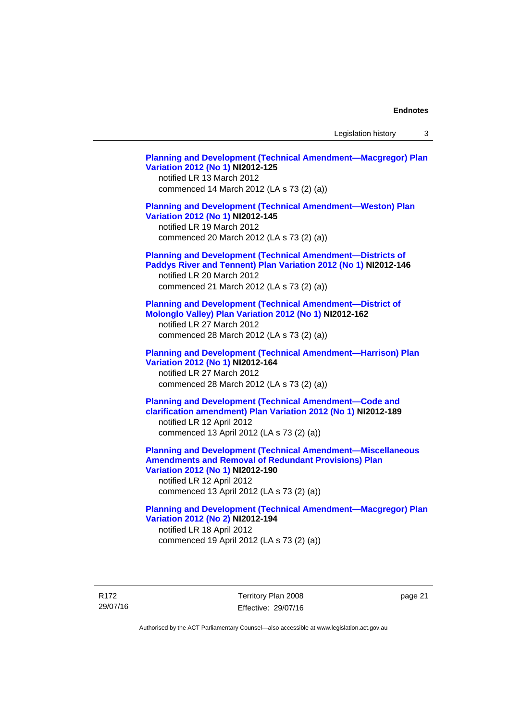Legislation history 3

**[Planning and Development \(Technical Amendment—Macgregor\) Plan](http://www.legislation.act.gov.au/ni/2012-125/)  [Variation 2012 \(No 1\)](http://www.legislation.act.gov.au/ni/2012-125/) NI2012-125**  notified LR 13 March 2012 commenced 14 March 2012 (LA s 73 (2) (a)) **[Planning and Development \(Technical Amendment—Weston\) Plan](http://www.legislation.act.gov.au/ni/2012-145/)  [Variation 2012 \(No 1\)](http://www.legislation.act.gov.au/ni/2012-145/) NI2012-145**  notified LR 19 March 2012 commenced 20 March 2012 (LA s 73 (2) (a)) **[Planning and Development \(Technical Amendment—Districts of](http://www.legislation.act.gov.au/ni/2012-146/)  [Paddys River and Tennent\) Plan Variation 2012 \(No 1\)](http://www.legislation.act.gov.au/ni/2012-146/) NI2012-146**  notified LR 20 March 2012 commenced 21 March 2012 (LA s 73 (2) (a)) **[Planning and Development \(Technical Amendment—District of](http://www.legislation.act.gov.au/ni/2012-162/)  [Molonglo Valley\) Plan Variation 2012 \(No 1\)](http://www.legislation.act.gov.au/ni/2012-162/) NI2012-162**  notified LR 27 March 2012 commenced 28 March 2012 (LA s 73 (2) (a)) **[Planning and Development \(Technical Amendment—Harrison\) Plan](http://www.legislation.act.gov.au/ni/2012-164/)  [Variation 2012 \(No 1\)](http://www.legislation.act.gov.au/ni/2012-164/) NI2012-164**  notified LR 27 March 2012 commenced 28 March 2012 (LA s 73 (2) (a)) **[Planning and Development \(Technical Amendment—Code and](http://www.legislation.act.gov.au/ni/2012-189/)  [clarification amendment\) Plan Variation 2012 \(No 1\)](http://www.legislation.act.gov.au/ni/2012-189/) NI2012-189**  notified LR 12 April 2012 commenced 13 April 2012 (LA s 73 (2) (a)) **[Planning and Development \(Technical Amendment—Miscellaneous](http://www.legislation.act.gov.au/ni/2012-190/)  [Amendments and Removal of Redundant Provisions\) Plan](http://www.legislation.act.gov.au/ni/2012-190/)  [Variation 2012 \(No 1\)](http://www.legislation.act.gov.au/ni/2012-190/) NI2012-190**  notified LR 12 April 2012 commenced 13 April 2012 (LA s 73 (2) (a)) **[Planning and Development \(Technical Amendment—Macgregor\) Plan](http://www.legislation.act.gov.au/ni/2012-194/)  [Variation 2012 \(No 2\)](http://www.legislation.act.gov.au/ni/2012-194/) NI2012-194**  notified LR 18 April 2012 commenced 19 April 2012 (LA s 73 (2) (a))

R172 29/07/16 Territory Plan 2008 Effective: 29/07/16 page 21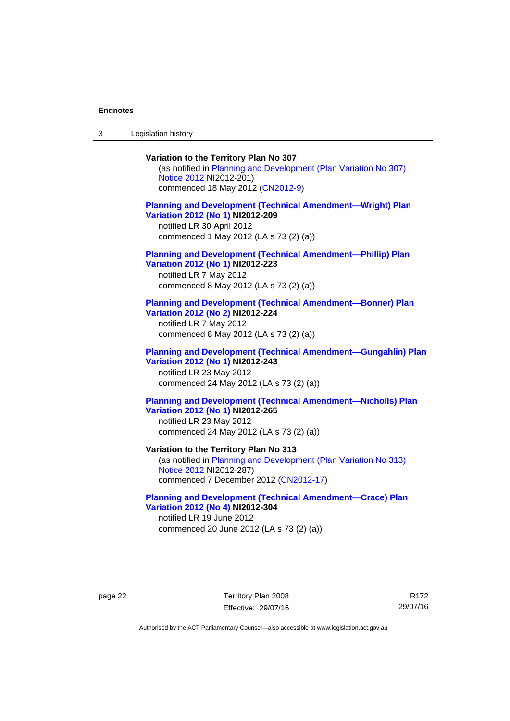3 Legislation history

## **Variation to the Territory Plan No 307**

(as notified in [Planning and Development \(Plan Variation No 307\)](http://www.legislation.act.gov.au/ni/2012-201/)  [Notice 2012](http://www.legislation.act.gov.au/ni/2012-201/) NI2012-201) commenced 18 May 2012 [\(CN2012-9\)](http://www.legislation.act.gov.au/cn/2012-9/)

## **[Planning and Development \(Technical Amendment—Wright\) Plan](http://www.legislation.act.gov.au/ni/2012-209/)  [Variation 2012 \(No 1\)](http://www.legislation.act.gov.au/ni/2012-209/) NI2012-209**

notified LR 30 April 2012 commenced 1 May 2012 (LA s 73 (2) (a))

#### **[Planning and Development \(Technical Amendment—Phillip\) Plan](http://www.legislation.act.gov.au/ni/2012-223/)  [Variation 2012 \(No 1\)](http://www.legislation.act.gov.au/ni/2012-223/) NI2012-223**

notified LR 7 May 2012 commenced 8 May 2012 (LA s 73 (2) (a))

### **[Planning and Development \(Technical Amendment—Bonner\) Plan](http://www.legislation.act.gov.au/ni/2012-224/)  [Variation 2012 \(No 2\)](http://www.legislation.act.gov.au/ni/2012-224/) NI2012-224**

notified LR 7 May 2012 commenced 8 May 2012 (LA s 73 (2) (a))

## **[Planning and Development \(Technical Amendment—Gungahlin\) Plan](http://www.legislation.act.gov.au/ni/2012-243/)  [Variation 2012 \(No 1\)](http://www.legislation.act.gov.au/ni/2012-243/) NI2012-243**  notified LR 23 May 2012

commenced 24 May 2012 (LA s 73 (2) (a))

## **[Planning and Development \(Technical Amendment—Nicholls\) Plan](http://www.legislation.act.gov.au/ni/2012-265/)  [Variation 2012 \(No 1\)](http://www.legislation.act.gov.au/ni/2012-265/) NI2012-265**

notified LR 23 May 2012 commenced 24 May 2012 (LA s 73 (2) (a))

### **Variation to the Territory Plan No 313**

(as notified in [Planning and Development \(Plan Variation No 313\)](http://www.legislation.act.gov.au/ni/2012-287/default.asp)  [Notice 2012](http://www.legislation.act.gov.au/ni/2012-287/default.asp) NI2012-287) commenced 7 December 2012 ([CN2012-17](http://www.legislation.act.gov.au/cn/2012-17/default.asp))

## **[Planning and Development \(Technical Amendment—Crace\) Plan](http://www.legislation.act.gov.au/ni/2012-304/)  [Variation 2012 \(No 4\)](http://www.legislation.act.gov.au/ni/2012-304/) NI2012-304**

notified LR 19 June 2012 commenced 20 June 2012 (LA s 73 (2) (a))

page 22 Territory Plan 2008 Effective: 29/07/16

R172 29/07/16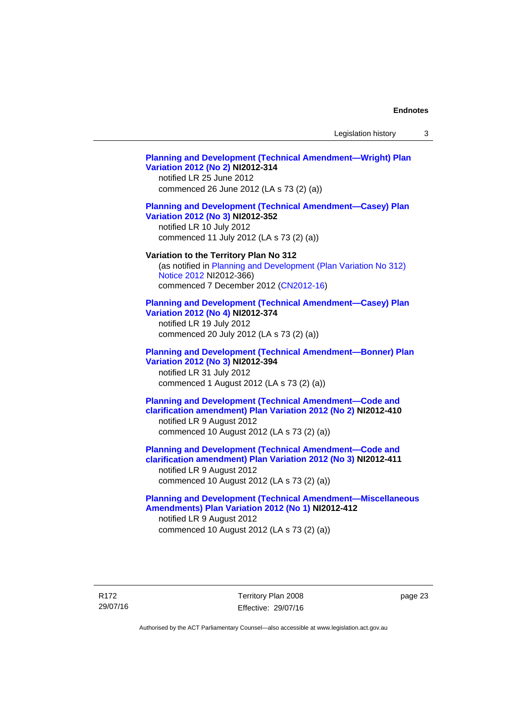Legislation history 3

## **[Planning and Development \(Technical Amendment—Wright\) Plan](http://www.legislation.act.gov.au/ni/2012-314/)  [Variation 2012 \(No 2\)](http://www.legislation.act.gov.au/ni/2012-314/) NI2012-314**  notified LR 25 June 2012 commenced 26 June 2012 (LA s 73 (2) (a)) **[Planning and Development \(Technical Amendment—Casey\) Plan](http://www.legislation.act.gov.au/ni/2012-352/)  [Variation 2012 \(No 3\)](http://www.legislation.act.gov.au/ni/2012-352/) NI2012-352**  notified LR 10 July 2012 commenced 11 July 2012 (LA s 73 (2) (a)) **Variation to the Territory Plan No 312**  (as notified in [Planning and Development \(Plan Variation No 312\)](http://www.legislation.act.gov.au/ni/2012-366/default.asp)  [Notice 2012](http://www.legislation.act.gov.au/ni/2012-366/default.asp) NI2012-366) commenced 7 December 2012 ([CN2012-16](http://www.legislation.act.gov.au/cn/2012-16/default.asp)) **[Planning and Development \(Technical Amendment—Casey\) Plan](http://www.legislation.act.gov.au/ni/2012-374/)  [Variation 2012 \(No 4\)](http://www.legislation.act.gov.au/ni/2012-374/) NI2012-374**  notified LR 19 July 2012 commenced 20 July 2012 (LA s 73 (2) (a)) **[Planning and Development \(Technical Amendment—Bonner\) Plan](http://www.legislation.act.gov.au/ni/2012-394/)  [Variation 2012 \(No 3\)](http://www.legislation.act.gov.au/ni/2012-394/) NI2012-394**  notified LR 31 July 2012 commenced 1 August 2012 (LA s 73 (2) (a)) **[Planning and Development \(Technical Amendment—Code and](http://www.legislation.act.gov.au/ni/2012-410/)  [clarification amendment\) Plan Variation 2012 \(No 2\)](http://www.legislation.act.gov.au/ni/2012-410/) NI2012-410**  notified LR 9 August 2012 commenced 10 August 2012 (LA s 73 (2) (a)) **[Planning and Development \(Technical Amendment—Code and](http://www.legislation.act.gov.au/ni/2012-411/)  [clarification amendment\) Plan Variation 2012 \(No 3\)](http://www.legislation.act.gov.au/ni/2012-411/) NI2012-411**  notified LR 9 August 2012 commenced 10 August 2012 (LA s 73 (2) (a)) **[Planning and Development \(Technical Amendment—Miscellaneous](http://www.legislation.act.gov.au/ni/2012-412/)  [Amendments\) Plan Variation 2012 \(No 1\)](http://www.legislation.act.gov.au/ni/2012-412/) NI2012-412**  notified LR 9 August 2012 commenced 10 August 2012 (LA s 73 (2) (a))

Territory Plan 2008 Effective: 29/07/16 page 23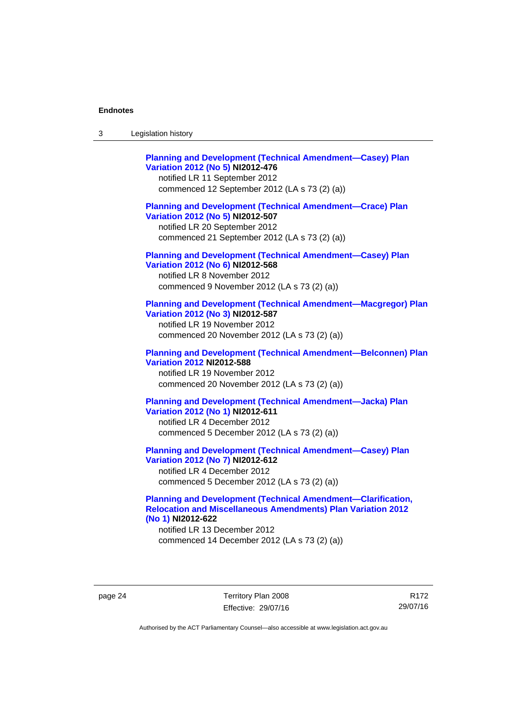| <b>Planning and Development (Technical Amendment-Casey) Plan</b><br>Variation 2012 (No 5) NI2012-476<br>notified LR 11 September 2012<br>commenced 12 September 2012 (LA s 73 (2) (a))   |
|------------------------------------------------------------------------------------------------------------------------------------------------------------------------------------------|
| <b>Planning and Development (Technical Amendment-Crace) Plan</b><br>Variation 2012 (No 5) NI2012-507<br>notified LR 20 September 2012<br>commenced 21 September 2012 (LA s 73 (2) (a))   |
| <b>Planning and Development (Technical Amendment-Casey) Plan</b><br>Variation 2012 (No 6) NI2012-568<br>notified LR 8 November 2012<br>commenced 9 November 2012 (LA s 73 (2) (a))       |
| <b>Planning and Development (Technical Amendment-Macgregor) Plan</b><br>Variation 2012 (No 3) NI2012-587<br>notified LR 19 November 2012<br>commenced 20 November 2012 (LA s 73 (2) (a)) |
| <b>Planning and Development (Technical Amendment-Belconnen) Plan</b><br><b>Variation 2012 NI2012-588</b><br>notified LR 19 November 2012<br>commenced 20 November 2012 (LA s 73 (2) (a)) |
| <b>Planning and Development (Technical Amendment-Jacka) Plan</b><br>Variation 2012 (No 1) NI2012-611<br>notified LR 4 December 2012<br>commenced 5 December 2012 (LA s 73 (2) (a))       |
| <b>Planning and Development (Technical Amendment-Casey) Plan</b><br>Variation 2012 (No 7) NI2012-612<br>notified LR 4 December 2012<br>commenced 5 December 2012 (LA s 73 (2) (a))       |

## **[Planning and Development \(Technical Amendment—Clarification,](http://www.legislation.act.gov.au/ni/2012-622/default.asp)  [Relocation and Miscellaneous Amendments\) Plan Variation 2012](http://www.legislation.act.gov.au/ni/2012-622/default.asp)  [\(No 1\)](http://www.legislation.act.gov.au/ni/2012-622/default.asp) NI2012-622**

notified LR 13 December 2012 commenced 14 December 2012 (LA s 73 (2) (a))

page 24 Territory Plan 2008 Effective: 29/07/16

R172 29/07/16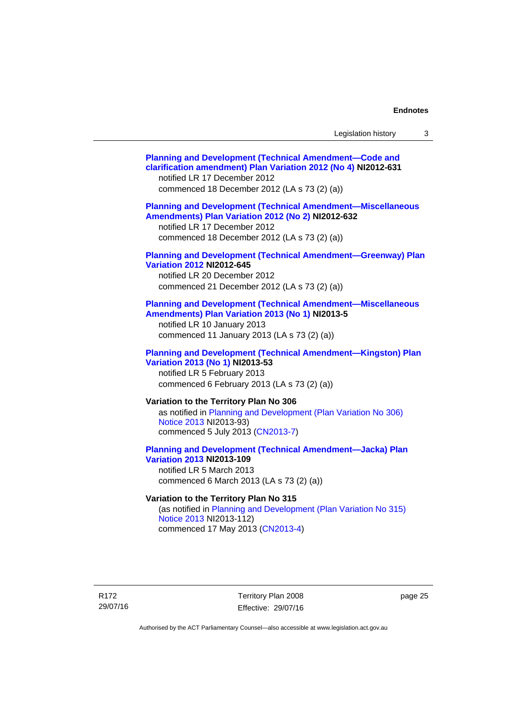| Legislation history |  |
|---------------------|--|
|---------------------|--|

| <b>Planning and Development (Technical Amendment-Code and</b><br>clarification amendment) Plan Variation 2012 (No 4) NI2012-631<br>notified LR 17 December 2012<br>commenced 18 December 2012 (LA s 73 (2) (a)) |
|-----------------------------------------------------------------------------------------------------------------------------------------------------------------------------------------------------------------|
| <b>Planning and Development (Technical Amendment-Miscellaneous</b><br>Amendments) Plan Variation 2012 (No 2) NI2012-632<br>notified LR 17 December 2012<br>commenced 18 December 2012 (LA s 73 (2) (a))         |
| <b>Planning and Development (Technical Amendment-Greenway) Plan</b><br><b>Variation 2012 NI2012-645</b><br>notified LR 20 December 2012<br>commenced 21 December 2012 (LA s 73 (2) (a))                         |
| <b>Planning and Development (Technical Amendment-Miscellaneous</b><br>Amendments) Plan Variation 2013 (No 1) NI2013-5<br>notified LR 10 January 2013<br>commenced 11 January 2013 (LA s 73 (2) (a))             |
| <b>Planning and Development (Technical Amendment-Kingston) Plan</b><br>Variation 2013 (No 1) NI2013-53<br>notified LR 5 February 2013<br>commenced 6 February 2013 (LA s 73 (2) (a))                            |
| Variation to the Territory Plan No 306<br>as notified in Planning and Development (Plan Variation No 306)<br>Notice 2013 NI2013-93)<br>commenced 5 July 2013 (CN2013-7)                                         |
| <b>Planning and Development (Technical Amendment-Jacka) Plan</b><br><b>Variation 2013 NI2013-109</b><br>notified LR 5 March 2013<br>commenced 6 March 2013 (LA s 73 (2) (a))                                    |
| Variation to the Territory Plan No 315<br>(as notified in Planning and Development (Plan Variation No 315)<br>Notice 2013 NI2013-112)                                                                           |
|                                                                                                                                                                                                                 |

commenced 17 May 2013 [\(CN2013-4\)](http://www.legislation.act.gov.au/cn/2013-4/default.asp)

R172 29/07/16

Territory Plan 2008 Effective: 29/07/16 page 25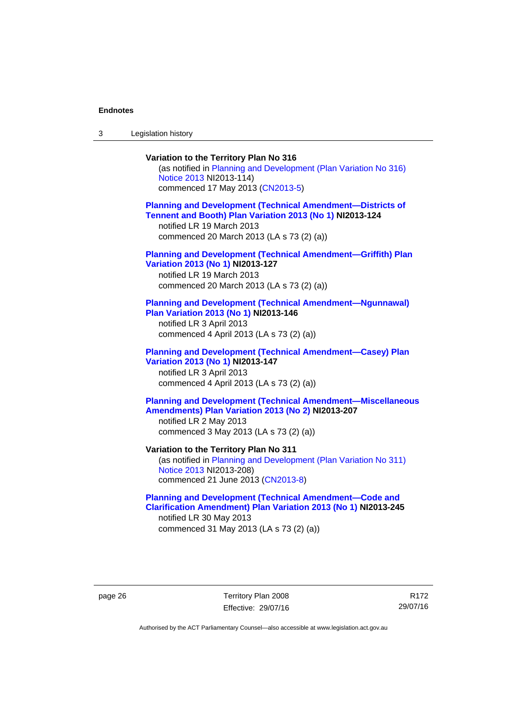3 Legislation history

## **Variation to the Territory Plan No 316**  (as notified in [Planning and Development \(Plan Variation No 316\)](http://www.legislation.act.gov.au/ni/2013-114/default.asp)  [Notice 2013](http://www.legislation.act.gov.au/ni/2013-114/default.asp) NI2013-114) commenced 17 May 2013 [\(CN2013-5\)](http://www.legislation.act.gov.au/cn/2013-5/default.asp) **[Planning and Development \(Technical Amendment—Districts of](http://www.legislation.act.gov.au/ni/2013-124/default.asp)  [Tennent and Booth\) Plan Variation 2013 \(No 1\)](http://www.legislation.act.gov.au/ni/2013-124/default.asp) NI2013-124**  notified LR 19 March 2013 commenced 20 March 2013 (LA s 73 (2) (a)) **[Planning and Development \(Technical Amendment—Griffith\) Plan](http://www.legislation.act.gov.au/ni/2013-127/default.asp)  [Variation 2013 \(No 1\)](http://www.legislation.act.gov.au/ni/2013-127/default.asp) NI2013-127**  notified LR 19 March 2013 commenced 20 March 2013 (LA s 73 (2) (a)) **[Planning and Development \(Technical Amendment—Ngunnawal\)](http://www.legislation.act.gov.au/ni/2013-146/default.asp)  [Plan Variation 2013 \(No 1\)](http://www.legislation.act.gov.au/ni/2013-146/default.asp) NI2013-146**  notified LR 3 April 2013 commenced 4 April 2013 (LA s 73 (2) (a)) **[Planning and Development \(Technical Amendment—Casey\) Plan](http://www.legislation.act.gov.au/ni/2013-147/default.asp)  [Variation 2013 \(No 1\)](http://www.legislation.act.gov.au/ni/2013-147/default.asp) NI2013-147**  notified LR 3 April 2013 commenced 4 April 2013 (LA s 73 (2) (a)) **[Planning and Development \(Technical Amendment—Miscellaneous](http://www.legislation.act.gov.au/ni/2013-207/default.asp)  [Amendments\) Plan Variation 2013 \(No 2\)](http://www.legislation.act.gov.au/ni/2013-207/default.asp) NI2013-207**  notified LR 2 May 2013 commenced 3 May 2013 (LA s 73 (2) (a)) **Variation to the Territory Plan No 311**  (as notified in [Planning and Development \(Plan Variation No 311\)](http://www.legislation.act.gov.au/ni/2013-208/default.asp)  [Notice 2013](http://www.legislation.act.gov.au/ni/2013-208/default.asp) NI2013-208) commenced 21 June 2013 ([CN2013-8\)](http://www.legislation.act.gov.au/cn/2013-8/default.asp) **[Planning and Development \(Technical Amendment—Code and](http://www.legislation.act.gov.au/ni/2013-245/default.asp)  [Clarification Amendment\) Plan Variation 2013 \(No 1\)](http://www.legislation.act.gov.au/ni/2013-245/default.asp) NI2013-245**

notified LR 30 May 2013 commenced 31 May 2013 (LA s 73 (2) (a))

page 26 Territory Plan 2008 Effective: 29/07/16

R172 29/07/16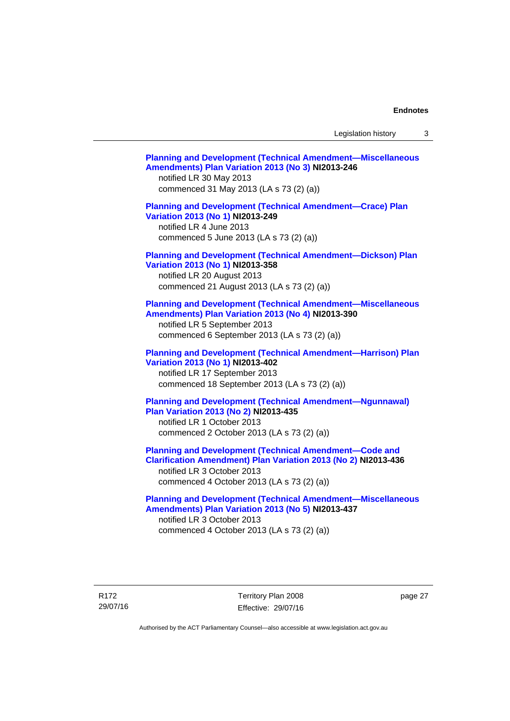Legislation history 3

| <b>Planning and Development (Technical Amendment-Miscellaneous</b><br>Amendments) Plan Variation 2013 (No 3) NI2013-246<br>notified LR 30 May 2013<br>commenced 31 May 2013 (LA s 73 (2) (a))               |
|-------------------------------------------------------------------------------------------------------------------------------------------------------------------------------------------------------------|
| <b>Planning and Development (Technical Amendment-Crace) Plan</b><br>Variation 2013 (No 1) NI2013-249<br>notified LR 4 June 2013<br>commenced 5 June 2013 (LA s 73 (2) (a))                                  |
| <b>Planning and Development (Technical Amendment-Dickson) Plan</b><br>Variation 2013 (No 1) NI2013-358<br>notified LR 20 August 2013<br>commenced 21 August 2013 (LA s 73 (2) (a))                          |
| <b>Planning and Development (Technical Amendment-Miscellaneous</b><br>Amendments) Plan Variation 2013 (No 4) NI2013-390<br>notified LR 5 September 2013<br>commenced 6 September 2013 (LA s 73 (2) (a))     |
| <b>Planning and Development (Technical Amendment-Harrison) Plan</b><br>Variation 2013 (No 1) NI2013-402<br>notified LR 17 September 2013<br>commenced 18 September 2013 (LA s 73 (2) (a))                   |
| <b>Planning and Development (Technical Amendment-Ngunnawal)</b><br>Plan Variation 2013 (No 2) NI2013-435<br>notified LR 1 October 2013<br>commenced 2 October 2013 (LA s 73 (2) (a))                        |
| <b>Planning and Development (Technical Amendment-Code and</b><br>Clarification Amendment) Plan Variation 2013 (No 2) NI2013-436<br>notified LR 3 October 2013<br>commenced 4 October 2013 (LA s 73 (2) (a)) |
| <b>Planning and Development (Technical Amendment-Miscellaneous</b><br>Amendments) Plan Variation 2013 (No 5) NI2013-437<br>notified LR 3 October 2013<br>commenced 4 October 2013 (LA s 73 (2) (a))         |

R172 29/07/16 Territory Plan 2008 Effective: 29/07/16

page 27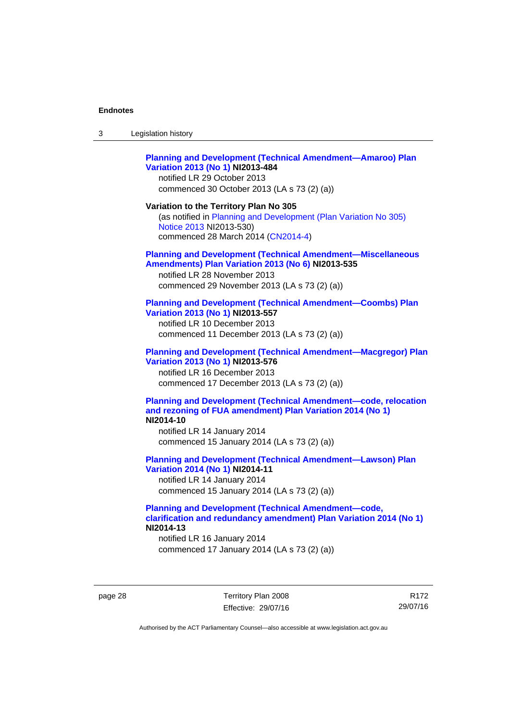| 3 | Legislation history |  |
|---|---------------------|--|
|---|---------------------|--|

## **[Planning and Development \(Technical Amendment—Amaroo\) Plan](http://www.legislation.act.gov.au/ni/2013-484/default.asp)  [Variation 2013 \(No 1\)](http://www.legislation.act.gov.au/ni/2013-484/default.asp) NI2013-484**

notified LR 29 October 2013 commenced 30 October 2013 (LA s 73 (2) (a))

#### **Variation to the Territory Plan No 305**

(as notified in [Planning and Development \(Plan Variation No 305\)](http://www.legislation.act.gov.au/ni/2013-530/default.asp)  [Notice 2013](http://www.legislation.act.gov.au/ni/2013-530/default.asp) NI2013-530) commenced 28 March 2014 [\(CN2014-4\)](http://www.legislation.act.gov.au/cn/2014-4/default.asp)

#### **[Planning and Development \(Technical Amendment—Miscellaneous](http://www.legislation.act.gov.au/ni/2013-535/default.asp)  [Amendments\) Plan Variation 2013 \(No 6\)](http://www.legislation.act.gov.au/ni/2013-535/default.asp) NI2013-535**

notified LR 28 November 2013 commenced 29 November 2013 (LA s 73 (2) (a))

### **[Planning and Development \(Technical Amendment—Coombs\) Plan](http://www.legislation.act.gov.au/ni/2013-557/default.asp)  [Variation 2013 \(No 1\)](http://www.legislation.act.gov.au/ni/2013-557/default.asp) NI2013-557**

notified LR 10 December 2013 commenced 11 December 2013 (LA s 73 (2) (a))

## **[Planning and Development \(Technical Amendment—Macgregor\) Plan](http://www.legislation.act.gov.au/ni/2013-576/default.asp)  [Variation 2013 \(No 1\)](http://www.legislation.act.gov.au/ni/2013-576/default.asp) NI2013-576**  notified LR 16 December 2013

commenced 17 December 2013 (LA s 73 (2) (a))

#### **[Planning and Development \(Technical Amendment—code, relocation](http://www.legislation.act.gov.au/ni/2014-10/default.asp)  [and rezoning of FUA amendment\) Plan Variation 2014 \(No 1\)](http://www.legislation.act.gov.au/ni/2014-10/default.asp) NI2014-10**

notified LR 14 January 2014 commenced 15 January 2014 (LA s 73 (2) (a))

## **[Planning and Development \(Technical Amendment—Lawson\) Plan](http://www.legislation.act.gov.au/ni/2014-11/default.asp)  [Variation 2014 \(No 1\)](http://www.legislation.act.gov.au/ni/2014-11/default.asp) NI2014-11**

notified LR 14 January 2014 commenced 15 January 2014 (LA s 73 (2) (a))

## **[Planning and Development \(Technical Amendment—code,](http://www.legislation.act.gov.au/ni/2014-13/default.asp)  [clarification and redundancy amendment\) Plan Variation 2014 \(No 1\)](http://www.legislation.act.gov.au/ni/2014-13/default.asp) NI2014-13**

notified LR 16 January 2014 commenced 17 January 2014 (LA s 73 (2) (a))

page 28 Territory Plan 2008 Effective: 29/07/16

R172 29/07/16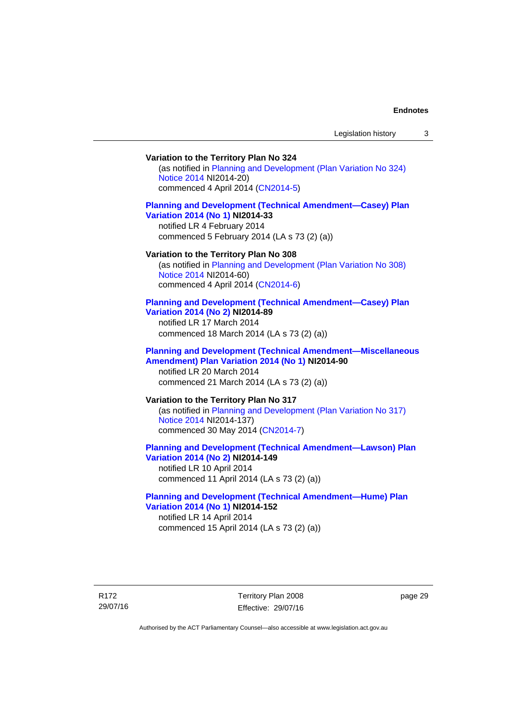## **Variation to the Territory Plan No 324**

(as notified in [Planning and Development \(Plan Variation No 324\)](http://www.legislation.act.gov.au/ni/2014-20/default.asp)  [Notice 2014](http://www.legislation.act.gov.au/ni/2014-20/default.asp) NI2014-20) commenced 4 April 2014 ([CN2014-5](http://www.legislation.act.gov.au/cn/2014-5/default.asp))

## **[Planning and Development \(Technical Amendment—Casey\) Plan](http://www.legislation.act.gov.au/ni/2014-33/default.asp)  [Variation 2014 \(No 1\)](http://www.legislation.act.gov.au/ni/2014-33/default.asp) NI2014-33**

notified LR 4 February 2014 commenced 5 February 2014 (LA s 73 (2) (a))

#### **Variation to the Territory Plan No 308**

(as notified in [Planning and Development \(Plan Variation No 308\)](http://www.legislation.act.gov.au/ni/2014-60/default.asp)  [Notice 2014](http://www.legislation.act.gov.au/ni/2014-60/default.asp) NI2014-60) commenced 4 April 2014 ([CN2014-6](http://www.legislation.act.gov.au/cn/2014-6/default.asp))

#### **[Planning and Development \(Technical Amendment—Casey\) Plan](http://www.legislation.act.gov.au/ni/2014-89/default.asp)  [Variation 2014 \(No 2\)](http://www.legislation.act.gov.au/ni/2014-89/default.asp) NI2014-89**

notified LR 17 March 2014 commenced 18 March 2014 (LA s 73 (2) (a))

### **[Planning and Development \(Technical Amendment—Miscellaneous](http://www.legislation.act.gov.au/ni/2014-90/default.asp)  [Amendment\) Plan Variation 2014 \(No 1\)](http://www.legislation.act.gov.au/ni/2014-90/default.asp) NI2014-90**  notified LR 20 March 2014

commenced 21 March 2014 (LA s 73 (2) (a))

## **Variation to the Territory Plan No 317**

(as notified in [Planning and Development \(Plan Variation No 317\)](http://www.legislation.act.gov.au/ni/2014-137/default.asp)  [Notice 2014](http://www.legislation.act.gov.au/ni/2014-137/default.asp) NI2014-137) commenced 30 May 2014 [\(CN2014-7\)](http://www.legislation.act.gov.au/cn/2014-7/default.asp)

## **[Planning and Development \(Technical Amendment—Lawson\) Plan](http://www.legislation.act.gov.au/ni/2014-149/default.asp)  [Variation 2014 \(No 2\)](http://www.legislation.act.gov.au/ni/2014-149/default.asp) NI2014-149**

notified LR 10 April 2014 commenced 11 April 2014 (LA s 73 (2) (a))

## **[Planning and Development \(Technical Amendment—Hume\) Plan](http://www.legislation.act.gov.au/ni/2014-152/default.asp)  [Variation 2014 \(No 1\)](http://www.legislation.act.gov.au/ni/2014-152/default.asp) NI2014-152**

notified LR 14 April 2014 commenced 15 April 2014 (LA s 73 (2) (a))

R172 29/07/16 Territory Plan 2008 Effective: 29/07/16 page 29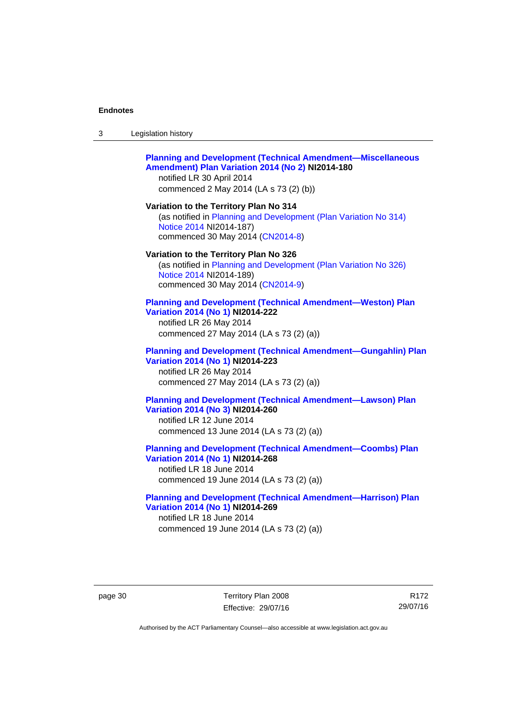| -3 | Legislation history |  |
|----|---------------------|--|
|----|---------------------|--|

### **[Planning and Development \(Technical Amendment—Miscellaneous](http://www.legislation.act.gov.au/ni/2014-180/default.asp)  [Amendment\) Plan Variation 2014 \(No 2\)](http://www.legislation.act.gov.au/ni/2014-180/default.asp) NI2014-180**  notified LR 30 April 2014

commenced 2 May 2014 (LA s 73 (2) (b))

**Variation to the Territory Plan No 314**  (as notified in [Planning and Development \(Plan Variation No 314\)](http://www.legislation.act.gov.au/ni/2014-187/default.asp)  [Notice 2014](http://www.legislation.act.gov.au/ni/2014-187/default.asp) NI2014-187)

commenced 30 May 2014 [\(CN2014-8\)](http://www.legislation.act.gov.au/cn/2014-8/default.asp)

#### **Variation to the Territory Plan No 326**

(as notified in [Planning and Development \(Plan Variation No 326\)](http://www.legislation.act.gov.au/ni/2014-189/default.asp)  [Notice 2014](http://www.legislation.act.gov.au/ni/2014-189/default.asp) NI2014-189) commenced 30 May 2014 [\(CN2014-9\)](http://www.legislation.act.gov.au/cn/2014-9/default.asp)

#### **[Planning and Development \(Technical Amendment—Weston\) Plan](http://www.legislation.act.gov.au/ni/2014-222/default.asp)  [Variation 2014 \(No 1\)](http://www.legislation.act.gov.au/ni/2014-222/default.asp) NI2014-222**

notified LR 26 May 2014 commenced 27 May 2014 (LA s 73 (2) (a))

## **[Planning and Development \(Technical Amendment—Gungahlin\) Plan](http://www.legislation.act.gov.au/ni/2014-223/default.asp)  [Variation 2014 \(No 1\)](http://www.legislation.act.gov.au/ni/2014-223/default.asp) NI2014-223**  notified LR 26 May 2014

commenced 27 May 2014 (LA s 73 (2) (a))

## **[Planning and Development \(Technical Amendment—Lawson\) Plan](http://www.legislation.act.gov.au/ni/2014-260/default.asp)  [Variation 2014 \(No 3\)](http://www.legislation.act.gov.au/ni/2014-260/default.asp) NI2014-260**

notified LR 12 June 2014 commenced 13 June 2014 (LA s 73 (2) (a))

**[Planning and Development \(Technical Amendment—Coombs\) Plan](http://www.legislation.act.gov.au/ni/2014-268/default.asp)  [Variation 2014 \(No 1\)](http://www.legislation.act.gov.au/ni/2014-268/default.asp) NI2014-268** 

notified LR 18 June 2014 commenced 19 June 2014 (LA s 73 (2) (a))

### **[Planning and Development \(Technical Amendment—Harrison\) Plan](http://www.legislation.act.gov.au/ni/2014-269/default.asp)  [Variation 2014 \(No 1\)](http://www.legislation.act.gov.au/ni/2014-269/default.asp) NI2014-269**  notified LR 18 June 2014

commenced 19 June 2014 (LA s 73 (2) (a))

page 30 Territory Plan 2008 Effective: 29/07/16

R172 29/07/16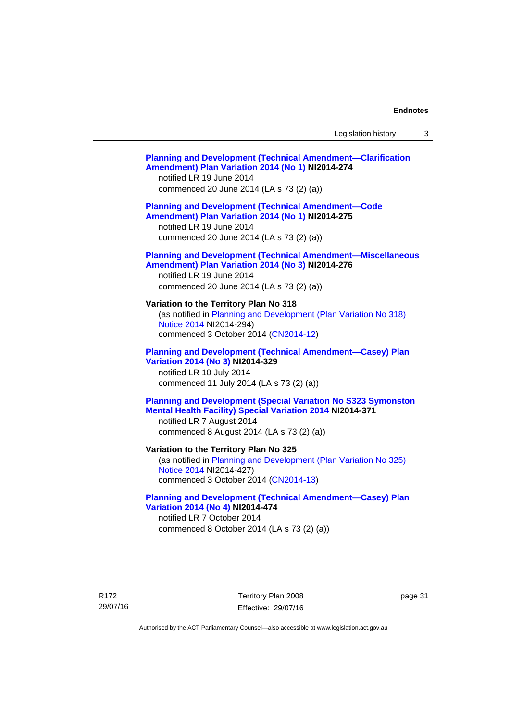## **[Planning and Development \(Technical Amendment—Clarification](http://www.legislation.act.gov.au/ni/2014-274/default.asp)  [Amendment\) Plan Variation 2014 \(No 1\)](http://www.legislation.act.gov.au/ni/2014-274/default.asp) NI2014-274**  notified LR 19 June 2014 commenced 20 June 2014 (LA s 73 (2) (a)) **[Planning and Development \(Technical Amendment—Code](http://www.legislation.act.gov.au/ni/2014-275/default.asp)  [Amendment\) Plan Variation 2014 \(No 1\)](http://www.legislation.act.gov.au/ni/2014-275/default.asp) NI2014-275**  notified LR 19 June 2014 commenced 20 June 2014 (LA s 73 (2) (a)) **[Planning and Development \(Technical Amendment—Miscellaneous](http://www.legislation.act.gov.au/ni/2014-276/default.asp)  [Amendment\) Plan Variation 2014 \(No 3\)](http://www.legislation.act.gov.au/ni/2014-276/default.asp) NI2014-276**  notified LR 19 June 2014 commenced 20 June 2014 (LA s 73 (2) (a)) **Variation to the Territory Plan No 318**  (as notified in [Planning and Development \(Plan Variation No 318\)](http://www.legislation.act.gov.au/ni/2014-294/default.asp)  [Notice 2014](http://www.legislation.act.gov.au/ni/2014-294/default.asp) NI2014-294) commenced 3 October 2014 [\(CN2014-12\)](http://www.legislation.act.gov.au/cn/2014-12/default.asp) **[Planning and Development \(Technical Amendment—Casey\) Plan](http://www.legislation.act.gov.au/ni/2014-329/default.asp)  [Variation 2014 \(No 3\)](http://www.legislation.act.gov.au/ni/2014-329/default.asp) NI2014-329**  notified LR 10 July 2014 commenced 11 July 2014 (LA s 73 (2) (a)) **[Planning and Development \(Special Variation No S323 Symonston](http://www.legislation.act.gov.au/ni/2014-371/default.asp)  [Mental Health Facility\) Special Variation 2014](http://www.legislation.act.gov.au/ni/2014-371/default.asp) NI2014-371**  notified LR 7 August 2014 commenced 8 August 2014 (LA s 73 (2) (a)) **Variation to the Territory Plan No 325**  (as notified in [Planning and Development \(Plan Variation No 325\)](http://www.legislation.act.gov.au/ni/2014-427/default.asp)  [Notice 2014](http://www.legislation.act.gov.au/ni/2014-427/default.asp) NI2014-427) commenced 3 October 2014 [\(CN2014-13\)](http://www.legislation.act.gov.au/cn/2014-13/default.asp) **[Planning and Development \(Technical Amendment—Casey\) Plan](http://www.legislation.act.gov.au/ni/2014-474/default.asp)  [Variation 2014 \(No 4\)](http://www.legislation.act.gov.au/ni/2014-474/default.asp) NI2014-474**  notified LR 7 October 2014 commenced 8 October 2014 (LA s 73 (2) (a))

R172 29/07/16 Territory Plan 2008 Effective: 29/07/16 page 31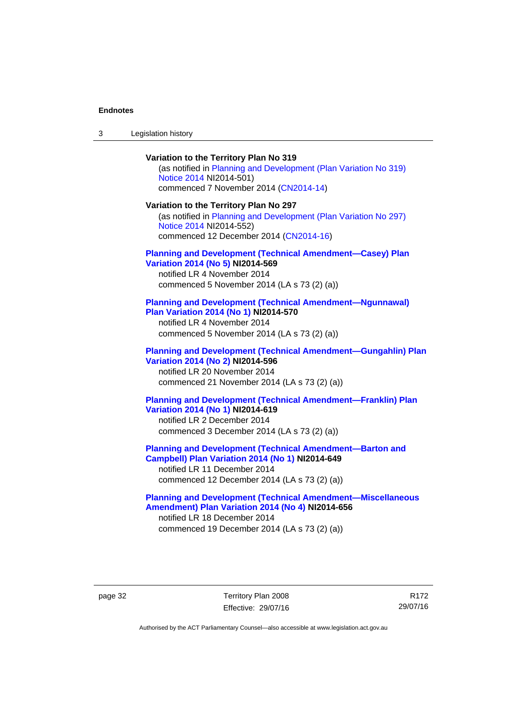| $\sqrt{2}$<br>- 3 | Legislation history |  |
|-------------------|---------------------|--|
|-------------------|---------------------|--|

**Variation to the Territory Plan No 319**  (as notified in [Planning and Development \(Plan Variation No 319\)](http://www.legislation.act.gov.au/ni/2014-501/default.asp)  [Notice 2014](http://www.legislation.act.gov.au/ni/2014-501/default.asp) NI2014-501) commenced 7 November 2014 ([CN2014-14](http://www.legislation.act.gov.au/cn/2014-14/default.asp)) **Variation to the Territory Plan No 297**  (as notified in [Planning and Development \(Plan Variation No 297\)](http://www.legislation.act.gov.au/ni/2014-552/default.asp)  [Notice 2014](http://www.legislation.act.gov.au/ni/2014-552/default.asp) NI2014-552) commenced 12 December 2014 [\(CN2014-16\)](http://www.legislation.act.gov.au/cn/2014-16/default.asp) **[Planning and Development \(Technical Amendment—Casey\) Plan](http://www.legislation.act.gov.au/ni/2014-569/default.asp)  [Variation 2014 \(No 5\)](http://www.legislation.act.gov.au/ni/2014-569/default.asp) NI2014-569**  notified LR 4 November 2014 commenced 5 November 2014 (LA s 73 (2) (a)) **[Planning and Development \(Technical Amendment—Ngunnawal\)](http://www.legislation.act.gov.au/ni/2014-570/default.asp)  [Plan Variation 2014 \(No 1\)](http://www.legislation.act.gov.au/ni/2014-570/default.asp) NI2014-570**  notified LR 4 November 2014 commenced 5 November 2014 (LA s 73 (2) (a)) **[Planning and Development \(Technical Amendment—Gungahlin\) Plan](http://www.legislation.act.gov.au/ni/2014-596/default.asp)  [Variation 2014 \(No 2\)](http://www.legislation.act.gov.au/ni/2014-596/default.asp) NI2014-596**  notified LR 20 November 2014 commenced 21 November 2014 (LA s 73 (2) (a)) **[Planning and Development \(Technical Amendment—Franklin\) Plan](http://www.legislation.act.gov.au/ni/2014-619/default.asp)  [Variation 2014 \(No 1\)](http://www.legislation.act.gov.au/ni/2014-619/default.asp) NI2014-619**  notified LR 2 December 2014 commenced 3 December 2014 (LA s 73 (2) (a)) **[Planning and Development \(Technical Amendment—Barton and](http://www.legislation.act.gov.au/ni/2014-649/default.asp)  [Campbell\) Plan Variation 2014 \(No 1\)](http://www.legislation.act.gov.au/ni/2014-649/default.asp) NI2014-649**  notified LR 11 December 2014 commenced 12 December 2014 (LA s 73 (2) (a))

**[Planning and Development \(Technical Amendment—Miscellaneous](http://www.legislation.act.gov.au/ni/2014-656/default.asp)  [Amendment\) Plan Variation 2014 \(No 4\)](http://www.legislation.act.gov.au/ni/2014-656/default.asp) NI2014-656**  notified LR 18 December 2014 commenced 19 December 2014 (LA s 73 (2) (a))

page 32 Territory Plan 2008 Effective: 29/07/16

R172 29/07/16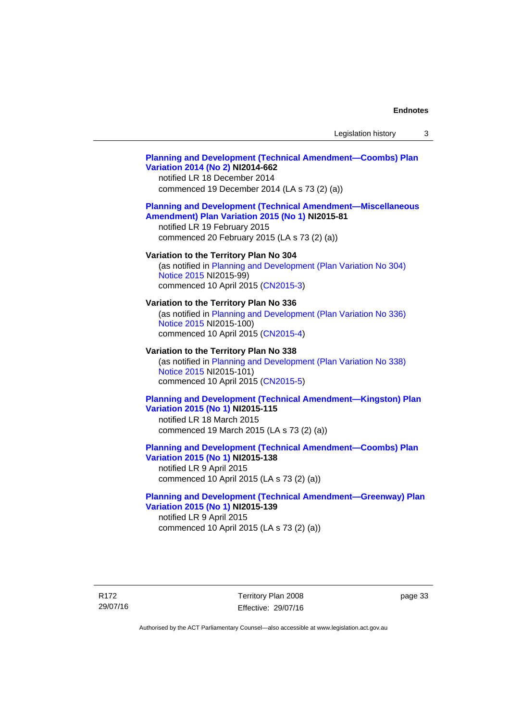## **[Planning and Development \(Technical Amendment—Coombs\) Plan](http://www.legislation.act.gov.au/ni/2014-662/default.asp)  [Variation 2014 \(No 2\)](http://www.legislation.act.gov.au/ni/2014-662/default.asp) NI2014-662**

notified LR 18 December 2014 commenced 19 December 2014 (LA s 73 (2) (a))

## **[Planning and Development \(Technical Amendment—Miscellaneous](http://www.legislation.act.gov.au/ni/2015-81/default.asp)  [Amendment\) Plan Variation 2015 \(No 1\)](http://www.legislation.act.gov.au/ni/2015-81/default.asp) NI2015-81**

notified LR 19 February 2015 commenced 20 February 2015 (LA s 73 (2) (a))

### **Variation to the Territory Plan No 304**

(as notified in [Planning and Development \(Plan Variation No 304\)](http://www.legislation.act.gov.au/ni/2015-99/default.asp)  [Notice 2015](http://www.legislation.act.gov.au/ni/2015-99/default.asp) NI2015-99) commenced 10 April 2015 [\(CN2015-3\)](http://www.legislation.act.gov.au/cn/2015-3/default.asp)

#### **Variation to the Territory Plan No 336**

(as notified in [Planning and Development \(Plan Variation No 336\)](http://www.legislation.act.gov.au/ni/2015-100/default.asp)  [Notice 2015](http://www.legislation.act.gov.au/ni/2015-100/default.asp) NI2015-100) commenced 10 April 2015 [\(CN2015-4\)](http://www.legislation.act.gov.au/cn/2015-4/default.asp)

### **Variation to the Territory Plan No 338**

(as notified in [Planning and Development \(Plan Variation No 338\)](http://www.legislation.act.gov.au/ni/2015-101/default.asp)  [Notice 2015](http://www.legislation.act.gov.au/ni/2015-101/default.asp) NI2015-101) commenced 10 April 2015 [\(CN2015-5\)](http://www.legislation.act.gov.au/cn/2015-5/default.asp)

## **[Planning and Development \(Technical Amendment—Kingston\) Plan](http://www.legislation.act.gov.au/ni/2015-115/default.asp)  [Variation 2015 \(No 1\)](http://www.legislation.act.gov.au/ni/2015-115/default.asp) NI2015-115**

notified LR 18 March 2015 commenced 19 March 2015 (LA s 73 (2) (a))

## **[Planning and Development \(Technical Amendment—Coombs\) Plan](http://www.legislation.act.gov.au/ni/2015-138/default.asp)  [Variation 2015 \(No 1\)](http://www.legislation.act.gov.au/ni/2015-138/default.asp) NI2015-138**

notified LR 9 April 2015 commenced 10 April 2015 (LA s 73 (2) (a))

## **[Planning and Development \(Technical Amendment—Greenway\) Plan](http://www.legislation.act.gov.au/ni/2015-139/default.asp)  [Variation 2015 \(No 1\)](http://www.legislation.act.gov.au/ni/2015-139/default.asp) NI2015-139**

notified LR 9 April 2015 commenced 10 April 2015 (LA s 73 (2) (a))

R172 29/07/16 Territory Plan 2008 Effective: 29/07/16 page 33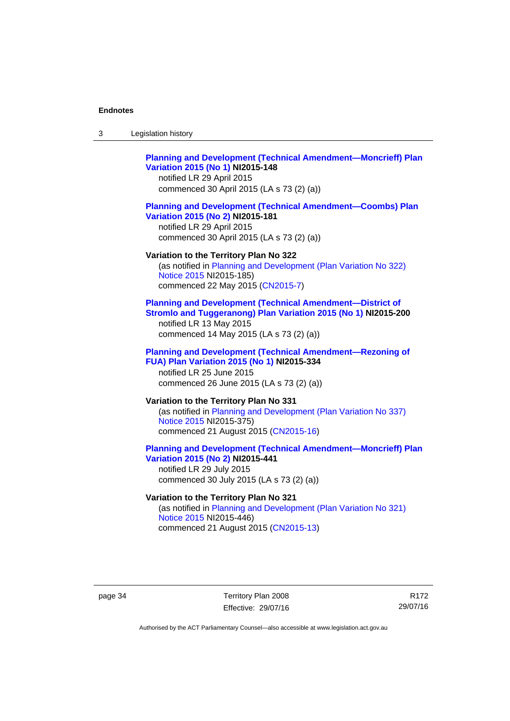| Legislation history<br>-3 |  |
|---------------------------|--|
|---------------------------|--|

## **[Planning and Development \(Technical Amendment—Moncrieff\) Plan](http://www.legislation.act.gov.au/ni/2015-148/default.asp)  [Variation 2015 \(No 1\)](http://www.legislation.act.gov.au/ni/2015-148/default.asp) NI2015-148**

notified LR 29 April 2015 commenced 30 April 2015 (LA s 73 (2) (a))

### **[Planning and Development \(Technical Amendment—Coombs\) Plan](http://www.legislation.act.gov.au/ni/2015-181/default.asp)  [Variation 2015 \(No 2\)](http://www.legislation.act.gov.au/ni/2015-181/default.asp) NI2015-181**

notified LR 29 April 2015 commenced 30 April 2015 (LA s 73 (2) (a))

#### **Variation to the Territory Plan No 322**

(as notified in [Planning and Development \(Plan Variation No 322\)](http://www.legislation.act.gov.au/ni/2015-185/default.asp)  [Notice 2015](http://www.legislation.act.gov.au/ni/2015-185/default.asp) NI2015-185) commenced 22 May 2015 [\(CN2015-7\)](http://www.legislation.act.gov.au/cn/2015-7/default.asp)

## **[Planning and Development \(Technical Amendment—District of](http://www.legislation.act.gov.au/ni/2015-200/default.asp)  [Stromlo and Tuggeranong\) Plan Variation 2015 \(No 1\)](http://www.legislation.act.gov.au/ni/2015-200/default.asp) NI2015-200**

notified LR 13 May 2015 commenced 14 May 2015 (LA s 73 (2) (a))

## **[Planning and Development \(Technical Amendment—Rezoning of](http://www.legislation.act.gov.au/ni/2015-334/default.asp)  [FUA\) Plan Variation 2015 \(No 1\)](http://www.legislation.act.gov.au/ni/2015-334/default.asp) NI2015-334**

notified LR 25 June 2015 commenced 26 June 2015 (LA s 73 (2) (a))

## **Variation to the Territory Plan No 331**

(as notified in [Planning and Development \(Plan Variation No 337\)](http://www.legislation.act.gov.au/ni/2015-375/default.asp)  [Notice 2015](http://www.legislation.act.gov.au/ni/2015-375/default.asp) NI2015-375) commenced 21 August 2015 [\(CN2015-16\)](http://www.legislation.act.gov.au/cn/2015-16/default.asp)

## **[Planning and Development \(Technical Amendment—Moncrieff\) Plan](http://www.legislation.act.gov.au/ni/2015-441/default.asp)  [Variation 2015 \(No 2\)](http://www.legislation.act.gov.au/ni/2015-441/default.asp) NI2015-441**

notified LR 29 July 2015 commenced 30 July 2015 (LA s 73 (2) (a))

## **Variation to the Territory Plan No 321**

(as notified in [Planning and Development \(Plan Variation No 321\)](http://www.legislation.act.gov.au/ni/2015-446/default.asp)  [Notice 2015](http://www.legislation.act.gov.au/ni/2015-446/default.asp) NI2015-446) commenced 21 August 2015 [\(CN2015-13\)](http://www.legislation.act.gov.au/cn/2015-13/default.asp)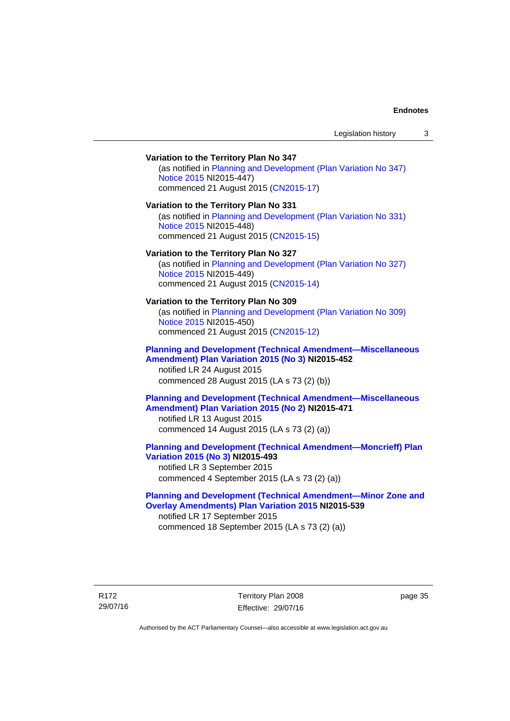## **Variation to the Territory Plan No 347**  (as notified in [Planning and Development \(Plan Variation No 347\)](http://www.legislation.act.gov.au/ni/2015-447/default.asp)  [Notice 2015](http://www.legislation.act.gov.au/ni/2015-447/default.asp) NI2015-447) commenced 21 August 2015 [\(CN2015-17\)](http://www.legislation.act.gov.au/cn/2015-17/default.asp) **Variation to the Territory Plan No 331**  (as notified in [Planning and Development \(Plan Variation No 331\)](http://www.legislation.act.gov.au/ni/2015-448/default.asp)  [Notice 2015](http://www.legislation.act.gov.au/ni/2015-448/default.asp) NI2015-448) commenced 21 August 2015 [\(CN2015-15\)](http://www.legislation.act.gov.au/cn/2015-15/default.asp) **Variation to the Territory Plan No 327**  (as notified in [Planning and Development \(Plan Variation No 327\)](http://www.legislation.act.gov.au/ni/2015-449/default.asp)  [Notice 2015](http://www.legislation.act.gov.au/ni/2015-449/default.asp) NI2015-449) commenced 21 August 2015 [\(CN2015-14\)](http://www.legislation.act.gov.au/cn/2015-14/default.asp) **Variation to the Territory Plan No 309**  (as notified in [Planning and Development \(Plan Variation No 309\)](http://www.legislation.act.gov.au/ni/2015-450/default.asp)  [Notice 2015](http://www.legislation.act.gov.au/ni/2015-450/default.asp) NI2015-450) commenced 21 August 2015 [\(CN2015-12\)](http://www.legislation.act.gov.au/cn/2015-12/default.asp) **[Planning and Development \(Technical Amendment—Miscellaneous](http://www.legislation.act.gov.au/ni/2015-452/default.asp)  [Amendment\) Plan Variation 2015 \(No 3\)](http://www.legislation.act.gov.au/ni/2015-452/default.asp) NI2015-452**  notified LR 24 August 2015 commenced 28 August 2015 (LA s 73 (2) (b)) **[Planning and Development \(Technical Amendment—Miscellaneous](http://www.legislation.act.gov.au/ni/2015-471/default.asp)  [Amendment\) Plan Variation 2015 \(No 2\)](http://www.legislation.act.gov.au/ni/2015-471/default.asp) NI2015-471**  notified LR 13 August 2015 commenced 14 August 2015 (LA s 73 (2) (a)) **[Planning and Development \(Technical Amendment—Moncrieff\) Plan](http://www.legislation.act.gov.au/ni/2015-493/default.asp)  [Variation 2015 \(No 3\)](http://www.legislation.act.gov.au/ni/2015-493/default.asp) NI2015-493**  notified LR 3 September 2015 commenced 4 September 2015 (LA s 73 (2) (a)) **[Planning and Development \(Technical Amendment—Minor Zone and](http://www.legislation.act.gov.au/ni/2015-539/default.asp)**

**[Overlay Amendments\) Plan Variation 2015](http://www.legislation.act.gov.au/ni/2015-539/default.asp) NI2015-539**  notified LR 17 September 2015 commenced 18 September 2015 (LA s 73 (2) (a))

R172 29/07/16 Territory Plan 2008 Effective: 29/07/16 page 35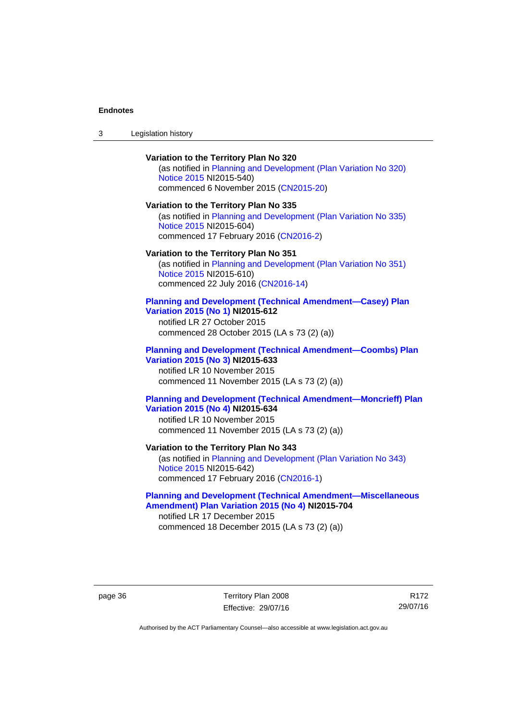## **Variation to the Territory Plan No 320**

(as notified in [Planning and Development \(Plan Variation No 320\)](http://www.legislation.act.gov.au/ni/2015-540/default.asp)  [Notice 2015](http://www.legislation.act.gov.au/ni/2015-540/default.asp) NI2015-540) commenced 6 November 2015 ([CN2015-20](http://www.legislation.act.gov.au/cn/2015-20/default.asp))

#### **Variation to the Territory Plan No 335**

(as notified in [Planning and Development \(Plan Variation No 335\)](http://www.legislation.act.gov.au/ni/2015-604/default.asp)  [Notice 2015](http://www.legislation.act.gov.au/ni/2015-604/default.asp) NI2015-604) commenced 17 February 2016 [\(CN2016-2\)](http://www.legislation.act.gov.au/cn/2016-2/default.asp)

#### **Variation to the Territory Plan No 351**

(as notified in [Planning and Development \(Plan Variation No 351\)](http://www.legislation.act.gov.au/ni/2015-610/default.asp)  [Notice 2015](http://www.legislation.act.gov.au/ni/2015-610/default.asp) NI2015-610) commenced 22 July 2016 [\(CN2016-14](http://www.legislation.act.gov.au/cn/2016-14/default.asp))

### **[Planning and Development \(Technical Amendment—Casey\) Plan](http://www.legislation.act.gov.au/ni/2015-612/default.asp)  [Variation 2015 \(No 1\)](http://www.legislation.act.gov.au/ni/2015-612/default.asp) NI2015-612**

notified LR 27 October 2015 commenced 28 October 2015 (LA s 73 (2) (a))

#### **[Planning and Development \(Technical Amendment—Coombs\) Plan](http://www.legislation.act.gov.au/ni/2015-633/default.asp)  [Variation 2015 \(No 3\)](http://www.legislation.act.gov.au/ni/2015-633/default.asp) NI2015-633**

notified LR 10 November 2015 commenced 11 November 2015 (LA s 73 (2) (a))

## **[Planning and Development \(Technical Amendment—Moncrieff\) Plan](http://www.legislation.act.gov.au/ni/2015-634/default.asp)  [Variation 2015 \(No 4\)](http://www.legislation.act.gov.au/ni/2015-634/default.asp) NI2015-634**

notified LR 10 November 2015 commenced 11 November 2015 (LA s 73 (2) (a))

## **Variation to the Territory Plan No 343**

(as notified in [Planning and Development \(Plan Variation No 343\)](http://www.legislation.act.gov.au/ni/2015-642/default.asp)  [Notice 2015](http://www.legislation.act.gov.au/ni/2015-642/default.asp) NI2015-642) commenced 17 February 2016 [\(CN2016-1\)](http://www.legislation.act.gov.au/cn/2016-1/default.asp)

## **[Planning and Development \(Technical Amendment—Miscellaneous](http://www.legislation.act.gov.au/ni/2015-704/default.asp)  [Amendment\) Plan Variation 2015 \(No 4\)](http://www.legislation.act.gov.au/ni/2015-704/default.asp) NI2015-704**

notified LR 17 December 2015 commenced 18 December 2015 (LA s 73 (2) (a))

page 36 Territory Plan 2008 Effective: 29/07/16

R172 29/07/16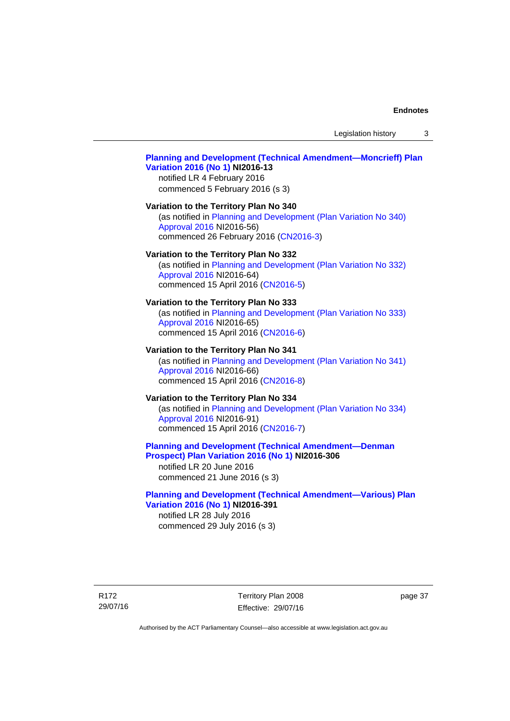Legislation history 3

# **[Planning and Development \(Technical Amendment—Moncrieff\) Plan](http://www.legislation.act.gov.au/ni/2016-13/default.asp)  [Variation 2016 \(No 1\)](http://www.legislation.act.gov.au/ni/2016-13/default.asp) NI2016-13**

notified LR 4 February 2016 commenced 5 February 2016 (s 3)

#### **Variation to the Territory Plan No 340**

(as notified in [Planning and Development \(Plan Variation No 340\)](http://www.legislation.act.gov.au/ni/2016-56/default.asp)  [Approval 2016](http://www.legislation.act.gov.au/ni/2016-56/default.asp) NI2016-56) commenced 26 February 2016 [\(CN2016-3\)](http://www.legislation.act.gov.au/cn/2016-3/default.asp)

#### **Variation to the Territory Plan No 332**

(as notified in [Planning and Development \(Plan Variation No 332\)](http://www.legislation.act.gov.au/ni/2016-64/default.asp)  [Approval 2016](http://www.legislation.act.gov.au/ni/2016-64/default.asp) NI2016-64) commenced 15 April 2016 [\(CN2016-5\)](http://www.legislation.act.gov.au/cn/2016-5/default.asp)

#### **Variation to the Territory Plan No 333**

(as notified in [Planning and Development \(Plan Variation No 333\)](http://www.legislation.act.gov.au/ni/2016-65/default.asp)  [Approval 2016](http://www.legislation.act.gov.au/ni/2016-65/default.asp) NI2016-65) commenced 15 April 2016 [\(CN2016-6\)](http://www.legislation.act.gov.au/cn/2016-6/default.asp)

#### **Variation to the Territory Plan No 341**

(as notified in [Planning and Development \(Plan Variation No 341\)](http://www.legislation.act.gov.au/ni/2016-66/default.asp)  [Approval 2016](http://www.legislation.act.gov.au/ni/2016-66/default.asp) NI2016-66) commenced 15 April 2016 [\(CN2016-8\)](http://www.legislation.act.gov.au/cn/2016-8/default.asp)

# **Variation to the Territory Plan No 334**

(as notified in [Planning and Development \(Plan Variation No 334\)](http://www.legislation.act.gov.au/ni/2016-91/default.asp)  [Approval 2016](http://www.legislation.act.gov.au/ni/2016-91/default.asp) NI2016-91) commenced 15 April 2016 [\(CN2016-7\)](http://www.legislation.act.gov.au/cn/2016-7/default.asp)

# **[Planning and Development \(Technical Amendment—Denman](http://www.legislation.act.gov.au/ni/2016-306/default.asp)  [Prospect\) Plan Variation 2016 \(No 1\)](http://www.legislation.act.gov.au/ni/2016-306/default.asp) NI2016-306**

notified LR 20 June 2016 commenced 21 June 2016 (s 3)

#### **[Planning and Development \(Technical Amendment—Various\) Plan](http://www.legislation.act.gov.au/ni/2016-391/default.asp)  [Variation 2016 \(No 1\)](http://www.legislation.act.gov.au/ni/2016-391/default.asp) NI2016-391**

notified LR 28 July 2016 commenced 29 July 2016 (s 3)

R172 29/07/16 Territory Plan 2008 Effective: 29/07/16 page 37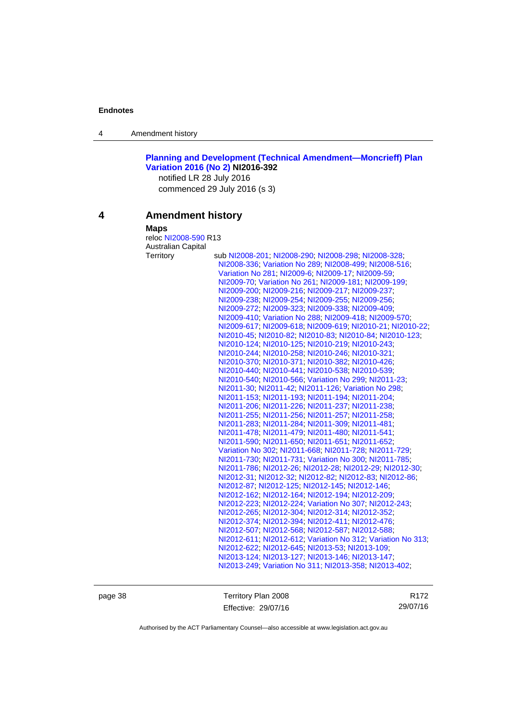4 Amendment history

**[Planning and Development \(Technical Amendment—Moncrieff\) Plan](http://www.legislation.act.gov.au/ni/2016-392/default.asp)  [Variation 2016 \(No 2\)](http://www.legislation.act.gov.au/ni/2016-392/default.asp) NI2016-392** 

notified LR 28 July 2016 commenced 29 July 2016 (s 3)

# **4 Amendment history**

### **Maps**

reloc [NI2008-590](http://www.legislation.act.gov.au/ni/2008-590/default.asp) R13 Australian Capital

| sub NI2008-201; NI2008-290; NI2008-298; NI2008-328;         |
|-------------------------------------------------------------|
| NI2008-336, Variation No 289, NI2008-499, NI2008-516,       |
| Variation No 281, NI2009-6; NI2009-17; NI2009-59;           |
| NI2009-70, Variation No 261, NI2009-181, NI2009-199,        |
| NI2009-200; NI2009-216; NI2009-217; NI2009-237;             |
| NI2009-238, NI2009-254, NI2009-255, NI2009-256,             |
| NI2009-272, NI2009-323, NI2009-338, NI2009-409,             |
| NI2009-410, Variation No 288, NI2009-418, NI2009-570,       |
| NI2009-617, NI2009-618, NI2009-619, NI2010-21, NI2010-22,   |
| NI2010-45; NI2010-82; NI2010-83; NI2010-84; NI2010-123;     |
| NI2010-124, NI2010-125, NI2010-219, NI2010-243,             |
| NI2010-244, NI2010-258, NI2010-246, NI2010-321,             |
| NI2010-370, NI2010-371, NI2010-382, NI2010-426,             |
| NI2010-440; NI2010-441; NI2010-538; NI2010-539;             |
| NI2010-540; NI2010-566; Variation No 299; NI2011-23;        |
| NI2011-30: NI2011-42: NI2011-126: Variation No 298:         |
| NI2011-153, NI2011-193, NI2011-194, NI2011-204,             |
| NI2011-206, NI2011-226, NI2011-237, NI2011-238,             |
| NI2011-255, NI2011-256, NI2011-257, NI2011-258,             |
| NI2011-283, NI2011-284, NI2011-309, NI2011-481,             |
| NI2011-478, NI2011-479, NI2011-480, NI2011-541,             |
| NI2011-590, NI2011-650, NI2011-651, NI2011-652,             |
| Variation No 302; NI2011-668; NI2011-728; NI2011-729;       |
| NI2011-730, NI2011-731, Variation No 300, NI2011-785,       |
| NI2011-786, NI2012-26, NI2012-28, NI2012-29, NI2012-30,     |
| NI2012-31, NI2012-32, NI2012-82, NI2012-83, NI2012-86,      |
| NI2012-87, NI2012-125, NI2012-145, NI2012-146,              |
| NI2012-162; NI2012-164; NI2012-194; NI2012-209;             |
| NI2012-223, NI2012-224; Variation No 307, NI2012-243;       |
| NI2012-265, NI2012-304, NI2012-314, NI2012-352,             |
| NI2012-374: NI2012-394: NI2012-411: NI2012-476:             |
| NI2012-507; NI2012-568; NI2012-587; NI2012-588;             |
| NI2012-611, NI2012-612, Variation No 312, Variation No 313, |
| NI2012-622, NI2012-645, NI2013-53, NI2013-109,              |
| NI2013-124; NI2013-127; NI2013-146; NI2013-147;             |
| NI2013-249; Variation No 311; NI2013-358; NI2013-402;       |

page 38 Territory Plan 2008 Effective: 29/07/16

R172 29/07/16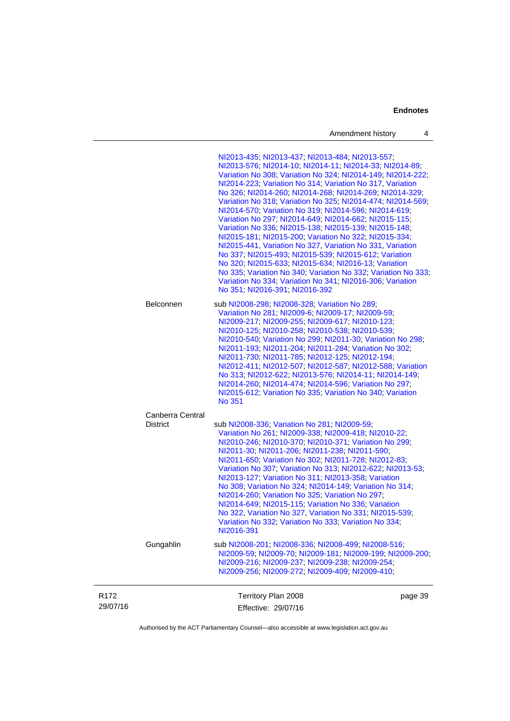| Amendment history |  |
|-------------------|--|
|-------------------|--|

|                              |                                     | NI2013-435, NI2013-437, NI2013-484, NI2013-557,<br>NI2013-576, NI2014-10, NI2014-11, NI2014-33, NI2014-89,<br>Variation No 308; Variation No 324; NI2014-149; NI2014-222;<br>NI2014-223; Variation No 314; Variation No 317, Variation<br>No 326; NI2014-260; NI2014-268; NI2014-269; NI2014-329;<br>Variation No 318; Variation No 325; NI2014-474; NI2014-569;<br>NI2014-570; Variation No 319; NI2014-596; NI2014-619;<br>Variation No 297, NI2014-649, NI2014-662, NI2015-115,<br>Variation No 336, NI2015-138, NI2015-139, NI2015-148,<br>NI2015-181; NI2015-200; Variation No 322; NI2015-334;<br>NI2015-441, Variation No 327, Variation No 331, Variation<br>No 337, NI2015-493, NI2015-539, NI2015-612, Variation<br>No 320; NI2015-633; NI2015-634; NI2016-13; Variation<br>No 335; Variation No 340; Variation No 332; Variation No 333;<br>Variation No 334, Variation No 341, NI2016-306, Variation<br>No 351; NI2016-391; NI2016-392 |         |
|------------------------------|-------------------------------------|----------------------------------------------------------------------------------------------------------------------------------------------------------------------------------------------------------------------------------------------------------------------------------------------------------------------------------------------------------------------------------------------------------------------------------------------------------------------------------------------------------------------------------------------------------------------------------------------------------------------------------------------------------------------------------------------------------------------------------------------------------------------------------------------------------------------------------------------------------------------------------------------------------------------------------------------------|---------|
|                              | Belconnen                           | sub NI2008-298; NI2008-328; Variation No 289;<br>Variation No 281, NI2009-6; NI2009-17; NI2009-59;<br>NI2009-217, NI2009-255, NI2009-617, NI2010-123,<br>NI2010-125, NI2010-258, NI2010-538, NI2010-539,<br>NI2010-540, Variation No 299, NI2011-30, Variation No 298,<br>NI2011-193, NI2011-204; NI2011-284; Variation No 302;<br>NI2011-730, NI2011-785, NI2012-125, NI2012-194,<br>NI2012-411, NI2012-507, NI2012-587, NI2012-588, Variation<br>No 313, NI2012-622, NI2013-576, NI2014-11, NI2014-149,<br>NI2014-260; NI2014-474; NI2014-596; Variation No 297;<br>NI2015-612; Variation No 335; Variation No 340; Variation<br><b>No 351</b>                                                                                                                                                                                                                                                                                                   |         |
|                              | Canberra Central<br><b>District</b> | sub NI2008-336; Variation No 281; NI2009-59;<br>Variation No 261, NI2009-338, NI2009-418, NI2010-22,<br>NI2010-246, NI2010-370, NI2010-371, Variation No 299,<br>NI2011-30, NI2011-206, NI2011-238, NI2011-590,<br>NI2011-650; Variation No 302; NI2011-728; NI2012-83;<br>Variation No 307, Variation No 313, NI2012-622, NI2013-53,<br>NI2013-127; Variation No 311; NI2013-358; Variation<br>No 308, Variation No 324, NI2014-149, Variation No 314,<br>NI2014-260; Variation No 325; Variation No 297;<br>NI2014-649; NI2015-115; Variation No 336; Variation<br>No 322, Variation No 327, Variation No 331; NI2015-539;<br>Variation No 332; Variation No 333; Variation No 334;<br>NI2016-391                                                                                                                                                                                                                                                |         |
|                              | Gungahlin                           | sub NI2008-201; NI2008-336; NI2008-499; NI2008-516;<br>NI2009-59; NI2009-70; NI2009-181; NI2009-199; NI2009-200;<br>NI2009-216, NI2009-237, NI2009-238, NI2009-254,<br>NI2009-256, NI2009-272, NI2009-409, NI2009-410,                                                                                                                                                                                                                                                                                                                                                                                                                                                                                                                                                                                                                                                                                                                             |         |
| R <sub>172</sub><br>29/07/16 |                                     | Territory Plan 2008<br>Effective: 29/07/16                                                                                                                                                                                                                                                                                                                                                                                                                                                                                                                                                                                                                                                                                                                                                                                                                                                                                                         | page 39 |

Authorised by the ACT Parliamentary Counsel—also accessible at www.legislation.act.gov.au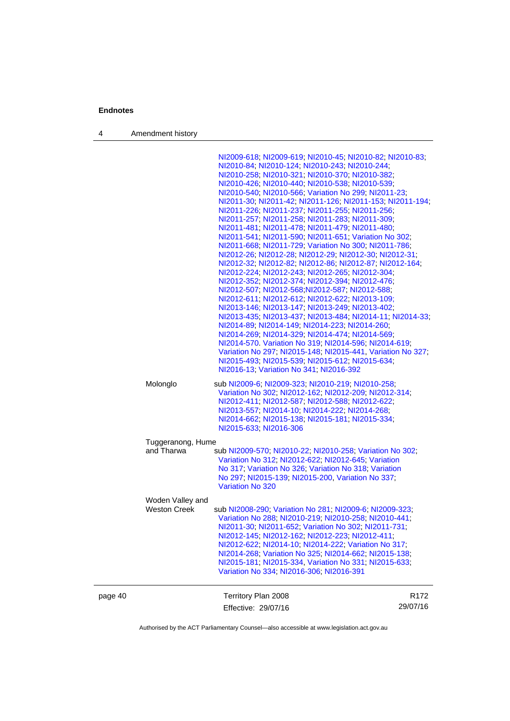4 Amendment history

|         |                     | NI2009-618; NI2009-619; NI2010-45; NI2010-82; NI2010-83;<br>NI2010-84; NI2010-124; NI2010-243; NI2010-244;<br>NI2010-258, NI2010-321, NI2010-370, NI2010-382;<br>NI2010-426, NI2010-440, NI2010-538, NI2010-539,<br>NI2010-540, NI2010-566, Variation No 299, NI2011-23,<br>NI2011-30; NI2011-42; NI2011-126; NI2011-153; NI2011-194;<br>NI2011-226, NI2011-237, NI2011-255, NI2011-256,<br>NI2011-257, NI2011-258, NI2011-283, NI2011-309,<br>NI2011-481, NI2011-478, NI2011-479, NI2011-480,<br>NI2011-541, NI2011-590, NI2011-651, Variation No 302,<br>NI2011-668, NI2011-729, Variation No 300, NI2011-786,<br>NI2012-26; NI2012-28; NI2012-29; NI2012-30; NI2012-31;<br>NI2012-32, NI2012-82, NI2012-86, NI2012-87, NI2012-164,<br>NI2012-224; NI2012-243; NI2012-265; NI2012-304;<br>NI2012-352, NI2012-374, NI2012-394, NI2012-476,<br>NI2012-507; NI2012-568; NI2012-587; NI2012-588;<br>NI2012-611; NI2012-612; NI2012-622; NI2013-109;<br>NI2013-146; NI2013-147; NI2013-249; NI2013-402;<br>NI2013-435; NI2013-437; NI2013-484; NI2014-11; NI2014-33;<br>NI2014-89; NI2014-149; NI2014-223; NI2014-260;<br>NI2014-269, NI2014-329, NI2014-474, NI2014-569,<br>NI2014-570 Variation No 319; NI2014-596; NI2014-619;<br>Variation No 297; NI2015-148; NI2015-441, Variation No 327;<br>NI2015-493, NI2015-539, NI2015-612, NI2015-634,<br>NI2016-13, Variation No 341; NI2016-392 |                              |
|---------|---------------------|---------------------------------------------------------------------------------------------------------------------------------------------------------------------------------------------------------------------------------------------------------------------------------------------------------------------------------------------------------------------------------------------------------------------------------------------------------------------------------------------------------------------------------------------------------------------------------------------------------------------------------------------------------------------------------------------------------------------------------------------------------------------------------------------------------------------------------------------------------------------------------------------------------------------------------------------------------------------------------------------------------------------------------------------------------------------------------------------------------------------------------------------------------------------------------------------------------------------------------------------------------------------------------------------------------------------------------------------------------------------------------------------|------------------------------|
|         | Molonglo            | sub NI2009-6; NI2009-323; NI2010-219; NI2010-258;<br>Variation No 302; NI2012-162; NI2012-209; NI2012-314;<br>NI2012-411; NI2012-587; NI2012-588; NI2012-622;<br>NI2013-557, NI2014-10, NI2014-222, NI2014-268,<br>NI2014-662; NI2015-138; NI2015-181; NI2015-334;<br>NI2015-633; NI2016-306                                                                                                                                                                                                                                                                                                                                                                                                                                                                                                                                                                                                                                                                                                                                                                                                                                                                                                                                                                                                                                                                                                |                              |
|         | Tuggeranong, Hume   |                                                                                                                                                                                                                                                                                                                                                                                                                                                                                                                                                                                                                                                                                                                                                                                                                                                                                                                                                                                                                                                                                                                                                                                                                                                                                                                                                                                             |                              |
|         | and Tharwa          | sub NI2009-570; NI2010-22; NI2010-258; Variation No 302;<br>Variation No 312; NI2012-622; NI2012-645; Variation<br>No 317; Variation No 326; Variation No 318; Variation<br>No 297, NI2015-139, NI2015-200, Variation No 337,<br><b>Variation No 320</b>                                                                                                                                                                                                                                                                                                                                                                                                                                                                                                                                                                                                                                                                                                                                                                                                                                                                                                                                                                                                                                                                                                                                    |                              |
|         | Woden Valley and    |                                                                                                                                                                                                                                                                                                                                                                                                                                                                                                                                                                                                                                                                                                                                                                                                                                                                                                                                                                                                                                                                                                                                                                                                                                                                                                                                                                                             |                              |
|         | <b>Weston Creek</b> | sub NI2008-290; Variation No 281; NI2009-6; NI2009-323;<br>Variation No 288; NI2010-219; NI2010-258; NI2010-441;<br>NI2011-30, NI2011-652, Variation No 302, NI2011-731,<br>NI2012-145; NI2012-162; NI2012-223; NI2012-411;<br>NI2012-622, NI2014-10, NI2014-222, Variation No 317,<br>NI2014-268; Variation No 325; NI2014-662; NI2015-138;<br>NI2015-181, NI2015-334, Variation No 331, NI2015-633,<br>Variation No 334, NI2016-306, NI2016-391                                                                                                                                                                                                                                                                                                                                                                                                                                                                                                                                                                                                                                                                                                                                                                                                                                                                                                                                           |                              |
| page 40 |                     | Territory Plan 2008<br>Effective: 29/07/16                                                                                                                                                                                                                                                                                                                                                                                                                                                                                                                                                                                                                                                                                                                                                                                                                                                                                                                                                                                                                                                                                                                                                                                                                                                                                                                                                  | R <sub>172</sub><br>29/07/16 |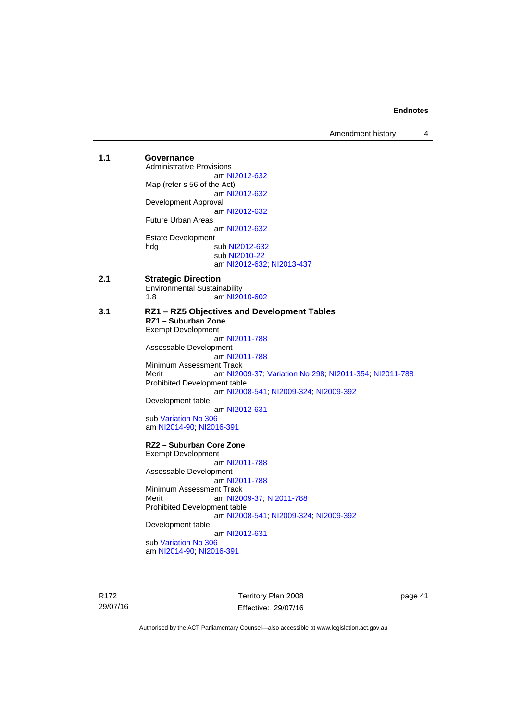Amendment history 4

| 1.1 | Governance<br><b>Administrative Provisions</b>                  |
|-----|-----------------------------------------------------------------|
|     | am NI2012-632                                                   |
|     | Map (refer s 56 of the Act)                                     |
|     | am NI2012-632                                                   |
|     | Development Approval                                            |
|     | am NI2012-632                                                   |
|     | Future Urban Areas                                              |
|     | am NI2012-632                                                   |
|     | <b>Estate Development</b>                                       |
|     | sub NI2012-632<br>hdg                                           |
|     | sub NI2010-22                                                   |
|     | am NI2012-632; NI2013-437                                       |
| 2.1 |                                                                 |
|     | <b>Strategic Direction</b>                                      |
|     | <b>Environmental Sustainability</b><br>1.8<br>am NI2010-602     |
|     |                                                                 |
| 3.1 | RZ1 - RZ5 Objectives and Development Tables                     |
|     | RZ1 - Suburban Zone                                             |
|     | <b>Exempt Development</b>                                       |
|     | am NI2011-788                                                   |
|     | Assessable Development                                          |
|     | am NI2011-788                                                   |
|     | Minimum Assessment Track                                        |
|     | Merit<br>am NI2009-37; Variation No 298; NI2011-354; NI2011-788 |
|     | Prohibited Development table                                    |
|     | am NI2008-541; NI2009-324; NI2009-392                           |
|     | Development table                                               |
|     | am NI2012-631                                                   |
|     | sub Variation No 306                                            |
|     | am NI2014-90, NI2016-391                                        |
|     | RZ2 – Suburban Core Zone                                        |
|     | <b>Exempt Development</b>                                       |
|     | am NI2011-788                                                   |
|     | Assessable Development                                          |
|     | am NI2011-788                                                   |
|     | Minimum Assessment Track                                        |
|     | Merit<br>am NI2009-37, NI2011-788                               |
|     | Prohibited Development table                                    |
|     | am NI2008-541; NI2009-324; NI2009-392                           |
|     | Development table                                               |
|     | am NI2012-631                                                   |
|     | sub Variation No 306                                            |
|     | am NI2014-90, NI2016-391                                        |
|     |                                                                 |

R172 29/07/16 Territory Plan 2008 Effective: 29/07/16

page 41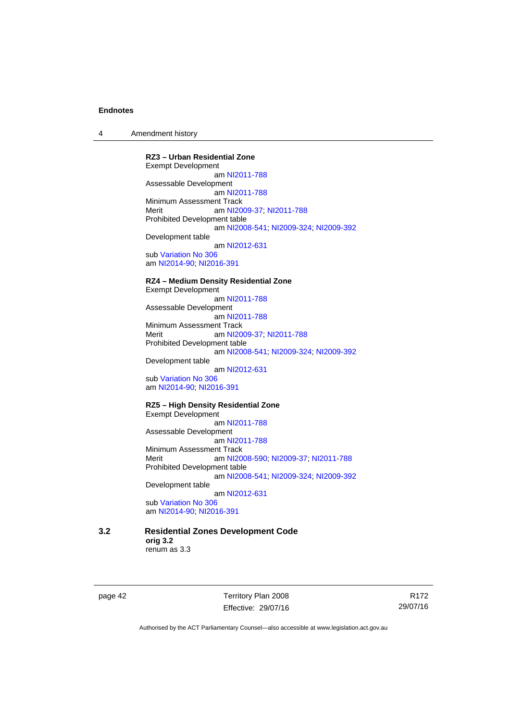4 Amendment history

**RZ3 – Urban Residential Zone**  Exempt Development am [NI2011-788](http://www.legislation.act.gov.au/ni/2011-788/) Assessable Development am [NI2011-788](http://www.legislation.act.gov.au/ni/2011-788/) Minimum Assessment Track Merit **am [NI2009-37](http://www.legislation.act.gov.au/ni/2009-37/); [NI2011-788](http://www.legislation.act.gov.au/ni/2011-788/)** Prohibited Development table am [NI2008-541](http://www.legislation.act.gov.au/ni/2008-541/); [NI2009-324](http://www.legislation.act.gov.au/ni/2009-324/); [NI2009-392](http://www.legislation.act.gov.au/ni/2009-392/) Development table am [NI2012-631](http://www.legislation.act.gov.au/ni/2012-631/default.asp) sub [Variation No 306](http://www.legislation.act.gov.au/ni/2013-93/default.asp) am [NI2014-90](http://www.legislation.act.gov.au/ni/2014-90/default.asp); [NI2016-391](http://www.legislation.act.gov.au/ni/2016-391/default.asp)

**RZ4 – Medium Density Residential Zone** 

Exempt Development am [NI2011-788](http://www.legislation.act.gov.au/ni/2011-788/) Assessable Development am [NI2011-788](http://www.legislation.act.gov.au/ni/2011-788/) Minimum Assessment Track<br>Merit am NI20 am [NI2009-37](http://www.legislation.act.gov.au/ni/2009-37/); [NI2011-788](http://www.legislation.act.gov.au/ni/2011-788/) Prohibited Development table am [NI2008-541](http://www.legislation.act.gov.au/ni/2008-541/); [NI2009-324](http://www.legislation.act.gov.au/ni/2009-324/); [NI2009-392](http://www.legislation.act.gov.au/ni/2009-392/) Development table am [NI2012-631](http://www.legislation.act.gov.au/ni/2012-631/default.asp)

sub [Variation No 306](http://www.legislation.act.gov.au/ni/2013-93/default.asp) am [NI2014-90](http://www.legislation.act.gov.au/ni/2014-90/default.asp); [NI2016-391](http://www.legislation.act.gov.au/ni/2016-391/default.asp)

**RZ5 – High Density Residential Zone**  Exempt Development am [NI2011-788](http://www.legislation.act.gov.au/ni/2011-788/)

Assessable Development am [NI2011-788](http://www.legislation.act.gov.au/ni/2011-788/) Minimum Assessment Track Merit am [NI2008-590](http://www.legislation.act.gov.au/ni/2008-590/default.asp); [NI2009-37](http://www.legislation.act.gov.au/ni/2009-37/); [NI2011-788](http://www.legislation.act.gov.au/ni/2011-788/) Prohibited Development table am [NI2008-541](http://www.legislation.act.gov.au/ni/2008-541/); [NI2009-324](http://www.legislation.act.gov.au/ni/2009-324/); [NI2009-392](http://www.legislation.act.gov.au/ni/2009-392/) Development table

 am [NI2012-631](http://www.legislation.act.gov.au/ni/2012-631/default.asp) sub [Variation No 306](http://www.legislation.act.gov.au/ni/2013-93/default.asp)

am [NI2014-90](http://www.legislation.act.gov.au/ni/2014-90/default.asp); [NI2016-391](http://www.legislation.act.gov.au/ni/2016-391/default.asp)

**3.2 Residential Zones Development Code orig 3.2**  renum as 3.3

page 42 Territory Plan 2008 Effective: 29/07/16

R172 29/07/16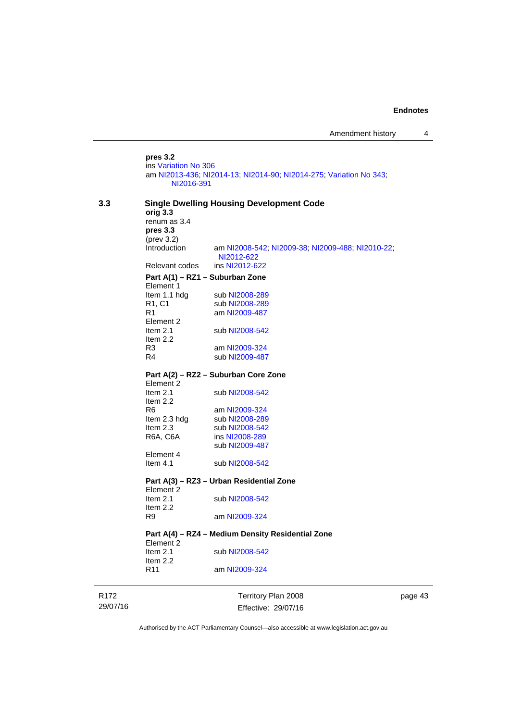**pres 3.2**  ins [Variation No 306](http://www.legislation.act.gov.au/ni/2013-93/default.asp) am [NI2013-436](http://www.legislation.act.gov.au/ni/2013-436/default.asp); [NI2014-13](http://www.legislation.act.gov.au/ni/2014-13/default.asp); [NI2014-90](http://www.legislation.act.gov.au/ni/2014-90/default.asp); [NI2014-275](http://www.legislation.act.gov.au/ni/2014-275/default.asp); [Variation No 343](http://www.legislation.act.gov.au/ni/2015-642/default.asp); [NI2016-391](http://www.legislation.act.gov.au/ni/2016-391/default.asp)

| 3.3  | orig 3.3                                                       | <b>Single Dwelling Housing Development Code</b>                |   |  |  |  |
|------|----------------------------------------------------------------|----------------------------------------------------------------|---|--|--|--|
|      | renum as 3.4                                                   |                                                                |   |  |  |  |
|      | pres 3.3                                                       |                                                                |   |  |  |  |
|      | $(\text{prev } 3.2)$<br>Introduction                           | am NI2008-542; NI2009-38; NI2009-488; NI2010-22;<br>NI2012-622 |   |  |  |  |
|      | Relevant codes                                                 | ins NI2012-622                                                 |   |  |  |  |
|      |                                                                | Part A(1) - RZ1 - Suburban Zone                                |   |  |  |  |
|      | Element 1                                                      |                                                                |   |  |  |  |
|      | Item 1.1 hdg                                                   | sub NI2008-289                                                 |   |  |  |  |
|      | R <sub>1</sub> , C <sub>1</sub>                                | sub NI2008-289                                                 |   |  |  |  |
|      | R1                                                             | am NI2009-487                                                  |   |  |  |  |
|      | Element 2                                                      |                                                                |   |  |  |  |
|      | Item $2.1$                                                     | sub NI2008-542                                                 |   |  |  |  |
|      | Item $2.2$                                                     |                                                                |   |  |  |  |
|      | R3                                                             | am NI2009-324                                                  |   |  |  |  |
|      | R <sub>4</sub>                                                 | sub NI2009-487                                                 |   |  |  |  |
|      |                                                                |                                                                |   |  |  |  |
|      | Part A(2) - RZ2 - Suburban Core Zone<br>Element 2              |                                                                |   |  |  |  |
|      | Item 2.1                                                       | sub NI2008-542                                                 |   |  |  |  |
|      | Item $2.2$                                                     |                                                                |   |  |  |  |
|      | R <sub>6</sub>                                                 |                                                                |   |  |  |  |
|      |                                                                | am NI2009-324                                                  |   |  |  |  |
|      | Item 2.3 hdg<br>Item $2.3$                                     | sub NI2008-289                                                 |   |  |  |  |
|      |                                                                | sub NI2008-542<br>ins NI2008-289                               |   |  |  |  |
|      | R6A, C6A                                                       |                                                                |   |  |  |  |
|      | Element 4                                                      | sub NI2009-487                                                 |   |  |  |  |
|      | Item $4.1$                                                     | sub NI2008-542                                                 |   |  |  |  |
|      |                                                                |                                                                |   |  |  |  |
|      | Part A(3) - RZ3 - Urban Residential Zone<br>Element 2          |                                                                |   |  |  |  |
|      | Item $2.1$<br>Item $2.2$                                       | sub NI2008-542                                                 |   |  |  |  |
|      | R9                                                             | am NI2009-324                                                  |   |  |  |  |
|      | Part A(4) – RZ4 – Medium Density Residential Zone<br>Element 2 |                                                                |   |  |  |  |
|      | Item $2.1$                                                     | sub NI2008-542                                                 |   |  |  |  |
|      | Item $2.2$                                                     |                                                                |   |  |  |  |
|      | R <sub>11</sub>                                                | am NI2009-324                                                  |   |  |  |  |
|      |                                                                |                                                                |   |  |  |  |
| R172 |                                                                | Territory Plan 2008                                            | ŗ |  |  |  |

R172 29/07/16

Effective: 29/07/16

page 43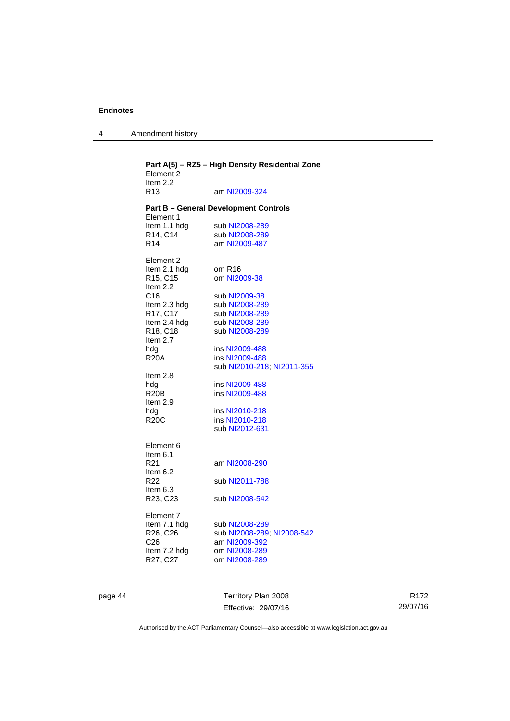4 Amendment history

| Element 2<br>Item $2.2$       | Part A(5) - RZ5 - High Density Residential Zone |
|-------------------------------|-------------------------------------------------|
| R <sub>13</sub>               | am NI2009-324                                   |
| Element 1                     | <b>Part B - General Development Controls</b>    |
| Item 1.1 hdg                  | sub NI2008-289                                  |
| R14, C14                      | sub NI2008-289                                  |
| R <sub>14</sub>               | am NI2009-487                                   |
| Element 2                     |                                                 |
| Item 2.1 hdg                  | om R <sub>16</sub>                              |
| R15, C15<br>Item 2.2          | om NI2009-38                                    |
| C16                           | sub NI2009-38                                   |
| Item 2.3 hdg                  | sub NI2008-289                                  |
| R17, C17                      | sub NI2008-289                                  |
| Item 2.4 hdg                  | sub NI2008-289                                  |
| R18, C18<br>Item 2.7          | sub NI2008-289                                  |
| hda                           | ins NI2009-488                                  |
| <b>R20A</b>                   | ins NI2009-488                                  |
|                               | sub NI2010-218; NI2011-355                      |
| Item 2.8                      |                                                 |
| hdg                           | ins NI2009-488                                  |
| R <sub>20</sub> B<br>Item 2.9 | ins NI2009-488                                  |
| hdg                           | ins NI2010-218                                  |
| <b>R20C</b>                   | ins NI2010-218                                  |
|                               | sub NI2012-631                                  |
| Element 6                     |                                                 |
| Item 6.1                      |                                                 |
| R <sub>21</sub>               | am NI2008-290                                   |
| Item 6.2<br>R <sub>22</sub>   | sub NI2011-788                                  |
| Item 6.3                      |                                                 |
| R23, C23                      | sub NI2008-542                                  |
| Element 7                     |                                                 |
| Item 7.1 hdg                  | sub NI2008-289                                  |
| R26, C26                      | sub NI2008-289; NI2008-542                      |
| C <sub>26</sub>               | am NI2009-392                                   |
| Item 7.2 hdg                  | om NI2008-289                                   |
| R27, C27                      | om NI2008-289                                   |
|                               |                                                 |

page 44 Territory Plan 2008 Effective: 29/07/16

R172 29/07/16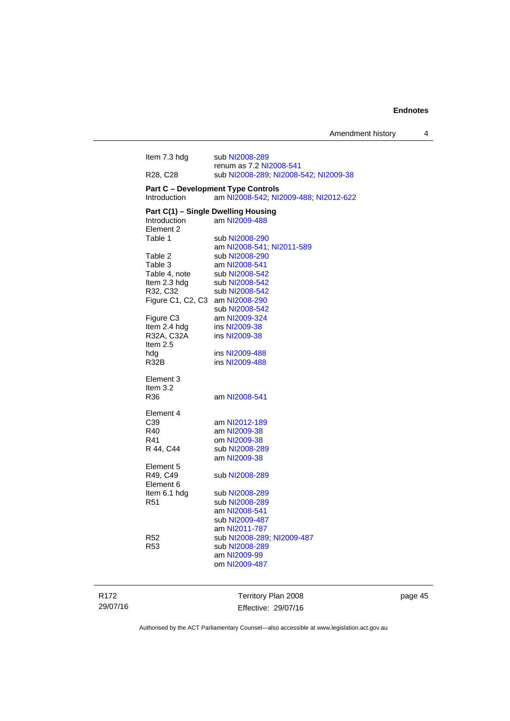| Item 7.3 hdg                      | sub NI2008-289                            |
|-----------------------------------|-------------------------------------------|
|                                   | renum as 7.2 NI2008-541                   |
| R <sub>28</sub> , C <sub>28</sub> | sub NI2008-289; NI2008-542; NI2009-38     |
|                                   | <b>Part C - Development Type Controls</b> |
| Introduction                      | am NI2008-542; NI2009-488; NI2012-622     |
|                                   | Part C(1) - Single Dwelling Housing       |
| <b>Introduction</b>               | am NI2009-488                             |
| Element 2                         |                                           |
| Table 1                           | sub NI2008-290                            |
|                                   | am NI2008-541; NI2011-589                 |
| Table 2                           | sub NI2008-290                            |
| Table 3                           | am NI2008-541                             |
| Table 4, note                     | sub NI2008-542                            |
| Item 2.3 hdg                      | sub NI2008-542                            |
| R32, C32                          | sub NI2008-542                            |
| Figure C1, C2, C3                 | am NI2008-290                             |
|                                   | sub NI2008-542                            |
| Figure C3                         | am NI2009-324                             |
| Item 2.4 hdg                      | ins NI2009-38                             |
| R32A, C32A                        | ins NI2009-38                             |
| Item $2.5$                        |                                           |
| hdg                               | ins NI2009-488                            |
| <b>R32B</b>                       | ins NI2009-488                            |
|                                   |                                           |
| Element 3                         |                                           |
| Item $3.2$                        |                                           |
| R36                               | am NI2008-541                             |
| Element 4                         |                                           |
| C39                               | am NI2012-189                             |
| R40                               | am NI2009-38                              |
| R41                               | om NI2009-38                              |
| R 44, C44                         | sub NI2008-289                            |
|                                   | am NI2009-38                              |
| Element 5                         |                                           |
| R49, C49                          | sub NI2008-289                            |
| Element 6                         |                                           |
| Item 6.1 hdg                      | sub NI2008-289                            |
| R <sub>51</sub>                   | sub NI2008-289                            |
|                                   | am NI2008-541                             |
|                                   | sub NI2009-487                            |
|                                   | am NI2011-787                             |
| R <sub>52</sub>                   | sub NI2008-289, NI2009-487                |
| R <sub>53</sub>                   | sub NI2008-289                            |
|                                   | am NI2009-99                              |
|                                   | om NI2009-487                             |
|                                   |                                           |
|                                   |                                           |
|                                   |                                           |

R172 29/07/16

Territory Plan 2008 Effective: 29/07/16 page 45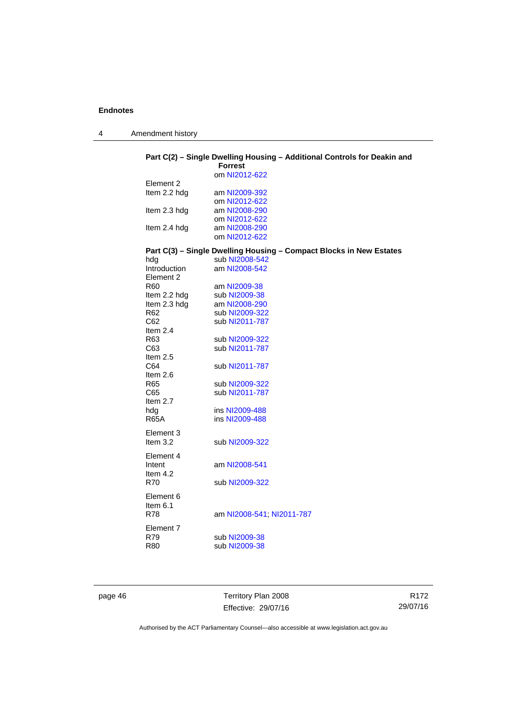4 Amendment history

# **Part C(2) – Single Dwelling Housing – Additional Controls for Deakin and**

|                 | <b>Forrest</b>                                                                        |
|-----------------|---------------------------------------------------------------------------------------|
|                 | om NI2012-622                                                                         |
| Element 2       |                                                                                       |
| Item 2.2 hdg    | am NI2009-392                                                                         |
|                 | om NI2012-622                                                                         |
| Item 2.3 hdg    | am NI2008-290                                                                         |
|                 | om NI2012-622                                                                         |
| Item 2.4 hdg    | am NI2008-290                                                                         |
|                 | om NI2012-622                                                                         |
|                 |                                                                                       |
|                 | Part C(3) - Single Dwelling Housing - Compact Blocks in New Estates<br>sub NI2008-542 |
| hdg             |                                                                                       |
| Introduction    | am NI2008-542                                                                         |
| Element 2       |                                                                                       |
| R <sub>60</sub> | am NI2009-38                                                                          |
| Item 2.2 hdg    | sub NI2009-38                                                                         |
| Item 2.3 hdg    | am NI2008-290                                                                         |
| R <sub>62</sub> | sub NI2009-322                                                                        |
| C62             | sub NI2011-787                                                                        |
| Item $2.4$      |                                                                                       |
| R63             | sub NI2009-322                                                                        |
| C63             | sub NI2011-787                                                                        |
| Item $2.5$      |                                                                                       |
| C64             | sub NI2011-787                                                                        |
| Item $2.6$      |                                                                                       |
| R65             | sub NI2009-322                                                                        |
| C65             | sub NI2011-787                                                                        |
| Item 2.7        |                                                                                       |
| hdg             | ins NI2009-488                                                                        |
| <b>R65A</b>     | ins NI2009-488                                                                        |
| Element 3       |                                                                                       |
| Item $3.2$      | sub NI2009-322                                                                        |
|                 |                                                                                       |
| Element 4       |                                                                                       |
| Intent          | am NI2008-541                                                                         |
| Item $4.2$      |                                                                                       |
| R70             | sub NI2009-322                                                                        |
|                 |                                                                                       |
| Element 6       |                                                                                       |
| Item $6.1$      |                                                                                       |
| <b>R78</b>      | am NI2008-541; NI2011-787                                                             |
| Element 7       |                                                                                       |
| R79             | sub NI2009-38                                                                         |
| R80             | sub NI2009-38                                                                         |
|                 |                                                                                       |
|                 |                                                                                       |

page 46 Territory Plan 2008 Effective: 29/07/16

R172 29/07/16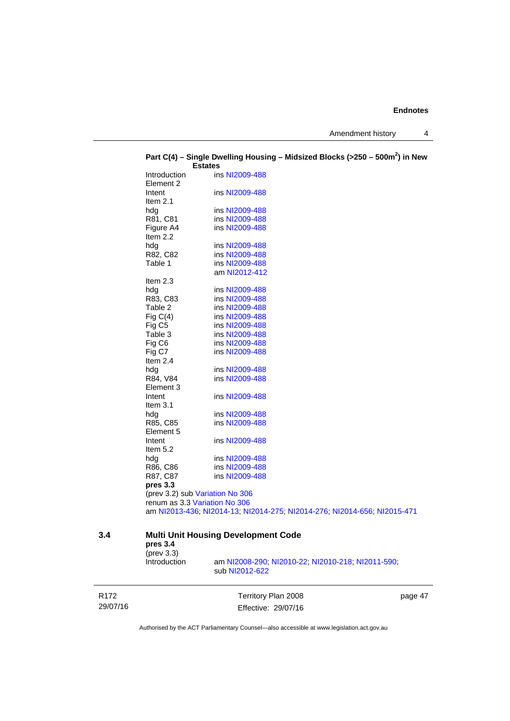Amendment history 4

|     |                                                                  | <b>Estates</b> |                |                                                                          |  |  |
|-----|------------------------------------------------------------------|----------------|----------------|--------------------------------------------------------------------------|--|--|
|     | Introduction                                                     |                | ins NI2009-488 |                                                                          |  |  |
|     | Element 2                                                        |                |                |                                                                          |  |  |
|     | Intent                                                           |                | ins NI2009-488 |                                                                          |  |  |
|     | Item $2.1$                                                       |                |                |                                                                          |  |  |
|     | hdg                                                              |                | ins NI2009-488 |                                                                          |  |  |
|     | R81, C81                                                         |                | ins NI2009-488 |                                                                          |  |  |
|     | Figure A4                                                        |                | ins NI2009-488 |                                                                          |  |  |
|     | Item 2.2                                                         |                |                |                                                                          |  |  |
|     | hdg                                                              |                | ins NI2009-488 |                                                                          |  |  |
|     | R82, C82                                                         |                | ins NI2009-488 |                                                                          |  |  |
|     | Table 1                                                          |                | ins NI2009-488 |                                                                          |  |  |
|     |                                                                  |                | am NI2012-412  |                                                                          |  |  |
|     | Item 2.3                                                         |                |                |                                                                          |  |  |
|     | hdg                                                              |                | ins NI2009-488 |                                                                          |  |  |
|     | R83, C83                                                         |                | ins NI2009-488 |                                                                          |  |  |
|     | Table 2                                                          |                | ins NI2009-488 |                                                                          |  |  |
|     | Fig $C(4)$                                                       |                | ins NI2009-488 |                                                                          |  |  |
|     | Fig C <sub>5</sub>                                               |                | ins NI2009-488 |                                                                          |  |  |
|     | Table 3                                                          |                | ins NI2009-488 |                                                                          |  |  |
|     | Fig C6                                                           |                | ins NI2009-488 |                                                                          |  |  |
|     | Fig C7                                                           |                | ins NI2009-488 |                                                                          |  |  |
|     | Item $2.4$                                                       |                |                |                                                                          |  |  |
|     | hdg                                                              |                | ins NI2009-488 |                                                                          |  |  |
|     | R84, V84                                                         |                | ins NI2009-488 |                                                                          |  |  |
|     | Element 3                                                        |                |                |                                                                          |  |  |
|     | Intent                                                           |                | ins NI2009-488 |                                                                          |  |  |
|     | Item $3.1$                                                       |                |                |                                                                          |  |  |
|     | hdg                                                              |                | ins NI2009-488 |                                                                          |  |  |
|     | R85, C85                                                         |                | ins NI2009-488 |                                                                          |  |  |
|     | Element 5                                                        |                |                |                                                                          |  |  |
|     | Intent                                                           |                | ins NI2009-488 |                                                                          |  |  |
|     | Item 5.2                                                         |                |                |                                                                          |  |  |
|     | hdg                                                              |                | ins NI2009-488 |                                                                          |  |  |
|     | R86, C86                                                         |                | ins NI2009-488 |                                                                          |  |  |
|     | R87, C87                                                         |                | ins NI2009-488 |                                                                          |  |  |
|     | pres 3.3                                                         |                |                |                                                                          |  |  |
|     | (prev 3.2) sub Variation No 306<br>renum as 3.3 Variation No 306 |                |                |                                                                          |  |  |
|     |                                                                  |                |                |                                                                          |  |  |
|     |                                                                  |                |                | am NI2013-436; NI2014-13; NI2014-275; NI2014-276; NI2014-656; NI2015-471 |  |  |
|     |                                                                  |                |                |                                                                          |  |  |
| 3.4 | <b>Multi Unit Housing Development Code</b>                       |                |                |                                                                          |  |  |

# **Part C(4) – Single Dwelling Housing – Midsized Blocks (>250 – 500m<sup>2</sup> ) in New**

| pres 3.4<br>(prev 3.3) |                                                                     |
|------------------------|---------------------------------------------------------------------|
| <b>Introduction</b>    | am NI2008-290, NI2010-22, NI2010-218, NI2011-590.<br>sub NI2012-622 |

R172 29/07/16

Territory Plan 2008 Effective: 29/07/16 page 47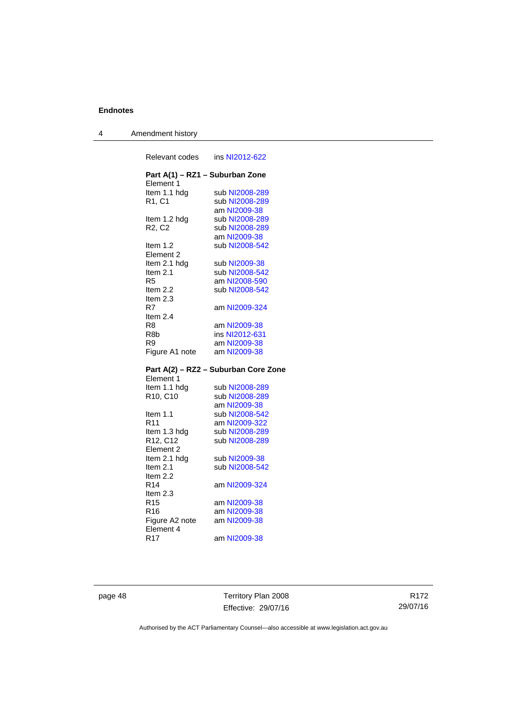| 4 | Amendment history |
|---|-------------------|
|---|-------------------|

| Relevant codes                    | ins NI2012-622                       |
|-----------------------------------|--------------------------------------|
| Element 1                         | Part A(1) - RZ1 - Suburban Zone      |
| Item 1.1 hdg                      | sub NI2008-289                       |
| R1, C1                            | sub NI2008-289                       |
|                                   | am NI2009-38                         |
| Item 1.2 hdg                      | sub NI2008-289                       |
| R <sub>2</sub> , C <sub>2</sub>   | sub NI2008-289                       |
|                                   | am NI2009-38                         |
|                                   | sub NI2008-542                       |
| Item 1.2                          |                                      |
| Element 2                         |                                      |
| Item 2.1 hdg                      | sub NI2009-38                        |
| Item 2.1                          | sub NI2008-542                       |
| R5                                | am NI2008-590                        |
| Item 2.2                          | sub NI2008-542                       |
| Item 2.3                          |                                      |
| R7                                | am NI2009-324                        |
| Item 2.4                          |                                      |
| R8                                | am NI2009-38                         |
| R8b                               | ins NI2012-631                       |
| R <sub>9</sub>                    | am NI2009-38                         |
| Figure A1 note                    | am NI2009-38                         |
|                                   | Part A(2) - RZ2 - Suburban Core Zone |
| Element 1                         |                                      |
| Item 1.1 hdg                      | sub NI2008-289                       |
| R <sub>10</sub> , C <sub>10</sub> | sub NI2008-289                       |
|                                   |                                      |
|                                   | am NI2009-38                         |
| Item 1.1                          | sub NI2008-542                       |
| R11                               | am NI2009-322                        |
| Item 1.3 hdg                      | sub NI2008-289                       |
| R12, C12                          | sub NI2008-289                       |
| Element 2                         |                                      |
| Item 2.1 hdg                      | sub NI2009-38                        |
| Item 2.1                          | sub NI2008-542                       |
| Item 2.2                          |                                      |
| R14                               | am NI2009-324                        |
| Item 2.3                          |                                      |
| R15                               | am NI2009-38                         |
| R <sub>16</sub>                   | am NI2009-38                         |
| Figure A2 note                    | am NI2009-38                         |
|                                   |                                      |

Element 4

R17 am [NI2009-38](http://www.legislation.act.gov.au/ni/2009-38/)

page 48 Territory Plan 2008 Effective: 29/07/16

R172 29/07/16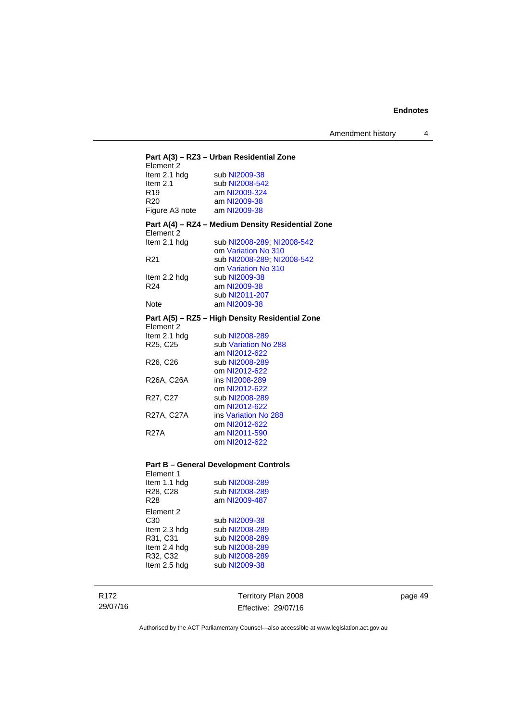Amendment history 4

| Element 2                         | Part A(3) - RZ3 - Urban Residential Zone          |
|-----------------------------------|---------------------------------------------------|
| Item 2.1 hdg                      | sub NI2009-38                                     |
| Item $2.1$                        | sub NI2008-542                                    |
| R <sub>19</sub>                   | am NI2009-324                                     |
| R <sub>20</sub>                   |                                                   |
|                                   | am NI2009-38                                      |
| Figure A3 note am NI2009-38       |                                                   |
| Flement 2                         | Part A(4) – RZ4 – Medium Density Residential Zone |
| Item 2.1 hdg                      | sub NI2008-289, NI2008-542                        |
|                                   | om Variation No 310                               |
| R <sub>21</sub>                   | sub NI2008-289, NI2008-542                        |
|                                   | om Variation No 310                               |
| Item 2.2 hdg                      | sub NI2009-38                                     |
| R <sub>24</sub>                   | am NI2009-38                                      |
|                                   | sub NI2011-207                                    |
| Note                              | am NI2009-38                                      |
| Element 2                         | Part A(5) – RZ5 – High Density Residential Zone   |
| Item 2.1 hdg                      | sub NI2008-289                                    |
| R25, C25                          | sub Variation No 288                              |
|                                   | am NI2012-622                                     |
| R <sub>26</sub> , C <sub>26</sub> | sub NI2008-289                                    |
|                                   | om NI2012-622                                     |
| R26A, C26A                        | ins NI2008-289                                    |
|                                   | om NI2012-622                                     |
| R27, C27                          | sub NI2008-289                                    |
|                                   | om NI2012-622                                     |
| R27A, C27A                        | ins Variation No 288                              |
|                                   | om NI2012-622                                     |
| <b>R27A</b>                       | am NI2011-590                                     |
|                                   | om NI2012-622                                     |
|                                   |                                                   |
|                                   |                                                   |

# **Part B – General Development Controls**

| Element 1<br>Item 1.1 hdg<br>R <sub>28</sub> , C <sub>28</sub><br>R28                    | sub NI2008-289<br>sub NI2008-289<br>am NI2009-487                                                      |
|------------------------------------------------------------------------------------------|--------------------------------------------------------------------------------------------------------|
| Element 2<br>C30<br>Item 2.3 hdg<br>R31, C31<br>Item 2.4 hdg<br>R32, C32<br>Item 2.5 hdg | sub NI2009-38<br>sub NI2008-289<br>sub NI2008-289<br>sub NI2008-289<br>sub NI2008-289<br>sub NI2009-38 |

R172 29/07/16

Territory Plan 2008 Effective: 29/07/16 page 49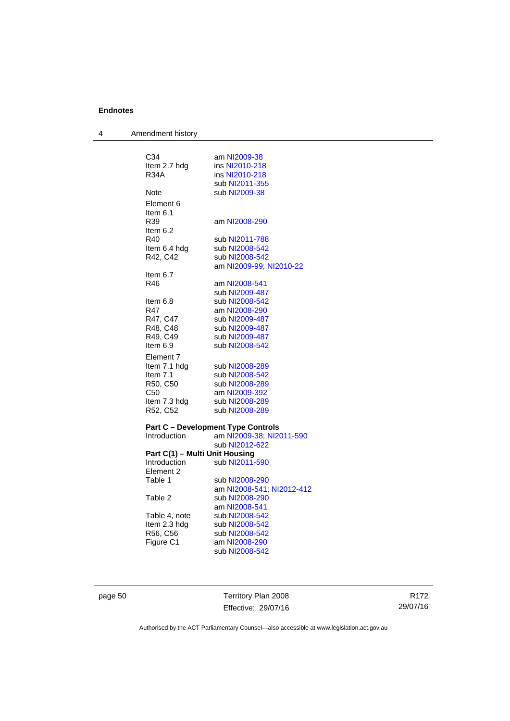| Amendment history |
|-------------------|
|                   |

| C34 |                                | am NI2009-38                              |
|-----|--------------------------------|-------------------------------------------|
|     | Item 2.7 hdg                   | ins NI2010-218                            |
|     | <b>R34A</b>                    | ins NI2010-218                            |
|     |                                | sub NI2011-355                            |
|     | Note                           | sub NI2009-38                             |
|     | Element 6                      |                                           |
|     | Item $6.1$                     |                                           |
|     | R39                            | am NI2008-290                             |
|     | Item $6.2$                     |                                           |
|     | R40                            | sub NI2011-788                            |
|     | Item 6.4 hdg                   | sub NI2008-542                            |
|     | R42, C42                       | sub NI2008-542                            |
|     |                                | am NI2009-99; NI2010-22                   |
|     | Item $6.7$                     |                                           |
| R46 |                                | am NI2008-541                             |
|     |                                | sub NI2009-487                            |
|     | Item 6.8                       | sub NI2008-542                            |
| R47 |                                | am NI2008-290                             |
|     | R47, C47                       | sub NI2009-487                            |
|     | R48, C48                       | sub NI2009-487                            |
|     | R49, C49                       | sub NI2009-487                            |
|     | Item $6.9$                     | sub NI2008-542                            |
|     | Element 7                      |                                           |
|     | Item 7.1 hdg                   | sub NI2008-289                            |
|     | Item 7.1                       | sub NI2008-542                            |
|     | R50, C50                       | sub NI2008-289                            |
|     | C <sub>50</sub>                | am NI2009-392                             |
|     | Item 7.3 hdg                   | sub NI2008-289                            |
|     | R52, C52                       | sub NI2008-289                            |
|     |                                | <b>Part C - Development Type Controls</b> |
|     | Introduction                   | am NI2009-38; NI2011-590                  |
|     |                                | sub NI2012-622                            |
|     | Part C(1) - Multi Unit Housing |                                           |
|     | Introduction                   | sub NI2011-590                            |
|     | Element 2                      |                                           |
|     | Table 1                        | sub NI2008-290                            |
|     |                                | am NI2008-541; NI2012-412                 |
|     | Table 2                        | sub NI2008-290                            |
|     |                                | am NI2008-541                             |
|     | Table 4, note                  | sub NI2008-542                            |
|     | Item 2.3 hdg                   | sub NI2008-542                            |
|     | R56, C56                       | sub NI2008-542                            |
|     | Figure C1                      | am NI2008-290                             |
|     |                                | sub NI2008-542                            |

page 50 Territory Plan 2008 Effective: 29/07/16

R172 29/07/16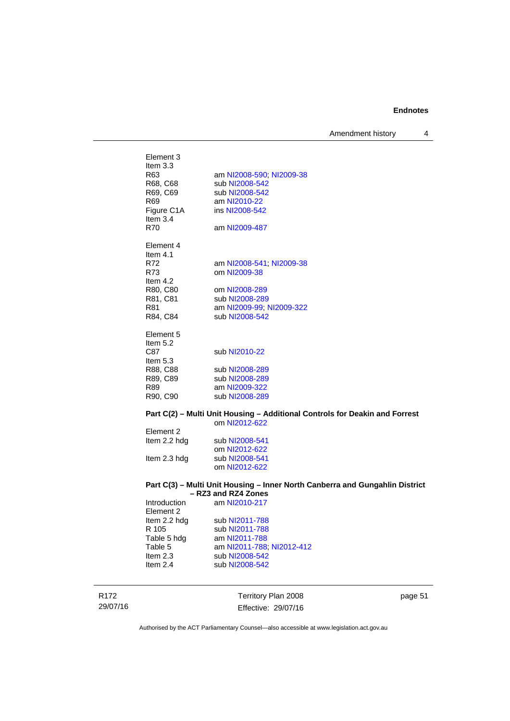Amendment history 4

| Element 3<br>Item $3.3$<br>R63<br>R68, C68<br>R69, C69<br><b>R69</b><br>Figure C1A<br>Item $3.4$<br><b>R70</b> | am NI2008-590; NI2009-38<br>sub NI2008-542<br>sub NI2008-542<br>am NI2010-22<br>ins NI2008-542<br>am NI2009-487           |
|----------------------------------------------------------------------------------------------------------------|---------------------------------------------------------------------------------------------------------------------------|
| Element 4<br>Item $4.1$<br>R72<br>R73<br>Item 4.2<br>R80, C80<br>R81, C81<br>R81<br>R84, C84                   | am NI2008-541, NI2009-38<br>om NI2009-38<br>om NI2008-289<br>sub NI2008-289<br>am NI2009-99; NI2009-322<br>sub NI2008-542 |
| Element 5<br>Item $5.2$<br>C87<br>Item $5.3$<br>R88, C88<br>R89, C89<br>R89<br>R90, C90                        | sub NI2010-22<br>sub NI2008-289<br>sub NI2008-289<br>am NI2009-322<br>sub NI2008-289                                      |

#### **Part C(2) – Multi Unit Housing – Additional Controls for Deakin and Forrest**

|              | om NI2012-622  |
|--------------|----------------|
| Element 2    |                |
| Item 2.2 hdg | sub NI2008-541 |
|              | om NI2012-622  |
| Item 2.3 hdg | sub NI2008-541 |
|              | om NI2012-622  |

#### **Part C(3) – Multi Unit Housing – Inner North Canberra and Gungahlin District – RZ3 and RZ4 Zones**

| Introduction | am NI2010-217             |
|--------------|---------------------------|
| Element 2    |                           |
| Item 2.2 hdg | sub NI2011-788            |
| R 105        | sub NI2011-788            |
| Table 5 hdg  | am NI2011-788             |
| Table 5      | am NI2011-788; NI2012-412 |
| Item $2.3$   | sub NI2008-542            |
| Item $2.4$   | sub NI2008-542            |
|              |                           |

R172 29/07/16

Territory Plan 2008 Effective: 29/07/16 page 51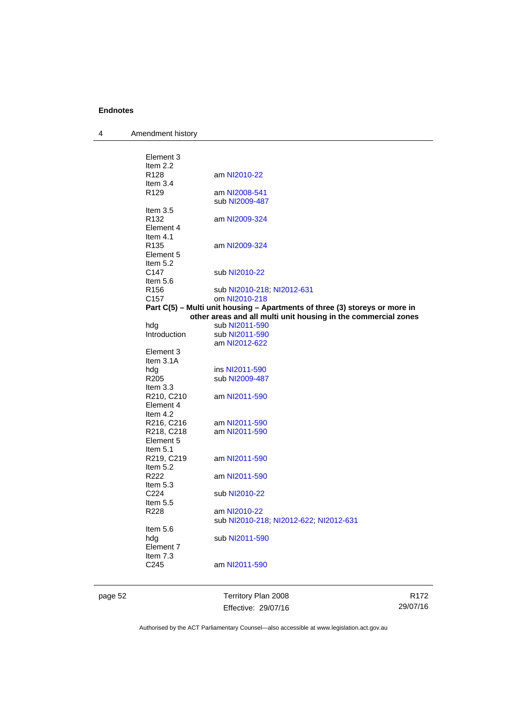4 Amendment history

| sub NI2010-22<br>Item $5.6$<br>sub NI2010-218; NI2012-631<br>om NI2010-218<br>Part C(5) - Multi unit housing - Apartments of three (3) storeys or more in<br>other areas and all multi unit housing in the commercial zones<br>sub NI2011-590<br>Introduction<br>sub NI2011-590<br>am NI2012-622<br>Element 3<br>Item 3.1A<br>ins NI2011-590<br>sub NI2009-487<br>Item $3.3$<br>R210, C210<br>am NI2011-590<br>Element 4<br>Item 4.2<br>R216, C216<br>am NI2011-590<br>R218, C218<br>am NI2011-590<br>Element 5<br>Item $5.1$<br>R219, C219<br>am NI2011-590<br>Item $5.2$<br>am NI2011-590<br>Item $5.3$<br>sub NI2010-22<br>Item $5.5$<br>am NI2010-22<br>sub NI2010-218, NI2012-622, NI2012-631<br>Item 5.6<br>sub NI2011-590<br>Element 7<br>Item 7.3<br>am NI2011-590 |
|----------------------------------------------------------------------------------------------------------------------------------------------------------------------------------------------------------------------------------------------------------------------------------------------------------------------------------------------------------------------------------------------------------------------------------------------------------------------------------------------------------------------------------------------------------------------------------------------------------------------------------------------------------------------------------------------------------------------------------------------------------------------------|
|                                                                                                                                                                                                                                                                                                                                                                                                                                                                                                                                                                                                                                                                                                                                                                            |
|                                                                                                                                                                                                                                                                                                                                                                                                                                                                                                                                                                                                                                                                                                                                                                            |
|                                                                                                                                                                                                                                                                                                                                                                                                                                                                                                                                                                                                                                                                                                                                                                            |
|                                                                                                                                                                                                                                                                                                                                                                                                                                                                                                                                                                                                                                                                                                                                                                            |
|                                                                                                                                                                                                                                                                                                                                                                                                                                                                                                                                                                                                                                                                                                                                                                            |
|                                                                                                                                                                                                                                                                                                                                                                                                                                                                                                                                                                                                                                                                                                                                                                            |
|                                                                                                                                                                                                                                                                                                                                                                                                                                                                                                                                                                                                                                                                                                                                                                            |
|                                                                                                                                                                                                                                                                                                                                                                                                                                                                                                                                                                                                                                                                                                                                                                            |
|                                                                                                                                                                                                                                                                                                                                                                                                                                                                                                                                                                                                                                                                                                                                                                            |
|                                                                                                                                                                                                                                                                                                                                                                                                                                                                                                                                                                                                                                                                                                                                                                            |
|                                                                                                                                                                                                                                                                                                                                                                                                                                                                                                                                                                                                                                                                                                                                                                            |
|                                                                                                                                                                                                                                                                                                                                                                                                                                                                                                                                                                                                                                                                                                                                                                            |
|                                                                                                                                                                                                                                                                                                                                                                                                                                                                                                                                                                                                                                                                                                                                                                            |
|                                                                                                                                                                                                                                                                                                                                                                                                                                                                                                                                                                                                                                                                                                                                                                            |
|                                                                                                                                                                                                                                                                                                                                                                                                                                                                                                                                                                                                                                                                                                                                                                            |
|                                                                                                                                                                                                                                                                                                                                                                                                                                                                                                                                                                                                                                                                                                                                                                            |
|                                                                                                                                                                                                                                                                                                                                                                                                                                                                                                                                                                                                                                                                                                                                                                            |
|                                                                                                                                                                                                                                                                                                                                                                                                                                                                                                                                                                                                                                                                                                                                                                            |
|                                                                                                                                                                                                                                                                                                                                                                                                                                                                                                                                                                                                                                                                                                                                                                            |
|                                                                                                                                                                                                                                                                                                                                                                                                                                                                                                                                                                                                                                                                                                                                                                            |
|                                                                                                                                                                                                                                                                                                                                                                                                                                                                                                                                                                                                                                                                                                                                                                            |
|                                                                                                                                                                                                                                                                                                                                                                                                                                                                                                                                                                                                                                                                                                                                                                            |
|                                                                                                                                                                                                                                                                                                                                                                                                                                                                                                                                                                                                                                                                                                                                                                            |
|                                                                                                                                                                                                                                                                                                                                                                                                                                                                                                                                                                                                                                                                                                                                                                            |
|                                                                                                                                                                                                                                                                                                                                                                                                                                                                                                                                                                                                                                                                                                                                                                            |
|                                                                                                                                                                                                                                                                                                                                                                                                                                                                                                                                                                                                                                                                                                                                                                            |
|                                                                                                                                                                                                                                                                                                                                                                                                                                                                                                                                                                                                                                                                                                                                                                            |
|                                                                                                                                                                                                                                                                                                                                                                                                                                                                                                                                                                                                                                                                                                                                                                            |
|                                                                                                                                                                                                                                                                                                                                                                                                                                                                                                                                                                                                                                                                                                                                                                            |
|                                                                                                                                                                                                                                                                                                                                                                                                                                                                                                                                                                                                                                                                                                                                                                            |
|                                                                                                                                                                                                                                                                                                                                                                                                                                                                                                                                                                                                                                                                                                                                                                            |
|                                                                                                                                                                                                                                                                                                                                                                                                                                                                                                                                                                                                                                                                                                                                                                            |
|                                                                                                                                                                                                                                                                                                                                                                                                                                                                                                                                                                                                                                                                                                                                                                            |
| Item 5.2                                                                                                                                                                                                                                                                                                                                                                                                                                                                                                                                                                                                                                                                                                                                                                   |
| Element 5                                                                                                                                                                                                                                                                                                                                                                                                                                                                                                                                                                                                                                                                                                                                                                  |
| am NI2009-324                                                                                                                                                                                                                                                                                                                                                                                                                                                                                                                                                                                                                                                                                                                                                              |
|                                                                                                                                                                                                                                                                                                                                                                                                                                                                                                                                                                                                                                                                                                                                                                            |
| Element 4                                                                                                                                                                                                                                                                                                                                                                                                                                                                                                                                                                                                                                                                                                                                                                  |
| am NI2009-324                                                                                                                                                                                                                                                                                                                                                                                                                                                                                                                                                                                                                                                                                                                                                              |
|                                                                                                                                                                                                                                                                                                                                                                                                                                                                                                                                                                                                                                                                                                                                                                            |
| sub NI2009-487                                                                                                                                                                                                                                                                                                                                                                                                                                                                                                                                                                                                                                                                                                                                                             |
| am NI2008-541                                                                                                                                                                                                                                                                                                                                                                                                                                                                                                                                                                                                                                                                                                                                                              |
| am NI2010-22                                                                                                                                                                                                                                                                                                                                                                                                                                                                                                                                                                                                                                                                                                                                                               |
|                                                                                                                                                                                                                                                                                                                                                                                                                                                                                                                                                                                                                                                                                                                                                                            |
| Element 3                                                                                                                                                                                                                                                                                                                                                                                                                                                                                                                                                                                                                                                                                                                                                                  |
| Item 2.2<br>Item $3.4$<br>Item $3.5$<br>Item $4.1$                                                                                                                                                                                                                                                                                                                                                                                                                                                                                                                                                                                                                                                                                                                         |

Effective: 29/07/16

R172 29/07/16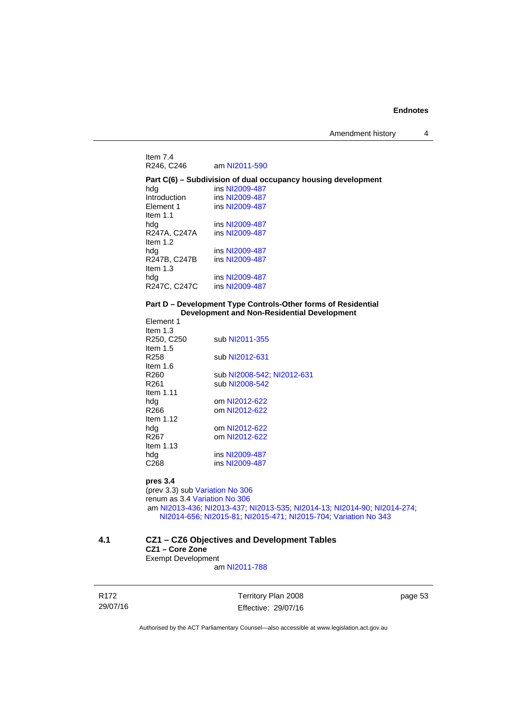Item 7.4<br>R246, C246 am [NI2011-590](http://www.legislation.act.gov.au/ni/2011-590/) **Part C(6) – Subdivision of dual occupancy housing development**  hdg ins [NI2009-487](http://www.legislation.act.gov.au/ni/2009-487/)<br>Introduction ins NI2009-487 Introduction ins [NI2009-487](http://www.legislation.act.gov.au/ni/2009-487/)<br>Element 1 ins NI2009-487 ins [NI2009-487](http://www.legislation.act.gov.au/ni/2009-487/) Item 1.1<br>hdq ins [NI2009-487](http://www.legislation.act.gov.au/ni/2009-487/) R247A, C247A ins [NI2009-487](http://www.legislation.act.gov.au/ni/2009-487/) Item 1.2<br>hdg ins [NI2009-487](http://www.legislation.act.gov.au/ni/2009-487/)<br>ins NI2009-487 R247B, C247B Item 1.3<br>hda ins [NI2009-487](http://www.legislation.act.gov.au/ni/2009-487/)<br>ins NI2009-487 R247C, C247C

#### **Part D – Development Type Controls-Other forms of Residential Development and Non-Residential Development**

| Element 1<br>Item $1.3$       |                                                                          |
|-------------------------------|--------------------------------------------------------------------------|
| R250, C250                    | sub NI2011-355                                                           |
| Item $1.5$                    |                                                                          |
| R258                          | sub NI2012-631                                                           |
| ltem 1.6                      |                                                                          |
| R260                          | sub NI2008-542; NI2012-631                                               |
| R261                          | sub NI2008-542                                                           |
| Item $1.11$                   |                                                                          |
| hdg                           | om NI2012-622                                                            |
| R266                          | om NI2012-622                                                            |
| Item $1.12$                   |                                                                          |
| hdg                           | om NI2012-622                                                            |
| R <sub>267</sub>              | om NI2012-622                                                            |
| Item $1.13$                   |                                                                          |
| hdg                           | ins NI2009-487                                                           |
| C268                          | ins NI2009-487                                                           |
| pres 3.4                      |                                                                          |
|                               | (prev 3.3) sub Variation No 306                                          |
| renum as 3.4 Variation No 306 |                                                                          |
|                               | am NI2013-436; NI2013-437; NI2013-535; NI2014-13; NI2014-90; NI2014-274; |

[NI2014-656](http://www.legislation.act.gov.au/ni/2014-656/default.asp); [NI2015-81](http://www.legislation.act.gov.au/ni/2015-81/default.asp); [NI2015-471;](http://www.legislation.act.gov.au/ni/2015-471/default.asp) [NI2015-704;](http://www.legislation.act.gov.au/ni/2015-704/default.asp) [Variation No 343](http://www.legislation.act.gov.au/ni/2015-642/default.asp)

#### **4.1 CZ1 – CZ6 Objectives and Development Tables CZ1 – Core Zone**  Exempt Development

am [NI2011-788](http://www.legislation.act.gov.au/ni/2011-788/)

R172 29/07/16 Territory Plan 2008 Effective: 29/07/16 page 53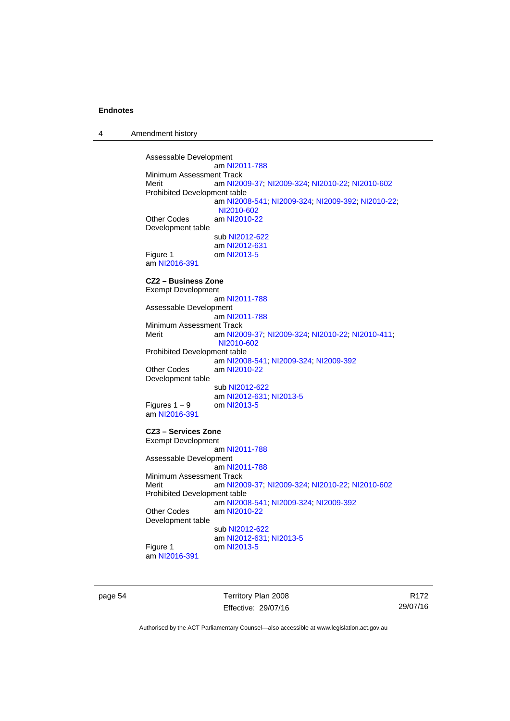4 Amendment history

Assessable Development am [NI2011-788](http://www.legislation.act.gov.au/ni/2011-788/) Minimum Assessment Track<br>Merit am NI20 am [NI2009-37](http://www.legislation.act.gov.au/ni/2009-37/); [NI2009-324](http://www.legislation.act.gov.au/ni/2009-324/); [NI2010-22](http://www.legislation.act.gov.au/ni/2010-22/); [NI2010-602](http://www.legislation.act.gov.au/ni/2010-602/) Prohibited Development table am [NI2008-541](http://www.legislation.act.gov.au/ni/2008-541/); [NI2009-324](http://www.legislation.act.gov.au/ni/2009-324/); [NI2009-392](http://www.legislation.act.gov.au/ni/2009-392/); [NI2010-22](http://www.legislation.act.gov.au/ni/2010-22/); [NI2010-602](http://www.legislation.act.gov.au/ni/2010-602/) Other Codes am [NI2010-22](http://www.legislation.act.gov.au/ni/2010-22/) Development table sub [NI2012-622](http://www.legislation.act.gov.au/ni/2012-622/default.asp) am [NI2012-631](http://www.legislation.act.gov.au/ni/2012-631/default.asp) Figure 1 om [NI2013-5](http://www.legislation.act.gov.au/ni/2013-5/default.asp) am [NI2016-391](http://www.legislation.act.gov.au/ni/2016-391/default.asp) **CZ2 – Business Zone**  Exempt Development am [NI2011-788](http://www.legislation.act.gov.au/ni/2011-788/) Assessable Development am [NI2011-788](http://www.legislation.act.gov.au/ni/2011-788/) Minimum Assessment Track<br>Merit am NI20 am [NI2009-37](http://www.legislation.act.gov.au/ni/2009-37/); [NI2009-324](http://www.legislation.act.gov.au/ni/2009-324/); [NI2010-22](http://www.legislation.act.gov.au/ni/2010-22/); [NI2010-411](http://www.legislation.act.gov.au/ni/2010-411/); [NI2010-602](http://www.legislation.act.gov.au/ni/2010-602/) Prohibited Development table am [NI2008-541](http://www.legislation.act.gov.au/ni/2008-541/); [NI2009-324](http://www.legislation.act.gov.au/ni/2009-324/); [NI2009-392](http://www.legislation.act.gov.au/ni/2009-392/) Other Codes am [NI2010-22](http://www.legislation.act.gov.au/ni/2010-22/) Development table sub [NI2012-622](http://www.legislation.act.gov.au/ni/2012-622/default.asp) am [NI2012-631](http://www.legislation.act.gov.au/ni/2012-631/default.asp); [NI2013-5](http://www.legislation.act.gov.au/ni/2013-5/default.asp) Figures  $1 - 9$  om [NI2013-5](http://www.legislation.act.gov.au/ni/2013-5/default.asp) am [NI2016-391](http://www.legislation.act.gov.au/ni/2016-391/default.asp) **CZ3 – Services Zone**  Exempt Development am [NI2011-788](http://www.legislation.act.gov.au/ni/2011-788/) Assessable Development am [NI2011-788](http://www.legislation.act.gov.au/ni/2011-788/) Minimum Assessment Track Merit am [NI2009-37](http://www.legislation.act.gov.au/ni/2009-37/); [NI2009-324](http://www.legislation.act.gov.au/ni/2009-324/); [NI2010-22](http://www.legislation.act.gov.au/ni/2010-22/); [NI2010-602](http://www.legislation.act.gov.au/ni/2010-602/) Prohibited Development table am [NI2008-541](http://www.legislation.act.gov.au/ni/2008-541/); [NI2009-324](http://www.legislation.act.gov.au/ni/2009-324/); [NI2009-392](http://www.legislation.act.gov.au/ni/2009-392/) Other Codes am [NI2010-22](http://www.legislation.act.gov.au/ni/2010-22/) Development table sub [NI2012-622](http://www.legislation.act.gov.au/ni/2012-622/default.asp) am [NI2012-631](http://www.legislation.act.gov.au/ni/2012-631/default.asp); [NI2013-5](http://www.legislation.act.gov.au/ni/2013-5/default.asp)<br>Figure 1 cm NI2013-5 om [NI2013-5](http://www.legislation.act.gov.au/ni/2013-5/default.asp) am [NI2016-391](http://www.legislation.act.gov.au/ni/2016-391/default.asp)

page 54 Territory Plan 2008 Effective: 29/07/16

R172 29/07/16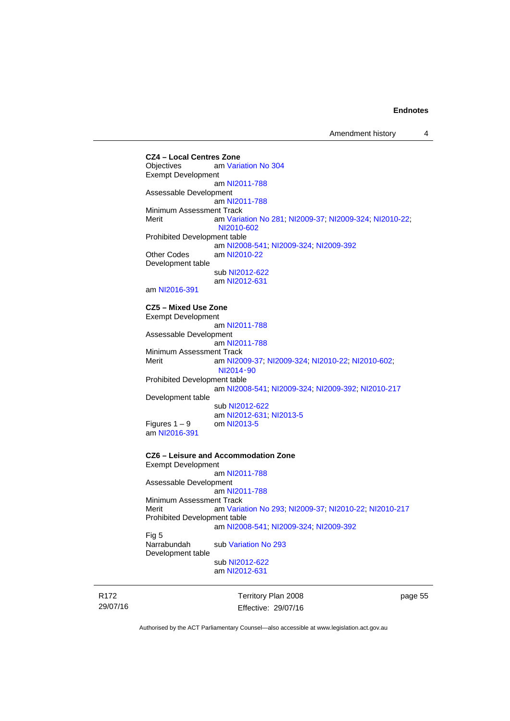**CZ4 – Local Centres Zone**  am [Variation No 304](http://www.legislation.act.gov.au/ni/2015-99/default.asp) Exempt Development am [NI2011-788](http://www.legislation.act.gov.au/ni/2011-788/) Assessable Development am [NI2011-788](http://www.legislation.act.gov.au/ni/2011-788/) Minimum Assessment Track Merit am [Variation No 281](http://www.legislation.act.gov.au/ni/2008-352/); [NI2009-37](http://www.legislation.act.gov.au/ni/2009-37/); [NI2009-324](http://www.legislation.act.gov.au/ni/2009-324/); [NI2010-22](http://www.legislation.act.gov.au/ni/2010-22/); [NI2010-602](http://www.legislation.act.gov.au/ni/2010-602/) Prohibited Development table am [NI2008-541](http://www.legislation.act.gov.au/ni/2008-541/); [NI2009-324](http://www.legislation.act.gov.au/ni/2009-324/); [NI2009-392](http://www.legislation.act.gov.au/ni/2009-392/) Other Codes am [NI2010-22](http://www.legislation.act.gov.au/ni/2010-22/) Development table sub [NI2012-622](http://www.legislation.act.gov.au/ni/2012-622/default.asp) am [NI2012-631](http://www.legislation.act.gov.au/ni/2012-631/default.asp) am [NI2016-391](http://www.legislation.act.gov.au/ni/2016-391/default.asp) **CZ5 – Mixed Use Zone**  Exempt Development am [NI2011-788](http://www.legislation.act.gov.au/ni/2011-788/) Assessable Development am [NI2011-788](http://www.legislation.act.gov.au/ni/2011-788/) Minimum Assessment Track<br>Merit am NI20 am [NI2009-37](http://www.legislation.act.gov.au/ni/2009-37/); [NI2009-324](http://www.legislation.act.gov.au/ni/2009-324/); [NI2010-22](http://www.legislation.act.gov.au/ni/2010-22/); [NI2010-602](http://www.legislation.act.gov.au/ni/2010-602/); [NI2014](http://www.legislation.act.gov.au/ni/2014-90/default.asp)‑90 Prohibited Development table am [NI2008-541](http://www.legislation.act.gov.au/ni/2008-541/); [NI2009-324](http://www.legislation.act.gov.au/ni/2009-324/); [NI2009-392](http://www.legislation.act.gov.au/ni/2009-392/); [NI2010-217](http://www.legislation.act.gov.au/ni/2010-217/) Development table sub [NI2012-622](http://www.legislation.act.gov.au/ni/2012-622/default.asp) am [NI2012-631](http://www.legislation.act.gov.au/ni/2012-631/default.asp); [NI2013-5](http://www.legislation.act.gov.au/ni/2013-5/default.asp) Figures  $1 - 9$  om [NI2013-5](http://www.legislation.act.gov.au/ni/2013-5/default.asp) am [NI2016-391](http://www.legislation.act.gov.au/ni/2016-391/default.asp) **CZ6 – Leisure and Accommodation Zone** Exempt Development am [NI2011-788](http://www.legislation.act.gov.au/ni/2011-788/) Assessable Development am [NI2011-788](http://www.legislation.act.gov.au/ni/2011-788/) Minimum Assessment Track Merit am [Variation No 293](http://www.legislation.act.gov.au/ni/2008-219/); [NI2009-37](http://www.legislation.act.gov.au/ni/2009-37/); [NI2010-22](http://www.legislation.act.gov.au/ni/2010-22/); [NI2010-217](http://www.legislation.act.gov.au/ni/2010-217/) Prohibited Development table am [NI2008-541](http://www.legislation.act.gov.au/ni/2008-541/); [NI2009-324](http://www.legislation.act.gov.au/ni/2009-324/); [NI2009-392](http://www.legislation.act.gov.au/ni/2009-392/) Fig 5<br>Narrabundah sub [Variation No 293](http://www.legislation.act.gov.au/ni/2008-219/) Development table sub [NI2012-622](http://www.legislation.act.gov.au/ni/2012-622/default.asp) am [NI2012-631](http://www.legislation.act.gov.au/ni/2012-631/default.asp)

R172 29/07/16 Territory Plan 2008 Effective: 29/07/16 page 55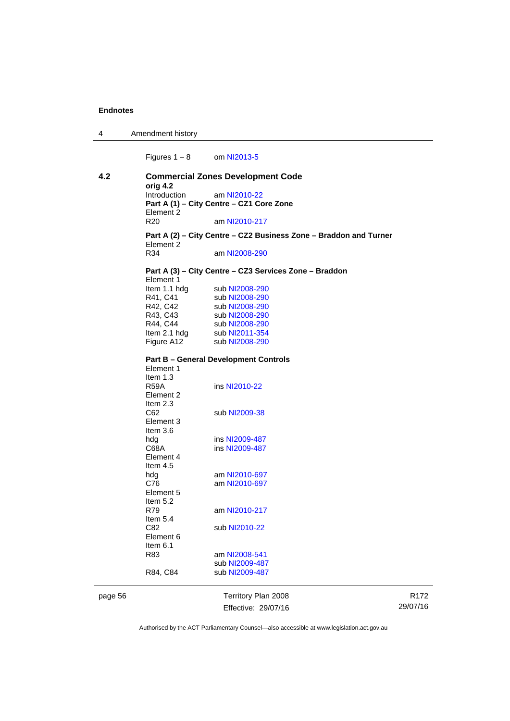| 4 | Amendment history |
|---|-------------------|
|---|-------------------|

Figures  $1 - 8$  om [NI2013-5](http://www.legislation.act.gov.au/ni/2013-5/default.asp)

| 4.2 | <b>Commercial Zones Development Code</b>                          |                                                        |  |
|-----|-------------------------------------------------------------------|--------------------------------------------------------|--|
|     | orig 4.2<br>Introduction                                          | am NI2010-22                                           |  |
|     |                                                                   | Part A (1) - City Centre - CZ1 Core Zone               |  |
|     | Element 2                                                         |                                                        |  |
|     | R <sub>20</sub>                                                   | am NI2010-217                                          |  |
|     | Part A (2) - City Centre - CZ2 Business Zone - Braddon and Turner |                                                        |  |
|     | Element 2                                                         |                                                        |  |
|     | R34                                                               | am NI2008-290                                          |  |
|     |                                                                   | Part A (3) - City Centre - CZ3 Services Zone - Braddon |  |
|     | Element 1                                                         |                                                        |  |
|     | Item 1.1 hdg                                                      | sub NI2008-290                                         |  |
|     | R41, C41                                                          | sub NI2008-290                                         |  |
|     | R42, C42                                                          | sub NI2008-290                                         |  |
|     | R43, C43                                                          | sub NI2008-290                                         |  |
|     | R44, C44                                                          | sub NI2008-290                                         |  |
|     | Item 2.1 hdg                                                      | sub NI2011-354                                         |  |
|     | Figure A12                                                        | sub NI2008-290                                         |  |
|     |                                                                   | <b>Part B - General Development Controls</b>           |  |
|     | Element 1                                                         |                                                        |  |
|     | Item 1.3                                                          |                                                        |  |
|     | <b>R59A</b>                                                       | ins NI2010-22                                          |  |
|     | Element 2                                                         |                                                        |  |
|     | Item $2.3$                                                        |                                                        |  |
|     | C62                                                               | sub NI2009-38                                          |  |
|     | Element 3                                                         |                                                        |  |
|     | Item $3.6$                                                        |                                                        |  |
|     | hdg                                                               | ins NI2009-487                                         |  |
|     | C68A                                                              | ins NI2009-487                                         |  |
|     | Element 4                                                         |                                                        |  |
|     | Item $4.5$                                                        |                                                        |  |
|     | hdg                                                               | am NI2010-697                                          |  |
|     | C76                                                               | am NI2010-697                                          |  |
|     | Element 5                                                         |                                                        |  |
|     | Item $5.2$                                                        |                                                        |  |
|     | R79                                                               | am NI2010-217                                          |  |
|     | Item $5.4$                                                        |                                                        |  |
|     | C82                                                               | sub NI2010-22                                          |  |
|     | Element 6                                                         |                                                        |  |
|     | Item 6.1                                                          |                                                        |  |
|     |                                                                   |                                                        |  |
|     | R83                                                               | am NI2008-541                                          |  |
|     |                                                                   | sub NI2009-487                                         |  |
|     | R84, C84                                                          | sub NI2009-487                                         |  |
|     |                                                                   |                                                        |  |

page 56 Territory Plan 2008 Effective: 29/07/16

R172 29/07/16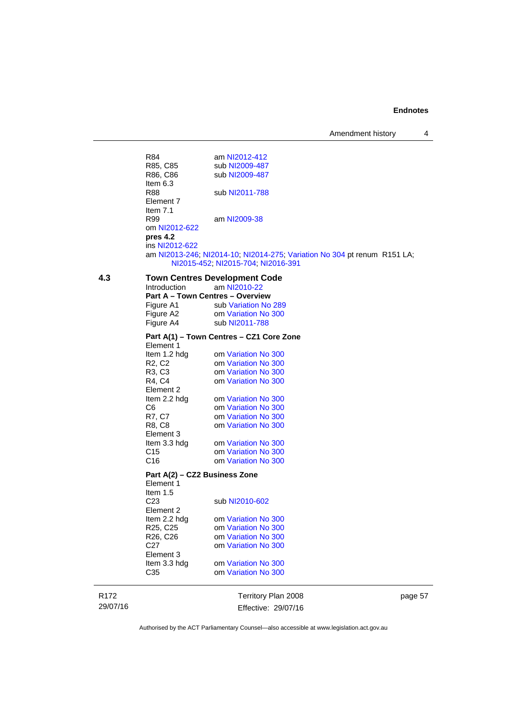Amendment history 4

|     | R84                                     | am NI2012-412                                                            |
|-----|-----------------------------------------|--------------------------------------------------------------------------|
|     | R85, C85                                | sub NI2009-487                                                           |
|     | R86, C86                                | sub NI2009-487                                                           |
|     | Item $6.3$                              |                                                                          |
|     | <b>R88</b>                              | sub NI2011-788                                                           |
|     | Element 7                               |                                                                          |
|     | Item $7.1$                              |                                                                          |
|     | R99                                     | am NI2009-38                                                             |
|     | om NI2012-622                           |                                                                          |
|     | pres 4.2                                |                                                                          |
|     | ins NI2012-622                          |                                                                          |
|     |                                         | am NI2013-246; NI2014-10; NI2014-275; Variation No 304 pt renum R151 LA; |
|     |                                         | NI2015-452, NI2015-704, NI2016-391                                       |
|     |                                         |                                                                          |
| 4.3 |                                         | <b>Town Centres Development Code</b>                                     |
|     | Introduction                            | am NI2010-22                                                             |
|     | <b>Part A - Town Centres - Overview</b> |                                                                          |
|     | Figure A1                               | sub Variation No 289                                                     |
|     | Figure A2                               | om Variation No 300                                                      |
|     | Figure A4                               | sub NI2011-788                                                           |
|     |                                         |                                                                          |
|     |                                         | Part A(1) – Town Centres – CZ1 Core Zone                                 |
|     | Element 1                               |                                                                          |
|     | Item 1.2 hdg                            | om Variation No 300                                                      |
|     | R <sub>2</sub> , C <sub>2</sub>         | om Variation No 300                                                      |
|     | R <sub>3</sub> , C <sub>3</sub>         | om Variation No 300                                                      |
|     | R4, C4                                  | om Variation No 300                                                      |
|     | Element 2                               |                                                                          |
|     | Item 2.2 hdg                            | om Variation No 300                                                      |
|     | C6                                      | om Variation No 300                                                      |
|     | R7, C7                                  | om Variation No 300                                                      |
|     | R8, C8                                  | om Variation No 300                                                      |
|     | Element 3                               |                                                                          |
|     | Item 3.3 hdg                            | om Variation No 300                                                      |
|     | C <sub>15</sub>                         | om Variation No 300                                                      |
|     | C <sub>16</sub>                         | om Variation No 300                                                      |
|     | Part A(2) – CZ2 Business Zone           |                                                                          |
|     | Element 1                               |                                                                          |
|     | Item $1.5$                              |                                                                          |
|     | C <sub>23</sub>                         | sub NI2010-602                                                           |
|     | Element 2                               |                                                                          |
|     | Item 2.2 hdg                            | om Variation No 300                                                      |
|     | R <sub>25</sub> , C <sub>25</sub>       | om Variation No 300                                                      |
|     | R <sub>26</sub> , C <sub>26</sub>       | om Variation No 300                                                      |
|     | C27                                     | om Variation No 300                                                      |
|     |                                         |                                                                          |
|     | Element 3                               |                                                                          |
|     | Item 3.3 hdg                            | om Variation No 300                                                      |
|     | C35                                     | om Variation No 300                                                      |
|     |                                         |                                                                          |

R172 29/07/16

Territory Plan 2008 Effective: 29/07/16 page 57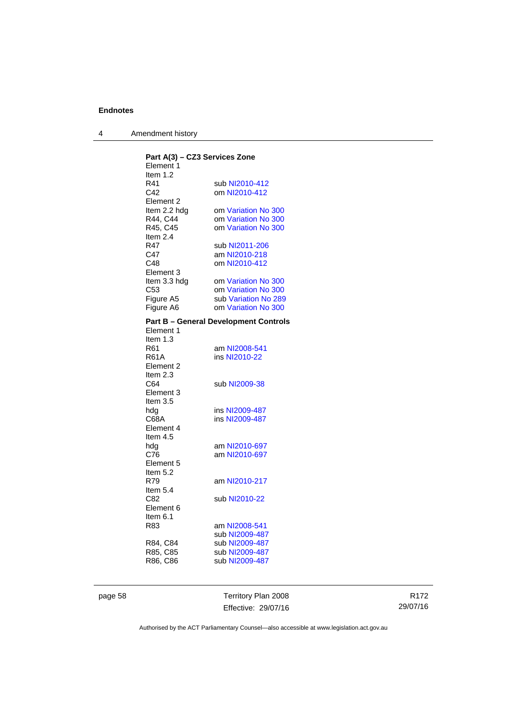4 Amendment history

| Part A(3) - CZ3 Services Zone<br>Element 1 |                                              |
|--------------------------------------------|----------------------------------------------|
| Item $1.2$                                 |                                              |
| R41                                        | sub NI2010-412                               |
| C42                                        | om NI2010-412                                |
| Element <sub>2</sub>                       |                                              |
| Item 2.2 hdg                               | om Variation No 300                          |
| R44, C44                                   | om Variation No 300                          |
| R45, C45                                   | om Variation No 300                          |
| Item 2.4                                   |                                              |
| R47                                        | sub NI2011-206                               |
|                                            |                                              |
| C47                                        | am NI2010-218                                |
| C48                                        | om NI2010-412                                |
| Element 3                                  |                                              |
| Item 3.3 hdg                               | om Variation No 300                          |
| C53                                        | om Variation No 300                          |
| Figure A5                                  | sub Variation No 289                         |
| Figure A6                                  | om Variation No 300                          |
|                                            | <b>Part B - General Development Controls</b> |
| Element 1                                  |                                              |
| Item $1.3$                                 |                                              |
| R61                                        | am NI2008-541                                |
| <b>R61A</b>                                | ins NI2010-22                                |
| Element 2                                  |                                              |
| Item 2.3                                   |                                              |
| C64                                        | sub NI2009-38                                |
| Element 3                                  |                                              |
| Item 3.5                                   |                                              |
| hdg                                        | ins NI2009-487                               |
| C68A                                       | ins NI2009-487                               |
| Element 4                                  |                                              |
|                                            |                                              |
| Item $4.5$                                 |                                              |
| hdg                                        | am NI2010-697                                |
| C76                                        | am NI2010-697                                |
| Element 5                                  |                                              |
| Item 5.2                                   |                                              |
| R79                                        | am NI2010-217                                |
| Item $5.4$                                 |                                              |
| C82                                        | sub NI2010-22                                |
| Element 6                                  |                                              |
| Item 6.1                                   |                                              |
| R83                                        | am NI2008-541                                |
|                                            | sub NI2009-487                               |
|                                            | sub NI2009-487                               |
| R84, C84                                   |                                              |
| R85, C85                                   | sub NI2009-487                               |
| R86, C86                                   | sub NI2009-487                               |
|                                            |                                              |

page 58 Territory Plan 2008 Effective: 29/07/16

R172 29/07/16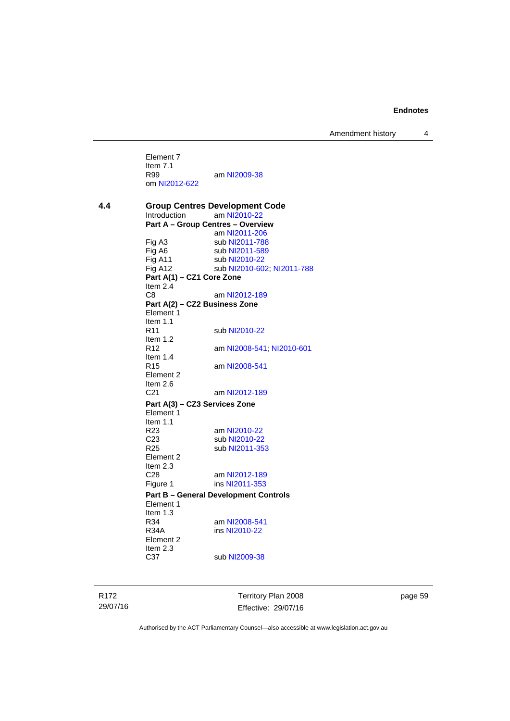Amendment history 4

Element 7 Item 7.1<br>R99 am [NI2009-38](http://www.legislation.act.gov.au/ni/2009-38/) om [NI2012-622](http://www.legislation.act.gov.au/ni/2012-622/default.asp)

**4.4 Group Centres Development Code**  Introduction am [NI2010-22](http://www.legislation.act.gov.au/ni/2010-22/) **Part A – Group Centres – Overview**  am [NI2011-206](http://www.legislation.act.gov.au/ni/2011-206/) Fig A3 sub [NI2011-788](http://www.legislation.act.gov.au/ni/2011-788/)<br>Fig A6 sub NI2011-589 Fig A6 sub [NI2011-589](http://www.legislation.act.gov.au/ni/2011-589/)<br>Fig A11 sub NI2010-22 sub [NI2010-22](http://www.legislation.act.gov.au/ni/2010-22/) Fig A12 sub [NI2010-602](http://www.legislation.act.gov.au/ni/2010-602/); [NI2011-788](http://www.legislation.act.gov.au/ni/2011-788/) **Part A(1) – CZ1 Core Zone**  Item 2.4 C8 am [NI2012-189](http://www.legislation.act.gov.au/ni/2012-189/) **Part A(2) – CZ2 Business Zone**  Element 1 Item  $1.1$ <br>R11 sub [NI2010-22](http://www.legislation.act.gov.au/ni/2010-22/) Item 1.2 R12 am [NI2008-541](http://www.legislation.act.gov.au/ni/2008-541/); [NI2010-601](http://www.legislation.act.gov.au/ni/2010-601/) Item  $1.4$ <br>R<sub>15</sub> am [NI2008-541](http://www.legislation.act.gov.au/ni/2008-541/) Element 2 Item  $2.6$ <br>C<sub>21</sub> am [NI2012-189](http://www.legislation.act.gov.au/ni/2012-189/) **Part A(3) – CZ3 Services Zone**  Element 1 Item  $1.1$ <br>R23 am [NI2010-22](http://www.legislation.act.gov.au/ni/2010-22/) C23 sub [NI2010-22](http://www.legislation.act.gov.au/ni/2010-22/)<br>R25 sub NI2011-35 sub [NI2011-353](http://www.legislation.act.gov.au/ni/2011-353/) Element 2 Item 2.3<br>C28 C28 am [NI2012-189](http://www.legislation.act.gov.au/ni/2012-189/)<br>Figure 1 ins NI2011-353 ins [NI2011-353](http://www.legislation.act.gov.au/ni/2011-353/) **Part B – General Development Controls**  Element 1 Item  $1.3$ <br>R34 R34 am [NI2008-541](http://www.legislation.act.gov.au/ni/2008-541/)<br>R34A ins NI2010-22 ins [NI2010-22](http://www.legislation.act.gov.au/ni/2010-22/) Element 2 Item 2.3 C37 sub [NI2009-38](http://www.legislation.act.gov.au/ni/2009-38/)

R172 29/07/16 Territory Plan 2008 Effective: 29/07/16 page 59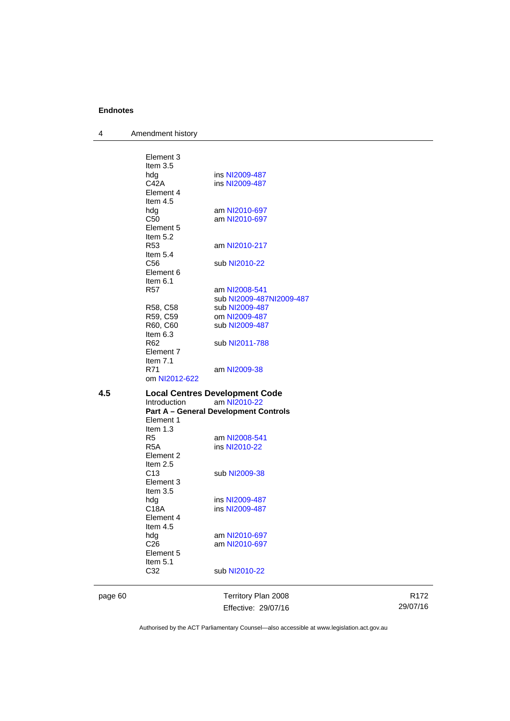4 Amendment history

| 4.5 | <b>Introduction</b><br>Element 1<br>Item $1.3$<br>R5<br>R5A<br>Element 2<br>Item $2.5$<br>C13<br>Element 3<br>Item $3.5$<br>hdg<br>C18A<br>Element 4<br>Item 4.5<br>hdg<br>C <sub>26</sub><br>Element 5<br>Item $5.1$<br>C32 | am NI2010-22<br><b>Part A - General Development Controls</b><br>am NI2008-541<br>ins NI2010-22<br>sub NI2009-38<br>ins NI2009-487<br>ins NI2009-487<br>am NI2010-697<br>am NI2010-697<br>sub NI2010-22 |  |
|-----|------------------------------------------------------------------------------------------------------------------------------------------------------------------------------------------------------------------------------|--------------------------------------------------------------------------------------------------------------------------------------------------------------------------------------------------------|--|
|     |                                                                                                                                                                                                                              |                                                                                                                                                                                                        |  |
|     |                                                                                                                                                                                                                              |                                                                                                                                                                                                        |  |
|     |                                                                                                                                                                                                                              |                                                                                                                                                                                                        |  |
|     |                                                                                                                                                                                                                              |                                                                                                                                                                                                        |  |
|     |                                                                                                                                                                                                                              |                                                                                                                                                                                                        |  |
|     |                                                                                                                                                                                                                              |                                                                                                                                                                                                        |  |
|     |                                                                                                                                                                                                                              |                                                                                                                                                                                                        |  |
|     |                                                                                                                                                                                                                              |                                                                                                                                                                                                        |  |
|     |                                                                                                                                                                                                                              |                                                                                                                                                                                                        |  |
|     |                                                                                                                                                                                                                              |                                                                                                                                                                                                        |  |
|     |                                                                                                                                                                                                                              |                                                                                                                                                                                                        |  |
|     |                                                                                                                                                                                                                              |                                                                                                                                                                                                        |  |
|     |                                                                                                                                                                                                                              |                                                                                                                                                                                                        |  |
|     |                                                                                                                                                                                                                              |                                                                                                                                                                                                        |  |
|     |                                                                                                                                                                                                                              |                                                                                                                                                                                                        |  |
|     |                                                                                                                                                                                                                              | <b>Local Centres Development Code</b>                                                                                                                                                                  |  |
|     | om NI2012-622                                                                                                                                                                                                                |                                                                                                                                                                                                        |  |
|     | Item $7.1$<br>R71                                                                                                                                                                                                            | am NI2009-38                                                                                                                                                                                           |  |
|     | Element 7                                                                                                                                                                                                                    |                                                                                                                                                                                                        |  |
|     | R62                                                                                                                                                                                                                          | sub NI2011-788                                                                                                                                                                                         |  |
|     | Item 6.3                                                                                                                                                                                                                     |                                                                                                                                                                                                        |  |
|     | R59, C59<br>R60, C60                                                                                                                                                                                                         | om NI2009-487<br>sub NI2009-487                                                                                                                                                                        |  |
|     | R58, C58                                                                                                                                                                                                                     | sub NI2009-487                                                                                                                                                                                         |  |
|     |                                                                                                                                                                                                                              | sub NI2009-487NI2009-487                                                                                                                                                                               |  |
|     | R57                                                                                                                                                                                                                          | am NI2008-541                                                                                                                                                                                          |  |
|     | Item $6.1$                                                                                                                                                                                                                   |                                                                                                                                                                                                        |  |
|     | Element 6                                                                                                                                                                                                                    |                                                                                                                                                                                                        |  |
|     | Item $5.4$<br>C <sub>56</sub>                                                                                                                                                                                                | sub NI2010-22                                                                                                                                                                                          |  |
|     | R53                                                                                                                                                                                                                          | am NI2010-217                                                                                                                                                                                          |  |
|     | Item $5.2$                                                                                                                                                                                                                   |                                                                                                                                                                                                        |  |
|     | Element 5                                                                                                                                                                                                                    |                                                                                                                                                                                                        |  |
|     | C <sub>50</sub>                                                                                                                                                                                                              | am NI2010-697                                                                                                                                                                                          |  |
|     | hdg                                                                                                                                                                                                                          | am NI2010-697                                                                                                                                                                                          |  |
|     | Element 4<br>Item $4.5$                                                                                                                                                                                                      |                                                                                                                                                                                                        |  |
|     | C42A                                                                                                                                                                                                                         | ins NI2009-487                                                                                                                                                                                         |  |
|     | hdg                                                                                                                                                                                                                          | ins NI2009-487                                                                                                                                                                                         |  |
|     |                                                                                                                                                                                                                              |                                                                                                                                                                                                        |  |
|     | Item $3.5$                                                                                                                                                                                                                   |                                                                                                                                                                                                        |  |
|     | Element 3                                                                                                                                                                                                                    |                                                                                                                                                                                                        |  |

Effective: 29/07/16

R172 29/07/16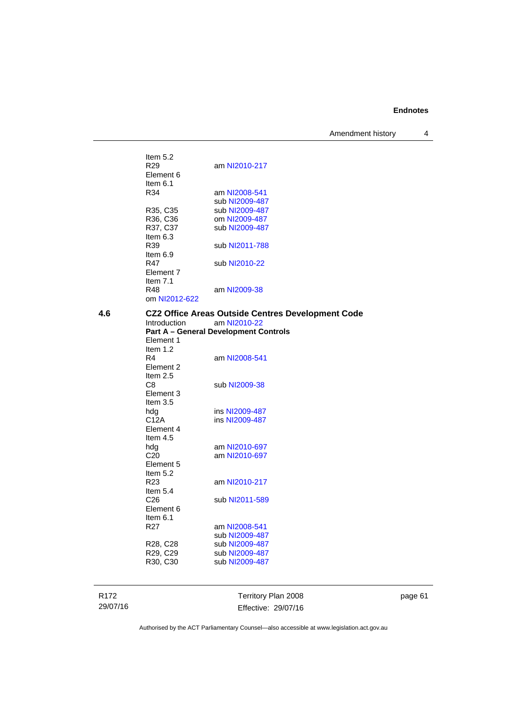Amendment history 4

R172 29/07/16 Territory Plan 2008 Effective: 29/07/16 Item  $5.2$ <br>R29 am [NI2010-217](http://www.legislation.act.gov.au/ni/2010-217/) Element 6 Item  $6.1$ <br>R34 am [NI2008-541](http://www.legislation.act.gov.au/ni/2008-541/) sub [NI2009-487](http://www.legislation.act.gov.au/ni/2009-487/)<br>R35, C35 sub NI2009-487 sub [NI2009-487](http://www.legislation.act.gov.au/ni/2009-487/) R36, C36 om [NI2009-487](http://www.legislation.act.gov.au/ni/2009-487/) R37, C37 sub [NI2009-487](http://www.legislation.act.gov.au/ni/2009-487/) Item 6.3<br>R39 sub [NI2011-788](http://www.legislation.act.gov.au/ni/2011-788/) Item 6.9 R47 sub [NI2010-22](http://www.legislation.act.gov.au/ni/2010-22/) Element 7 Item 7.1 R48 am [NI2009-38](http://www.legislation.act.gov.au/ni/2009-38/) om [NI2012-622](http://www.legislation.act.gov.au/ni/2012-622/default.asp) **4.6 CZ2 Office Areas Outside Centres Development Code**  am [NI2010-22](http://www.legislation.act.gov.au/ni/2010-22/) **Part A – General Development Controls**  Element 1 Item 1.2 R4 am [NI2008-541](http://www.legislation.act.gov.au/ni/2008-541/) Element 2 Item 2.5 C8 sub [NI2009-38](http://www.legislation.act.gov.au/ni/2009-38/) Element 3 Item 3.5<br>hdg ins [NI2009-487](http://www.legislation.act.gov.au/ni/2009-487/) C12A ins [NI2009-487](http://www.legislation.act.gov.au/ni/2009-487/) Element 4 Item 4.5 hdg am [NI2010-697](http://www.legislation.act.gov.au/ni/2010-697/)<br>C20 am NI2010-697 am [NI2010-697](http://www.legislation.act.gov.au/ni/2010-697/) Element 5 Item  $5.2$ <br>R23 am [NI2010-217](http://www.legislation.act.gov.au/ni/2010-217/) Item 5.4<br>C26 sub [NI2011-589](http://www.legislation.act.gov.au/ni/2011-589/) Element 6 Item 6.1 R27 am [NI2008-541](http://www.legislation.act.gov.au/ni/2008-541/) sub [NI2009-487](http://www.legislation.act.gov.au/ni/2009-487/)<br>R28, C28 sub NI2009-487 R28, C28 sub [NI2009-487](http://www.legislation.act.gov.au/ni/2009-487/)<br>R29, C29 sub NI2009-487 sub [NI2009-487](http://www.legislation.act.gov.au/ni/2009-487/) R30, C30 sub [NI2009-487](http://www.legislation.act.gov.au/ni/2009-487/)

page 61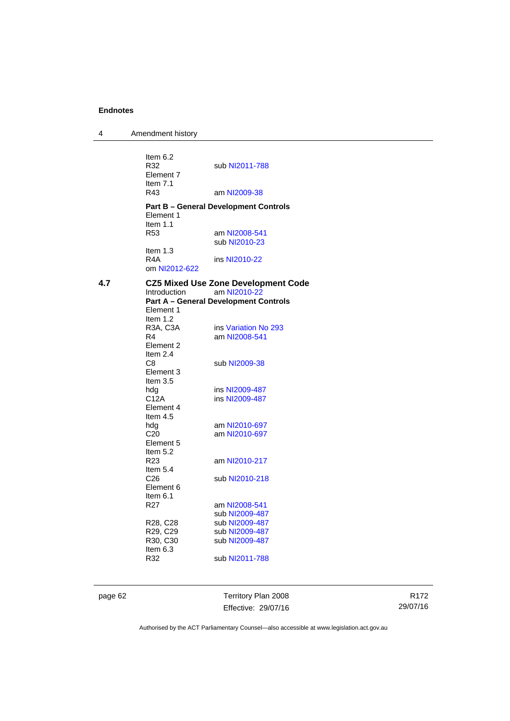4 Amendment history Item  $6.2$ <br>R32 sub [NI2011-788](http://www.legislation.act.gov.au/ni/2011-788/) Element 7 Item 7.1<br>R43 am [NI2009-38](http://www.legislation.act.gov.au/ni/2009-38/) **Part B – General Development Controls**  Element 1 Item 1.1 R53 am [NI2008-541](http://www.legislation.act.gov.au/ni/2008-541/) sub [NI2010-23](http://www.legislation.act.gov.au/ni/2010-23/) Item 1.3<br>R4A ins [NI2010-22](http://www.legislation.act.gov.au/ni/2010-22/) om [NI2012-622](http://www.legislation.act.gov.au/ni/2012-622/default.asp) **4.7 CZ5 Mixed Use Zone Development Code**  am [NI2010-22](http://www.legislation.act.gov.au/ni/2010-22/) **Part A – General Development Controls**  Element 1 Item 1.2<br>R3A, C3A R3A, C3A ins [Variation No 293](http://www.legislation.act.gov.au/ni/2008-219/)<br>R4 am NI2008-541 am [NI2008-541](http://www.legislation.act.gov.au/ni/2008-541/) Element 2 Item 2.4<br>C8 sub [NI2009-38](http://www.legislation.act.gov.au/ni/2009-38/) Element 3 Item 3.5<br>hda hdg ins [NI2009-487](http://www.legislation.act.gov.au/ni/2009-487/)<br>C12A ins NI2009-487 ins [NI2009-487](http://www.legislation.act.gov.au/ni/2009-487/) Element 4 Item 4.5<br>hdg am [NI2010-697](http://www.legislation.act.gov.au/ni/2010-697/) C20 am [NI2010-697](http://www.legislation.act.gov.au/ni/2010-697/) Element 5 Item 5.2 R23 am [NI2010-217](http://www.legislation.act.gov.au/ni/2010-217/) Item 5.4 C26 sub [NI2010-218](http://www.legislation.act.gov.au/ni/2010-218/) Element 6 Item  $6.1$ <br>R27 am [NI2008-541](http://www.legislation.act.gov.au/ni/2008-541/) sub [NI2009-487](http://www.legislation.act.gov.au/ni/2009-487/)<br>R28, C28 sub NI2009-487 R28, C28 sub [NI2009-487](http://www.legislation.act.gov.au/ni/2009-487/)<br>R29. C29 sub NI2009-487 R29, C29 sub [NI2009-487](http://www.legislation.act.gov.au/ni/2009-487/)<br>R30, C30 sub NI2009-487 sub [NI2009-487](http://www.legislation.act.gov.au/ni/2009-487/) Item 6.3<br>R32 sub [NI2011-788](http://www.legislation.act.gov.au/ni/2011-788/)

page 62 Territory Plan 2008 Effective: 29/07/16

R172 29/07/16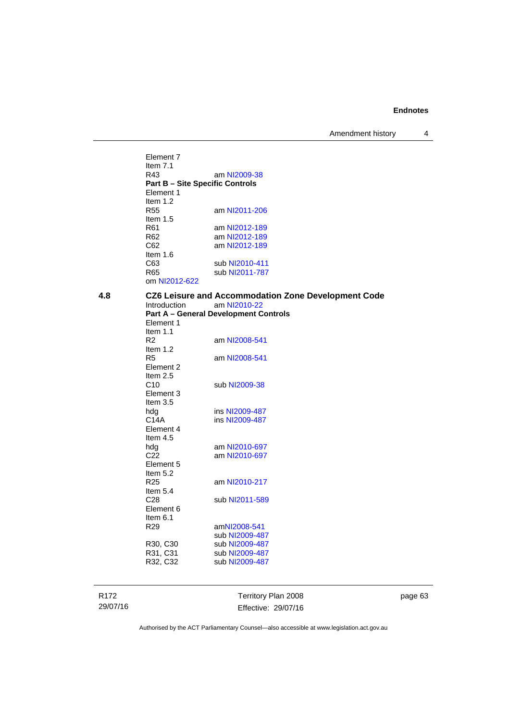Amendment history 4

Element 7 Item 7.1<br>R43 am [NI2009-38](http://www.legislation.act.gov.au/ni/2009-38/) **Part B – Site Specific Controls**  Element 1 Item 1.2<br>R55 am [NI2011-206](http://www.legislation.act.gov.au/ni/2011-206/) Item 1.5 R61 am [NI2012-189](http://www.legislation.act.gov.au/ni/2012-189/) R62 am [NI2012-189](http://www.legislation.act.gov.au/ni/2012-189/)<br>C62 am NI2012-189 am [NI2012-189](http://www.legislation.act.gov.au/ni/2012-189/) Item 1.6 C63 sub [NI2010-411](http://www.legislation.act.gov.au/ni/2010-411/)<br>R65 sub NI2011-787 sub [NI2011-787](http://www.legislation.act.gov.au/ni/2011-787/) om [NI2012-622](http://www.legislation.act.gov.au/ni/2012-622/default.asp)

# **4.8 CZ6 Leisure and Accommodation Zone Development Code**

Introduction am [NI2010-22](http://www.legislation.act.gov.au/ni/2010-22/) **Part A – General Development Controls**  Element 1 Item 1.1 R2 am [NI2008-541](http://www.legislation.act.gov.au/ni/2008-541/) Item 1.2 R5 am [NI2008-541](http://www.legislation.act.gov.au/ni/2008-541/) Element 2 Item 2.5 C10 sub [NI2009-38](http://www.legislation.act.gov.au/ni/2009-38/) Element 3 Item 3.5 hdg ins [NI2009-487](http://www.legislation.act.gov.au/ni/2009-487/)<br>C14A ins NI2009-487 ins [NI2009-487](http://www.legislation.act.gov.au/ni/2009-487/) Element 4 Item 4.5 hdg am [NI2010-697](http://www.legislation.act.gov.au/ni/2010-697/)<br>C22 am NI2010-697 am [NI2010-697](http://www.legislation.act.gov.au/ni/2010-697/) Element 5 Item  $5.2$ <br>R25 am [NI2010-217](http://www.legislation.act.gov.au/ni/2010-217/) Item 5.4<br>C28 sub [NI2011-589](http://www.legislation.act.gov.au/ni/2011-589/) Element 6 Item 6.1 R29 am[NI2008-541](http://www.legislation.act.gov.au/ni/2008-541/) sub [NI2009-487](http://www.legislation.act.gov.au/ni/2009-487/)<br>R30, C30 sub NI2009-487 R30, C30 sub [NI2009-487](http://www.legislation.act.gov.au/ni/2009-487/)<br>R31, C31 sub NI2009-487 sub [NI2009-487](http://www.legislation.act.gov.au/ni/2009-487/) R32, C32 sub [NI2009-487](http://www.legislation.act.gov.au/ni/2009-487/)

R172 29/07/16 Territory Plan 2008 Effective: 29/07/16 page 63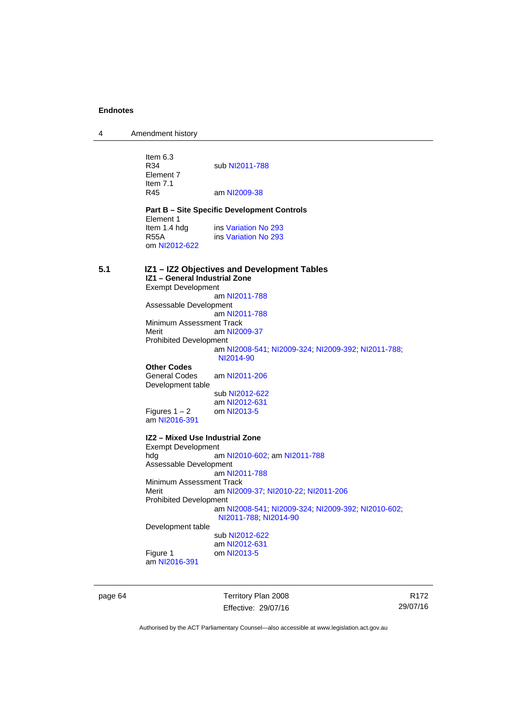4 Amendment history

Item  $6.3$ <br>R34 sub [NI2011-788](http://www.legislation.act.gov.au/ni/2011-788/) Element 7 Item 7.1<br>R45 am [NI2009-38](http://www.legislation.act.gov.au/ni/2009-38/) **Part B – Site Specific Development Controls**  Element 1 Item 1.4 hdg ins [Variation No 293](http://www.legislation.act.gov.au/ni/2008-219/)<br>R55A ins Variation No 293 ins [Variation No 293](http://www.legislation.act.gov.au/ni/2008-219/) om [NI2012-622](http://www.legislation.act.gov.au/ni/2012-622/default.asp) **5.1 IZ1 – IZ2 Objectives and Development Tables IZ1 – General Industrial Zone**  Exempt Development am [NI2011-788](http://www.legislation.act.gov.au/ni/2011-788/) Assessable Development am [NI2011-788](http://www.legislation.act.gov.au/ni/2011-788/) Minimum Assessment Track<br>Merit am NI20 am [NI2009-37](http://www.legislation.act.gov.au/ni/2009-37/) Prohibited Development am [NI2008-541](http://www.legislation.act.gov.au/ni/2008-541/); [NI2009-324](http://www.legislation.act.gov.au/ni/2009-324/); [NI2009-392](http://www.legislation.act.gov.au/ni/2009-392/); [NI2011-788](http://www.legislation.act.gov.au/ni/2011-788/); [NI2014-90](http://www.legislation.act.gov.au/ni/2014-90/default.asp) **Other Codes**  am [NI2011-206](http://www.legislation.act.gov.au/ni/2011-206/) Development table sub [NI2012-622](http://www.legislation.act.gov.au/ni/2012-622/default.asp) am [NI2012-631](http://www.legislation.act.gov.au/ni/2012-631/default.asp)<br>om NI2013-5 Figures  $1 - 2$ am [NI2016-391](http://www.legislation.act.gov.au/ni/2016-391/default.asp) **IZ2 – Mixed Use Industrial Zone**  Exempt Development<br>hdg ar am [NI2010-602](http://www.legislation.act.gov.au/ni/2010-602/); am [NI2011-788](http://www.legislation.act.gov.au/ni/2011-788/) Assessable Development am [NI2011-788](http://www.legislation.act.gov.au/ni/2011-788/) Minimum Assessment Track<br>Merit am NI20 am [NI2009-37](http://www.legislation.act.gov.au/ni/2009-37/); [NI2010-22](http://www.legislation.act.gov.au/ni/2010-22/); [NI2011-206](http://www.legislation.act.gov.au/ni/2011-206/) Prohibited Development am [NI2008-541](http://www.legislation.act.gov.au/ni/2008-541/); [NI2009-324](http://www.legislation.act.gov.au/ni/2009-324/); [NI2009-392](http://www.legislation.act.gov.au/ni/2009-392/); [NI2010-602](http://www.legislation.act.gov.au/ni/2010-602/); [NI2011-788](http://www.legislation.act.gov.au/ni/2011-788/); [NI2014-90](http://www.legislation.act.gov.au/ni/2014-90/default.asp) Development table sub [NI2012-622](http://www.legislation.act.gov.au/ni/2012-622/default.asp) am [NI2012-631](http://www.legislation.act.gov.au/ni/2012-631/default.asp) Figure 1 om [NI2013-5](http://www.legislation.act.gov.au/ni/2013-5/default.asp) am [NI2016-391](http://www.legislation.act.gov.au/ni/2016-391/default.asp)

page 64 Territory Plan 2008 Effective: 29/07/16

R172 29/07/16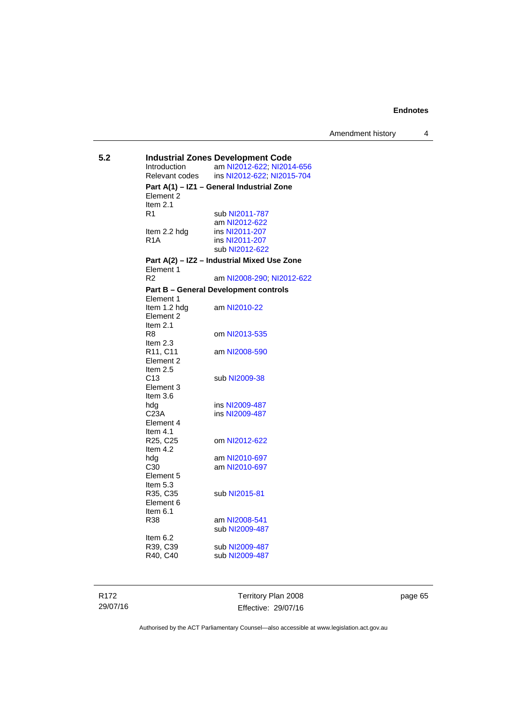**5.2 Industrial Zones Development Code**  am [NI2012-622](http://www.legislation.act.gov.au/ni/2012-622/default.asp); [NI2014-656](http://www.legislation.act.gov.au/ni/2014-656/default.asp) Relevant codes ins [NI2012-622](http://www.legislation.act.gov.au/ni/2012-622/default.asp); [NI2015-704](http://www.legislation.act.gov.au/ni/2015-704/default.asp) **Part A(1) – IZ1 – General Industrial Zone**  Element 2 Item 2.1 R1 sub [NI2011-787](http://www.legislation.act.gov.au/ni/2011-787/) am [NI2012-622](http://www.legislation.act.gov.au/ni/2012-622/default.asp)<br>Item 2.2 hdg ins NI2011-207 Item 2.2 hdg ins [NI2011-207](http://www.legislation.act.gov.au/ni/2011-207/)<br>R1A ins NI2011-207 ins [NI2011-207](http://www.legislation.act.gov.au/ni/2011-207/) sub [NI2012-622](http://www.legislation.act.gov.au/ni/2012-622/default.asp) **Part A(2) – IZ2 – Industrial Mixed Use Zone**  Element 1 R2 am [NI2008-290](http://www.legislation.act.gov.au/ni/2008-290/); [NI2012-622](http://www.legislation.act.gov.au/ni/2012-622/default.asp) **Part B – General Development controls**  Element 1 Item 1.2 hdg am [NI2010-22](http://www.legislation.act.gov.au/ni/2010-22/) Element 2 Item 2.1<br>R8 om [NI2013-535](http://www.legislation.act.gov.au/ni/2013-535/) Item 2.3<br>R11, C11 am [NI2008-590](http://www.legislation.act.gov.au/ni/2008-590/default.asp) Element 2 Item  $2.5$ <br>C<sub>13</sub> sub [NI2009-38](http://www.legislation.act.gov.au/ni/2009-38/) Element 3 Item 3.6 hdg ins [NI2009-487](http://www.legislation.act.gov.au/ni/2009-487/)<br>C23A ins NI2009-487 ins [NI2009-487](http://www.legislation.act.gov.au/ni/2009-487/) Element 4 Item 4.1<br>R25, C25 om [NI2012-622](http://www.legislation.act.gov.au/ni/2012-622/default.asp) Item 4.2 hdg am [NI2010-697](http://www.legislation.act.gov.au/ni/2010-697/)<br>C30 am NI2010-697 am [NI2010-697](http://www.legislation.act.gov.au/ni/2010-697/) Element 5 Item 5.3<br>R35, C35 sub [NI2015-81](http://www.legislation.act.gov.au/ni/2015-81/default.asp) Element 6 Item 6.1<br>R38 am [NI2008-541](http://www.legislation.act.gov.au/ni/2008-541/) sub [NI2009-487](http://www.legislation.act.gov.au/ni/2009-487/) Item 6.2<br>R39, C39 R39, C39 sub [NI2009-487](http://www.legislation.act.gov.au/ni/2009-487/)<br>R40, C40 sub NI2009-487 sub [NI2009-487](http://www.legislation.act.gov.au/ni/2009-487/)

R172 29/07/16 Territory Plan 2008 Effective: 29/07/16 page 65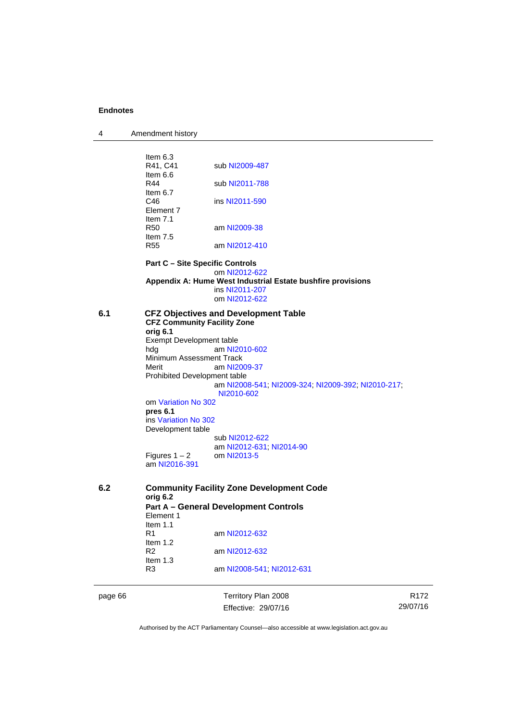| 4 | Amendment history |
|---|-------------------|
|---|-------------------|

|     | Item $6.3$<br>R41, C41               | sub NI2009-487                                                                     |  |  |
|-----|--------------------------------------|------------------------------------------------------------------------------------|--|--|
|     | ltem 6.6<br>R44                      | sub NI2011-788                                                                     |  |  |
|     | Item $6.7$<br>C46<br>Element 7       | ins NI2011-590                                                                     |  |  |
|     | Item $7.1$<br><b>R50</b><br>Item 7.5 | am NI2009-38                                                                       |  |  |
|     | R <sub>55</sub>                      | am NI2012-410                                                                      |  |  |
|     |                                      | <b>Part C - Site Specific Controls</b>                                             |  |  |
|     |                                      | om NI2012-622<br>Appendix A: Hume West Industrial Estate bushfire provisions       |  |  |
|     |                                      | ins NI2011-207                                                                     |  |  |
|     |                                      | om NI2012-622                                                                      |  |  |
| 6.1 |                                      | <b>CFZ Objectives and Development Table</b><br><b>CFZ Community Facility Zone</b>  |  |  |
|     | orig 6.1                             |                                                                                    |  |  |
|     | Exempt Development table             |                                                                                    |  |  |
|     | hda                                  | am NI2010-602                                                                      |  |  |
|     | Minimum Assessment Track             |                                                                                    |  |  |
|     | Merit                                | am NI2009-37                                                                       |  |  |
|     |                                      | Prohibited Development table<br>am NI2008-541, NI2009-324, NI2009-392, NI2010-217, |  |  |
|     |                                      | NI2010-602                                                                         |  |  |
|     | om Variation No 302                  |                                                                                    |  |  |
|     | pres 6.1                             |                                                                                    |  |  |
|     | ins Variation No 302                 |                                                                                    |  |  |
|     | Development table                    |                                                                                    |  |  |
|     |                                      | sub NI2012-622                                                                     |  |  |
|     | Figures $1 - 2$                      | am NI2012-631, NI2014-90<br>om NI2013-5                                            |  |  |
|     | am NI2016-391                        |                                                                                    |  |  |
| 6.2 |                                      | <b>Community Facility Zone Development Code</b>                                    |  |  |
|     | orig 6.2                             |                                                                                    |  |  |
|     |                                      | <b>Part A - General Development Controls</b>                                       |  |  |
|     | Element 1                            |                                                                                    |  |  |
|     | Item $1.1$                           |                                                                                    |  |  |
|     | R1<br>Item $1.2$                     | am NI2012-632                                                                      |  |  |
|     | R <sub>2</sub>                       | am NI2012-632                                                                      |  |  |
|     | Item 1.3                             |                                                                                    |  |  |
|     | R3                                   | am NI2008-541, NI2012-631                                                          |  |  |

page 66 Territory Plan 2008 Effective: 29/07/16

R172 29/07/16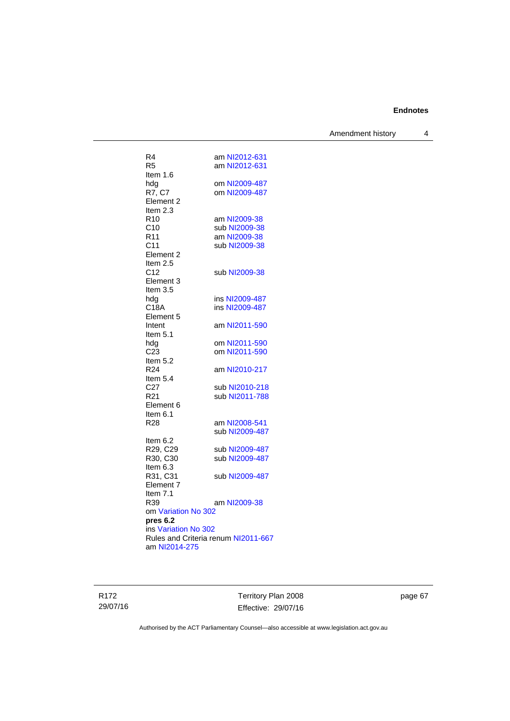Amendment history 4

| R4                                                          | am NI2012-631                  |
|-------------------------------------------------------------|--------------------------------|
| R5                                                          | am NI2012-631                  |
| Item 1.6                                                    |                                |
| hdg                                                         | om NI2009-487<br>om NI2009-487 |
| R7, C7<br>Element 2                                         |                                |
| Item $2.3$                                                  |                                |
| R10                                                         | am NI2009-38                   |
| C10                                                         | sub NI2009-38                  |
| R <sub>11</sub>                                             | am NI2009-38                   |
| C <sub>11</sub>                                             | sub NI2009-38                  |
| Element <sub>2</sub>                                        |                                |
| Item 2.5                                                    |                                |
| C <sub>12</sub>                                             | sub NI2009-38                  |
| Element 3                                                   |                                |
| Item 3.5                                                    |                                |
| hdg                                                         | ins NI2009-487                 |
| C18A                                                        | ins NI2009-487                 |
| Element 5                                                   |                                |
| Intent                                                      | am NI2011-590                  |
| Item 5.1                                                    |                                |
| hdg                                                         | om NI2011-590                  |
| C23<br>Item 5.2                                             | om NI2011-590                  |
| R24                                                         | am NI2010-217                  |
| Item 5.4                                                    |                                |
| C <sub>27</sub>                                             | sub NI2010-218                 |
| R21                                                         | sub NI2011-788                 |
| Element 6                                                   |                                |
| ltem 6.1                                                    |                                |
| R28                                                         | am NI2008-541                  |
|                                                             | sub NI2009-487                 |
| ltem 6.2                                                    |                                |
| R29, C29                                                    | sub NI2009-487                 |
| R30, C30                                                    | sub NI2009-487                 |
| Item 6.3                                                    |                                |
| R31, C31                                                    | sub NI2009-487                 |
| Element <sub>7</sub>                                        |                                |
| Item 7.1                                                    |                                |
| R39                                                         | am NI2009-38                   |
| om Variation No 302                                         |                                |
| pres 6.2                                                    |                                |
| ins Variation No 302<br>Rules and Criteria renum NI2011-667 |                                |
| am NI2014-275                                               |                                |
|                                                             |                                |
|                                                             |                                |

R172 29/07/16 Territory Plan 2008 Effective: 29/07/16

page 67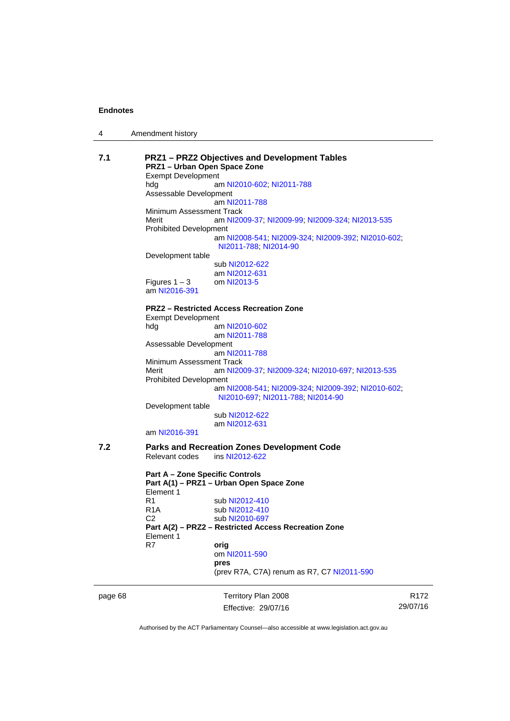|  | Amendment history |
|--|-------------------|
|--|-------------------|

| 7.1     | <b>PRZ1-PRZ2 Objectives and Development Tables</b><br>PRZ1 - Urban Open Space Zone<br><b>Exempt Development</b> |                                                                                         |                  |  |     |                           |
|---------|-----------------------------------------------------------------------------------------------------------------|-----------------------------------------------------------------------------------------|------------------|--|-----|---------------------------|
|         |                                                                                                                 |                                                                                         |                  |  | hdg | am NI2010-602; NI2011-788 |
|         | Assessable Development                                                                                          |                                                                                         |                  |  |     |                           |
|         |                                                                                                                 |                                                                                         | am NI2011-788    |  |     |                           |
|         | Minimum Assessment Track                                                                                        |                                                                                         |                  |  |     |                           |
|         | Merit                                                                                                           | am NI2009-37; NI2009-99; NI2009-324; NI2013-535                                         |                  |  |     |                           |
|         | <b>Prohibited Development</b>                                                                                   |                                                                                         |                  |  |     |                           |
|         |                                                                                                                 | am NI2008-541; NI2009-324; NI2009-392; NI2010-602;                                      |                  |  |     |                           |
|         |                                                                                                                 | NI2011-788, NI2014-90                                                                   |                  |  |     |                           |
|         | Development table                                                                                               |                                                                                         |                  |  |     |                           |
|         |                                                                                                                 | sub NI2012-622                                                                          |                  |  |     |                           |
|         | Figures $1-3$                                                                                                   | am NI2012-631<br>om NI2013-5                                                            |                  |  |     |                           |
|         | am NI2016-391                                                                                                   |                                                                                         |                  |  |     |                           |
|         |                                                                                                                 | <b>PRZ2 - Restricted Access Recreation Zone</b>                                         |                  |  |     |                           |
|         | <b>Exempt Development</b>                                                                                       |                                                                                         |                  |  |     |                           |
|         | hdg                                                                                                             | am NI2010-602                                                                           |                  |  |     |                           |
|         |                                                                                                                 | am NI2011-788                                                                           |                  |  |     |                           |
|         | Assessable Development                                                                                          |                                                                                         |                  |  |     |                           |
|         |                                                                                                                 | am NI2011-788                                                                           |                  |  |     |                           |
|         | Minimum Assessment Track                                                                                        |                                                                                         |                  |  |     |                           |
|         | Merit                                                                                                           | am NI2009-37; NI2009-324; NI2010-697; NI2013-535                                        |                  |  |     |                           |
|         | <b>Prohibited Development</b>                                                                                   |                                                                                         |                  |  |     |                           |
|         |                                                                                                                 | am NI2008-541; NI2009-324; NI2009-392; NI2010-602;<br>NI2010-697, NI2011-788, NI2014-90 |                  |  |     |                           |
|         | Development table                                                                                               |                                                                                         |                  |  |     |                           |
|         |                                                                                                                 | sub NI2012-622                                                                          |                  |  |     |                           |
|         |                                                                                                                 | am NI2012-631                                                                           |                  |  |     |                           |
|         | am NI2016-391                                                                                                   |                                                                                         |                  |  |     |                           |
| 7.2     | <b>Parks and Recreation Zones Development Code</b>                                                              |                                                                                         |                  |  |     |                           |
|         | Relevant codes                                                                                                  | ins NI2012-622                                                                          |                  |  |     |                           |
|         | <b>Part A - Zone Specific Controls</b>                                                                          |                                                                                         |                  |  |     |                           |
|         | Part A(1) - PRZ1 - Urban Open Space Zone<br>Element 1                                                           |                                                                                         |                  |  |     |                           |
|         | R1                                                                                                              | sub NI2012-410                                                                          |                  |  |     |                           |
|         | R1A                                                                                                             | sub NI2012-410                                                                          |                  |  |     |                           |
|         | C <sub>2</sub>                                                                                                  | sub NI2010-697                                                                          |                  |  |     |                           |
|         |                                                                                                                 |                                                                                         |                  |  |     |                           |
|         | Part A(2) - PRZ2 - Restricted Access Recreation Zone<br>Element 1                                               |                                                                                         |                  |  |     |                           |
|         | R7                                                                                                              | orig                                                                                    |                  |  |     |                           |
|         |                                                                                                                 | om NI2011-590                                                                           |                  |  |     |                           |
|         |                                                                                                                 | pres                                                                                    |                  |  |     |                           |
|         |                                                                                                                 | (prev R7A, C7A) renum as R7, C7 NI2011-590                                              |                  |  |     |                           |
|         |                                                                                                                 |                                                                                         |                  |  |     |                           |
| page 68 |                                                                                                                 | Territory Plan 2008                                                                     | R <sub>172</sub> |  |     |                           |

Authorised by the ACT Parliamentary Counsel—also accessible at www.legislation.act.gov.au

29/07/16

Effective: 29/07/16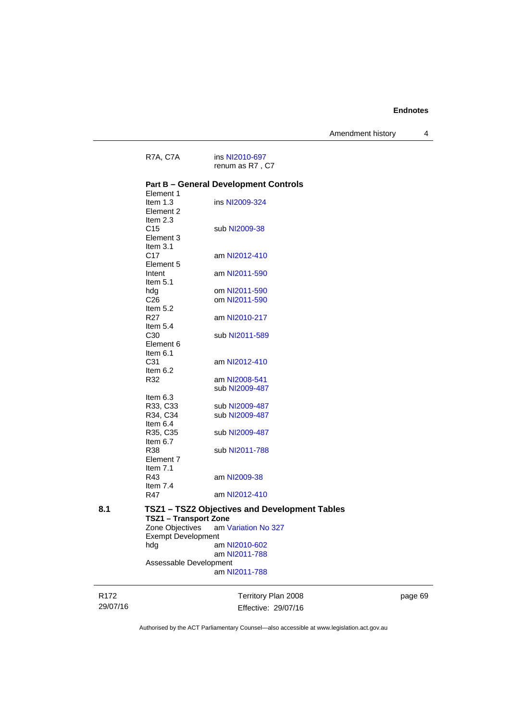R172 Territory Plan 2008 R7A, C7A ins [NI2010-697](http://www.legislation.act.gov.au/ni/2010-697/) renum as R7 , C7 **Part B – General Development Controls**  Element 1<br>Item 1.3 ins [NI2009-324](http://www.legislation.act.gov.au/ni/2009-324/) Element 2 Item 2.3<br>C15 sub [NI2009-38](http://www.legislation.act.gov.au/ni/2009-38/) Element 3 Item 3.1<br>C17 am [NI2012-410](http://www.legislation.act.gov.au/ni/2012-410/) Element 5 Intent am [NI2011-590](http://www.legislation.act.gov.au/ni/2011-590/) Item 5.1 hdg om [NI2011-590](http://www.legislation.act.gov.au/ni/2011-590/) C26 om [NI2011-590](http://www.legislation.act.gov.au/ni/2011-590/) Item  $5.2$ <br>R27 am [NI2010-217](http://www.legislation.act.gov.au/ni/2010-217/) Item  $5.4$ <br> $C30$ sub [NI2011-589](http://www.legislation.act.gov.au/ni/2011-589/) Element 6 Item  $6.1$ <br>C<sub>31</sub> am [NI2012-410](http://www.legislation.act.gov.au/ni/2012-410/) Item 6.2 R32 am [NI2008-541](http://www.legislation.act.gov.au/ni/2008-541/) sub [NI2009-487](http://www.legislation.act.gov.au/ni/2009-487/) Item 6.3 R33, C33 sub [NI2009-487](http://www.legislation.act.gov.au/ni/2009-487/) R34, C34 sub [NI2009-487](http://www.legislation.act.gov.au/ni/2009-487/) Item 6.4 R35, C35 sub [NI2009-487](http://www.legislation.act.gov.au/ni/2009-487/) Item 6.7 R38 sub [NI2011-788](http://www.legislation.act.gov.au/ni/2011-788/) Element 7 Item 7.1<br>R43 am [NI2009-38](http://www.legislation.act.gov.au/ni/2009-38/) Item 7.4 R47 am [NI2012-410](http://www.legislation.act.gov.au/ni/2012-410/) **8.1 TSZ1 – TSZ2 Objectives and Development Tables TSZ1 – Transport Zone**  am [Variation No 327](http://www.legislation.act.gov.au/ni/2015-449/default.asp) Exempt Development hdg am [NI2010-602](http://www.legislation.act.gov.au/ni/2010-602/) am [NI2011-788](http://www.legislation.act.gov.au/ni/2011-788/) Assessable Development am [NI2011-788](http://www.legislation.act.gov.au/ni/2011-788/)

29/07/16

page 69

Authorised by the ACT Parliamentary Counsel—also accessible at www.legislation.act.gov.au

Effective: 29/07/16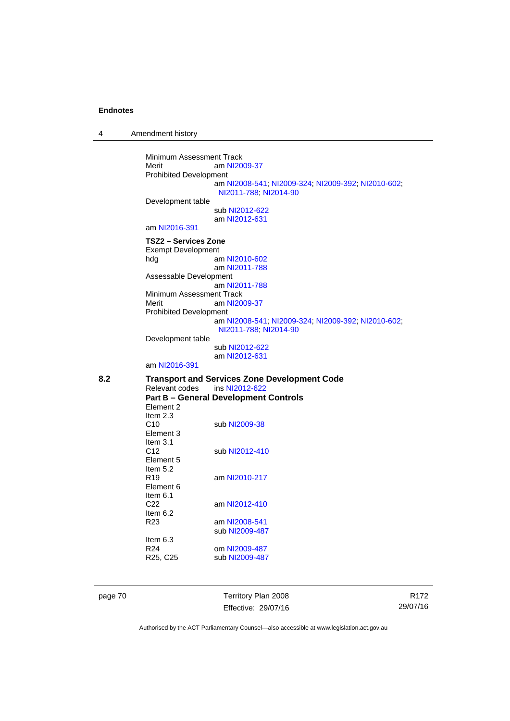4 Amendment history

Minimum Assessment Track<br>Merit am NI20 am [NI2009-37](http://www.legislation.act.gov.au/ni/2009-37/) Prohibited Development am [NI2008-541](http://www.legislation.act.gov.au/ni/2008-541/); [NI2009-324](http://www.legislation.act.gov.au/ni/2009-324/); [NI2009-392](http://www.legislation.act.gov.au/ni/2009-392/); [NI2010-602](http://www.legislation.act.gov.au/ni/2010-602/); [NI2011-788](http://www.legislation.act.gov.au/ni/2011-788/); [NI2014-90](http://www.legislation.act.gov.au/ni/2014-90/default.asp) Development table sub [NI2012-622](http://www.legislation.act.gov.au/ni/2012-622/default.asp) am [NI2012-631](http://www.legislation.act.gov.au/ni/2012-631/default.asp) am [NI2016-391](http://www.legislation.act.gov.au/ni/2016-391/default.asp) **TSZ2 – Services Zone**  Exempt Development hdg am [NI2010-602](http://www.legislation.act.gov.au/ni/2010-602/) am [NI2011-788](http://www.legislation.act.gov.au/ni/2011-788/) Assessable Development am [NI2011-788](http://www.legislation.act.gov.au/ni/2011-788/) Minimum Assessment Track Merit am [NI2009-37](http://www.legislation.act.gov.au/ni/2009-37/) Prohibited Development am [NI2008-541](http://www.legislation.act.gov.au/ni/2008-541/); [NI2009-324](http://www.legislation.act.gov.au/ni/2009-324/); [NI2009-392](http://www.legislation.act.gov.au/ni/2009-392/); [NI2010-602](http://www.legislation.act.gov.au/ni/2010-602/); [NI2011-788](http://www.legislation.act.gov.au/ni/2011-788/); [NI2014-90](http://www.legislation.act.gov.au/ni/2014-90/default.asp) Development table sub [NI2012-622](http://www.legislation.act.gov.au/ni/2012-622/default.asp) am [NI2012-631](http://www.legislation.act.gov.au/ni/2012-631/default.asp) am [NI2016-391](http://www.legislation.act.gov.au/ni/2016-391/default.asp) 8.2 **Transport and Services Zone Development Code**<br>Relevant codes ins NI2012-622 Relevant codes **Part B – General Development Controls**  Element 2 Item 2.3 C10 sub [NI2009-38](http://www.legislation.act.gov.au/ni/2009-38/) Element 3 Item 3.1 C12 sub [NI2012-410](http://www.legislation.act.gov.au/ni/2012-410/) Element 5 Item 5.2 R19 am [NI2010-217](http://www.legislation.act.gov.au/ni/2010-217/) Element 6 Item  $6.1$ <br>C22 am [NI2012-410](http://www.legislation.act.gov.au/ni/2012-410/) Item  $6.2$ <br>R<sub>23</sub> am [NI2008-541](http://www.legislation.act.gov.au/ni/2008-541/) sub [NI2009-487](http://www.legislation.act.gov.au/ni/2009-487/) Item  $6.3$ <br>R24 R24 om [NI2009-487](http://www.legislation.act.gov.au/ni/2009-487/)<br>R25, C25 sub NI2009-487 sub [NI2009-487](http://www.legislation.act.gov.au/ni/2009-487/)

page 70 Territory Plan 2008 Effective: 29/07/16

R172 29/07/16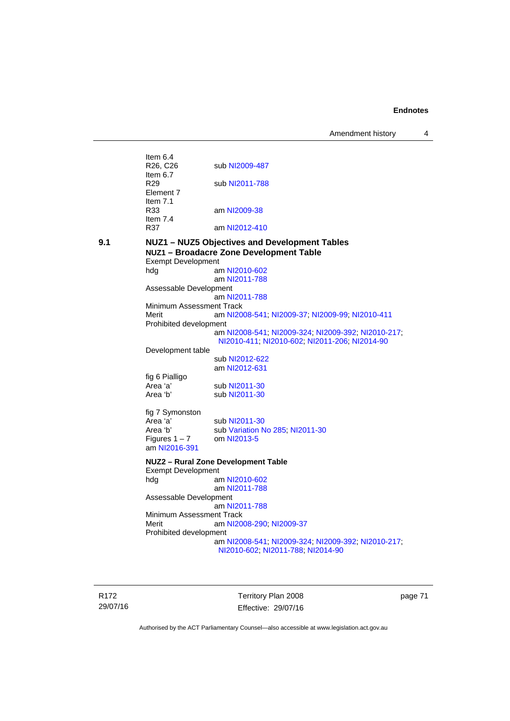Amendment history 4

|     | Item $6.4$                |                                                    |
|-----|---------------------------|----------------------------------------------------|
|     | R26, C26                  | sub NI2009-487                                     |
|     | Item $6.7$                |                                                    |
|     | R29                       | sub NI2011-788                                     |
|     | Element 7                 |                                                    |
|     | Item $7.1$                |                                                    |
|     | R33                       | am NI2009-38                                       |
|     | Item $7.4$                |                                                    |
|     | R37                       | am NI2012-410                                      |
|     |                           |                                                    |
| 9.1 |                           | NUZ1 - NUZ5 Objectives and Development Tables      |
|     |                           | NUZ1 - Broadacre Zone Development Table            |
|     | <b>Exempt Development</b> |                                                    |
|     | hdg                       | am NI2010-602                                      |
|     |                           | am NI2011-788                                      |
|     | Assessable Development    |                                                    |
|     |                           | am NI2011-788                                      |
|     | Minimum Assessment Track  |                                                    |
|     | Merit                     | am NI2008-541; NI2009-37; NI2009-99; NI2010-411    |
|     | Prohibited development    |                                                    |
|     |                           | am NI2008-541; NI2009-324; NI2009-392; NI2010-217; |
|     |                           | NI2010-411; NI2010-602; NI2011-206; NI2014-90      |
|     | Development table         |                                                    |
|     |                           | sub NI2012-622                                     |
|     |                           | am NI2012-631                                      |
|     | fig 6 Pialligo            |                                                    |
|     | Area 'a'                  | sub NI2011-30                                      |
|     | Area 'b'                  | sub NI2011-30                                      |
|     |                           |                                                    |
|     | fig 7 Symonston           |                                                    |
|     | Area 'a'                  | sub NI2011-30                                      |
|     | Area 'b'                  | sub Variation No 285; NI2011-30                    |
|     | Figures $1 - 7$           | om NI2013-5                                        |
|     | am NI2016-391             |                                                    |
|     |                           |                                                    |
|     |                           | NUZ2 - Rural Zone Development Table                |
|     | <b>Exempt Development</b> |                                                    |
|     | hdg                       | am NI2010-602                                      |
|     |                           | am NI2011-788                                      |
|     | Assessable Development    |                                                    |
|     |                           | am NI2011-788                                      |
|     | Minimum Assessment Track  |                                                    |
|     | Merit                     | am NI2008-290; NI2009-37                           |
|     | Prohibited development    |                                                    |
|     |                           | am NI2008-541; NI2009-324; NI2009-392; NI2010-217; |
|     |                           | NI2010-602; NI2011-788; NI2014-90                  |
|     |                           |                                                    |
|     |                           |                                                    |

R172 29/07/16

Territory Plan 2008 Effective: 29/07/16 page 71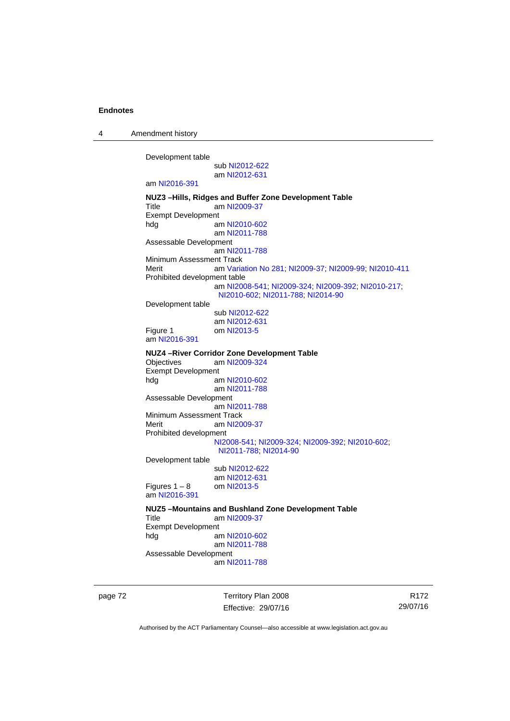4 Amendment history

Development table sub [NI2012-622](http://www.legislation.act.gov.au/ni/2012-622/default.asp) am [NI2012-631](http://www.legislation.act.gov.au/ni/2012-631/default.asp) am [NI2016-391](http://www.legislation.act.gov.au/ni/2016-391/default.asp) **NUZ3 –Hills, Ridges and Buffer Zone Development Table**  Title am [NI2009-37](http://www.legislation.act.gov.au/ni/2009-37/) Exempt Development hdg am [NI2010-602](http://www.legislation.act.gov.au/ni/2010-602/) am [NI2011-788](http://www.legislation.act.gov.au/ni/2011-788/) Assessable Development am [NI2011-788](http://www.legislation.act.gov.au/ni/2011-788/) Minimum Assessment Track Merit am [Variation No 281](http://www.legislation.act.gov.au/ni/2008-352/); [NI2009-37](http://www.legislation.act.gov.au/ni/2009-37/); [NI2009-99](http://www.legislation.act.gov.au/ni/2009-99/); [NI2010-411](http://www.legislation.act.gov.au/ni/2010-411/) Prohibited development table am [NI2008-541](http://www.legislation.act.gov.au/ni/2008-541/); [NI2009-324](http://www.legislation.act.gov.au/ni/2009-324/); [NI2009-392](http://www.legislation.act.gov.au/ni/2009-392/); [NI2010-217](http://www.legislation.act.gov.au/ni/2010-217/); [NI2010-602](http://www.legislation.act.gov.au/ni/2010-602/); [NI2011-788](http://www.legislation.act.gov.au/ni/2011-788/); [NI2014-90](http://www.legislation.act.gov.au/ni/2014-90/default.asp) Development table sub [NI2012-622](http://www.legislation.act.gov.au/ni/2012-622/default.asp) am [NI2012-631](http://www.legislation.act.gov.au/ni/2012-631/default.asp) Figure 1 om [NI2013-5](http://www.legislation.act.gov.au/ni/2013-5/default.asp) am [NI2016-391](http://www.legislation.act.gov.au/ni/2016-391/default.asp) **NUZ4 –River Corridor Zone Development Table**  Objectives am [NI2009-324](http://www.legislation.act.gov.au/ni/2009-324/) Exempt Development hdg am [NI2010-602](http://www.legislation.act.gov.au/ni/2010-602/) am [NI2011-788](http://www.legislation.act.gov.au/ni/2011-788/) Assessable Development am [NI2011-788](http://www.legislation.act.gov.au/ni/2011-788/) Minimum Assessment Track Merit am [NI2009-37](http://www.legislation.act.gov.au/ni/2009-37/) Prohibited development [NI2008-541](http://www.legislation.act.gov.au/ni/2008-541/); [NI2009-324](http://www.legislation.act.gov.au/ni/2009-324/); [NI2009-392](http://www.legislation.act.gov.au/ni/2009-392/); [NI2010-602](http://www.legislation.act.gov.au/ni/2010-602/); [NI2011-788](http://www.legislation.act.gov.au/ni/2011-788/); [NI2014-90](http://www.legislation.act.gov.au/ni/2014-90/default.asp) Development table sub [NI2012-622](http://www.legislation.act.gov.au/ni/2012-622/default.asp) am [NI2012-631](http://www.legislation.act.gov.au/ni/2012-631/default.asp)<br>om NI2013-5 Figures  $1 - 8$ am [NI2016-391](http://www.legislation.act.gov.au/ni/2016-391/default.asp) **NUZ5 –Mountains and Bushland Zone Development Table**  Title am [NI2009-37](http://www.legislation.act.gov.au/ni/2009-37/) Exempt Development<br>hdg a am [NI2010-602](http://www.legislation.act.gov.au/ni/2010-602/) am [NI2011-788](http://www.legislation.act.gov.au/ni/2011-788/) Assessable Development am [NI2011-788](http://www.legislation.act.gov.au/ni/2011-788/)

page 72 Territory Plan 2008 Effective: 29/07/16

R172 29/07/16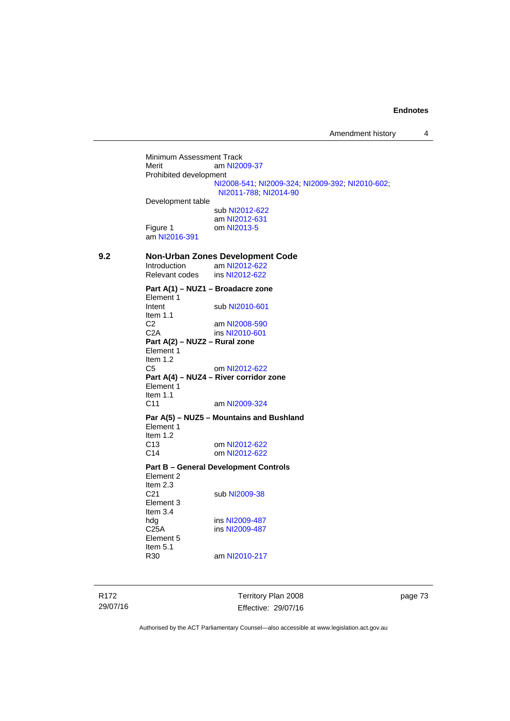Minimum Assessment Track<br>Merit am NI20 am [NI2009-37](http://www.legislation.act.gov.au/ni/2009-37/) Prohibited development [NI2008-541](http://www.legislation.act.gov.au/ni/2008-541/); [NI2009-324](http://www.legislation.act.gov.au/ni/2009-324/); [NI2009-392](http://www.legislation.act.gov.au/ni/2009-392/); [NI2010-602](http://www.legislation.act.gov.au/ni/2010-602/); [NI2011-788](http://www.legislation.act.gov.au/ni/2011-788/); [NI2014-90](http://www.legislation.act.gov.au/ni/2014-90/default.asp) Development table sub [NI2012-622](http://www.legislation.act.gov.au/ni/2012-622/default.asp) am [NI2012-631](http://www.legislation.act.gov.au/ni/2012-631/default.asp) Figure 1 om [NI2013-5](http://www.legislation.act.gov.au/ni/2013-5/default.asp) am [NI2016-391](http://www.legislation.act.gov.au/ni/2016-391/default.asp) **9.2 Non-Urban Zones Development Code**  am [NI2012-622](http://www.legislation.act.gov.au/ni/2012-622/default.asp)<br>ins NI2012-622 Relevant codes **Part A(1) – NUZ1 – Broadacre zone**  Element 1<br>Intent sub [NI2010-601](http://www.legislation.act.gov.au/ni/2010-601/) Item 1.1 C2 am [NI2008-590](http://www.legislation.act.gov.au/ni/2008-590/default.asp)<br>C2A ins NI2010-601 ins [NI2010-601](http://www.legislation.act.gov.au/ni/2010-601/) **Part A(2) – NUZ2 – Rural zone**  Element 1 Item 1.2 C5 om [NI2012-622](http://www.legislation.act.gov.au/ni/2012-622/default.asp) **Part A(4) – NUZ4 – River corridor zone**  Element 1 Item 1.1 C11 am [NI2009-324](http://www.legislation.act.gov.au/ni/2009-324/) **Par A(5) – NUZ5 – Mountains and Bushland**  Element 1 Item 1.2 C13 om [NI2012-622](http://www.legislation.act.gov.au/ni/2012-622/default.asp) C14 om [NI2012-622](http://www.legislation.act.gov.au/ni/2012-622/default.asp) **Part B – General Development Controls**  Element 2 Item  $2.3$ <br> $C<sub>21</sub>$ sub [NI2009-38](http://www.legislation.act.gov.au/ni/2009-38/) Element 3 Item 3.4<br>hdg hdg ins [NI2009-487](http://www.legislation.act.gov.au/ni/2009-487/)<br>C25A ins NI2009-487 ins [NI2009-487](http://www.legislation.act.gov.au/ni/2009-487/) Element 5 Item  $5.1$ <br>R30 am [NI2010-217](http://www.legislation.act.gov.au/ni/2010-217/)

R172 29/07/16 Territory Plan 2008 Effective: 29/07/16 page 73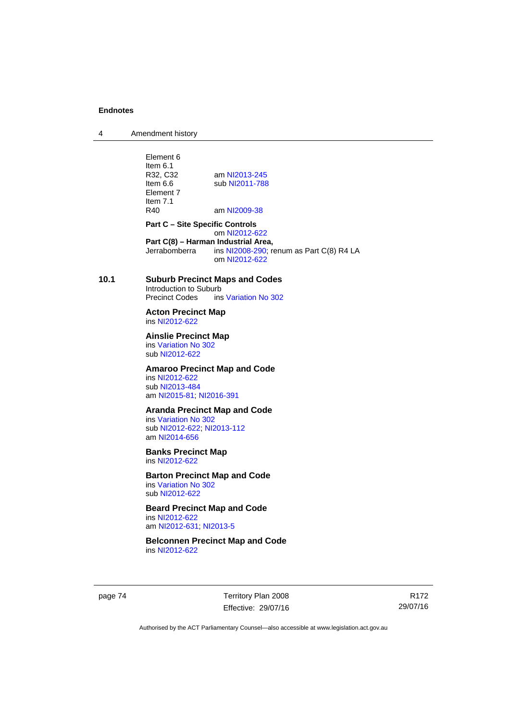4 Amendment history

Element 6 Item 6.1<br>R32. C32 R32, C32 am [NI2013-245](http://www.legislation.act.gov.au/ni/2013-245/default.asp)<br>Item 6.6 sub NI2011-788 sub [NI2011-788](http://www.legislation.act.gov.au/ni/2011-788/) Element 7 Item 7.1<br>R40 am [NI2009-38](http://www.legislation.act.gov.au/ni/2009-38/) **Part C – Site Specific Controls**  om [NI2012-622](http://www.legislation.act.gov.au/ni/2012-622/default.asp) **Part C(8) – Harman Industrial Area,**<br>
Jerrabomberra ins NI2008-290: re ins  $N$ 12008-290; renum as Part C(8) R4 LA om [NI2012-622](http://www.legislation.act.gov.au/ni/2012-622/default.asp) **10.1 Suburb Precinct Maps and Codes**  Introduction to Suburb<br>Precinct Codes ins ins [Variation No 302](http://www.legislation.act.gov.au/ni/2011-573/) **Acton Precinct Map**  ins [NI2012-622](http://www.legislation.act.gov.au/ni/2012-622/default.asp) **Ainslie Precinct Map**  ins [Variation No 302](http://www.legislation.act.gov.au/ni/2011-573/) sub [NI2012-622](http://www.legislation.act.gov.au/ni/2012-622/default.asp) **Amaroo Precinct Map and Code**  ins [NI2012-622](http://www.legislation.act.gov.au/ni/2012-622/default.asp) sub [NI2013-484](http://www.legislation.act.gov.au/ni/2013-484/default.asp) am [NI2015-81](http://www.legislation.act.gov.au/ni/2015-81/default.asp); [NI2016-391](http://www.legislation.act.gov.au/ni/2016-391/default.asp) **Aranda Precinct Map and Code**  ins [Variation No 302](http://www.legislation.act.gov.au/ni/2011-573/) sub [NI2012-622](http://www.legislation.act.gov.au/ni/2012-622/default.asp); [NI2013-112](http://www.legislation.act.gov.au/ni/2013-112/default.asp) am [NI2014-656](http://www.legislation.act.gov.au/ni/2014-656/default.asp) **Banks Precinct Map**  ins [NI2012-622](http://www.legislation.act.gov.au/ni/2012-622/default.asp) **Barton Precinct Map and Code**  ins [Variation No 302](http://www.legislation.act.gov.au/ni/2011-573/) sub [NI2012-622](http://www.legislation.act.gov.au/ni/2012-622/default.asp) **Beard Precinct Map and Code**  ins [NI2012-622](http://www.legislation.act.gov.au/ni/2012-622/default.asp) am [NI2012-631](http://www.legislation.act.gov.au/ni/2012-631/default.asp); [NI2013-5](http://www.legislation.act.gov.au/ni/2013-5/default.asp) **Belconnen Precinct Map and Code**  ins [NI2012-622](http://www.legislation.act.gov.au/ni/2012-622/default.asp)

page 74 Territory Plan 2008 Effective: 29/07/16

R172 29/07/16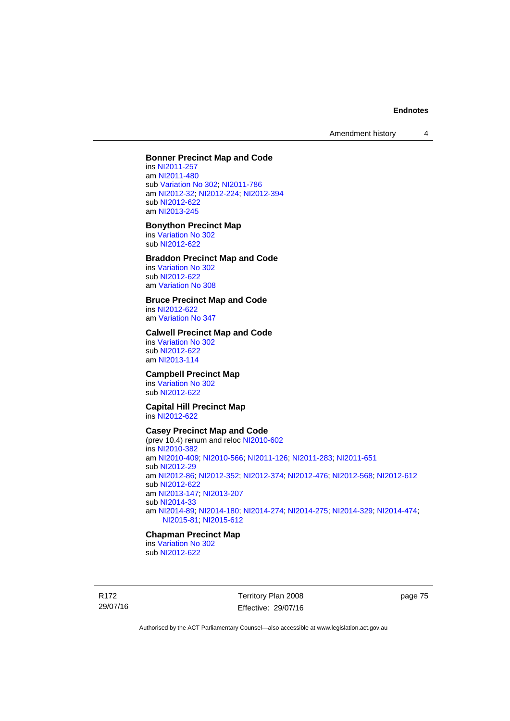Amendment history 4

## **Bonner Precinct Map and Code**

ins [NI2011-257](http://www.legislation.act.gov.au/ni/2011-257/) am [NI2011-480](http://www.legislation.act.gov.au/ni/2011-480/) sub [Variation No 302](http://www.legislation.act.gov.au/ni/2011-573/); [NI2011-786](http://www.legislation.act.gov.au/ni/2011-786/) am [NI2012-32](http://www.legislation.act.gov.au/ni/2012-32/); [NI2012-224](http://www.legislation.act.gov.au/ni/2012-224/); [NI2012-394](http://www.legislation.act.gov.au/ni/2012-394/) sub [NI2012-622](http://www.legislation.act.gov.au/ni/2012-622/default.asp) am [NI2013-245](http://www.legislation.act.gov.au/ni/2013-245/default.asp)

#### **Bonython Precinct Map**

ins [Variation No 302](http://www.legislation.act.gov.au/ni/2011-573/) sub [NI2012-622](http://www.legislation.act.gov.au/ni/2012-622/default.asp)

# **Braddon Precinct Map and Code**

ins [Variation No 302](http://www.legislation.act.gov.au/ni/2011-573/) sub [NI2012-622](http://www.legislation.act.gov.au/ni/2012-622/default.asp) am [Variation No 308](http://www.legislation.act.gov.au/ni/2014-60/default.asp)

## **Bruce Precinct Map and Code**

ins [NI2012-622](http://www.legislation.act.gov.au/ni/2012-622/default.asp) am [Variation No 347](http://www.legislation.act.gov.au/ni/2015-449/default.asp)

# **Calwell Precinct Map and Code**

ins [Variation No 302](http://www.legislation.act.gov.au/ni/2011-573/) sub [NI2012-622](http://www.legislation.act.gov.au/ni/2012-622/default.asp) am [NI2013-114](http://www.legislation.act.gov.au/ni/2013-114/default.asp)

## **Campbell Precinct Map**

ins [Variation No 302](http://www.legislation.act.gov.au/ni/2011-573/) sub [NI2012-622](http://www.legislation.act.gov.au/ni/2012-622/default.asp)

## **Capital Hill Precinct Map**  ins [NI2012-622](http://www.legislation.act.gov.au/ni/2012-622/default.asp)

## **Casey Precinct Map and Code**

(prev 10.4) renum and reloc [NI2010-602](http://www.legislation.act.gov.au/ni/2010-602/) ins [NI2010-382](http://www.legislation.act.gov.au/ni/2010-382/) am [NI2010-409](http://www.legislation.act.gov.au/ni/2010-409/); [NI2010-566](http://www.legislation.act.gov.au/ni/2010-566/); [NI2011-126](http://www.legislation.act.gov.au/ni/2011-126/); [NI2011-283](http://www.legislation.act.gov.au/ni/2011-283/); [NI2011-651](http://www.legislation.act.gov.au/ni/2011-651/) sub [NI2012-29](http://www.legislation.act.gov.au/ni/2012-29/) am [NI2012-86](http://www.legislation.act.gov.au/ni/2012-86/); [NI2012-352](http://www.legislation.act.gov.au/ni/2012-352/); [NI2012-374](http://www.legislation.act.gov.au/ni/2012-374/); [NI2012-476](http://www.legislation.act.gov.au/ni/2012-476/); [NI2012-568](http://www.legislation.act.gov.au/ni/2012-568/default.asp); [NI2012-612](http://www.legislation.act.gov.au/ni/2012-612/default.asp) sub [NI2012-622](http://www.legislation.act.gov.au/ni/2012-622/default.asp) am [NI2013-147](http://www.legislation.act.gov.au/ni/2013-147/default.asp); [NI2013-207](http://www.legislation.act.gov.au/ni/2013-207/default.asp) sub [NI2014-33](http://www.legislation.act.gov.au/ni/2014-33/default.asp) am [NI2014-89](http://www.legislation.act.gov.au/ni/2014-89/default.asp); [NI2014-180](http://www.legislation.act.gov.au/ni/2014-180/default.asp); [NI2014-274](http://www.legislation.act.gov.au/ni/2014-274/default.asp); [NI2014-275](http://www.legislation.act.gov.au/ni/2014-275/default.asp); [NI2014-329](http://www.legislation.act.gov.au/ni/2014-329/default.asp); [NI2014-474](http://www.legislation.act.gov.au/ni/2014-474/default.asp); [NI2015-81;](http://www.legislation.act.gov.au/ni/2015-81/default.asp) [NI2015-612](http://www.legislation.act.gov.au/ni/2015-612/default.asp)

## **Chapman Precinct Map**

ins [Variation No 302](http://www.legislation.act.gov.au/ni/2011-573/) sub [NI2012-622](http://www.legislation.act.gov.au/ni/2012-622/default.asp)

R172 29/07/16 Territory Plan 2008 Effective: 29/07/16 page 75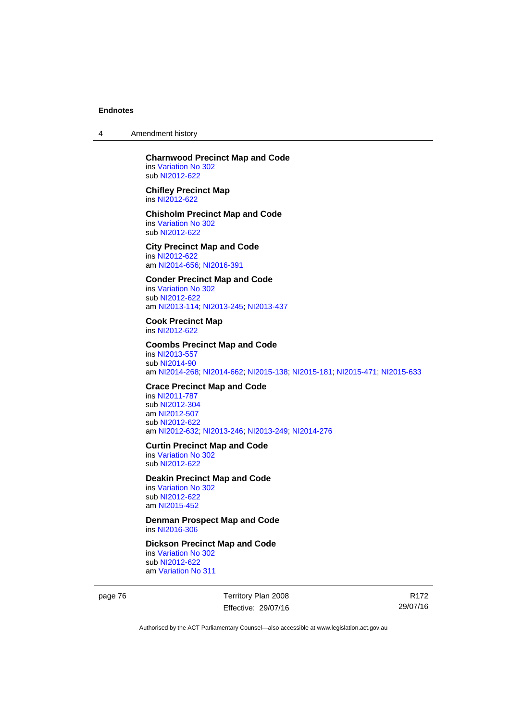4 Amendment history

#### **Charnwood Precinct Map and Code**  ins [Variation No 302](http://www.legislation.act.gov.au/ni/2011-573/) sub [NI2012-622](http://www.legislation.act.gov.au/ni/2012-622/default.asp)

**Chifley Precinct Map**  ins [NI2012-622](http://www.legislation.act.gov.au/ni/2012-622/default.asp)

## **Chisholm Precinct Map and Code**  ins [Variation No 302](http://www.legislation.act.gov.au/ni/2011-573/)

sub [NI2012-622](http://www.legislation.act.gov.au/ni/2012-622/default.asp) **City Precinct Map and Code** 

ins [NI2012-622](http://www.legislation.act.gov.au/ni/2012-622/default.asp) am [NI2014-656](http://www.legislation.act.gov.au/ni/2014-656/default.asp); [NI2016-391](http://www.legislation.act.gov.au/ni/2016-391/default.asp)

## **Conder Precinct Map and Code**

ins [Variation No 302](http://www.legislation.act.gov.au/ni/2011-573/) sub [NI2012-622](http://www.legislation.act.gov.au/ni/2012-622/default.asp) am [NI2013-114](http://www.legislation.act.gov.au/ni/2013-114/default.asp); [NI2013-245](http://www.legislation.act.gov.au/ni/2013-245/default.asp); [NI2013-437](http://www.legislation.act.gov.au/ni/2013-437/default.asp)

**Cook Precinct Map**  ins [NI2012-622](http://www.legislation.act.gov.au/ni/2012-622/default.asp)

#### **Coombs Precinct Map and Code**  ins [NI2013-557](http://www.legislation.act.gov.au/ni/2013-557/default.asp)

sub [NI2014-90](http://www.legislation.act.gov.au/ni/2014-90/default.asp) am [NI2014-268](http://www.legislation.act.gov.au/ni/2014-268/default.asp); [NI2014-662](http://www.legislation.act.gov.au/ni/2014-662/default.asp); [NI2015-138](http://www.legislation.act.gov.au/ni/2015-138/default.asp); [NI2015-181](http://www.legislation.act.gov.au/ni/2015-181/default.asp); [NI2015-471](http://www.legislation.act.gov.au/ni/2015-471/default.asp); [NI2015-633](http://www.legislation.act.gov.au/ni/2015-633/default.asp)

## **Crace Precinct Map and Code**

ins [NI2011-787](http://www.legislation.act.gov.au/ni/2011-787/) sub [NI2012-304](http://www.legislation.act.gov.au/ni/2012-304/) am [NI2012-507](http://www.legislation.act.gov.au/ni/2012-507/) sub [NI2012-622](http://www.legislation.act.gov.au/ni/2012-622/default.asp) am [NI2012-632](http://www.legislation.act.gov.au/ni/2012-632/default.asp); [NI2013-246](http://www.legislation.act.gov.au/ni/2013-246/default.asp); [NI2013-249](http://www.legislation.act.gov.au/ni/2013-248/default.asp); [NI2014-276](http://www.legislation.act.gov.au/ni/2014-276/default.asp)

#### **Curtin Precinct Map and Code**

ins [Variation No 302](http://www.legislation.act.gov.au/ni/2011-573/) sub [NI2012-622](http://www.legislation.act.gov.au/ni/2012-622/default.asp)

#### **Deakin Precinct Map and Code**

ins [Variation No 302](http://www.legislation.act.gov.au/ni/2011-573/) sub [NI2012-622](http://www.legislation.act.gov.au/ni/2012-622/default.asp) am [NI2015-452](http://www.legislation.act.gov.au/ni/2015-452/default.asp)

**Denman Prospect Map and Code**  ins [NI2016-306](http://www.legislation.act.gov.au/ni/2016-306/default.asp)

# **Dickson Precinct Map and Code**

ins [Variation No 302](http://www.legislation.act.gov.au/ni/2011-573/) sub [NI2012-622](http://www.legislation.act.gov.au/ni/2012-622/default.asp) am [Variation No 311](http://www.legislation.act.gov.au/ni/2013-208/default.asp)

page 76 Territory Plan 2008 Effective: 29/07/16

R172 29/07/16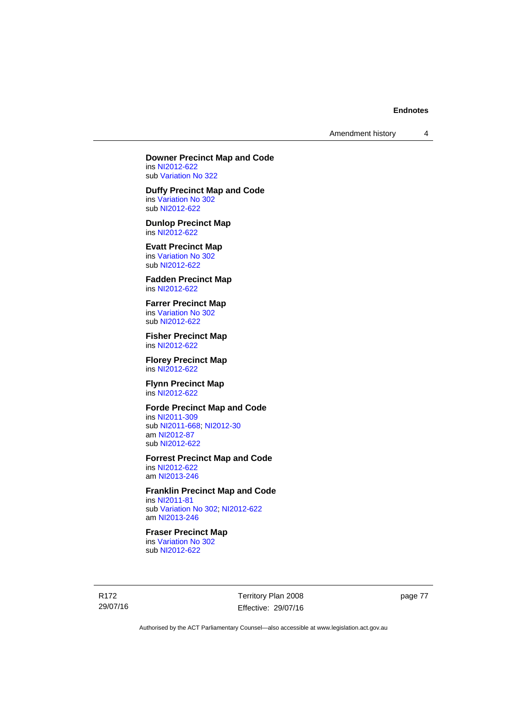Amendment history 4

**Downer Precinct Map and Code**  ins [NI2012-622](http://www.legislation.act.gov.au/ni/2012-622/default.asp)

sub [Variation No 322](http://www.legislation.act.gov.au/ni/2015-185/default.asp)

**Duffy Precinct Map and Code**  ins [Variation No 302](http://www.legislation.act.gov.au/ni/2011-573/) sub [NI2012-622](http://www.legislation.act.gov.au/ni/2012-622/default.asp)

**Dunlop Precinct Map**  ins [NI2012-622](http://www.legislation.act.gov.au/ni/2012-622/default.asp)

**Evatt Precinct Map**  ins [Variation No 302](http://www.legislation.act.gov.au/ni/2011-573/) sub [NI2012-622](http://www.legislation.act.gov.au/ni/2012-622/default.asp)

**Fadden Precinct Map**  ins [NI2012-622](http://www.legislation.act.gov.au/ni/2012-622/default.asp)

**Farrer Precinct Map**  ins [Variation No 302](http://www.legislation.act.gov.au/ni/2011-573/) sub [NI2012-622](http://www.legislation.act.gov.au/ni/2012-622/default.asp)

**Fisher Precinct Map**  ins [NI2012-622](http://www.legislation.act.gov.au/ni/2012-622/default.asp)

**Florey Precinct Map**  ins [NI2012-622](http://www.legislation.act.gov.au/ni/2012-622/default.asp)

**Flynn Precinct Map**  ins [NI2012-622](http://www.legislation.act.gov.au/ni/2012-622/default.asp)

# **Forde Precinct Map and Code**

ins [NI2011-309](http://www.legislation.act.gov.au/ni/2011-309/) sub [NI2011-668](http://www.legislation.act.gov.au/ni/2011-668/); [NI2012-30](http://www.legislation.act.gov.au/ni/2012-30/) am [NI2012-87](http://www.legislation.act.gov.au/ni/2012-87/) sub [NI2012-622](http://www.legislation.act.gov.au/ni/2012-622/default.asp)

## **Forrest Precinct Map and Code**

ins [NI2012-622](http://www.legislation.act.gov.au/ni/2012-622/default.asp) am [NI2013-246](http://www.legislation.act.gov.au/ni/2013-246/default.asp)

## **Franklin Precinct Map and Code**

ins [NI2011-81](http://www.legislation.act.gov.au/ni/2011-81/) sub [Variation No 302](http://www.legislation.act.gov.au/ni/2011-573/); [NI2012-622](http://www.legislation.act.gov.au/ni/2012-622/default.asp) am [NI2013-246](http://www.legislation.act.gov.au/ni/2013-246/default.asp)

# **Fraser Precinct Map**

ins [Variation No 302](http://www.legislation.act.gov.au/ni/2011-573/) sub [NI2012-622](http://www.legislation.act.gov.au/ni/2012-622/default.asp)

R172 29/07/16 Territory Plan 2008 Effective: 29/07/16 page 77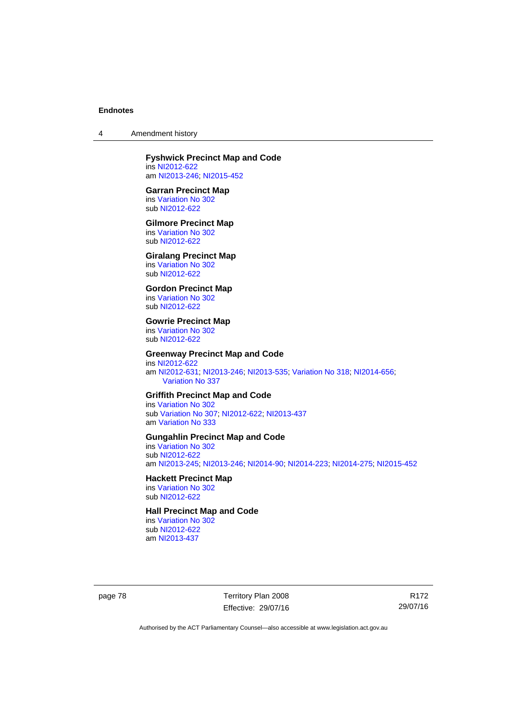4 Amendment history

# **Fyshwick Precinct Map and Code**

ins [NI2012-622](http://www.legislation.act.gov.au/ni/2012-622/default.asp) am [NI2013-246](http://www.legislation.act.gov.au/ni/2013-246/default.asp); [NI2015-452](http://www.legislation.act.gov.au/ni/2015-452/default.asp)

#### **Garran Precinct Map**

ins [Variation No 302](http://www.legislation.act.gov.au/ni/2011-573/) sub [NI2012-622](http://www.legislation.act.gov.au/ni/2012-622/default.asp)

#### **Gilmore Precinct Map**

ins [Variation No 302](http://www.legislation.act.gov.au/ni/2011-573/) sub [NI2012-622](http://www.legislation.act.gov.au/ni/2012-622/default.asp)

# **Giralang Precinct Map**

ins [Variation No 302](http://www.legislation.act.gov.au/ni/2011-573/) sub [NI2012-622](http://www.legislation.act.gov.au/ni/2012-622/default.asp)

# **Gordon Precinct Map**

ins [Variation No 302](http://www.legislation.act.gov.au/ni/2011-573/) sub [NI2012-622](http://www.legislation.act.gov.au/ni/2012-622/default.asp)

#### **Gowrie Precinct Map**

ins [Variation No 302](http://www.legislation.act.gov.au/ni/2011-573/) sub [NI2012-622](http://www.legislation.act.gov.au/ni/2012-622/default.asp)

## **Greenway Precinct Map and Code**

ins [NI2012-622](http://www.legislation.act.gov.au/ni/2012-622/default.asp) am [NI2012-631](http://www.legislation.act.gov.au/ni/2012-631/default.asp); [NI2013-246](http://www.legislation.act.gov.au/ni/2013-246/default.asp); [NI2013-535](http://www.legislation.act.gov.au/ni/2013-535/); [Variation No 318](http://www.legislation.act.gov.au/ni/2014-294/default.asp); [NI2014-656](http://www.legislation.act.gov.au/ni/2014-656/default.asp); [Variation No 337](http://www.legislation.act.gov.au/ni/2015-375/default.asp)

#### **Griffith Precinct Map and Code**

ins [Variation No 302](http://www.legislation.act.gov.au/ni/2011-573/) sub [Variation No 307](http://www.legislation.act.gov.au/ni/2012-201/); [NI2012-622](http://www.legislation.act.gov.au/ni/2012-622/default.asp); [NI2013-437](http://www.legislation.act.gov.au/ni/2013-437/default.asp) am [Variation No 333](http://www.legislation.act.gov.au/ni/2016-65/default.asp)

## **Gungahlin Precinct Map and Code**

ins [Variation No 302](http://www.legislation.act.gov.au/ni/2011-573/) sub [NI2012-622](http://www.legislation.act.gov.au/ni/2012-622/default.asp) am [NI2013-245](http://www.legislation.act.gov.au/ni/2013-245/default.asp); [NI2013-246](http://www.legislation.act.gov.au/ni/2013-246/default.asp); [NI2014-90](http://www.legislation.act.gov.au/ni/2014-90/default.asp); [NI2014-223](http://www.legislation.act.gov.au/ni/2014-223/default.asp); [NI2014-275](http://www.legislation.act.gov.au/ni/2014-275/default.asp); [NI2015-452](http://www.legislation.act.gov.au/ni/2015-452/default.asp)

## **Hackett Precinct Map**

ins [Variation No 302](http://www.legislation.act.gov.au/ni/2011-573/) sub [NI2012-622](http://www.legislation.act.gov.au/ni/2012-622/default.asp)

# **Hall Precinct Map and Code**

ins [Variation No 302](http://www.legislation.act.gov.au/ni/2011-573/) sub [NI2012-622](http://www.legislation.act.gov.au/ni/2012-622/default.asp) am [NI2013-437](http://www.legislation.act.gov.au/ni/2013-437/default.asp)

page 78 Territory Plan 2008 Effective: 29/07/16

R172 29/07/16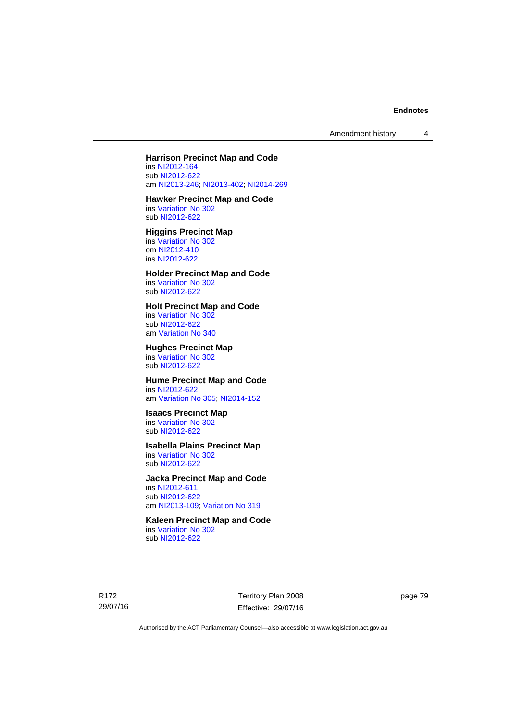Amendment history 4

## **Harrison Precinct Map and Code**

ins [NI2012-164](http://www.legislation.act.gov.au/ni/2012-164/) sub [NI2012-622](http://www.legislation.act.gov.au/ni/2012-622/default.asp) am [NI2013-246](http://www.legislation.act.gov.au/ni/2013-246/default.asp); [NI2013-402](http://www.legislation.act.gov.au/ni/2013-402/default.asp); [NI2014-269](http://www.legislation.act.gov.au/ni/2014-269/default.asp)

# **Hawker Precinct Map and Code**

ins [Variation No 302](http://www.legislation.act.gov.au/ni/2011-573/) sub [NI2012-622](http://www.legislation.act.gov.au/ni/2012-622/default.asp)

# **Higgins Precinct Map**

ins [Variation No 302](http://www.legislation.act.gov.au/ni/2011-573/) om [NI2012-410](http://www.legislation.act.gov.au/ni/2012-410/) ins [NI2012-622](http://www.legislation.act.gov.au/ni/2012-622/default.asp)

# **Holder Precinct Map and Code**

ins [Variation No 302](http://www.legislation.act.gov.au/ni/2011-573/) sub [NI2012-622](http://www.legislation.act.gov.au/ni/2012-622/default.asp)

#### **Holt Precinct Map and Code**

ins [Variation No 302](http://www.legislation.act.gov.au/ni/2011-573/) sub [NI2012-622](http://www.legislation.act.gov.au/ni/2012-622/default.asp) am [Variation No 340](http://www.legislation.act.gov.au/ni/2016-56/default.asp)

### **Hughes Precinct Map**

ins [Variation No 302](http://www.legislation.act.gov.au/ni/2011-573/) sub [NI2012-622](http://www.legislation.act.gov.au/ni/2012-622/default.asp)

#### **Hume Precinct Map and Code**  ins [NI2012-622](http://www.legislation.act.gov.au/ni/2012-622/default.asp)

am [Variation No 305](http://www.legislation.act.gov.au/ni/2013-530/default.asp); [NI2014-152](http://www.legislation.act.gov.au/ni/2014-152/default.asp)

# **Isaacs Precinct Map**

ins [Variation No 302](http://www.legislation.act.gov.au/ni/2011-573/) sub [NI2012-622](http://www.legislation.act.gov.au/ni/2012-622/default.asp)

# **Isabella Plains Precinct Map**

ins [Variation No 302](http://www.legislation.act.gov.au/ni/2011-573/) sub [NI2012-622](http://www.legislation.act.gov.au/ni/2012-622/default.asp)

#### **Jacka Precinct Map and Code**

ins [NI2012-611](http://www.legislation.act.gov.au/ni/2012-611/default.asp) sub [NI2012-622](http://www.legislation.act.gov.au/ni/2012-622/default.asp) am [NI2013-109](http://www.legislation.act.gov.au/ni/2013-109/default.asp); [Variation No 319](http://www.legislation.act.gov.au/ni/2014-501/default.asp)

# **Kaleen Precinct Map and Code**

ins [Variation No 302](http://www.legislation.act.gov.au/ni/2011-573/) sub [NI2012-622](http://www.legislation.act.gov.au/ni/2012-622/default.asp)

R172 29/07/16 Territory Plan 2008 Effective: 29/07/16 page 79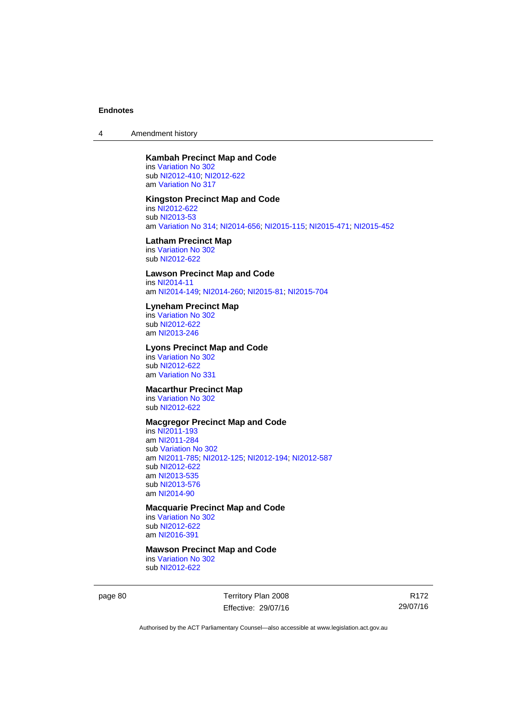4 Amendment history

## **Kambah Precinct Map and Code**

ins [Variation No 302](http://www.legislation.act.gov.au/ni/2011-573/) sub [NI2012-410](http://www.legislation.act.gov.au/ni/2012-410/); [NI2012-622](http://www.legislation.act.gov.au/ni/2012-622/default.asp) am [Variation No 317](http://www.legislation.act.gov.au/ni/2014-137/default.asp)

#### **Kingston Precinct Map and Code**

ins [NI2012-622](http://www.legislation.act.gov.au/ni/2012-622/default.asp) sub [NI2013-53](http://www.legislation.act.gov.au/ni/2013-53/default.asp) am [Variation No 314](http://www.legislation.act.gov.au/ni/2014-187/default.asp); [NI2014-656](http://www.legislation.act.gov.au/ni/2014-656/default.asp); [NI2015-115](http://www.legislation.act.gov.au/ni/2015-115/default.asp); [NI2015-471](http://www.legislation.act.gov.au/ni/2015-471/default.asp); [NI2015-452](http://www.legislation.act.gov.au/ni/2015-452/default.asp)

## **Latham Precinct Map**

ins [Variation No 302](http://www.legislation.act.gov.au/ni/2011-573/) sub [NI2012-622](http://www.legislation.act.gov.au/ni/2012-622/default.asp)

## **Lawson Precinct Map and Code**

ins [NI2014-11](http://www.legislation.act.gov.au/ni/2014-11/default.asp) am [NI2014-149](http://www.legislation.act.gov.au/ni/2014-149/default.asp); [NI2014-260](http://www.legislation.act.gov.au/ni/2014-260/default.asp); [NI2015-81](http://www.legislation.act.gov.au/ni/2015-81/default.asp); [NI2015-704](http://www.legislation.act.gov.au/ni/2015-704/default.asp)

#### **Lyneham Precinct Map**

ins [Variation No 302](http://www.legislation.act.gov.au/ni/2011-573/) sub [NI2012-622](http://www.legislation.act.gov.au/ni/2012-622/default.asp) am [NI2013-246](http://www.legislation.act.gov.au/ni/2013-246/default.asp)

## **Lyons Precinct Map and Code**

ins [Variation No 302](http://www.legislation.act.gov.au/ni/2011-573/) sub [NI2012-622](http://www.legislation.act.gov.au/ni/2012-622/default.asp) am [Variation No 331](http://www.legislation.act.gov.au/ni/2015-448/default.asp)

# **Macarthur Precinct Map**

ins [Variation No 302](http://www.legislation.act.gov.au/ni/2011-573/) sub [NI2012-622](http://www.legislation.act.gov.au/ni/2012-622/default.asp)

## **Macgregor Precinct Map and Code**

ins [NI2011-193](http://www.legislation.act.gov.au/ni/2011-193/) am [NI2011-284](http://www.legislation.act.gov.au/ni/2011-284/) sub [Variation No 302](http://www.legislation.act.gov.au/ni/2011-573/) am [NI2011-785](http://www.legislation.act.gov.au/ni/2011-785/); [NI2012-125](http://www.legislation.act.gov.au/ni/2012-125/); [NI2012-194](http://www.legislation.act.gov.au/ni/2012-194/); [NI2012-587](http://www.legislation.act.gov.au/ni/2012-587/default.asp) sub [NI2012-622](http://www.legislation.act.gov.au/ni/2012-622/default.asp) am [NI2013-535](http://www.legislation.act.gov.au/ni/2013-535/) sub [NI2013-576](http://www.legislation.act.gov.au/ni/2013-576/default.asp) am [NI2014-90](http://www.legislation.act.gov.au/ni/2014-90/default.asp)

## **Macquarie Precinct Map and Code**

ins [Variation No 302](http://www.legislation.act.gov.au/ni/2011-573/) sub [NI2012-622](http://www.legislation.act.gov.au/ni/2012-622/default.asp) am [NI2016-391](http://www.legislation.act.gov.au/ni/2016-391/default.asp)

# **Mawson Precinct Map and Code**

ins [Variation No 302](http://www.legislation.act.gov.au/ni/2011-573/) sub [NI2012-622](http://www.legislation.act.gov.au/ni/2012-622/default.asp)

page 80 Territory Plan 2008 Effective: 29/07/16

R172 29/07/16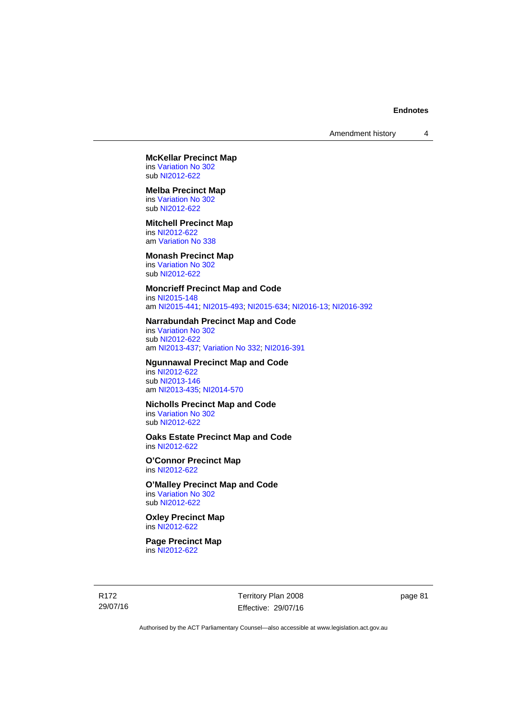#### **McKellar Precinct Map**  ins [Variation No 302](http://www.legislation.act.gov.au/ni/2011-573/)

sub [NI2012-622](http://www.legislation.act.gov.au/ni/2012-622/default.asp)

# **Melba Precinct Map**

ins [Variation No 302](http://www.legislation.act.gov.au/ni/2011-573/) sub [NI2012-622](http://www.legislation.act.gov.au/ni/2012-622/default.asp)

#### **Mitchell Precinct Map**

ins [NI2012-622](http://www.legislation.act.gov.au/ni/2012-622/default.asp) am [Variation No 338](http://www.legislation.act.gov.au/ni/2015-101/default.asp)

#### **Monash Precinct Map**

ins [Variation No 302](http://www.legislation.act.gov.au/ni/2011-573/) sub [NI2012-622](http://www.legislation.act.gov.au/ni/2012-622/default.asp)

# **Moncrieff Precinct Map and Code**

ins [NI2015-148](http://www.legislation.act.gov.au/ni/2015-148/default.asp) am [NI2015-441](http://www.legislation.act.gov.au/ni/2015-441/default.asp); [NI2015-493](http://www.legislation.act.gov.au/ni/2015-493/default.asp); [NI2015-634](http://www.legislation.act.gov.au/ni/2015-634/default.asp); [NI2016-13](http://www.legislation.act.gov.au/ni/2016-13/default.asp); [NI2016-392](http://www.legislation.act.gov.au/ni/2016-392/default.asp)

#### **Narrabundah Precinct Map and Code**

ins [Variation No 302](http://www.legislation.act.gov.au/ni/2011-573/) sub [NI2012-622](http://www.legislation.act.gov.au/ni/2012-622/default.asp) am [NI2013-437](http://www.legislation.act.gov.au/ni/2013-437/default.asp); [Variation No 332](http://www.legislation.act.gov.au/ni/2016-64/default.asp); [NI2016-391](http://www.legislation.act.gov.au/ni/2016-391/default.asp)

### **Ngunnawal Precinct Map and Code**

ins [NI2012-622](http://www.legislation.act.gov.au/ni/2012-622/default.asp) sub [NI2013-146](http://www.legislation.act.gov.au/ni/2013-146/default.asp) am [NI2013-435](http://www.legislation.act.gov.au/ni/2013-435/default.asp); [NI2014-570](http://www.legislation.act.gov.au/ni/2014-570/default.asp)

#### **Nicholls Precinct Map and Code**  ins [Variation No 302](http://www.legislation.act.gov.au/ni/2011-573/)

sub [NI2012-622](http://www.legislation.act.gov.au/ni/2012-622/default.asp)

#### **Oaks Estate Precinct Map and Code**  ins [NI2012-622](http://www.legislation.act.gov.au/ni/2012-622/default.asp)

**O'Connor Precinct Map**  ins [NI2012-622](http://www.legislation.act.gov.au/ni/2012-622/default.asp)

# **O'Malley Precinct Map and Code**

ins [Variation No 302](http://www.legislation.act.gov.au/ni/2011-573/) sub [NI2012-622](http://www.legislation.act.gov.au/ni/2012-622/default.asp)

#### **Oxley Precinct Map**  ins [NI2012-622](http://www.legislation.act.gov.au/ni/2012-622/default.asp)

## **Page Precinct Map**  ins [NI2012-622](http://www.legislation.act.gov.au/ni/2012-622/default.asp)

R172 29/07/16 Territory Plan 2008 Effective: 29/07/16 page 81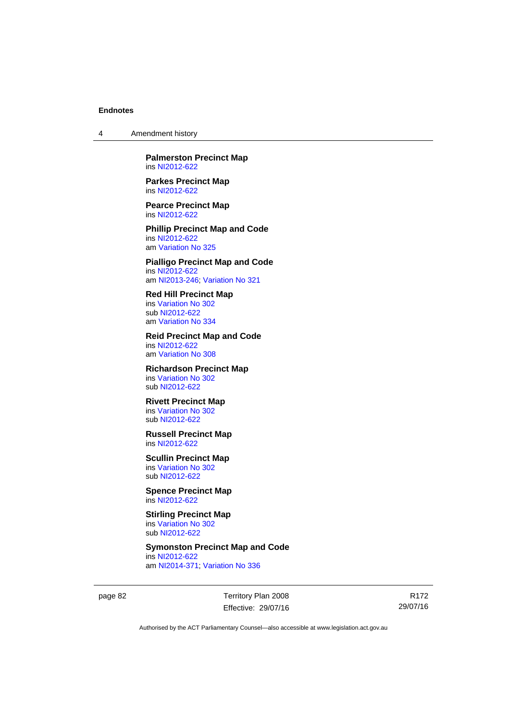4 Amendment history

**Palmerston Precinct Map**  ins [NI2012-622](http://www.legislation.act.gov.au/ni/2012-622/default.asp)

**Parkes Precinct Map**  ins [NI2012-622](http://www.legislation.act.gov.au/ni/2012-622/default.asp)

**Pearce Precinct Map**  ins [NI2012-622](http://www.legislation.act.gov.au/ni/2012-622/default.asp)

**Phillip Precinct Map and Code**  ins [NI2012-622](http://www.legislation.act.gov.au/ni/2012-622/default.asp) am [Variation No 325](http://www.legislation.act.gov.au/ni/2014-427/default.asp)

**Pialligo Precinct Map and Code**  ins [NI2012-622](http://www.legislation.act.gov.au/ni/2012-622/default.asp) am [NI2013-246](http://www.legislation.act.gov.au/ni/2013-246/default.asp); [Variation No 321](http://www.legislation.act.gov.au/ni/2015-446/default.asp)

**Red Hill Precinct Map**  ins [Variation No 302](http://www.legislation.act.gov.au/ni/2011-573/) sub [NI2012-622](http://www.legislation.act.gov.au/ni/2012-622/default.asp) am [Variation No 334](http://www.legislation.act.gov.au/ni/2016-91/default.asp)

**Reid Precinct Map and Code**  ins [NI2012-622](http://www.legislation.act.gov.au/ni/2012-622/default.asp) am [Variation No 308](http://www.legislation.act.gov.au/ni/2014-60/default.asp)

**Richardson Precinct Map**  ins [Variation No 302](http://www.legislation.act.gov.au/ni/2011-573/) sub [NI2012-622](http://www.legislation.act.gov.au/ni/2012-622/default.asp)

**Rivett Precinct Map**  ins [Variation No 302](http://www.legislation.act.gov.au/ni/2011-573/) sub [NI2012-622](http://www.legislation.act.gov.au/ni/2012-622/default.asp)

**Russell Precinct Map**  ins [NI2012-622](http://www.legislation.act.gov.au/ni/2012-622/default.asp)

**Scullin Precinct Map**  ins [Variation No 302](http://www.legislation.act.gov.au/ni/2011-573/) sub [NI2012-622](http://www.legislation.act.gov.au/ni/2012-622/default.asp)

**Spence Precinct Map**  ins [NI2012-622](http://www.legislation.act.gov.au/ni/2012-622/default.asp)

**Stirling Precinct Map**  ins [Variation No 302](http://www.legislation.act.gov.au/ni/2011-573/) sub [NI2012-622](http://www.legislation.act.gov.au/ni/2012-622/default.asp)

**Symonston Precinct Map and Code** 

ins [NI2012-622](http://www.legislation.act.gov.au/ni/2012-622/default.asp) am [NI2014-371](http://www.legislation.act.gov.au/ni/2014-371/default.asp); [Variation No 336](http://www.legislation.act.gov.au/ni/2015-100/default.asp)

page 82 Territory Plan 2008 Effective: 29/07/16

R172 29/07/16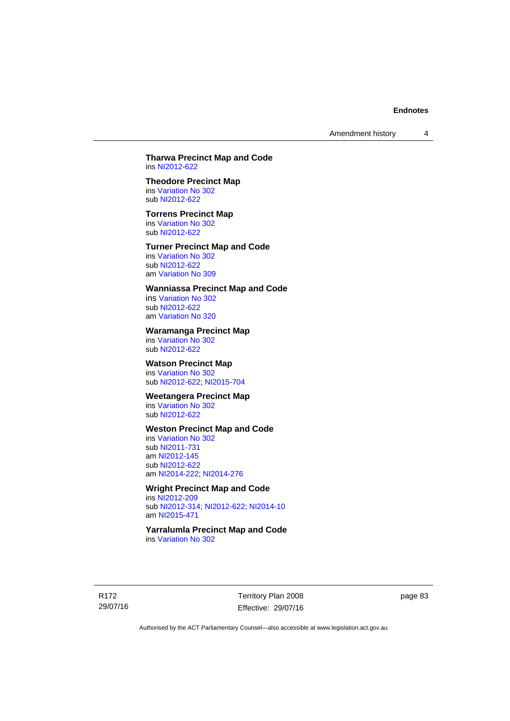Amendment history 4

#### **Tharwa Precinct Map and Code**  ins [NI2012-622](http://www.legislation.act.gov.au/ni/2012-622/default.asp)

# **Theodore Precinct Map**

ins [Variation No 302](http://www.legislation.act.gov.au/ni/2011-573/) sub [NI2012-622](http://www.legislation.act.gov.au/ni/2012-622/default.asp)

### **Torrens Precinct Map**

ins [Variation No 302](http://www.legislation.act.gov.au/ni/2011-573/) sub [NI2012-622](http://www.legislation.act.gov.au/ni/2012-622/default.asp)

#### **Turner Precinct Map and Code**

ins [Variation No 302](http://www.legislation.act.gov.au/ni/2011-573/) sub [NI2012-622](http://www.legislation.act.gov.au/ni/2012-622/default.asp) am [Variation No 309](http://www.legislation.act.gov.au/ni/2015-450/default.asp)

## **Wanniassa Precinct Map and Code**

ins [Variation No 302](http://www.legislation.act.gov.au/ni/2011-573/) sub [NI2012-622](http://www.legislation.act.gov.au/ni/2012-622/default.asp) am [Variation No 320](http://www.legislation.act.gov.au/ni/2015-540/default.asp)

## **Waramanga Precinct Map**

ins [Variation No 302](http://www.legislation.act.gov.au/ni/2011-573/) sub [NI2012-622](http://www.legislation.act.gov.au/ni/2012-622/default.asp)

# **Watson Precinct Map**

ins [Variation No 302](http://www.legislation.act.gov.au/ni/2011-573/) sub [NI2012-622](http://www.legislation.act.gov.au/ni/2012-622/default.asp); [NI2015-704](http://www.legislation.act.gov.au/ni/2015-704/default.asp)

#### **Weetangera Precinct Map**

ins [Variation No 302](http://www.legislation.act.gov.au/ni/2011-573/) sub [NI2012-622](http://www.legislation.act.gov.au/ni/2012-622/default.asp)

## **Weston Precinct Map and Code**

ins [Variation No 302](http://www.legislation.act.gov.au/ni/2011-573/) sub [NI2011-731](http://www.legislation.act.gov.au/ni/2011-731/) am [NI2012-145](http://www.legislation.act.gov.au/ni/2012-145/) sub [NI2012-622](http://www.legislation.act.gov.au/ni/2012-622/default.asp) am [NI2014-222](http://www.legislation.act.gov.au/ni/2014-222/default.asp); [NI2014-276](http://www.legislation.act.gov.au/ni/2014-276/default.asp)

## **Wright Precinct Map and Code**

ins [NI2012-209](http://www.legislation.act.gov.au/ni/2012-209/) sub [NI2012-314](http://www.legislation.act.gov.au/ni/2012-314/); [NI2012-622](http://www.legislation.act.gov.au/ni/2012-622/default.asp); [NI2014-10](http://www.legislation.act.gov.au/ni/2014-10/default.asp) am [NI2015-471](http://www.legislation.act.gov.au/ni/2015-471/default.asp)

#### **Yarralumla Precinct Map and Code**  ins [Variation No 302](http://www.legislation.act.gov.au/ni/2011-573/)

R172 29/07/16 Territory Plan 2008 Effective: 29/07/16 page 83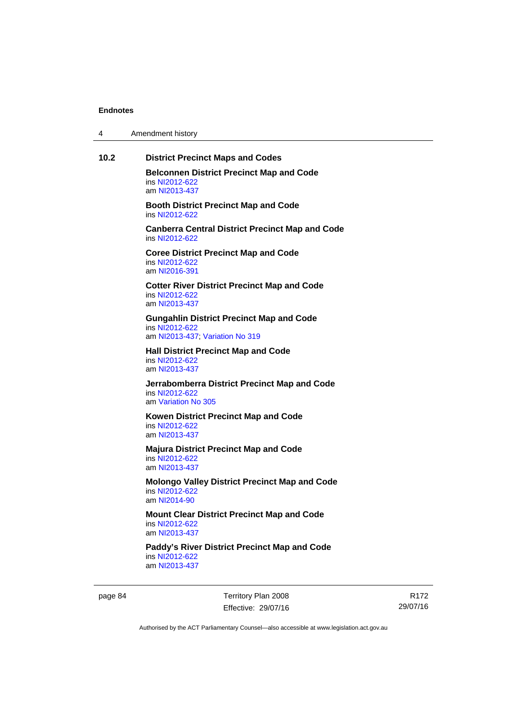| 4 | Amendment history |  |
|---|-------------------|--|
|---|-------------------|--|

# **10.2 District Precinct Maps and Codes Belconnen District Precinct Map and Code**  ins [NI2012-622](http://www.legislation.act.gov.au/ni/2012-622/default.asp) am [NI2013-437](http://www.legislation.act.gov.au/ni/2013-437/default.asp) **Booth District Precinct Map and Code**  ins [NI2012-622](http://www.legislation.act.gov.au/ni/2012-622/default.asp) **Canberra Central District Precinct Map and Code**  ins [NI2012-622](http://www.legislation.act.gov.au/ni/2012-622/default.asp) **Coree District Precinct Map and Code**  ins [NI2012-622](http://www.legislation.act.gov.au/ni/2012-622/default.asp) am [NI2016-391](http://www.legislation.act.gov.au/ni/2016-391/default.asp) **Cotter River District Precinct Map and Code**  ins [NI2012-622](http://www.legislation.act.gov.au/ni/2012-622/default.asp) am [NI2013-437](http://www.legislation.act.gov.au/ni/2013-437/default.asp) **Gungahlin District Precinct Map and Code**  ins [NI2012-622](http://www.legislation.act.gov.au/ni/2012-622/default.asp) am [NI2013-437](http://www.legislation.act.gov.au/ni/2013-437/default.asp); [Variation No 319](http://www.legislation.act.gov.au/ni/2014-501/default.asp) **Hall District Precinct Map and Code**  ins [NI2012-622](http://www.legislation.act.gov.au/ni/2012-622/default.asp) am [NI2013-437](http://www.legislation.act.gov.au/ni/2013-437/default.asp) **Jerrabomberra District Precinct Map and Code**  ins [NI2012-622](http://www.legislation.act.gov.au/ni/2012-622/default.asp) am [Variation No 305](http://www.legislation.act.gov.au/ni/2013-530/default.asp) **Kowen District Precinct Map and Code**  ins [NI2012-622](http://www.legislation.act.gov.au/ni/2012-622/default.asp) am [NI2013-437](http://www.legislation.act.gov.au/ni/2013-437/default.asp) **Majura District Precinct Map and Code**  ins [NI2012-622](http://www.legislation.act.gov.au/ni/2012-622/default.asp) am [NI2013-437](http://www.legislation.act.gov.au/ni/2013-437/default.asp) **Molongo Valley District Precinct Map and Code**  ins [NI2012-622](http://www.legislation.act.gov.au/ni/2012-622/default.asp) am [NI2014-90](http://www.legislation.act.gov.au/ni/2014-90/default.asp) **Mount Clear District Precinct Map and Code**  ins [NI2012-622](http://www.legislation.act.gov.au/ni/2012-622/default.asp) am [NI2013-437](http://www.legislation.act.gov.au/ni/2013-437/default.asp) **Paddy's River District Precinct Map and Code**  ins [NI2012-622](http://www.legislation.act.gov.au/ni/2012-622/default.asp) am [NI2013-437](http://www.legislation.act.gov.au/ni/2013-437/default.asp)

page 84 Territory Plan 2008 Effective: 29/07/16

R172 29/07/16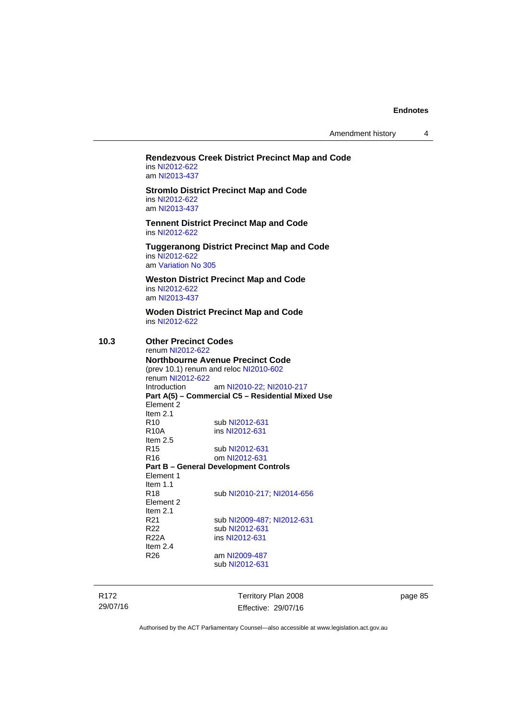Amendment history 4

#### **Rendezvous Creek District Precinct Map and Code**  ins [NI2012-622](http://www.legislation.act.gov.au/ni/2012-622/default.asp) am [NI2013-437](http://www.legislation.act.gov.au/ni/2013-437/default.asp)

**Stromlo District Precinct Map and Code**  ins [NI2012-622](http://www.legislation.act.gov.au/ni/2012-622/default.asp) am [NI2013-437](http://www.legislation.act.gov.au/ni/2013-437/default.asp)

**Tennent District Precinct Map and Code**  ins [NI2012-622](http://www.legislation.act.gov.au/ni/2012-622/default.asp)

**Tuggeranong District Precinct Map and Code**  ins [NI2012-622](http://www.legislation.act.gov.au/ni/2012-622/default.asp)

am [Variation No 305](http://www.legislation.act.gov.au/ni/2013-530/default.asp)

**Weston District Precinct Map and Code**  ins [NI2012-622](http://www.legislation.act.gov.au/ni/2012-622/default.asp) am [NI2013-437](http://www.legislation.act.gov.au/ni/2013-437/default.asp)

**Woden District Precinct Map and Code**  ins [NI2012-622](http://www.legislation.act.gov.au/ni/2012-622/default.asp)

## **10.3 Other Precinct Codes**

renum [NI2012-622](http://www.legislation.act.gov.au/ni/2012-622/default.asp) **Northbourne Avenue Precinct Code**  (prev 10.1) renum and reloc [NI2010-602](http://www.legislation.act.gov.au/ni/2010-602/) renum [NI2012-622](http://www.legislation.act.gov.au/ni/2012-622/default.asp) Introduction am [NI2010-22](http://www.legislation.act.gov.au/ni/2010-22/); [NI2010-217](http://www.legislation.act.gov.au/ni/2010-217/) **Part A(5) – Commercial C5 – Residential Mixed Use**  Element 2 Item 2.1 R10 sub [NI2012-631](http://www.legislation.act.gov.au/ni/2012-631/default.asp)<br>R10A ins NI2012-631 ins [NI2012-631](http://www.legislation.act.gov.au/ni/2012-631/default.asp) Item 2.5 R15 sub [NI2012-631](http://www.legislation.act.gov.au/ni/2012-631/default.asp) R16 om [NI2012-631](http://www.legislation.act.gov.au/ni/2012-631/default.asp) **Part B – General Development Controls**  Element 1 Item  $1.1$ <br>R<sub>18</sub> sub [NI2010-217](http://www.legislation.act.gov.au/ni/2010-217/); [NI2014-656](http://www.legislation.act.gov.au/ni/2014-656/default.asp) Element 2 Item  $2.1$ <br>R $21$ R21 sub [NI2009-487](http://www.legislation.act.gov.au/ni/2009-487/); [NI2012-631](http://www.legislation.act.gov.au/ni/2012-631/default.asp)<br>R22 sub NI2012-631 sub [NI2012-631](http://www.legislation.act.gov.au/ni/2012-631/default.asp) R22A ins [NI2012-631](http://www.legislation.act.gov.au/ni/2012-631/default.asp) Item 2.4 R26 am [NI2009-487](http://www.legislation.act.gov.au/ni/2009-487/) sub [NI2012-631](http://www.legislation.act.gov.au/ni/2012-631/default.asp)

R172 29/07/16 Territory Plan 2008 Effective: 29/07/16 page 85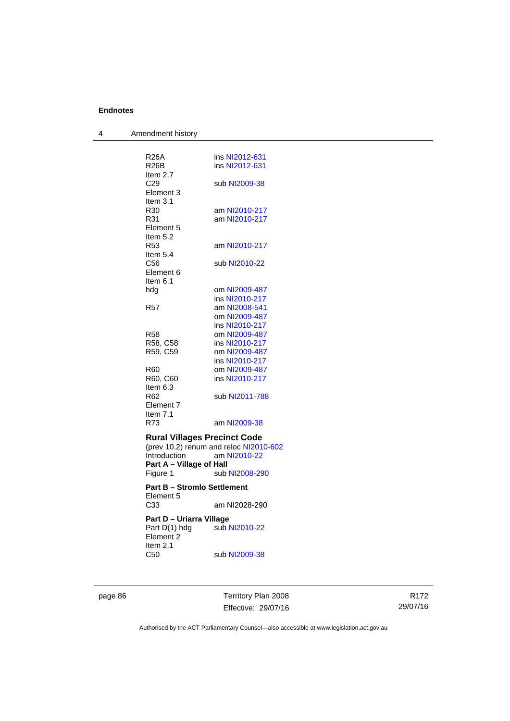| 4 | Amendment history                        |                                        |
|---|------------------------------------------|----------------------------------------|
|   |                                          |                                        |
|   | <b>R26A</b>                              | ins NI2012-631                         |
|   | R26B                                     | ins NI2012-631                         |
|   | Item 2.7                                 |                                        |
|   | C29                                      | sub NI2009-38                          |
|   | Element 3                                |                                        |
|   | Item 3.1                                 |                                        |
|   | R30                                      | am NI2010-217                          |
|   | R31                                      | am NI2010-217                          |
|   | Element 5<br>Item $5.2$                  |                                        |
|   | R <sub>53</sub>                          | am NI2010-217                          |
|   | Item $5.4$                               |                                        |
|   | C56                                      | sub NI2010-22                          |
|   | Element 6                                |                                        |
|   | Item $6.1$                               |                                        |
|   | hdg                                      | om NI2009-487                          |
|   |                                          | ins NI2010-217                         |
|   | R57                                      | am NI2008-541                          |
|   |                                          | om NI2009-487                          |
|   |                                          | ins NI2010-217                         |
|   | R58                                      | om NI2009-487                          |
|   | R58, C58                                 | ins NI2010-217                         |
|   | R59, C59                                 | om NI2009-487                          |
|   |                                          | ins NI2010-217                         |
|   | R60<br>R60, C60                          | om NI2009-487<br>ins NI2010-217        |
|   | Item 6.3                                 |                                        |
|   | R62                                      | sub NI2011-788                         |
|   | Element 7                                |                                        |
|   | Item 7.1                                 |                                        |
|   | R73                                      | am NI2009-38                           |
|   |                                          |                                        |
|   | <b>Rural Villages Precinct Code</b>      |                                        |
|   |                                          | (prev 10.2) renum and reloc NI2010-602 |
|   | Introduction<br>Part A - Village of Hall | am NI2010-22                           |
|   | Figure 1                                 | sub NI2008-290                         |
|   |                                          |                                        |
|   | <b>Part B - Stromlo Settlement</b>       |                                        |
|   | Element 5                                |                                        |
|   | C33                                      | am NI2028-290                          |
|   | Part D – Uriarra Village                 |                                        |
|   | Part D(1) hdg                            |                                        |
|   | Element 2                                |                                        |
|   | Item 2.1                                 |                                        |
|   | C50                                      | sub NI2009-38                          |

page 86 Territory Plan 2008 Effective: 29/07/16

R172 29/07/16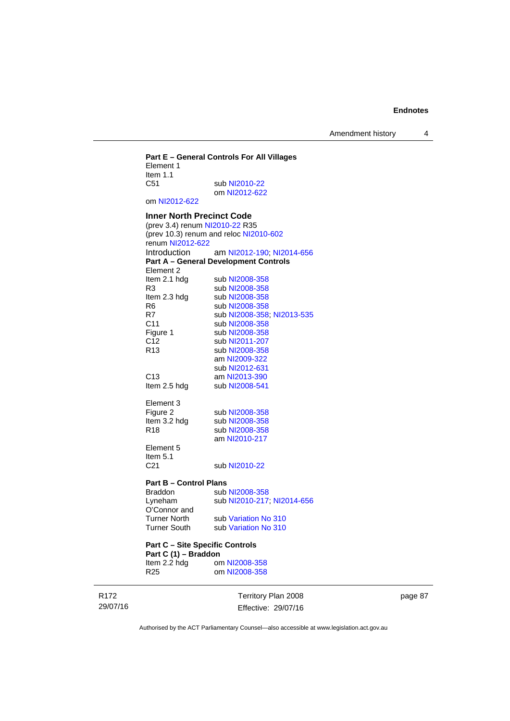Amendment history 4

## **Part E – General Controls For All Villages**  Element 1 Item 1.1<br>C51 sub [NI2010-22](http://www.legislation.act.gov.au/ni/2010-22/) om [NI2012-622](http://www.legislation.act.gov.au/ni/2012-622/default.asp) om [NI2012-622](http://www.legislation.act.gov.au/ni/2012-622/default.asp) **Inner North Precinct Code**  (prev 3.4) renum [NI2010-22](http://www.legislation.act.gov.au/ni/2010-22/) R35 (prev 10.3) renum and reloc [NI2010-602](http://www.legislation.act.gov.au/ni/2010-602/) renum [NI2012-622](http://www.legislation.act.gov.au/ni/2012-622/default.asp) Introduction am [NI2012-190;](http://www.legislation.act.gov.au/ni/2012-190/) [NI2014-656](http://www.legislation.act.gov.au/ni/2014-656/default.asp) **Part A – General Development Controls**  Element 2<br>Item 2.1 hdg sub [NI2008-358](http://www.legislation.act.gov.au/ni/2008-358/) R3 sub [NI2008-358](http://www.legislation.act.gov.au/ni/2008-358/)<br>Item 2.3 hdg sub NI2008-358 Item 2.3 hdg sub [NI2008-358](http://www.legislation.act.gov.au/ni/2008-358/)<br>R6 sub NI2008-358 R6 sub [NI2008-358](http://www.legislation.act.gov.au/ni/2008-358/)<br>R7 sub NI2008-358 sub [NI2008-358](http://www.legislation.act.gov.au/ni/2008-358/); [NI2013-535](http://www.legislation.act.gov.au/ni/2013-535/) C11 sub [NI2008-358](http://www.legislation.act.gov.au/ni/2008-358/)<br>Figure 1 sub NI2008-358 Figure 1 sub [NI2008-358](http://www.legislation.act.gov.au/ni/2008-358/)<br>C12 sub NI2011-207 sub [NI2011-207](http://www.legislation.act.gov.au/ni/2011-207/) R13 sub [NI2008-358](http://www.legislation.act.gov.au/ni/2008-358/) am [NI2009-322](http://www.legislation.act.gov.au/ni/2009-322/) sub [NI2012-631](http://www.legislation.act.gov.au/ni/2012-631/default.asp) C13 am [NI2013-390](http://www.legislation.act.gov.au/ni/2013-390/default.asp)<br>Item 2.5 hdg sub NI2008-541 sub [NI2008-541](http://www.legislation.act.gov.au/ni/2008-541/) Element 3<br>Figure 2 Figure 2 sub [NI2008-358](http://www.legislation.act.gov.au/ni/2008-358/)<br>Item 3.2 hdg sub NI2008-358 sub [NI2008-358](http://www.legislation.act.gov.au/ni/2008-358/) R18 sub [NI2008-358](http://www.legislation.act.gov.au/ni/2008-358/) am [NI2010-217](http://www.legislation.act.gov.au/ni/2010-217/) Element 5 Item  $5.1$ <br> $C<sub>21</sub>$ sub [NI2010-22](http://www.legislation.act.gov.au/ni/2010-22/) **Part B – Control Plans** Braddon sub [NI2008-358](http://www.legislation.act.gov.au/ni/2008-358/)<br>
Lyneham sub NI2010-217 sub [NI2010-217](http://www.legislation.act.gov.au/ni/2010-217/); [NI2014-656](http://www.legislation.act.gov.au/ni/2014-656/default.asp) O'Connor and Turner North sub [Variation No 310](http://www.legislation.act.gov.au/ni/2011-688/) Turner South sub [Variation No 310](http://www.legislation.act.gov.au/ni/2011-688/)

#### **Part C – Site Specific Controls Part C (1) – Braddon**<br>Item 2.2 hdg or om [NI2008-358](http://www.legislation.act.gov.au/ni/2008-358/) R25 om [NI2008-358](http://www.legislation.act.gov.au/ni/2008-358/)

R172 29/07/16 Territory Plan 2008 Effective: 29/07/16 page 87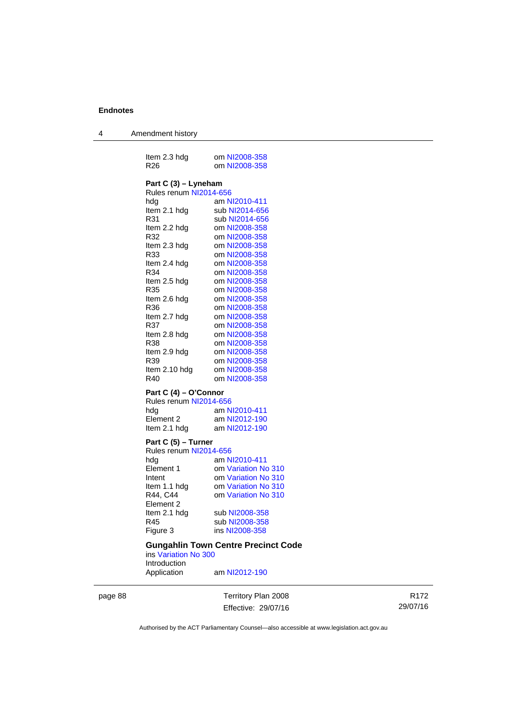4 Amendment history

| Item 2.3 hdg<br>R <sub>26</sub>                                                                                                                                                                                                                                                              | om NI2008-358<br>om NI2008-358                                                                                                                                                                                                                                                                                                                                      |
|----------------------------------------------------------------------------------------------------------------------------------------------------------------------------------------------------------------------------------------------------------------------------------------------|---------------------------------------------------------------------------------------------------------------------------------------------------------------------------------------------------------------------------------------------------------------------------------------------------------------------------------------------------------------------|
| Part C (3) – Lyneham<br>Rules renum NI2014-656<br>hdg<br>Item 2.1 hdg<br>R31<br>Item 2.2 hdg<br>R32<br>Item 2.3 hdg<br>R33<br>Item 2.4 hdg<br>R34<br>Item 2.5 hdg<br>R35<br>Item 2.6 hdg<br>R36<br>Item 2.7 hdg<br>R37<br>Item 2.8 hdg<br>R38<br>Item 2.9 hdg<br>R39<br>Item 2.10 hdg<br>R40 | am NI2010-411<br>sub NI2014-656<br>sub NI2014-656<br>om NI2008-358<br>om NI2008-358<br>om NI2008-358<br>om NI2008-358<br>om NI2008-358<br>om NI2008-358<br>om NI2008-358<br>om NI2008-358<br>om NI2008-358<br>om NI2008-358<br>om NI2008-358<br>om NI2008-358<br>om NI2008-358<br>om NI2008-358<br>om NI2008-358<br>om NI2008-358<br>om NI2008-358<br>om NI2008-358 |
| Part C (4) - O'Connor                                                                                                                                                                                                                                                                        |                                                                                                                                                                                                                                                                                                                                                                     |
| Rules renum NI2014-656<br>hdg<br>Element <sub>2</sub><br>Item 2.1 hdg                                                                                                                                                                                                                        | am NI2010-411<br>am NI2012-190<br>am NI2012-190                                                                                                                                                                                                                                                                                                                     |
| Part C (5) - Turner<br>Rules renum NI2014-656<br>hda<br>Element 1<br>Intent<br>Item 1.1 hdg<br>R44, C44<br>Element 2<br>Item 2.1 hdg<br>R45<br>Figure 3                                                                                                                                      | am NI2010-411<br>om Variation No 310<br>om Variation No 310<br>om Variation No 310<br>om Variation No 310<br>sub NI2008-358<br>sub NI2008-358<br>ins NI2008-358                                                                                                                                                                                                     |
|                                                                                                                                                                                                                                                                                              |                                                                                                                                                                                                                                                                                                                                                                     |

#### **Gungahlin Town Centre Precinct Code**

ins [Variation No 300](http://www.legislation.act.gov.au/ni/2011-691/) Introduction Application am [NI2012-190](http://www.legislation.act.gov.au/ni/2012-190/)

page 88 Territory Plan 2008

Effective: 29/07/16

R172 29/07/16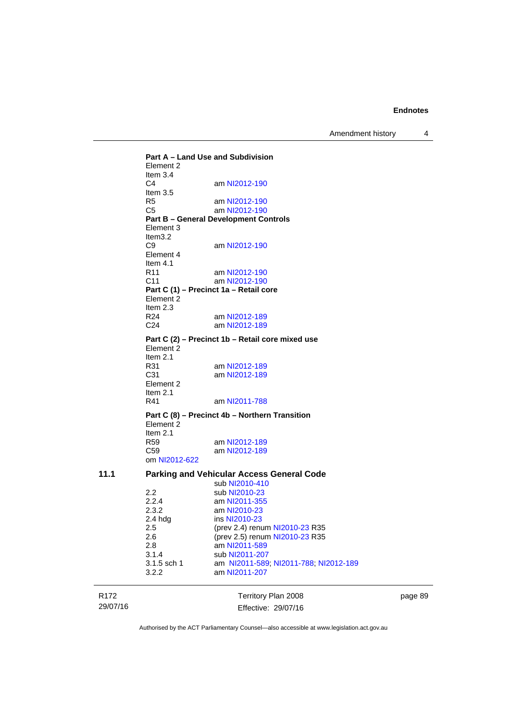Amendment history 4

R172 Territory Plan 2008 **Part A – Land Use and Subdivision**  Element 2 Item 3.4<br>C4 am [NI2012-190](http://www.legislation.act.gov.au/ni/2012-190/) Item 3.5 R5 am [NI2012-190](http://www.legislation.act.gov.au/ni/2012-190/)<br>C5 am NI2012-190 am [NI2012-190](http://www.legislation.act.gov.au/ni/2012-190/) **Part B – General Development Controls**  Element 3 Item3.2<br>C9 am [NI2012-190](http://www.legislation.act.gov.au/ni/2012-190/) Element 4 Item  $4.1$ <br>R11 am [NI2012-190](http://www.legislation.act.gov.au/ni/2012-190/) C11 am [NI2012-190](http://www.legislation.act.gov.au/ni/2012-190/) **Part C (1) – Precinct 1a – Retail core**  Element 2 Item  $2.3$ <br>R24 R24 am [NI2012-189](http://www.legislation.act.gov.au/ni/2012-189/)<br>C24 am NI2012-189 am [NI2012-189](http://www.legislation.act.gov.au/ni/2012-189/) **Part C (2) – Precinct 1b – Retail core mixed use**  Element 2 Item  $2.1$ <br>R $31$ am [NI2012-189](http://www.legislation.act.gov.au/ni/2012-189/) C31 am [NI2012-189](http://www.legislation.act.gov.au/ni/2012-189/) Element 2 Item 2.1 R41 am [NI2011-788](http://www.legislation.act.gov.au/ni/2011-788/) **Part C (8) – Precinct 4b – Northern Transition**  Element 2 Item 2.1 R59 am [NI2012-189](http://www.legislation.act.gov.au/ni/2012-189/) C59 am [NI2012-189](http://www.legislation.act.gov.au/ni/2012-189/) om [NI2012-622](http://www.legislation.act.gov.au/ni/2012-622/default.asp) **11.1 Parking and Vehicular Access General Code**  sub [NI2010-410](http://www.legislation.act.gov.au/ni/2010-410/)<br>2.2 sub NI2010-23 2.2 sub [NI2010-23](http://www.legislation.act.gov.au/ni/2010-23/)<br>2.2.4 am NI2011-355 2.2.4 am [NI2011-355](http://www.legislation.act.gov.au/ni/2011-355/)<br>2.3.2 am NI2010-23 2.3.2 am [NI2010-23](http://www.legislation.act.gov.au/ni/2010-23/)<br>2.4 hdg ins NI2010-23 ins [NI2010-23](http://www.legislation.act.gov.au/ni/2010-23/) 2.5 (prev 2.4) renum [NI2010-23](http://www.legislation.act.gov.au/ni/2010-23/) R35 2.6 (prev 2.5) renum [NI2010-23](http://www.legislation.act.gov.au/ni/2010-23/) R35 2.8 am [NI2011-589](http://www.legislation.act.gov.au/ni/2011-589/) 3.1.4 sub [NI2011-207](http://www.legislation.act.gov.au/ni/2011-207/)<br>3.1.5 sch 1 am NI2011-589 am [NI2011-589;](http://www.legislation.act.gov.au/ni/2011-589/) [NI2011-788;](http://www.legislation.act.gov.au/ni/2011-788/) [NI2012-189](http://www.legislation.act.gov.au/ni/2012-189/) 3.2.2 am [NI2011-207](http://www.legislation.act.gov.au/ni/2011-207/)

Effective: 29/07/16 page 89

Authorised by the ACT Parliamentary Counsel—also accessible at www.legislation.act.gov.au

29/07/16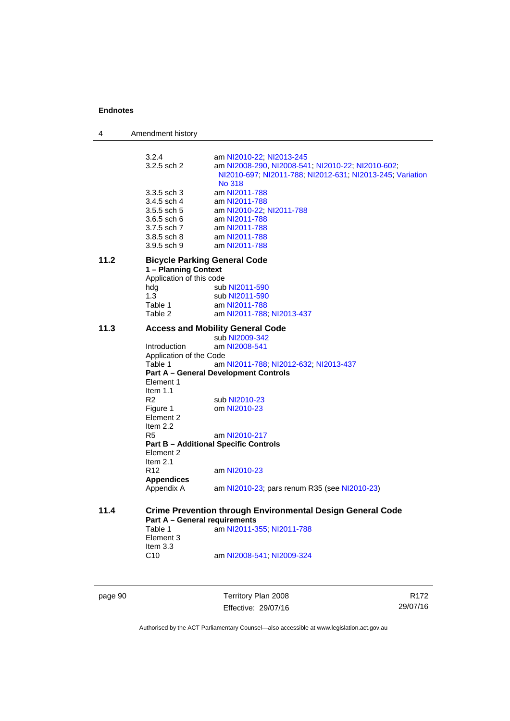4 Amendment history 3.2.4 am [NI2010-22](http://www.legislation.act.gov.au/ni/2010-22/); [NI2013-245](http://www.legislation.act.gov.au/ni/2013-245/default.asp)<br>3.2.5 sch 2 am NI2008-290, NI2008-54 am [NI2008-290](http://www.legislation.act.gov.au/ni/2008-290/), [NI2008-541](http://www.legislation.act.gov.au/ni/2008-541/); [NI2010-22](http://www.legislation.act.gov.au/ni/2010-22/); [NI2010-602](http://www.legislation.act.gov.au/ni/2010-602/); [NI2010-697](http://www.legislation.act.gov.au/ni/2010-697/); [NI2011-788](http://www.legislation.act.gov.au/ni/2011-788/); [NI2012-631](http://www.legislation.act.gov.au/ni/2012-631/default.asp); [NI2013-245](http://www.legislation.act.gov.au/ni/2013-245/default.asp); [Variation](http://www.legislation.act.gov.au/ni/2014-294/default.asp)  [No 318](http://www.legislation.act.gov.au/ni/2014-294/default.asp) 3.3.5 sch 3 am [NI2011-788](http://www.legislation.act.gov.au/ni/2011-788/) 3.4.5 sch 4 am [NI2011-788](http://www.legislation.act.gov.au/ni/2011-788/)<br>3.5.5 sch 5 am NI2010-22; am [NI2010-22](http://www.legislation.act.gov.au/ni/2010-22/); [NI2011-788](http://www.legislation.act.gov.au/ni/2011-788/) 3.6.5 sch 6 am [NI2011-788](http://www.legislation.act.gov.au/ni/2011-788/) 3.7.5 sch 7 am [NI2011-788](http://www.legislation.act.gov.au/ni/2011-788/) 3.8.5 sch 8 am [NI2011-788](http://www.legislation.act.gov.au/ni/2011-788/) 3.9.5 sch 9 am [NI2011-788](http://www.legislation.act.gov.au/ni/2011-788/) **11.2 Bicycle Parking General Code 1 – Planning Context**  Application of this code hdg sub [NI2011-590](http://www.legislation.act.gov.au/ni/2011-590/)<br>1.3 sub NI2011-590 1.3 sub [NI2011-590](http://www.legislation.act.gov.au/ni/2011-590/)<br>Table 1 am NI2011-788 Table 1 am [NI2011-788](http://www.legislation.act.gov.au/ni/2011-788/)<br>Table 2 am NI2011-788 am [NI2011-788](http://www.legislation.act.gov.au/ni/2011-788/); [NI2013-437](http://www.legislation.act.gov.au/ni/2013-437/default.asp) **11.3 Access and Mobility General Code**  sub [NI2009-342](http://www.legislation.act.gov.au/ni/2009-342/) Introduction am [NI2008-541](http://www.legislation.act.gov.au/ni/2008-541/) Application of the Code Table 1 am [NI2011-788](http://www.legislation.act.gov.au/ni/2011-788/); [NI2012-632](http://www.legislation.act.gov.au/ni/2012-632/default.asp); [NI2013-437](http://www.legislation.act.gov.au/ni/2013-437/default.asp) **Part A – General Development Controls**  Element 1 Item 1.1<br>R2 R2 sub [NI2010-23](http://www.legislation.act.gov.au/ni/2010-23/)<br>Figure 1 om NI2010-23 om [NI2010-23](http://www.legislation.act.gov.au/ni/2010-23/) Element 2 Item 2.2<br>R5 am [NI2010-217](http://www.legislation.act.gov.au/ni/2010-217/) **Part B – Additional Specific Controls**  Element 2 Item 2.1 R12 am [NI2010-23](http://www.legislation.act.gov.au/ni/2010-23/) **Appendices**  Appendix A am [NI2010-23](http://www.legislation.act.gov.au/ni/2010-23/); pars renum R35 (see NI2010-23) **11.4 Crime Prevention through Environmental Design General Code Part A – General requirements**<br>Table 1 am NI2011-3 am [NI2011-355](http://www.legislation.act.gov.au/ni/2011-355/); [NI2011-788](http://www.legislation.act.gov.au/ni/2011-788/) Element 3 Item 3.3 C10 am [NI2008-541](http://www.legislation.act.gov.au/ni/2008-541/); [NI2009-324](http://www.legislation.act.gov.au/ni/2009-324/)

page 90 Territory Plan 2008 Effective: 29/07/16

R172 29/07/16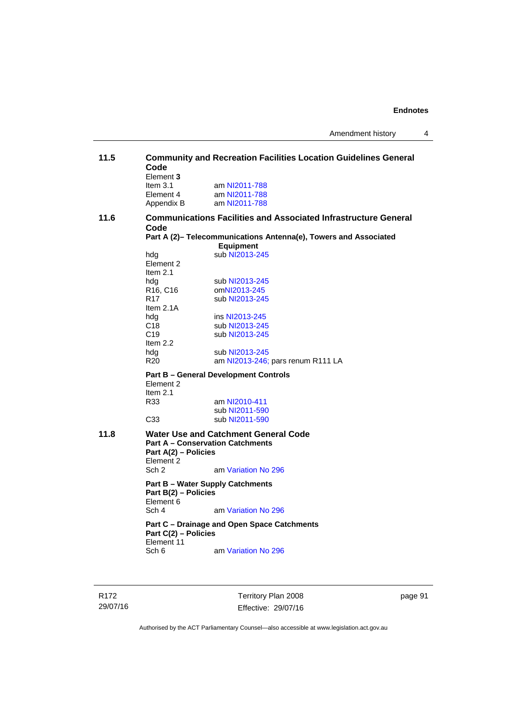| 11.5 | <b>Community and Recreation Facilities Location Guidelines General</b><br>Code<br>Element 3 |                                                                                      |  |
|------|---------------------------------------------------------------------------------------------|--------------------------------------------------------------------------------------|--|
|      | Item $3.1$<br>Element 4<br>Appendix B                                                       | am NI2011-788<br>am NI2011-788<br>am NI2011-788                                      |  |
| 11.6 | Code                                                                                        | <b>Communications Facilities and Associated Infrastructure General</b>               |  |
|      |                                                                                             | Part A (2)- Telecommunications Antenna(e), Towers and Associated<br><b>Equipment</b> |  |
|      | hda<br>Element 2<br>Item $2.1$                                                              | sub NI2013-245                                                                       |  |
|      | hdg<br>R <sub>16</sub> , C <sub>16</sub>                                                    | sub NI2013-245<br>omNI2013-245                                                       |  |
|      | R <sub>17</sub><br>Item $2.1A$                                                              | sub NI2013-245                                                                       |  |
|      | hdg                                                                                         | ins NI2013-245                                                                       |  |
|      | C <sub>18</sub>                                                                             | sub NI2013-245                                                                       |  |
|      | C <sub>19</sub><br>Item 2.2                                                                 | sub NI2013-245                                                                       |  |
|      | hdg                                                                                         | sub NI2013-245                                                                       |  |
|      | R <sub>20</sub>                                                                             | am NI2013-246; pars renum R111 LA                                                    |  |
|      | Element 2<br>Item $2.1$                                                                     | <b>Part B - General Development Controls</b>                                         |  |
|      | R33                                                                                         | am NI2010-411                                                                        |  |
|      |                                                                                             | sub NI2011-590                                                                       |  |
|      | C <sub>33</sub>                                                                             | sub NI2011-590                                                                       |  |
| 11.8 | Part A(2) - Policies<br>Element 2                                                           | Water Use and Catchment General Code<br><b>Part A - Conservation Catchments</b>      |  |
|      | Sch <sub>2</sub>                                                                            | am Variation No 296                                                                  |  |
|      | Part B(2) - Policies<br>Element 6                                                           | <b>Part B - Water Supply Catchments</b>                                              |  |
|      | Sch 4                                                                                       | am Variation No 296                                                                  |  |
|      | Part C(2) - Policies<br>Element 11                                                          | Part C - Drainage and Open Space Catchments                                          |  |
|      | Sch 6                                                                                       | am Variation No 296                                                                  |  |

R172 29/07/16 Territory Plan 2008 Effective: 29/07/16

page 91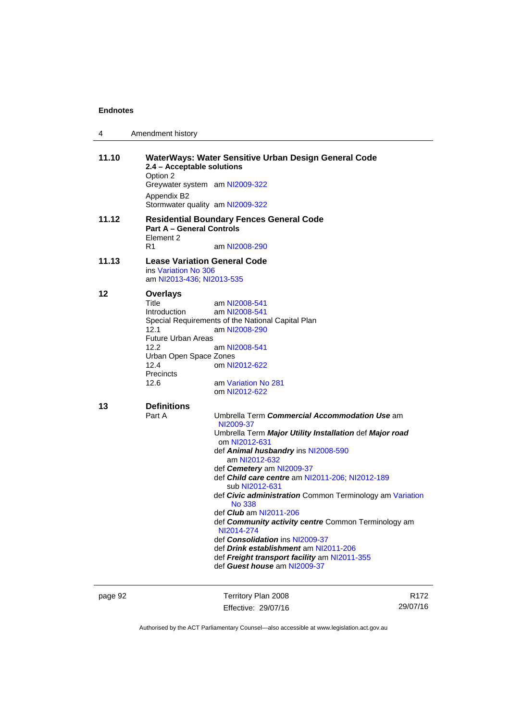| 4     | Amendment history                                                                                                                                                                                                                                                                                                                                                                                                                                                                                                                                                                                                                                                               |
|-------|---------------------------------------------------------------------------------------------------------------------------------------------------------------------------------------------------------------------------------------------------------------------------------------------------------------------------------------------------------------------------------------------------------------------------------------------------------------------------------------------------------------------------------------------------------------------------------------------------------------------------------------------------------------------------------|
| 11.10 | WaterWays: Water Sensitive Urban Design General Code<br>2.4 - Acceptable solutions<br>Option 2<br>Greywater system am NI2009-322<br>Appendix B2<br>Stormwater quality am NI2009-322                                                                                                                                                                                                                                                                                                                                                                                                                                                                                             |
| 11.12 | <b>Residential Boundary Fences General Code</b><br><b>Part A - General Controls</b><br>Element 2<br>R1<br>am NI2008-290                                                                                                                                                                                                                                                                                                                                                                                                                                                                                                                                                         |
| 11.13 | <b>Lease Variation General Code</b><br>ins Variation No 306<br>am NI2013-436; NI2013-535                                                                                                                                                                                                                                                                                                                                                                                                                                                                                                                                                                                        |
| 12    | <b>Overlays</b><br><b>Title</b><br>am NI2008-541<br>Introduction<br>am NI2008-541<br>Special Requirements of the National Capital Plan<br>12.1<br>am NI2008-290<br><b>Future Urban Areas</b><br>12.2<br>am NI2008-541<br>Urban Open Space Zones<br>12.4<br>om NI2012-622<br><b>Precincts</b><br>12.6<br>am Variation No 281<br>om NI2012-622                                                                                                                                                                                                                                                                                                                                    |
| 13    | <b>Definitions</b><br>Part A<br>Umbrella Term Commercial Accommodation Use am<br>NI2009-37<br>Umbrella Term Major Utility Installation def Major road<br>om NI2012-631<br>def Animal husbandry ins NI2008-590<br>am NI2012-632<br>def Cemetery am NI2009-37<br>def Child care centre am NI2011-206; NI2012-189<br>sub NI2012-631<br>def Civic administration Common Terminology am Variation<br>No 338<br>def Club am NI2011-206<br>def <b>Community activity centre</b> Common Terminology am<br>NI2014-274<br>def Consolidation ins NI2009-37<br>def <i>Drink establishment</i> am NI2011-206<br>def Freight transport facility am NI2011-355<br>def Guest house am NI2009-37 |

page 92 Territory Plan 2008 Effective: 29/07/16

R172 29/07/16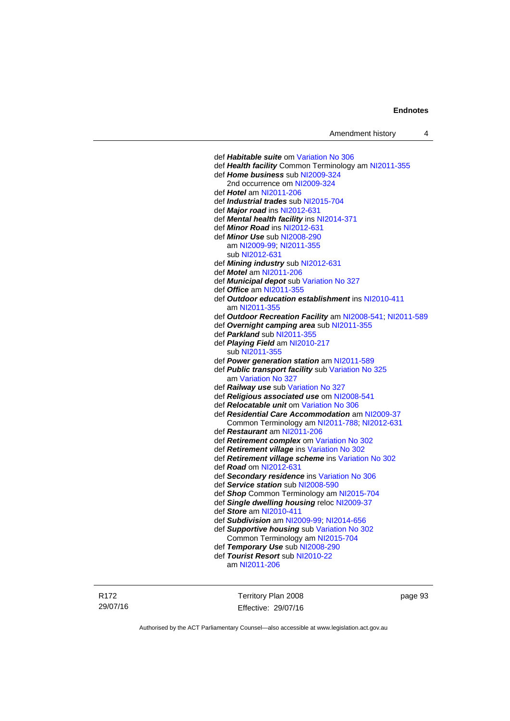def *Habitable suite* om [Variation No 306](http://www.legislation.act.gov.au/ni/2013-93/default.asp) def *Health facility* Common Terminology am [NI2011-355](http://www.legislation.act.gov.au/ni/2011-355/) def *Home business* sub [NI2009-324](http://www.legislation.act.gov.au/ni/2009-324/) 2nd occurrence om [NI2009-324](http://www.legislation.act.gov.au/ni/2009-324/) def *Hotel* am [NI2011-206](http://www.legislation.act.gov.au/ni/2011-206/) def *Industrial trades* sub [NI2015-704](http://www.legislation.act.gov.au/ni/2015-704/default.asp) def *Major road* ins [NI2012-631](http://www.legislation.act.gov.au/ni/2012-631/default.asp) def *Mental health facility* ins [NI2014-371](http://www.legislation.act.gov.au/ni/2014-371/default.asp) def *Minor Road* ins [NI2012-631](http://www.legislation.act.gov.au/ni/2012-631/default.asp) def *Minor Use* sub [NI2008-290](http://www.legislation.act.gov.au/ni/2008-290/) am [NI2009-99](http://www.legislation.act.gov.au/ni/2009-99/); [NI2011-355](http://www.legislation.act.gov.au/ni/2011-355/) sub [NI2012-631](http://www.legislation.act.gov.au/ni/2012-631/default.asp) def *Mining industry* sub [NI2012-631](http://www.legislation.act.gov.au/ni/2012-631/default.asp) def *Motel* am [NI2011-206](http://www.legislation.act.gov.au/ni/2011-206/) def *Municipal depot* sub [Variation No 327](http://www.legislation.act.gov.au/ni/2015-449/default.asp) def *Office* am [NI2011-355](http://www.legislation.act.gov.au/ni/2011-355/) def *Outdoor education establishment* ins [NI2010-411](http://www.legislation.act.gov.au/ni/2010-411/) am [NI2011-355](http://www.legislation.act.gov.au/ni/2011-355/) def *Outdoor Recreation Facility* am [NI2008-541;](http://www.legislation.act.gov.au/ni/2008-541/) [NI2011-589](http://www.legislation.act.gov.au/ni/2011-589/) def *Overnight camping area* sub [NI2011-355](http://www.legislation.act.gov.au/ni/2011-355/) def *Parkland* sub [NI2011-355](http://www.legislation.act.gov.au/ni/2011-355/) def *Playing Field* am [NI2010-217](http://www.legislation.act.gov.au/ni/2010-217/) sub [NI2011-355](http://www.legislation.act.gov.au/ni/2011-355/) def *Power generation station* am [NI2011-589](http://www.legislation.act.gov.au/ni/2011-589/) def *Public transport facility* sub [Variation No 325](http://www.legislation.act.gov.au/ni/2014-427/default.asp) am [Variation No 327](http://www.legislation.act.gov.au/ni/2015-449/default.asp) def *Railway use* sub [Variation No 327](http://www.legislation.act.gov.au/ni/2015-449/default.asp) def *Religious associated use* om [NI2008-541](http://www.legislation.act.gov.au/ni/2008-541/) def *Relocatable unit* om [Variation No 306](http://www.legislation.act.gov.au/ni/2013-93/default.asp) def *Residential Care Accommodation* am [NI2009-37](http://www.legislation.act.gov.au/ni/2009-37/) Common Terminology am [NI2011-788](http://www.legislation.act.gov.au/ni/2011-788/); [NI2012-631](http://www.legislation.act.gov.au/ni/2012-631/default.asp) def *Restaurant* am [NI2011-206](http://www.legislation.act.gov.au/ni/2011-206/) def *Retirement complex* om [Variation No 302](http://www.legislation.act.gov.au/ni/2011-573/) def *Retirement village* ins [Variation No 302](http://www.legislation.act.gov.au/ni/2011-573/) def *Retirement village scheme* ins [Variation No 302](http://www.legislation.act.gov.au/ni/2011-573/) def *Road* om [NI2012-631](http://www.legislation.act.gov.au/ni/2012-631/default.asp) def *Secondary residence* ins [Variation No 306](http://www.legislation.act.gov.au/ni/2013-93/default.asp) def *Service station* sub [NI2008-590](http://www.legislation.act.gov.au/ni/2008-590/default.asp) def *Shop* Common Terminology am [NI2015-704](http://www.legislation.act.gov.au/ni/2015-704/default.asp) def *Single dwelling housing* reloc [NI2009-37](http://www.legislation.act.gov.au/ni/2009-37/) def *Store* am [NI2010-411](http://www.legislation.act.gov.au/ni/2010-411/) def *Subdivision* am [NI2009-99;](http://www.legislation.act.gov.au/ni/2009-99/) [NI2014-656](http://www.legislation.act.gov.au/ni/2014-656/default.asp) def *Supportive housing* sub [Variation No 302](http://www.legislation.act.gov.au/ni/2011-573/) Common Terminology am [NI2015-704](http://www.legislation.act.gov.au/ni/2015-704/default.asp) def *Temporary Use* sub [NI2008-290](http://www.legislation.act.gov.au/ni/2008-290/) def *Tourist Resort* sub [NI2010-22](http://www.legislation.act.gov.au/ni/2010-22/) am [NI2011-206](http://www.legislation.act.gov.au/ni/2011-206/)

R172 29/07/16 Territory Plan 2008 Effective: 29/07/16 page 93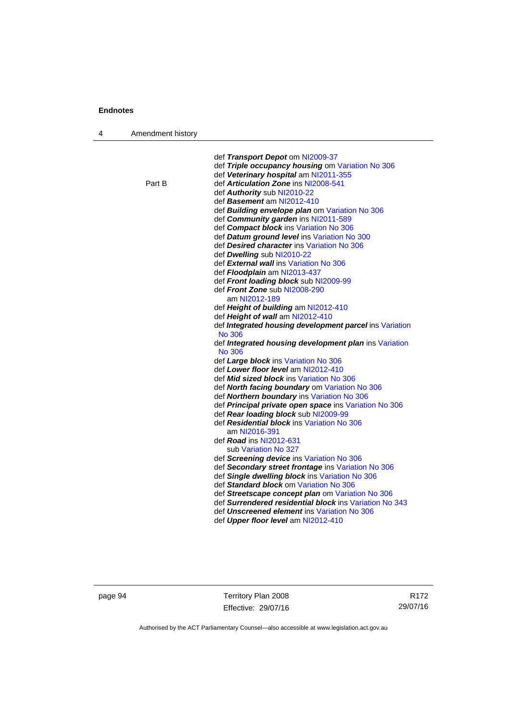| 4 | Amendment history |                                                         |
|---|-------------------|---------------------------------------------------------|
|   |                   |                                                         |
|   |                   | def Transport Depot om NI2009-37                        |
|   |                   | def Triple occupancy housing om Variation No 306        |
|   |                   | def Veterinary hospital am NI2011-355                   |
|   | Part B            | def Articulation Zone ins NI2008-541                    |
|   |                   | def Authority sub NI2010-22                             |
|   |                   | def Basement am NI2012-410                              |
|   |                   | def Building envelope plan om Variation No 306          |
|   |                   | def Community garden ins NI2011-589                     |
|   |                   | def Compact block ins Variation No 306                  |
|   |                   | def Datum ground level ins Variation No 300             |
|   |                   | def Desired character ins Variation No 306              |
|   |                   | def Dwelling sub NI2010-22                              |
|   |                   | def External wall ins Variation No 306                  |
|   |                   | def <i>Floodplain</i> am NI2013-437                     |
|   |                   | def Front loading block sub NI2009-99                   |
|   |                   | def Front Zone sub NI2008-290<br>am NI2012-189          |
|   |                   | def Height of building am NI2012-410                    |
|   |                   | def Height of wall am NI2012-410                        |
|   |                   | def Integrated housing development parcel ins Variation |
|   |                   | No 306                                                  |
|   |                   | def Integrated housing development plan ins Variation   |
|   |                   | No 306                                                  |
|   |                   | def Large block ins Variation No 306                    |
|   |                   | def Lower floor level am NI2012-410                     |
|   |                   | def <i>Mid sized block</i> ins Variation No 306         |
|   |                   | def North facing boundary om Variation No 306           |
|   |                   | def Northern boundary ins Variation No 306              |
|   |                   | def Principal private open space ins Variation No 306   |
|   |                   | def Rear loading block sub NI2009-99                    |
|   |                   | def Residential block ins Variation No 306              |
|   |                   | am NI2016-391                                           |
|   |                   | def <i>Road</i> ins NI2012-631                          |
|   |                   | sub Variation No 327                                    |
|   |                   | def Screening device ins Variation No 306               |
|   |                   | def Secondary street frontage ins Variation No 306      |
|   |                   | def Single dwelling block ins Variation No 306          |
|   |                   | def Standard block om Variation No 306                  |
|   |                   | def Streetscape concept plan om Variation No 306        |
|   |                   | def Surrendered residential block ins Variation No 343  |
|   |                   | def Unscreened element ins Variation No 306             |
|   |                   | def Upper floor level am NI2012-410                     |
|   |                   |                                                         |

page 94 Territory Plan 2008 Effective: 29/07/16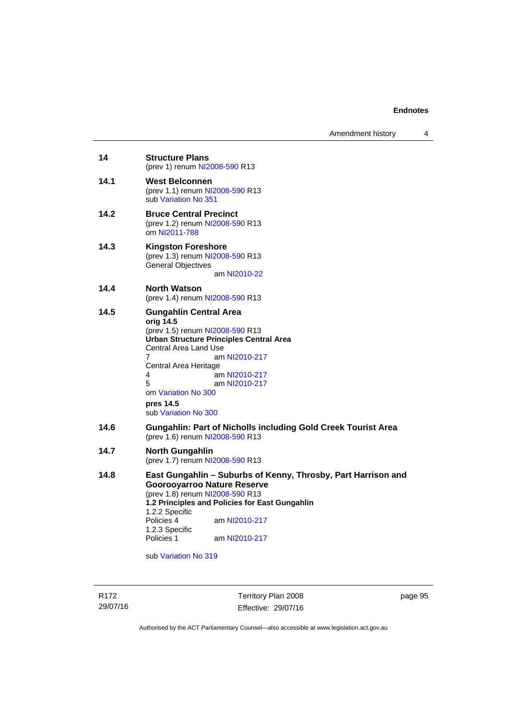| 14<br><b>Structure Plans</b><br>(prev 1) renum NI2008-590 R13<br>14.1<br><b>West Belconnen</b><br>(prev 1.1) renum NI2008-590 R13<br>sub Variation No 351<br>14.2<br><b>Bruce Central Precinct</b><br>(prev 1.2) renum NI2008-590 R13<br>om NI2011-788<br>14.3<br><b>Kingston Foreshore</b><br>(prev 1.3) renum NI2008-590 R13<br><b>General Objectives</b><br>am NI2010-22<br>14.4<br><b>North Watson</b><br>(prev 1.4) renum NI2008-590 R13<br>14.5<br><b>Gungahlin Central Area</b><br>orig 14.5<br>(prev 1.5) renum NI2008-590 R13<br><b>Urban Structure Principles Central Area</b><br>Central Area Land Use<br>7<br>am NI2010-217<br>Central Area Heritage<br>4<br>am NI2010-217<br>5<br>am NI2010-217<br>om Variation No 300<br>pres 14.5<br>sub Variation No 300<br>14.6<br><b>Gungahlin: Part of Nicholls including Gold Creek Tourist Area</b><br>(prev 1.6) renum NI2008-590 R13<br>14.7<br><b>North Gungahlin</b><br>(prev 1.7) renum NI2008-590 R13<br>14.8<br><b>Goorooyarroo Nature Reserve</b><br>(prev 1.8) renum NI2008-590 R13<br>1.2 Principles and Policies for East Gungahlin<br>1.2.2 Specific<br>Policies 4<br>am NI2010-217<br>1.2.3 Specific<br>Policies 1<br>am NI2010-217 |                                                               |
|-------------------------------------------------------------------------------------------------------------------------------------------------------------------------------------------------------------------------------------------------------------------------------------------------------------------------------------------------------------------------------------------------------------------------------------------------------------------------------------------------------------------------------------------------------------------------------------------------------------------------------------------------------------------------------------------------------------------------------------------------------------------------------------------------------------------------------------------------------------------------------------------------------------------------------------------------------------------------------------------------------------------------------------------------------------------------------------------------------------------------------------------------------------------------------------------------------|---------------------------------------------------------------|
|                                                                                                                                                                                                                                                                                                                                                                                                                                                                                                                                                                                                                                                                                                                                                                                                                                                                                                                                                                                                                                                                                                                                                                                                       |                                                               |
|                                                                                                                                                                                                                                                                                                                                                                                                                                                                                                                                                                                                                                                                                                                                                                                                                                                                                                                                                                                                                                                                                                                                                                                                       |                                                               |
|                                                                                                                                                                                                                                                                                                                                                                                                                                                                                                                                                                                                                                                                                                                                                                                                                                                                                                                                                                                                                                                                                                                                                                                                       |                                                               |
|                                                                                                                                                                                                                                                                                                                                                                                                                                                                                                                                                                                                                                                                                                                                                                                                                                                                                                                                                                                                                                                                                                                                                                                                       |                                                               |
|                                                                                                                                                                                                                                                                                                                                                                                                                                                                                                                                                                                                                                                                                                                                                                                                                                                                                                                                                                                                                                                                                                                                                                                                       |                                                               |
|                                                                                                                                                                                                                                                                                                                                                                                                                                                                                                                                                                                                                                                                                                                                                                                                                                                                                                                                                                                                                                                                                                                                                                                                       |                                                               |
|                                                                                                                                                                                                                                                                                                                                                                                                                                                                                                                                                                                                                                                                                                                                                                                                                                                                                                                                                                                                                                                                                                                                                                                                       |                                                               |
|                                                                                                                                                                                                                                                                                                                                                                                                                                                                                                                                                                                                                                                                                                                                                                                                                                                                                                                                                                                                                                                                                                                                                                                                       |                                                               |
|                                                                                                                                                                                                                                                                                                                                                                                                                                                                                                                                                                                                                                                                                                                                                                                                                                                                                                                                                                                                                                                                                                                                                                                                       | East Gungahlin – Suburbs of Kenny, Throsby, Part Harrison and |

sub [Variation No 319](http://www.legislation.act.gov.au/ni/2014-501/default.asp)

R172 29/07/16

Territory Plan 2008 Effective: 29/07/16 page 95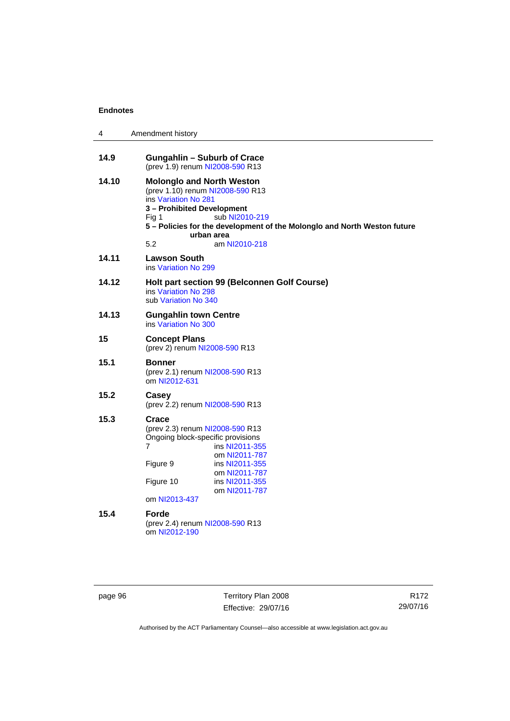| 4     | Amendment history                                                                                                                                                                                                                                                       |  |
|-------|-------------------------------------------------------------------------------------------------------------------------------------------------------------------------------------------------------------------------------------------------------------------------|--|
| 14.9  | <b>Gungahlin - Suburb of Crace</b><br>(prev 1.9) renum NI2008-590 R13                                                                                                                                                                                                   |  |
| 14.10 | <b>Molonglo and North Weston</b><br>(prev 1.10) renum NI2008-590 R13<br>ins Variation No 281<br>3 - Prohibited Development<br>sub NI2010-219<br>Fig 1<br>5 - Policies for the development of the Molonglo and North Weston future<br>urban area<br>5.2<br>am NI2010-218 |  |
| 14.11 | <b>Lawson South</b><br>ins Variation No 299                                                                                                                                                                                                                             |  |
| 14.12 | Holt part section 99 (Belconnen Golf Course)<br>ins Variation No 298<br>sub Variation No 340                                                                                                                                                                            |  |
| 14.13 | <b>Gungahlin town Centre</b><br>ins Variation No 300                                                                                                                                                                                                                    |  |
| 15    | <b>Concept Plans</b><br>(prev 2) renum NI2008-590 R13                                                                                                                                                                                                                   |  |
| 15.1  | <b>Bonner</b><br>(prev 2.1) renum NI2008-590 R13<br>om NI2012-631                                                                                                                                                                                                       |  |
| 15.2  | Casey<br>(prev 2.2) renum NI2008-590 R13                                                                                                                                                                                                                                |  |
| 15.3  | Crace<br>(prev 2.3) renum NI2008-590 R13<br>Ongoing block-specific provisions<br>7<br>ins NI2011-355<br>om NI2011-787<br>Figure 9<br>ins NI2011-355                                                                                                                     |  |
|       | om NI2011-787<br>Figure 10<br>ins NI2011-355<br>om NI2011-787                                                                                                                                                                                                           |  |
|       | om NI2013-437                                                                                                                                                                                                                                                           |  |
| 15.4  | <b>Forde</b><br>(prev 2.4) renum NI2008-590 R13<br>om NI2012-190                                                                                                                                                                                                        |  |

page 96 Territory Plan 2008 Effective: 29/07/16

R172 29/07/16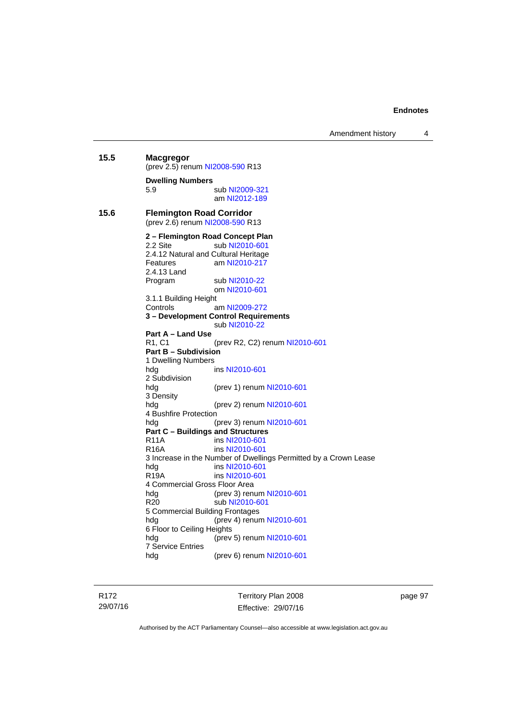Amendment history 4

```
15.5 Macgregor 
          (prev 2.5) renum NI2008-590 R13
          Dwelling Numbers 
          5.9 sub NI2009-321
                          am NI2012-189
15.6 Flemington Road Corridor 
          (prev 2.6) renum NI2008-590 R13
          2 – Flemington Road Concept Plan 
           NI2010-601
          2.4.12 Natural and Cultural Heritage 
          Features am NI2010-217
          2.4.13 Land 
           NI2010-22
                          om NI2010-601
          3.1.1 Building Height 
          Controls am NI2009-272
          3 – Development Control Requirements 
                          sub NI2010-22
          Part A – Land Use 
          R1, C1 (prev R2, C2) renum NI2010-601
          Part B – Subdivision 
          1 Dwelling Numbers 
          hdg ins NI2010-601
          2 Subdivision 
          hdg (prev 1) renum NI2010-601
          3 Density 
          hdg (prev 2) renum NI2010-601
          4 Bushfire Protection 
          hdg (prev 3) renum NI2010-601
          Part C – Buildings and Structures 
          R11A ins NI2010-601
          R16A ins NI2010-601
          3 Increase in the Number of Dwellings Permitted by a Crown Lease 
          hdg ins NI2010-601
          R19A ins NI2010-601
          4 Commercial Gross Floor Area<br>hdg (prev 3) rent
          NI2010-601<br>R20 sub NI2010-601
                          NI2010-601
          5 Commercial Building Frontages 
                         NI2010-601
          6 Floor to Ceiling Heights 
          hdg (prev 5) renum NI2010-601
          7 Service Entries 
          hdg (prev 6) renum NI2010-601
```
R172 29/07/16 Territory Plan 2008 Effective: 29/07/16 page 97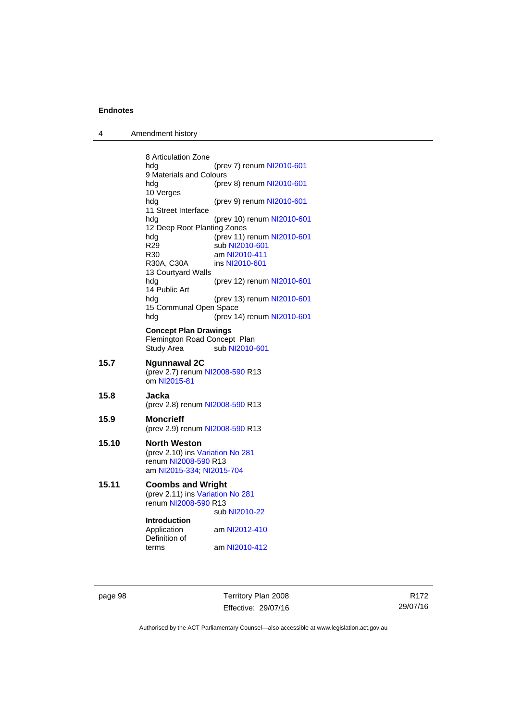| 4 | Amendment history |
|---|-------------------|
|---|-------------------|

|       | 8 Articulation Zone                                                                                          |                                              |  |
|-------|--------------------------------------------------------------------------------------------------------------|----------------------------------------------|--|
|       | hdg                                                                                                          | (prev 7) renum NI2010-601                    |  |
|       | 9 Materials and Colours                                                                                      |                                              |  |
|       | hdg<br>10 Verges                                                                                             | (prev 8) renum NI2010-601                    |  |
|       | hdg<br>11 Street Interface                                                                                   | (prev 9) renum NI2010-601                    |  |
|       | hdg<br>12 Deep Root Planting Zones                                                                           | (prev 10) renum NI2010-601                   |  |
|       | hdg<br>R <sub>29</sub>                                                                                       | (prev 11) renum NI2010-601<br>sub NI2010-601 |  |
|       | R30                                                                                                          | am NI2010-411                                |  |
|       | R30A, C30A                                                                                                   | ins NI2010-601                               |  |
|       | 13 Courtyard Walls                                                                                           |                                              |  |
|       | hdg<br>14 Public Art                                                                                         | (prev 12) renum NI2010-601                   |  |
|       | hdg<br>15 Communal Open Space                                                                                | (prev 13) renum NI2010-601                   |  |
|       | hdg                                                                                                          | (prev 14) renum NI2010-601                   |  |
|       | <b>Concept Plan Drawings</b><br>Flemington Road Concept Plan<br>Study Area                                   | sub NI2010-601                               |  |
| 15.7  | <b>Ngunnawal 2C</b><br>om NI2015-81                                                                          | (prev 2.7) renum NI2008-590 R13              |  |
| 15.8  | Jacka                                                                                                        | (prev 2.8) renum NI2008-590 R13              |  |
| 15.9  | <b>Moncrieff</b>                                                                                             | (prev 2.9) renum NI2008-590 R13              |  |
| 15.10 | <b>North Weston</b><br>(prev 2.10) ins Variation No 281<br>renum NI2008-590 R13<br>am NI2015-334; NI2015-704 |                                              |  |
| 15.11 | <b>Coombs and Wright</b>                                                                                     |                                              |  |
|       | (prev 2.11) ins Variation No 281<br>renum NI2008-590 R13                                                     |                                              |  |
|       |                                                                                                              | sub NI2010-22                                |  |
|       | <b>Introduction</b>                                                                                          |                                              |  |
|       | Application<br>Definition of                                                                                 | am NI2012-410                                |  |
|       | terms                                                                                                        | am NI2010-412                                |  |

page 98 Territory Plan 2008 Effective: 29/07/16

R172 29/07/16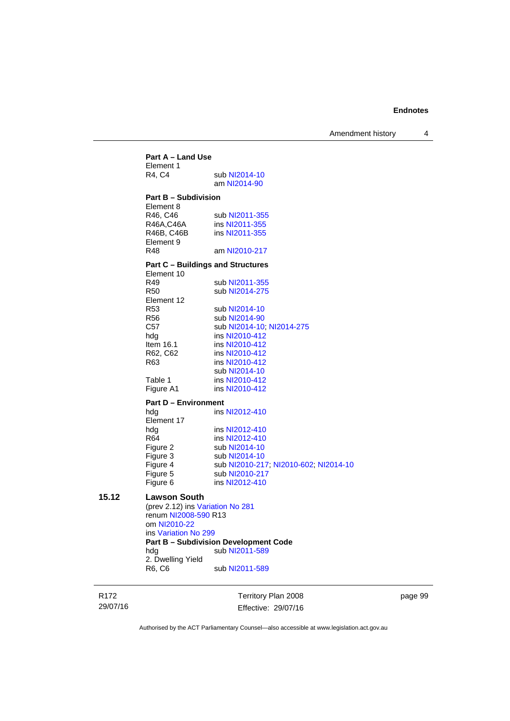Amendment history 4

**Part A – Land Use**  Element 1<br>R4. C4 sub [NI2014-10](http://www.legislation.act.gov.au/ni/2014-10/default.asp) am [NI2014-90](http://www.legislation.act.gov.au/ni/2014-90/default.asp) **Part B – Subdivision**  Element 8 R46, C46 sub [NI2011-355](http://www.legislation.act.gov.au/ni/2011-355/)<br>R46A.C46A ins NI2011-355 R46A,C46A ins [NI2011-355](http://www.legislation.act.gov.au/ni/2011-355/)<br>R46B. C46B ins NI2011-355 ins [NI2011-355](http://www.legislation.act.gov.au/ni/2011-355/) Element 9<br>R48 am [NI2010-217](http://www.legislation.act.gov.au/ni/2010-217/) **Part C – Buildings and Structures**  Element 10<br>R49 R49 sub [NI2011-355](http://www.legislation.act.gov.au/ni/2011-355/)<br>R50 sub NI2014-275 sub [NI2014-275](http://www.legislation.act.gov.au/ni/2014-275/default.asp) Element 12 R53 sub [NI2014-10](http://www.legislation.act.gov.au/ni/2014-10/default.asp)<br>R56 sub NI2014-90 sub [NI2014-90](http://www.legislation.act.gov.au/ni/2014-90/default.asp) C57 sub [NI2014-10](http://www.legislation.act.gov.au/ni/2014-10/default.asp); [NI2014-275](http://www.legislation.act.gov.au/ni/2014-275/default.asp) hdg ins [NI2010-412](http://www.legislation.act.gov.au/ni/2010-412/)<br>Item 16.1 ins NI2010-412 Item 16.1 ins [NI2010-412](http://www.legislation.act.gov.au/ni/2010-412/)<br>R62, C62 ins NI2010-412 R62, C62 ins [NI2010-412](http://www.legislation.act.gov.au/ni/2010-412/)<br>R63 ins NI2010-412 ins [NI2010-412](http://www.legislation.act.gov.au/ni/2010-412/) sub [NI2014-10](http://www.legislation.act.gov.au/ni/2014-10/default.asp)<br>Table 1 ins NI2010-412 ins [NI2010-412](http://www.legislation.act.gov.au/ni/2010-412/) Figure A1 ins [NI2010-412](http://www.legislation.act.gov.au/ni/2010-412/) **Part D – Environment**  hdg ins [NI2012-410](http://www.legislation.act.gov.au/ni/2012-410/) Element 17 hdg ins [NI2012-410](http://www.legislation.act.gov.au/ni/2012-410/)<br>R64 ins NI2012-410 R64 ins [NI2012-410](http://www.legislation.act.gov.au/ni/2012-410/)<br>Figure 2 sub NI2014-10 Figure 2 sub [NI2014-10](http://www.legislation.act.gov.au/ni/2014-10/default.asp)<br>Figure 3 sub NI2014-10 Figure 3 sub [NI2014-10](http://www.legislation.act.gov.au/ni/2014-10/default.asp)<br>Figure 4 sub NI2010-21 Figure 4 sub [NI2010-217](http://www.legislation.act.gov.au/ni/2010-217/); [NI2010-602](http://www.legislation.act.gov.au/ni/2010-602/); [NI2014-10](http://www.legislation.act.gov.au/ni/2014-10/default.asp) sub [NI2010-217](http://www.legislation.act.gov.au/ni/2010-217/) Figure 6 ins [NI2012-410](http://www.legislation.act.gov.au/ni/2012-410/) **15.12 Lawson South**  (prev 2.12) ins [Variation No 281](http://www.legislation.act.gov.au/ni/2008-352/) renum [NI2008-590](http://www.legislation.act.gov.au/ni/2008-590/default.asp) R13 om [NI2010-22](http://www.legislation.act.gov.au/ni/2010-22/) ins [Variation No 299](http://www.legislation.act.gov.au/ni/2010-575/) **Part B – Subdivision Development Code**  hdg sub [NI2011-589](http://www.legislation.act.gov.au/ni/2011-589/) 2. Dwelling Yield R6, C6 sub [NI2011-589](http://www.legislation.act.gov.au/ni/2011-589/)

R172 29/07/16 Territory Plan 2008 Effective: 29/07/16 page 99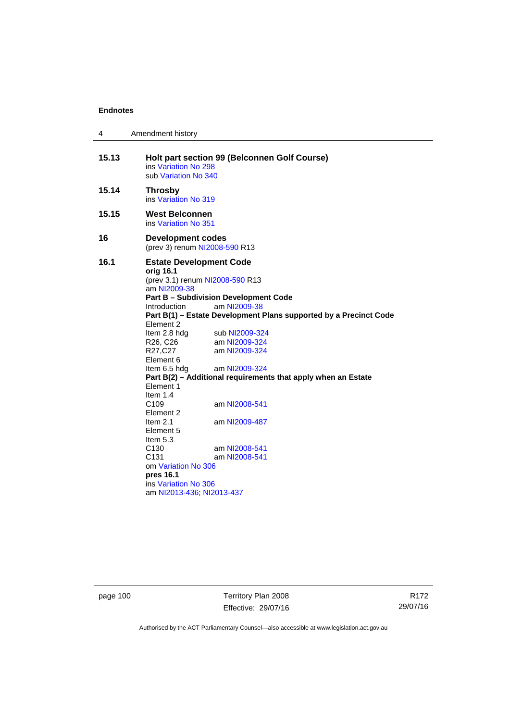| 4     | Amendment history                                                                                                                                                                                                                                                                                                                                                                                                                                                                                                                                                                                                                                                                                                                                                                                                    |  |  |
|-------|----------------------------------------------------------------------------------------------------------------------------------------------------------------------------------------------------------------------------------------------------------------------------------------------------------------------------------------------------------------------------------------------------------------------------------------------------------------------------------------------------------------------------------------------------------------------------------------------------------------------------------------------------------------------------------------------------------------------------------------------------------------------------------------------------------------------|--|--|
| 15.13 | Holt part section 99 (Belconnen Golf Course)<br>ins Variation No 298<br>sub Variation No 340                                                                                                                                                                                                                                                                                                                                                                                                                                                                                                                                                                                                                                                                                                                         |  |  |
| 15.14 | <b>Throsby</b><br>ins Variation No 319                                                                                                                                                                                                                                                                                                                                                                                                                                                                                                                                                                                                                                                                                                                                                                               |  |  |
| 15.15 | West Belconnen<br>ins Variation No 351                                                                                                                                                                                                                                                                                                                                                                                                                                                                                                                                                                                                                                                                                                                                                                               |  |  |
| 16    | <b>Development codes</b><br>(prev 3) renum NI2008-590 R13                                                                                                                                                                                                                                                                                                                                                                                                                                                                                                                                                                                                                                                                                                                                                            |  |  |
| 16.1  | <b>Estate Development Code</b><br>orig 16.1<br>(prev 3.1) renum NI2008-590 R13<br>am NI2009-38<br><b>Part B - Subdivision Development Code</b><br>am NI2009-38<br><i>Introduction</i><br>Part B(1) - Estate Development Plans supported by a Precinct Code<br>Element 2<br>Item 2.8 hdg<br>sub NI2009-324<br>am NI2009-324<br>R <sub>26</sub> , C <sub>26</sub><br>R27,C27<br>am NI2009-324<br>Element 6<br>am NI2009-324<br>Item 6.5 hdg<br>Part B(2) - Additional requirements that apply when an Estate<br>Element 1<br>Item $1.4$<br>C <sub>109</sub><br>am NI2008-541<br>Element 2<br>Item $2.1$<br>am NI2009-487<br>Element 5<br>Item $5.3$<br>C <sub>130</sub><br>am NI2008-541<br>C <sub>131</sub><br>am NI2008-541<br>om Variation No 306<br>pres 16.1<br>ins Variation No 306<br>am NI2013-436, NI2013-437 |  |  |

page 100 Territory Plan 2008 Effective: 29/07/16

R172 29/07/16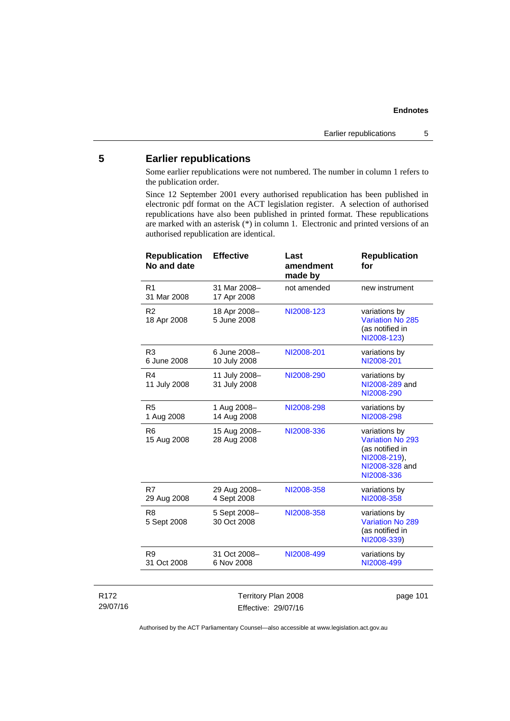# **5 Earlier republications**

Some earlier republications were not numbered. The number in column 1 refers to the publication order.

Since 12 September 2001 every authorised republication has been published in electronic pdf format on the ACT legislation register. A selection of authorised republications have also been published in printed format. These republications are marked with an asterisk (\*) in column 1. Electronic and printed versions of an authorised republication are identical.

| <b>Republication</b><br>No and date | <b>Effective</b>              | Last<br>amendment<br>made by | <b>Republication</b><br>for                                                                          |
|-------------------------------------|-------------------------------|------------------------------|------------------------------------------------------------------------------------------------------|
| R <sub>1</sub><br>31 Mar 2008       | 31 Mar 2008-<br>17 Apr 2008   | not amended                  | new instrument                                                                                       |
| R <sub>2</sub><br>18 Apr 2008       | 18 Apr 2008-<br>5 June 2008   | NI2008-123                   | variations by<br>Variation No 285<br>(as notified in<br>NI2008-123)                                  |
| R <sub>3</sub><br>6 June 2008       | 6 June 2008-<br>10 July 2008  | NI2008-201                   | variations by<br>NI2008-201                                                                          |
| R <sub>4</sub><br>11 July 2008      | 11 July 2008-<br>31 July 2008 | NI2008-290                   | variations by<br>NI2008-289 and<br>NI2008-290                                                        |
| R <sub>5</sub><br>1 Aug 2008        | 1 Aug 2008-<br>14 Aug 2008    | NI2008-298                   | variations by<br>NI2008-298                                                                          |
| R <sub>6</sub><br>15 Aug 2008       | 15 Aug 2008-<br>28 Aug 2008   | NI2008-336                   | variations by<br>Variation No 293<br>(as notified in<br>NI2008-219),<br>NI2008-328 and<br>NI2008-336 |
| R7<br>29 Aug 2008                   | 29 Aug 2008-<br>4 Sept 2008   | NI2008-358                   | variations by<br>NI2008-358                                                                          |
| R <sub>8</sub><br>5 Sept 2008       | 5 Sept 2008-<br>30 Oct 2008   | NI2008-358                   | variations by<br>Variation No 289<br>(as notified in<br>NI2008-339)                                  |
| R <sub>9</sub><br>31 Oct 2008       | 31 Oct 2008-<br>6 Nov 2008    | NI2008-499                   | variations by<br>NI2008-499                                                                          |
|                                     |                               |                              |                                                                                                      |

| R172     |  |
|----------|--|
| 29/07/16 |  |

Territory Plan 2008 Effective: 29/07/16 page 101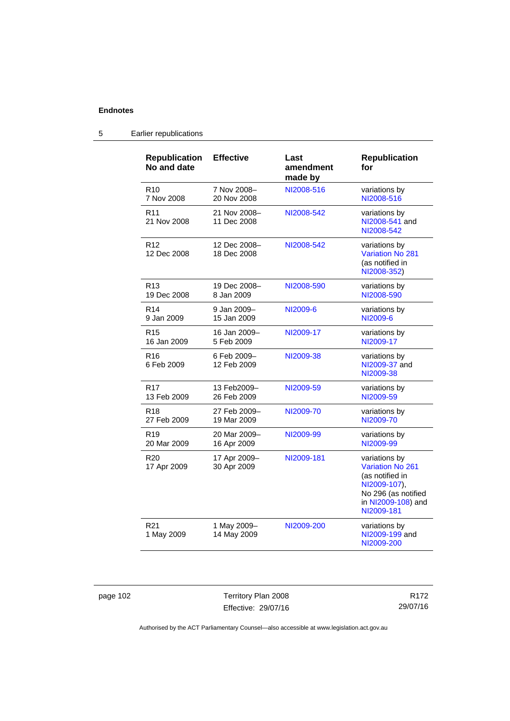| <b>Republication</b><br>No and date | <b>Effective</b>            | Last<br>amendment<br>made by | <b>Republication</b><br>for                                                                                                            |
|-------------------------------------|-----------------------------|------------------------------|----------------------------------------------------------------------------------------------------------------------------------------|
| R <sub>10</sub>                     | 7 Nov 2008-                 | NI2008-516                   | variations by                                                                                                                          |
| 7 Nov 2008                          | 20 Nov 2008                 |                              | NI2008-516                                                                                                                             |
| R <sub>11</sub><br>21 Nov 2008      | 21 Nov 2008-<br>11 Dec 2008 | NI2008-542                   | variations by<br>NI2008-541 and<br>NI2008-542                                                                                          |
| R <sub>12</sub><br>12 Dec 2008      | 12 Dec 2008-<br>18 Dec 2008 | NI2008-542                   | variations by<br><b>Variation No 281</b><br>(as notified in<br>NI2008-352)                                                             |
| R <sub>13</sub>                     | 19 Dec 2008-                | NI2008-590                   | variations by                                                                                                                          |
| 19 Dec 2008                         | 8 Jan 2009                  |                              | NI2008-590                                                                                                                             |
| R <sub>14</sub>                     | 9 Jan 2009-                 | NI2009-6                     | variations by                                                                                                                          |
| 9 Jan 2009                          | 15 Jan 2009                 |                              | NI2009-6                                                                                                                               |
| R <sub>15</sub>                     | 16 Jan 2009-                | NI2009-17                    | variations by                                                                                                                          |
| 16 Jan 2009                         | 5 Feb 2009                  |                              | NI2009-17                                                                                                                              |
| R <sub>16</sub><br>6 Feb 2009       | 6 Feb 2009-<br>12 Feb 2009  | NI2009-38                    | variations by<br>NI2009-37 and<br>NI2009-38                                                                                            |
| R <sub>17</sub>                     | 13 Feb2009-                 | NI2009-59                    | variations by                                                                                                                          |
| 13 Feb 2009                         | 26 Feb 2009                 |                              | NI2009-59                                                                                                                              |
| R <sub>18</sub>                     | 27 Feb 2009-                | NI2009-70                    | variations by                                                                                                                          |
| 27 Feb 2009                         | 19 Mar 2009                 |                              | NI2009-70                                                                                                                              |
| R <sub>19</sub>                     | 20 Mar 2009-                | NI2009-99                    | variations by                                                                                                                          |
| 20 Mar 2009                         | 16 Apr 2009                 |                              | NI2009-99                                                                                                                              |
| R <sub>20</sub><br>17 Apr 2009      | 17 Apr 2009-<br>30 Apr 2009 | NI2009-181                   | variations by<br><b>Variation No 261</b><br>(as notified in<br>NI2009-107),<br>No 296 (as notified<br>in NI2009-108) and<br>NI2009-181 |
| R <sub>21</sub><br>1 May 2009       | 1 May 2009-<br>14 May 2009  | NI2009-200                   | variations by<br>NI2009-199 and<br>NI2009-200                                                                                          |

# 5 Earlier republications

page 102 Territory Plan 2008 Effective: 29/07/16

R172 29/07/16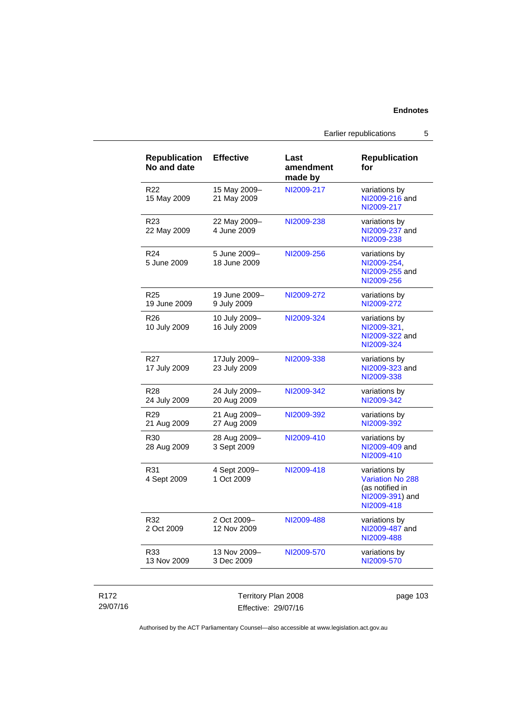Earlier republications 5

| <b>Republication</b><br>No and date | <b>Effective</b>              | Last<br>amendment<br>made by | <b>Republication</b><br>for                                                                  |
|-------------------------------------|-------------------------------|------------------------------|----------------------------------------------------------------------------------------------|
| R <sub>22</sub><br>15 May 2009      | 15 May 2009-<br>21 May 2009   | NI2009-217                   | variations by<br>NI2009-216 and<br>NI2009-217                                                |
| R <sub>23</sub><br>22 May 2009      | 22 May 2009-<br>4 June 2009   | NI2009-238                   | variations by<br>NI2009-237 and<br>NI2009-238                                                |
| R <sub>24</sub><br>5 June 2009      | 5 June 2009-<br>18 June 2009  | NI2009-256                   | variations by<br>NI2009-254,<br>NI2009-255 and<br>NI2009-256                                 |
| R <sub>25</sub><br>19 June 2009     | 19 June 2009-<br>9 July 2009  | NI2009-272                   | variations by<br>NI2009-272                                                                  |
| R <sub>26</sub><br>10 July 2009     | 10 July 2009-<br>16 July 2009 | NI2009-324                   | variations by<br>NI2009-321,<br>NI2009-322 and<br>NI2009-324                                 |
| R <sub>27</sub><br>17 July 2009     | 17July 2009-<br>23 July 2009  | NI2009-338                   | variations by<br>NI2009-323 and<br>NI2009-338                                                |
| R <sub>28</sub><br>24 July 2009     | 24 July 2009-<br>20 Aug 2009  | NI2009-342                   | variations by<br>NI2009-342                                                                  |
| R <sub>29</sub><br>21 Aug 2009      | 21 Aug 2009-<br>27 Aug 2009   | NI2009-392                   | variations by<br>NI2009-392                                                                  |
| R <sub>30</sub><br>28 Aug 2009      | 28 Aug 2009-<br>3 Sept 2009   | NI2009-410                   | variations by<br>NI2009-409 and<br>NI2009-410                                                |
| R31<br>4 Sept 2009                  | 4 Sept 2009-<br>1 Oct 2009    | NI2009-418                   | variations by<br><b>Variation No 288</b><br>(as notified in<br>NI2009-391) and<br>NI2009-418 |
| R32<br>2 Oct 2009                   | 2 Oct 2009-<br>12 Nov 2009    | NI2009-488                   | variations by<br>NI2009-487 and<br>NI2009-488                                                |
| R33<br>13 Nov 2009                  | 13 Nov 2009-<br>3 Dec 2009    | NI2009-570                   | variations by<br>NI2009-570                                                                  |

# R172 29/07/16

Territory Plan 2008 Effective: 29/07/16

page 103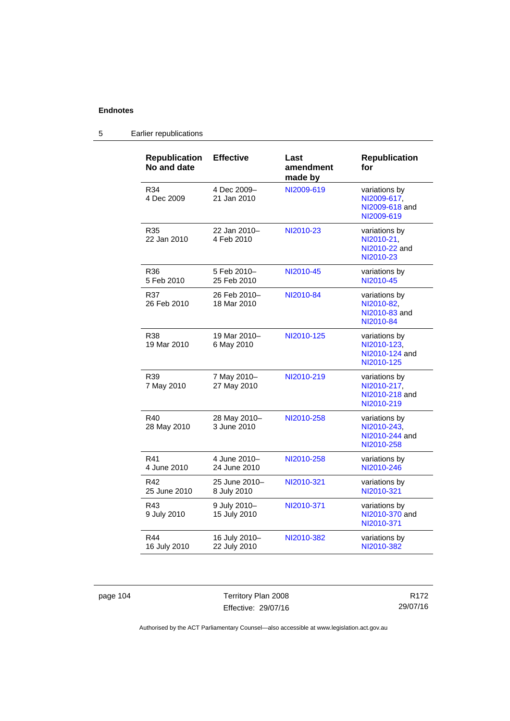| <b>Republication</b><br>No and date | <b>Effective</b>              | Last<br>amendment<br>made by | <b>Republication</b><br>for                                  |
|-------------------------------------|-------------------------------|------------------------------|--------------------------------------------------------------|
| R34<br>4 Dec 2009                   | 4 Dec 2009-<br>21 Jan 2010    | NI2009-619                   | variations by<br>NI2009-617,<br>NI2009-618 and<br>NI2009-619 |
| R35<br>22 Jan 2010                  | 22 Jan 2010–<br>4 Feb 2010    | NI2010-23                    | variations by<br>NI2010-21,<br>NI2010-22 and<br>NI2010-23    |
| R36<br>5 Feb 2010                   | 5 Feb 2010-<br>25 Feb 2010    | NI2010-45                    | variations by<br>NI2010-45                                   |
| R37<br>26 Feb 2010                  | 26 Feb 2010-<br>18 Mar 2010   | NI2010-84                    | variations by<br>NI2010-82,<br>NI2010-83 and<br>NI2010-84    |
| R38<br>19 Mar 2010                  | 19 Mar 2010-<br>6 May 2010    | NI2010-125                   | variations by<br>NI2010-123,<br>NI2010-124 and<br>NI2010-125 |
| R39<br>7 May 2010                   | 7 May 2010-<br>27 May 2010    | NI2010-219                   | variations by<br>NI2010-217,<br>NI2010-218 and<br>NI2010-219 |
| R40<br>28 May 2010                  | 28 May 2010-<br>3 June 2010   | NI2010-258                   | variations by<br>NI2010-243,<br>NI2010-244 and<br>NI2010-258 |
| R41<br>4 June 2010                  | 4 June 2010-<br>24 June 2010  | NI2010-258                   | variations by<br>NI2010-246                                  |
| R42<br>25 June 2010                 | 25 June 2010-<br>8 July 2010  | NI2010-321                   | variations by<br>NI2010-321                                  |
| R43<br>9 July 2010                  | 9 July 2010-<br>15 July 2010  | NI2010-371                   | variations by<br>NI2010-370 and<br>NI2010-371                |
| R44<br>16 July 2010                 | 16 July 2010-<br>22 July 2010 | NI2010-382                   | variations by<br>NI2010-382                                  |

# 5 Earlier republications

page 104 Territory Plan 2008 Effective: 29/07/16

R172 29/07/16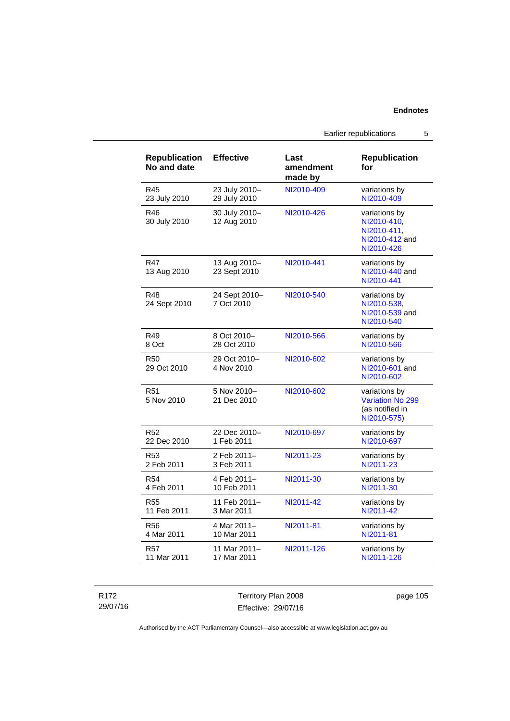| <b>Republication</b><br>No and date | <b>Effective</b>             | Last<br>amendment<br>made by | <b>Republication</b><br>for                                                 |
|-------------------------------------|------------------------------|------------------------------|-----------------------------------------------------------------------------|
| R45                                 | 23 July 2010-                | NI2010-409                   | variations by                                                               |
| 23 July 2010                        | 29 July 2010                 |                              | NI2010-409                                                                  |
| R46<br>30 July 2010                 | 30 July 2010-<br>12 Aug 2010 | NI2010-426                   | variations by<br>NI2010-410.<br>NI2010-411.<br>NI2010-412 and<br>NI2010-426 |
| <b>R47</b><br>13 Aug 2010           | 13 Aug 2010-<br>23 Sept 2010 | NI2010-441                   | variations by<br>NI2010-440 and<br>NI2010-441                               |
| R48<br>24 Sept 2010                 | 24 Sept 2010-<br>7 Oct 2010  | NI2010-540                   | variations by<br>NI2010-538,<br>NI2010-539 and<br>NI2010-540                |
| R49                                 | 8 Oct 2010-                  | NI2010-566                   | variations by                                                               |
| 8 Oct                               | 28 Oct 2010                  |                              | NI2010-566                                                                  |
| <b>R50</b><br>29 Oct 2010           | 29 Oct 2010-<br>4 Nov 2010   | NI2010-602                   | variations by<br>NI2010-601 and<br>NI2010-602                               |
| R51<br>5 Nov 2010                   | 5 Nov 2010-<br>21 Dec 2010   | NI2010-602                   | variations by<br><b>Variation No 299</b><br>(as notified in<br>NI2010-575)  |
| R <sub>52</sub>                     | 22 Dec 2010-                 | NI2010-697                   | variations by                                                               |
| 22 Dec 2010                         | 1 Feb 2011                   |                              | NI2010-697                                                                  |
| R <sub>53</sub>                     | 2 Feb 2011-                  | NI2011-23                    | variations by                                                               |
| 2 Feb 2011                          | 3 Feb 2011                   |                              | NI2011-23                                                                   |
| <b>R54</b>                          | 4 Feb 2011-                  | NI2011-30                    | variations by                                                               |
| 4 Feb 2011                          | 10 Feb 2011                  |                              | NI2011-30                                                                   |
| <b>R55</b>                          | 11 Feb 2011-                 | NI2011-42                    | variations by                                                               |
| 11 Feb 2011                         | 3 Mar 2011                   |                              | NI2011-42                                                                   |
| R <sub>56</sub>                     | 4 Mar 2011-                  | NI2011-81                    | variations by                                                               |
| 4 Mar 2011                          | 10 Mar 2011                  |                              | NI2011-81                                                                   |
| <b>R57</b>                          | 11 Mar 2011–                 | NI2011-126                   | variations by                                                               |
| 11 Mar 2011                         | 17 Mar 2011                  |                              | NI2011-126                                                                  |

R172 29/07/16 Territory Plan 2008 Effective: 29/07/16

page 105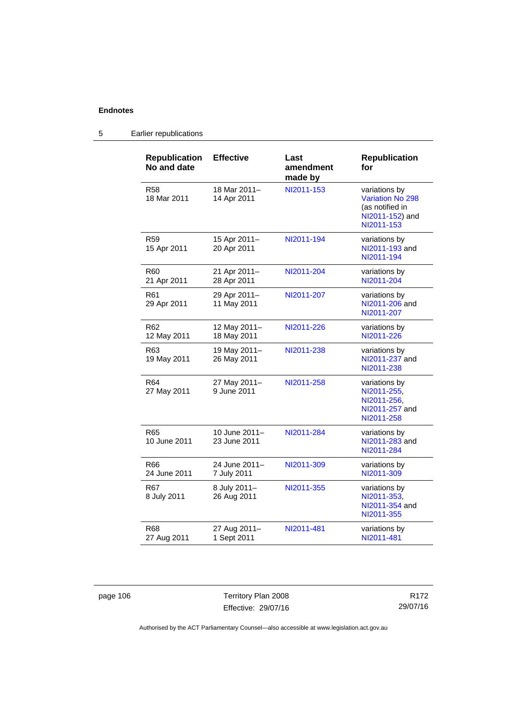# 5 Earlier republications

| <b>Republication</b><br>No and date | <b>Effective</b>              | Last<br>amendment<br>made by | <b>Republication</b><br>for                                                                  |
|-------------------------------------|-------------------------------|------------------------------|----------------------------------------------------------------------------------------------|
| R58<br>18 Mar 2011                  | 18 Mar 2011-<br>14 Apr 2011   | NI2011-153                   | variations by<br><b>Variation No 298</b><br>(as notified in<br>NI2011-152) and<br>NI2011-153 |
| R <sub>59</sub><br>15 Apr 2011      | 15 Apr 2011-<br>20 Apr 2011   | NI2011-194                   | variations by<br>NI2011-193 and<br>NI2011-194                                                |
| R60<br>21 Apr 2011                  | 21 Apr 2011-<br>28 Apr 2011   | NI2011-204                   | variations by<br>NI2011-204                                                                  |
| R61<br>29 Apr 2011                  | 29 Apr 2011-<br>11 May 2011   | NI2011-207                   | variations by<br>NI2011-206 and<br>NI2011-207                                                |
| R62<br>12 May 2011                  | 12 May 2011-<br>18 May 2011   | NI2011-226                   | variations by<br>NI2011-226                                                                  |
| R63<br>19 May 2011                  | 19 May 2011-<br>26 May 2011   | NI2011-238                   | variations by<br>NI2011-237 and<br>NI2011-238                                                |
| R <sub>64</sub><br>27 May 2011      | 27 May 2011-<br>9 June 2011   | NI2011-258                   | variations by<br>NI2011-255,<br>NI2011-256,<br>NI2011-257 and<br>NI2011-258                  |
| R65<br>10 June 2011                 | 10 June 2011-<br>23 June 2011 | NI2011-284                   | variations by<br>NI2011-283 and<br>NI2011-284                                                |
| R66<br>24 June 2011                 | 24 June 2011-<br>7 July 2011  | NI2011-309                   | variations by<br>NI2011-309                                                                  |
| R <sub>67</sub><br>8 July 2011      | 8 July 2011-<br>26 Aug 2011   | NI2011-355                   | variations by<br>NI2011-353,<br>NI2011-354 and<br>NI2011-355                                 |
| R68<br>27 Aug 2011                  | 27 Aug 2011-<br>1 Sept 2011   | NI2011-481                   | variations by<br>NI2011-481                                                                  |

page 106 Territory Plan 2008 Effective: 29/07/16

R172 29/07/16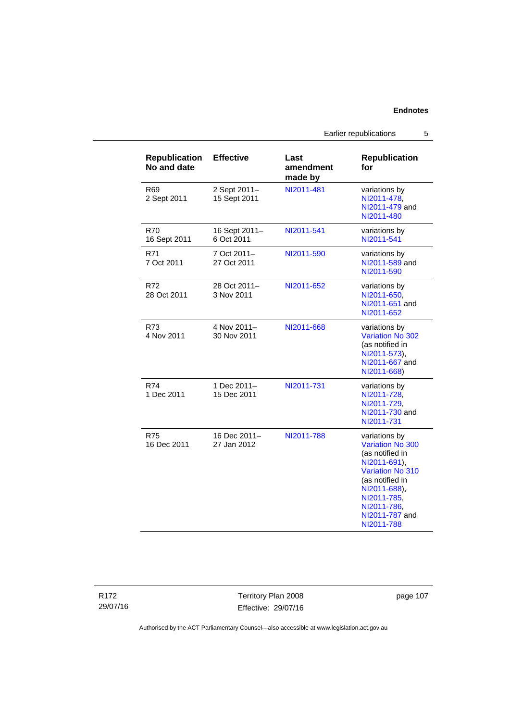Earlier republications 5

| <b>Republication</b><br>No and date | <b>Effective</b>             | Last<br>amendment<br>made by | <b>Republication</b><br>for                                                                                                                                                                      |
|-------------------------------------|------------------------------|------------------------------|--------------------------------------------------------------------------------------------------------------------------------------------------------------------------------------------------|
| R <sub>69</sub><br>2 Sept 2011      | 2 Sept 2011-<br>15 Sept 2011 | NI2011-481                   | variations by<br>NI2011-478,<br>NI2011-479 and<br>NI2011-480                                                                                                                                     |
| <b>R70</b><br>16 Sept 2011          | 16 Sept 2011-<br>6 Oct 2011  | NI2011-541                   | variations by<br>NI2011-541                                                                                                                                                                      |
| R71<br>7 Oct 2011                   | 7 Oct 2011-<br>27 Oct 2011   | NI2011-590                   | variations by<br>NI2011-589 and<br>NI2011-590                                                                                                                                                    |
| R72<br>28 Oct 2011                  | 28 Oct 2011-<br>3 Nov 2011   | NI2011-652                   | variations by<br>NI2011-650,<br>NI2011-651 and<br>NI2011-652                                                                                                                                     |
| R73<br>4 Nov 2011                   | 4 Nov 2011-<br>30 Nov 2011   | NI2011-668                   | variations by<br><b>Variation No 302</b><br>(as notified in<br>NI2011-573),<br>NI2011-667 and<br>NI2011-668)                                                                                     |
| R74<br>1 Dec 2011                   | 1 Dec 2011-<br>15 Dec 2011   | NI2011-731                   | variations by<br>NI2011-728,<br>NI2011-729.<br>NI2011-730 and<br>NI2011-731                                                                                                                      |
| <b>R75</b><br>16 Dec 2011           | 16 Dec 2011-<br>27 Jan 2012  | NI2011-788                   | variations by<br>Variation No 300<br>(as notified in<br>NI2011-691),<br><b>Variation No 310</b><br>(as notified in<br>NI2011-688).<br>NI2011-785,<br>NI2011-786,<br>NI2011-787 and<br>NI2011-788 |

R172 29/07/16

Territory Plan 2008 Effective: 29/07/16 page 107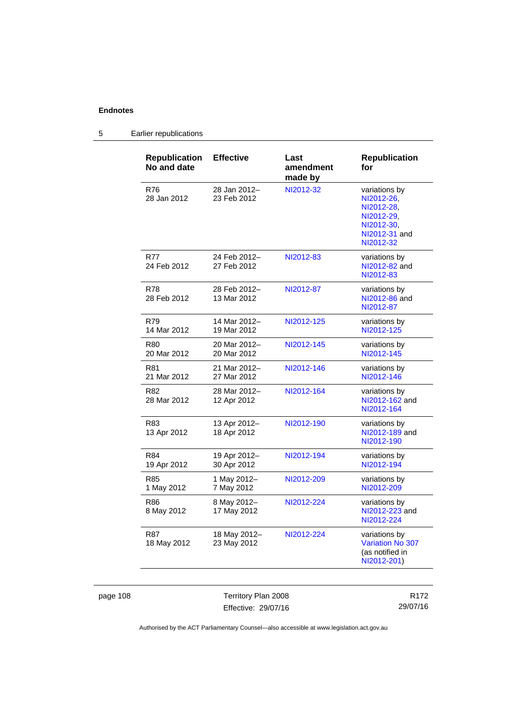# 5 Earlier republications

| <b>Republication</b><br>No and date | <b>Effective</b>            | Last<br>amendment<br>made by | <b>Republication</b><br>for                                                                         |
|-------------------------------------|-----------------------------|------------------------------|-----------------------------------------------------------------------------------------------------|
| R76<br>28 Jan 2012                  | 28 Jan 2012-<br>23 Feb 2012 | NI2012-32                    | variations by<br>NI2012-26.<br>NI2012-28.<br>NI2012-29.<br>NI2012-30,<br>NI2012-31 and<br>NI2012-32 |
| <b>R77</b><br>24 Feb 2012           | 24 Feb 2012-<br>27 Feb 2012 | NI2012-83                    | variations by<br>NI2012-82 and<br>NI2012-83                                                         |
| R78<br>28 Feb 2012                  | 28 Feb 2012-<br>13 Mar 2012 | NI2012-87                    | variations by<br>NI2012-86 and<br>NI2012-87                                                         |
| R79<br>14 Mar 2012                  | 14 Mar 2012-<br>19 Mar 2012 | NI2012-125                   | variations by<br>NI2012-125                                                                         |
| R80<br>20 Mar 2012                  | 20 Mar 2012-<br>20 Mar 2012 | NI2012-145                   | variations by<br>NI2012-145                                                                         |
| R81<br>21 Mar 2012                  | 21 Mar 2012-<br>27 Mar 2012 | NI2012-146                   | variations by<br>NI2012-146                                                                         |
| R82<br>28 Mar 2012                  | 28 Mar 2012-<br>12 Apr 2012 | NI2012-164                   | variations by<br>NI2012-162 and<br>NI2012-164                                                       |
| R83<br>13 Apr 2012                  | 13 Apr 2012-<br>18 Apr 2012 | NI2012-190                   | variations by<br>NI2012-189 and<br>NI2012-190                                                       |
| R84<br>19 Apr 2012                  | 19 Apr 2012-<br>30 Apr 2012 | NI2012-194                   | variations by<br>NI2012-194                                                                         |
| R85<br>1 May 2012                   | 1 May 2012-<br>7 May 2012   | NI2012-209                   | variations by<br>NI2012-209                                                                         |
| R86<br>8 May 2012                   | 8 May 2012-<br>17 May 2012  | NI2012-224                   | variations by<br>NI2012-223 and<br>NI2012-224                                                       |
| <b>R87</b><br>18 May 2012           | 18 May 2012-<br>23 May 2012 | NI2012-224                   | variations by<br><b>Variation No 307</b><br>(as notified in<br>NI2012-201)                          |

page 108 Territory Plan 2008 Effective: 29/07/16

R172 29/07/16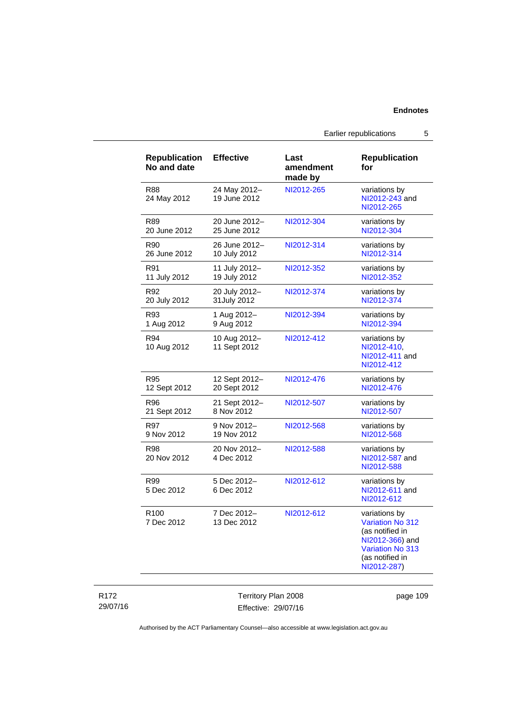Earlier republications 5

| <b>Republication</b><br>No and date | <b>Effective</b>             | Last<br>amendment<br>made by | <b>Republication</b><br>for                                                                                                                 |
|-------------------------------------|------------------------------|------------------------------|---------------------------------------------------------------------------------------------------------------------------------------------|
| <b>R88</b><br>24 May 2012           | 24 May 2012-<br>19 June 2012 | NI2012-265                   | variations by<br>NI2012-243 and<br>NI2012-265                                                                                               |
| R89                                 | 20 June 2012-                | NI2012-304                   | variations by                                                                                                                               |
| 20 June 2012                        | 25 June 2012                 |                              | NI2012-304                                                                                                                                  |
| R90                                 | 26 June 2012-                | NI2012-314                   | variations by                                                                                                                               |
| 26 June 2012                        | 10 July 2012                 |                              | NI2012-314                                                                                                                                  |
| R91                                 | 11 July 2012-                | NI2012-352                   | variations by                                                                                                                               |
| 11 July 2012                        | 19 July 2012                 |                              | NI2012-352                                                                                                                                  |
| R92                                 | 20 July 2012-                | NI2012-374                   | variations by                                                                                                                               |
| 20 July 2012                        | 31July 2012                  |                              | NI2012-374                                                                                                                                  |
| R93                                 | 1 Aug 2012-                  | NI2012-394                   | variations by                                                                                                                               |
| 1 Aug 2012                          | 9 Aug 2012                   |                              | NI2012-394                                                                                                                                  |
| R94<br>10 Aug 2012                  | 10 Aug 2012-<br>11 Sept 2012 | NI2012-412                   | variations by<br>NI2012-410,<br>NI2012-411 and<br>NI2012-412                                                                                |
| <b>R95</b>                          | 12 Sept 2012-                | NI2012-476                   | variations by                                                                                                                               |
| 12 Sept 2012                        | 20 Sept 2012                 |                              | NI2012-476                                                                                                                                  |
| R96                                 | 21 Sept 2012-                | NI2012-507                   | variations by                                                                                                                               |
| 21 Sept 2012                        | 8 Nov 2012                   |                              | NI2012-507                                                                                                                                  |
| R97                                 | 9 Nov 2012-                  | NI2012-568                   | variations by                                                                                                                               |
| 9 Nov 2012                          | 19 Nov 2012                  |                              | NI2012-568                                                                                                                                  |
| R98<br>20 Nov 2012                  | 20 Nov 2012-<br>4 Dec 2012   | NI2012-588                   | variations by<br>NI2012-587 and<br>NI2012-588                                                                                               |
| R99<br>5 Dec 2012                   | 5 Dec 2012-<br>6 Dec 2012    | NI2012-612                   | variations by<br>NI2012-611 and<br>NI2012-612                                                                                               |
| R <sub>100</sub><br>7 Dec 2012      | 7 Dec 2012-<br>13 Dec 2012   | NI2012-612                   | variations by<br><b>Variation No 312</b><br>(as notified in<br>NI2012-366) and<br><b>Variation No 313</b><br>(as notified in<br>NI2012-287) |

Territory Plan 2008 Effective: 29/07/16 page 109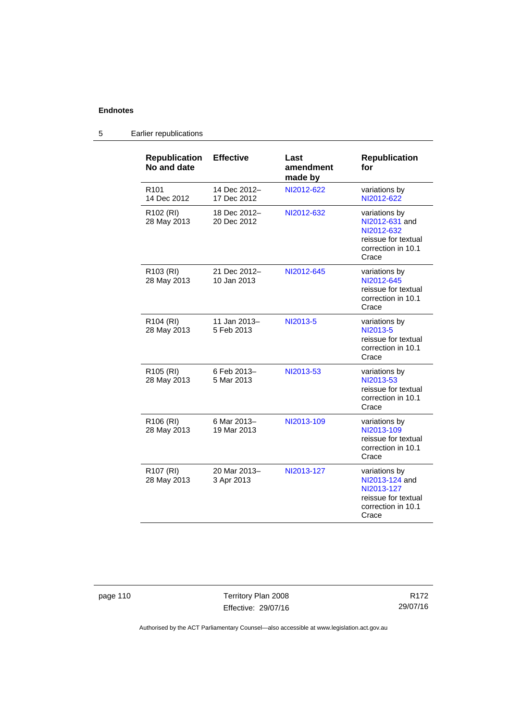| <b>Republication</b><br>No and date  | <b>Effective</b>            | Last<br>amendment<br>made by | <b>Republication</b><br>for                                                                         |
|--------------------------------------|-----------------------------|------------------------------|-----------------------------------------------------------------------------------------------------|
| R <sub>101</sub><br>14 Dec 2012      | 14 Dec 2012-<br>17 Dec 2012 | NI2012-622                   | variations by<br>NI2012-622                                                                         |
| R <sub>102</sub> (RI)<br>28 May 2013 | 18 Dec 2012-<br>20 Dec 2012 | NI2012-632                   | variations by<br>NI2012-631 and<br>NI2012-632<br>reissue for textual<br>correction in 10.1<br>Crace |
| R <sub>103</sub> (RI)<br>28 May 2013 | 21 Dec 2012-<br>10 Jan 2013 | NI2012-645                   | variations by<br>NI2012-645<br>reissue for textual<br>correction in 10.1<br>Crace                   |
| R104 (RI)<br>28 May 2013             | 11 Jan 2013-<br>5 Feb 2013  | NI2013-5                     | variations by<br>NI2013-5<br>reissue for textual<br>correction in 10.1<br>Crace                     |
| R <sub>105</sub> (RI)<br>28 May 2013 | 6 Feb 2013-<br>5 Mar 2013   | NI2013-53                    | variations by<br>NI2013-53<br>reissue for textual<br>correction in 10.1<br>Crace                    |
| R106 (RI)<br>28 May 2013             | 6 Mar 2013-<br>19 Mar 2013  | NI2013-109                   | variations by<br>NI2013-109<br>reissue for textual<br>correction in 10.1<br>Crace                   |
| R <sub>107</sub> (RI)<br>28 May 2013 | 20 Mar 2013-<br>3 Apr 2013  | NI2013-127                   | variations by<br>NI2013-124 and<br>NI2013-127<br>reissue for textual<br>correction in 10.1<br>Crace |

5 Earlier republications

page 110 Territory Plan 2008 Effective: 29/07/16

R172 29/07/16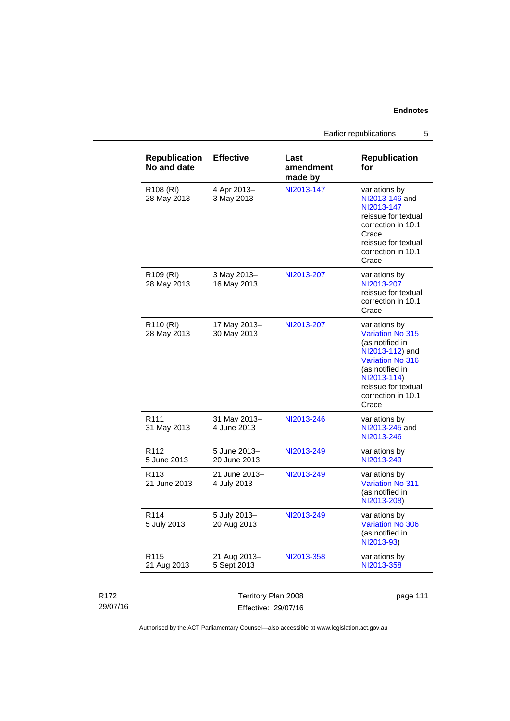Earlier republications 5

|                              | <b>Republication</b><br>No and date  | <b>Effective</b>                           | Last<br>amendment<br>made by | <b>Republication</b><br>for                                                                                                                                                                       |
|------------------------------|--------------------------------------|--------------------------------------------|------------------------------|---------------------------------------------------------------------------------------------------------------------------------------------------------------------------------------------------|
|                              | R <sub>108</sub> (RI)<br>28 May 2013 | 4 Apr 2013-<br>3 May 2013                  | NI2013-147                   | variations by<br>NI2013-146 and<br>NI2013-147<br>reissue for textual<br>correction in 10.1<br>Crace<br>reissue for textual<br>correction in 10.1<br>Crace                                         |
|                              | R109 (RI)<br>28 May 2013             | 3 May 2013-<br>16 May 2013                 | NI2013-207                   | variations by<br>NI2013-207<br>reissue for textual<br>correction in 10.1<br>Crace                                                                                                                 |
|                              | R <sub>110</sub> (RI)<br>28 May 2013 | 17 May 2013-<br>30 May 2013                | NI2013-207                   | variations by<br><b>Variation No 315</b><br>(as notified in<br>NI2013-112) and<br><b>Variation No 316</b><br>(as notified in<br>NI2013-114)<br>reissue for textual<br>correction in 10.1<br>Crace |
|                              | R <sub>111</sub><br>31 May 2013      | 31 May 2013-<br>4 June 2013                | NI2013-246                   | variations by<br>NI2013-245 and<br>NI2013-246                                                                                                                                                     |
|                              | R <sub>112</sub><br>5 June 2013      | 5 June 2013-<br>20 June 2013               | NI2013-249                   | variations by<br>NI2013-249                                                                                                                                                                       |
|                              | R <sub>113</sub><br>21 June 2013     | 21 June 2013-<br>4 July 2013               | NI2013-249                   | variations by<br><b>Variation No 311</b><br>(as notified in<br>NI2013-208)                                                                                                                        |
|                              | R114<br>5 July 2013                  | 5 July 2013-<br>20 Aug 2013                | NI2013-249                   | variations by<br>Variation No 306<br>(as notified in<br>NI2013-93)                                                                                                                                |
|                              | R115<br>21 Aug 2013                  | 21 Aug 2013-<br>5 Sept 2013                | NI2013-358                   | variations by<br>NI2013-358                                                                                                                                                                       |
| R <sub>172</sub><br>29/07/16 |                                      | Territory Plan 2008<br>Effective: 29/07/16 |                              | page 111                                                                                                                                                                                          |

Authorised by the ACT Parliamentary Counsel—also accessible at www.legislation.act.gov.au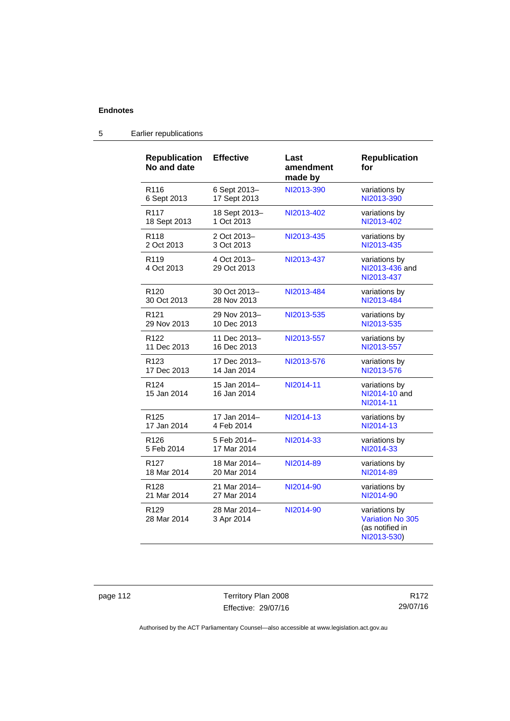| <b>Republication</b><br>No and date | <b>Effective</b>            | Last<br>amendment<br>made by | <b>Republication</b><br>for                                         |
|-------------------------------------|-----------------------------|------------------------------|---------------------------------------------------------------------|
| R <sub>116</sub>                    | 6 Sept 2013-                | NI2013-390                   | variations by                                                       |
| 6 Sept 2013                         | 17 Sept 2013                |                              | NI2013-390                                                          |
| R <sub>117</sub>                    | 18 Sept 2013-               | NI2013-402                   | variations by                                                       |
| 18 Sept 2013                        | 1 Oct 2013                  |                              | NI2013-402                                                          |
| R <sub>118</sub>                    | 2 Oct 2013-                 | NI2013-435                   | variations by                                                       |
| 2 Oct 2013                          | 3 Oct 2013                  |                              | NI2013-435                                                          |
| R <sub>119</sub><br>4 Oct 2013      | 4 Oct 2013-<br>29 Oct 2013  | NI2013-437                   | variations by<br>NI2013-436 and<br>NI2013-437                       |
| R <sub>120</sub>                    | 30 Oct 2013-                | NI2013-484                   | variations by                                                       |
| 30 Oct 2013                         | 28 Nov 2013                 |                              | NI2013-484                                                          |
| R <sub>121</sub>                    | 29 Nov 2013-                | NI2013-535                   | variations by                                                       |
| 29 Nov 2013                         | 10 Dec 2013                 |                              | NI2013-535                                                          |
| R122                                | 11 Dec 2013-                | NI2013-557                   | variations by                                                       |
| 11 Dec 2013                         | 16 Dec 2013                 |                              | NI2013-557                                                          |
| R <sub>123</sub>                    | 17 Dec 2013-                | NI2013-576                   | variations by                                                       |
| 17 Dec 2013                         | 14 Jan 2014                 |                              | NI2013-576                                                          |
| R <sub>124</sub><br>15 Jan 2014     | 15 Jan 2014-<br>16 Jan 2014 | NI2014-11                    | variations by<br>NI2014-10 and<br>NI2014-11                         |
| R <sub>125</sub>                    | 17 Jan 2014-                | NI2014-13                    | variations by                                                       |
| 17 Jan 2014                         | 4 Feb 2014                  |                              | NI2014-13                                                           |
| R <sub>126</sub>                    | 5 Feb 2014-                 | NI2014-33                    | variations by                                                       |
| 5 Feb 2014                          | 17 Mar 2014                 |                              | NI2014-33                                                           |
| R <sub>127</sub>                    | 18 Mar 2014-                | NI2014-89                    | variations by                                                       |
| 18 Mar 2014                         | 20 Mar 2014                 |                              | NI2014-89                                                           |
| R <sub>128</sub>                    | 21 Mar 2014-                | NI2014-90                    | variations by                                                       |
| 21 Mar 2014                         | 27 Mar 2014                 |                              | NI2014-90                                                           |
| R <sub>129</sub><br>28 Mar 2014     | 28 Mar 2014-<br>3 Apr 2014  | NI2014-90                    | variations by<br>Variation No 305<br>(as notified in<br>NI2013-530) |

## 5 Earlier republications

page 112 Territory Plan 2008 Effective: 29/07/16

R172 29/07/16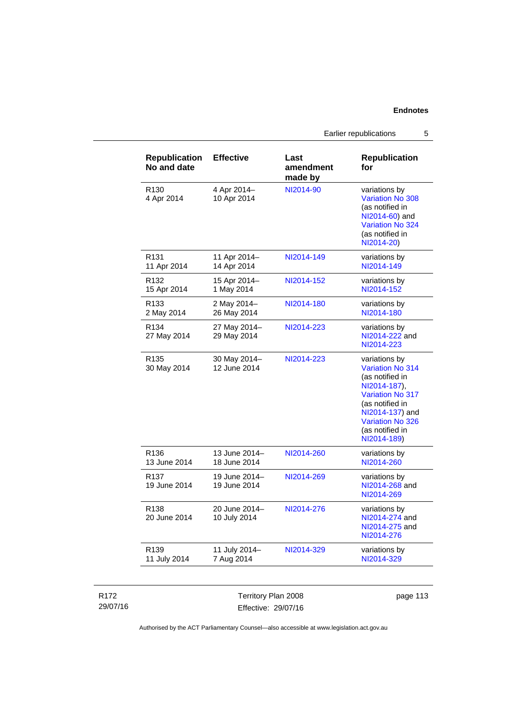Earlier republications 5

| <b>Republication</b><br>No and date | <b>Effective</b>              | Last<br>amendment<br>made by | <b>Republication</b><br>for                                                                                                                                                                        |
|-------------------------------------|-------------------------------|------------------------------|----------------------------------------------------------------------------------------------------------------------------------------------------------------------------------------------------|
| R <sub>130</sub><br>4 Apr 2014      | 4 Apr 2014-<br>10 Apr 2014    | NI2014-90                    | variations by<br><b>Variation No 308</b><br>(as notified in<br>NI2014-60) and<br>Variation No 324<br>(as notified in<br>NI2014-20)                                                                 |
| R <sub>131</sub><br>11 Apr 2014     | 11 Apr 2014-<br>14 Apr 2014   | NI2014-149                   | variations by<br>NI2014-149                                                                                                                                                                        |
| R <sub>132</sub><br>15 Apr 2014     | 15 Apr 2014-<br>1 May 2014    | NI2014-152                   | variations by<br>NI2014-152                                                                                                                                                                        |
| R <sub>133</sub><br>2 May 2014      | 2 May 2014-<br>26 May 2014    | NI2014-180                   | variations by<br>NI2014-180                                                                                                                                                                        |
| R <sub>134</sub><br>27 May 2014     | 27 May 2014-<br>29 May 2014   | NI2014-223                   | variations by<br>NI2014-222 and<br>NI2014-223                                                                                                                                                      |
| R <sub>135</sub><br>30 May 2014     | 30 May 2014-<br>12 June 2014  | NI2014-223                   | variations by<br><b>Variation No 314</b><br>(as notified in<br>NI2014-187).<br><b>Variation No 317</b><br>(as notified in<br>NI2014-137) and<br>Variation No 326<br>(as notified in<br>NI2014-189) |
| R <sub>136</sub><br>13 June 2014    | 13 June 2014-<br>18 June 2014 | NI2014-260                   | variations by<br>NI2014-260                                                                                                                                                                        |
| R <sub>137</sub><br>19 June 2014    | 19 June 2014-<br>19 June 2014 | NI2014-269                   | variations by<br>NI2014-268 and<br>NI2014-269                                                                                                                                                      |
| R <sub>138</sub><br>20 June 2014    | 20 June 2014-<br>10 July 2014 | NI2014-276                   | variations by<br>NI2014-274 and<br>NI2014-275 and<br>NI2014-276                                                                                                                                    |
| R <sub>139</sub><br>11 July 2014    | 11 July 2014-<br>7 Aug 2014   | NI2014-329                   | variations by<br>NI2014-329                                                                                                                                                                        |

#### R172 29/07/16

Territory Plan 2008 Effective: 29/07/16

page 113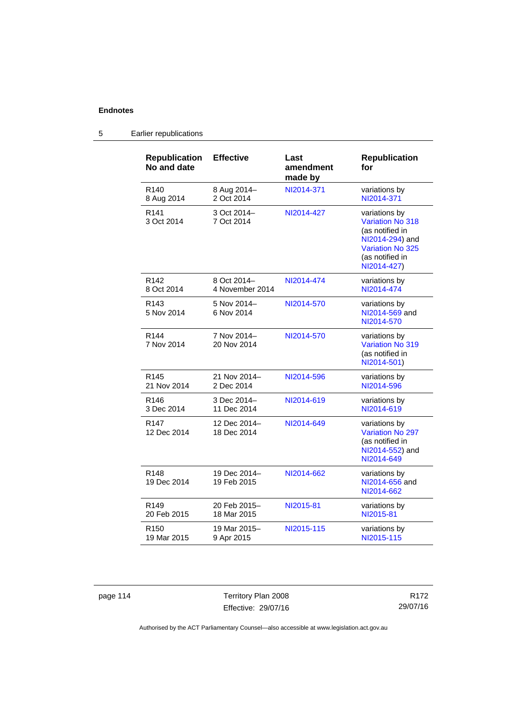| <b>Republication</b><br>No and date | <b>Effective</b>               | Last<br>amendment<br>made by | <b>Republication</b><br>for                                                                                                                 |
|-------------------------------------|--------------------------------|------------------------------|---------------------------------------------------------------------------------------------------------------------------------------------|
| R <sub>140</sub><br>8 Aug 2014      | 8 Aug 2014-<br>2 Oct 2014      | NI2014-371                   | variations by<br>NI2014-371                                                                                                                 |
| R <sub>141</sub><br>3 Oct 2014      | 3 Oct 2014-<br>7 Oct 2014      | NI2014-427                   | variations by<br><b>Variation No 318</b><br>(as notified in<br>NI2014-294) and<br><b>Variation No 325</b><br>(as notified in<br>NI2014-427) |
| R <sub>142</sub><br>8 Oct 2014      | 8 Oct 2014-<br>4 November 2014 | NI2014-474                   | variations by<br>NI2014-474                                                                                                                 |
| R <sub>143</sub><br>5 Nov 2014      | 5 Nov 2014-<br>6 Nov 2014      | NI2014-570                   | variations by<br>NI2014-569 and<br>NI2014-570                                                                                               |
| R <sub>144</sub><br>7 Nov 2014      | 7 Nov 2014-<br>20 Nov 2014     | NI2014-570                   | variations by<br>Variation No 319<br>(as notified in<br>NI2014-501)                                                                         |
| R <sub>145</sub><br>21 Nov 2014     | 21 Nov 2014-<br>2 Dec 2014     | NI2014-596                   | variations by<br>NI2014-596                                                                                                                 |
| R <sub>146</sub><br>3 Dec 2014      | 3 Dec 2014-<br>11 Dec 2014     | NI2014-619                   | variations by<br>NI2014-619                                                                                                                 |
| R <sub>147</sub><br>12 Dec 2014     | 12 Dec 2014-<br>18 Dec 2014    | NI2014-649                   | variations by<br><b>Variation No 297</b><br>(as notified in<br>NI2014-552) and<br>NI2014-649                                                |
| R <sub>148</sub><br>19 Dec 2014     | 19 Dec 2014-<br>19 Feb 2015    | NI2014-662                   | variations by<br>NI2014-656 and<br>NI2014-662                                                                                               |
| R149<br>20 Feb 2015                 | 20 Feb 2015-<br>18 Mar 2015    | NI2015-81                    | variations by<br>NI2015-81                                                                                                                  |
| R <sub>150</sub><br>19 Mar 2015     | 19 Mar 2015-<br>9 Apr 2015     | NI2015-115                   | variations by<br>NI2015-115                                                                                                                 |

## 5 Earlier republications

page 114 Territory Plan 2008 Effective: 29/07/16

R172 29/07/16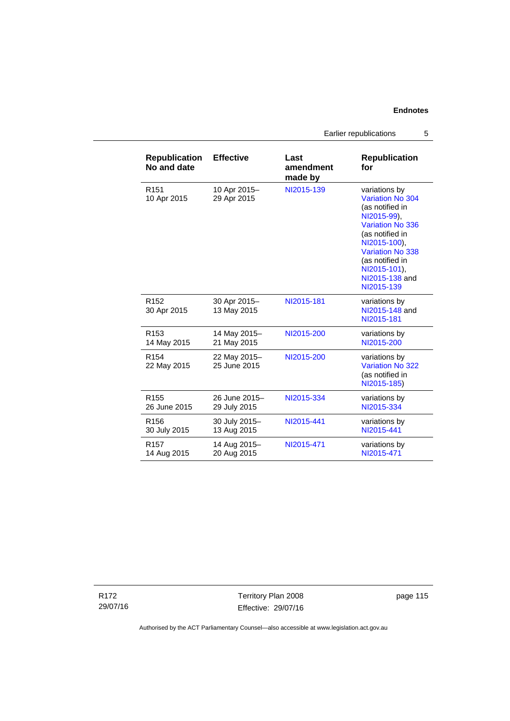Earlier republications 5

| <b>Republication</b><br>No and date | <b>Effective</b>             | Last<br>amendment<br>made by | <b>Republication</b><br>for                                                                                                                                                                                                     |
|-------------------------------------|------------------------------|------------------------------|---------------------------------------------------------------------------------------------------------------------------------------------------------------------------------------------------------------------------------|
| R <sub>151</sub><br>10 Apr 2015     | 10 Apr 2015-<br>29 Apr 2015  | NI2015-139                   | variations by<br>Variation No 304<br>(as notified in<br>NI2015-99),<br><b>Variation No 336</b><br>(as notified in<br>NI2015-100),<br><b>Variation No 338</b><br>(as notified in<br>NI2015-101),<br>NI2015-138 and<br>NI2015-139 |
| R <sub>152</sub><br>30 Apr 2015     | 30 Apr 2015-<br>13 May 2015  | NI2015-181                   | variations by<br>NI2015-148 and<br>NI2015-181                                                                                                                                                                                   |
| R <sub>153</sub>                    | 14 May 2015-                 | NI2015-200                   | variations by                                                                                                                                                                                                                   |
| 14 May 2015                         | 21 May 2015                  |                              | NI2015-200                                                                                                                                                                                                                      |
| R <sub>154</sub><br>22 May 2015     | 22 May 2015-<br>25 June 2015 | NI2015-200                   | variations by<br><b>Variation No 322</b><br>(as notified in<br>NI2015-185)                                                                                                                                                      |
| R <sub>155</sub>                    | 26 June 2015-                | NI2015-334                   | variations by                                                                                                                                                                                                                   |
| 26 June 2015                        | 29 July 2015                 |                              | NI2015-334                                                                                                                                                                                                                      |
| R <sub>156</sub>                    | 30 July 2015-                | NI2015-441                   | variations by                                                                                                                                                                                                                   |
| 30 July 2015                        | 13 Aug 2015                  |                              | NI2015-441                                                                                                                                                                                                                      |
| R <sub>157</sub>                    | 14 Aug 2015-                 | NI2015-471                   | variations by                                                                                                                                                                                                                   |
| 14 Aug 2015                         | 20 Aug 2015                  |                              | NI2015-471                                                                                                                                                                                                                      |

R172 29/07/16

Territory Plan 2008 Effective: 29/07/16 page 115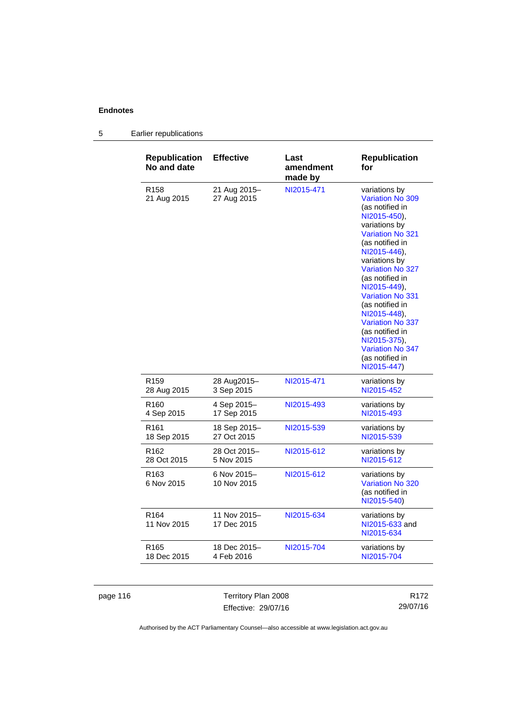| <b>Republication</b><br>No and date | <b>Effective</b>            | Last<br>amendment<br>made by | <b>Republication</b><br>for                                                                                                                                                                                                                                                                                                                                                                                                        |
|-------------------------------------|-----------------------------|------------------------------|------------------------------------------------------------------------------------------------------------------------------------------------------------------------------------------------------------------------------------------------------------------------------------------------------------------------------------------------------------------------------------------------------------------------------------|
| R <sub>158</sub><br>21 Aug 2015     | 21 Aug 2015-<br>27 Aug 2015 | NI2015-471                   | variations by<br><b>Variation No 309</b><br>(as notified in<br>NI2015-450),<br>variations by<br><b>Variation No 321</b><br>(as notified in<br>NI2015-446),<br>variations by<br><b>Variation No 327</b><br>(as notified in<br>NI2015-449).<br><b>Variation No 331</b><br>(as notified in<br>NI2015-448).<br><b>Variation No 337</b><br>(as notified in<br>NI2015-375),<br><b>Variation No 347</b><br>(as notified in<br>NI2015-447) |
| R <sub>159</sub>                    | 28 Aug2015-                 | NI2015-471                   | variations by                                                                                                                                                                                                                                                                                                                                                                                                                      |
| 28 Aug 2015                         | 3 Sep 2015                  |                              | NI2015-452                                                                                                                                                                                                                                                                                                                                                                                                                         |
| R <sub>160</sub>                    | 4 Sep 2015-                 | NI2015-493                   | variations by                                                                                                                                                                                                                                                                                                                                                                                                                      |
| 4 Sep 2015                          | 17 Sep 2015                 |                              | NI2015-493                                                                                                                                                                                                                                                                                                                                                                                                                         |
| R <sub>161</sub>                    | 18 Sep 2015–                | NI2015-539                   | variations by                                                                                                                                                                                                                                                                                                                                                                                                                      |
| 18 Sep 2015                         | 27 Oct 2015                 |                              | NI2015-539                                                                                                                                                                                                                                                                                                                                                                                                                         |
| R <sub>162</sub>                    | 28 Oct 2015-                | NI2015-612                   | variations by                                                                                                                                                                                                                                                                                                                                                                                                                      |
| 28 Oct 2015                         | 5 Nov 2015                  |                              | NI2015-612                                                                                                                                                                                                                                                                                                                                                                                                                         |
| R <sub>163</sub><br>6 Nov 2015      | 6 Nov 2015-<br>10 Nov 2015  | NI2015-612                   | variations by<br>Variation No 320<br>(as notified in<br>NI2015-540)                                                                                                                                                                                                                                                                                                                                                                |
| R <sub>164</sub><br>11 Nov 2015     | 11 Nov 2015-<br>17 Dec 2015 | NI2015-634                   | variations by<br>NI2015-633 and<br>NI2015-634                                                                                                                                                                                                                                                                                                                                                                                      |
| R <sub>165</sub>                    | 18 Dec 2015-                | NI2015-704                   | variations by                                                                                                                                                                                                                                                                                                                                                                                                                      |
| 18 Dec 2015                         | 4 Feb 2016                  |                              | NI2015-704                                                                                                                                                                                                                                                                                                                                                                                                                         |

## 5 Earlier republications

page 116 Territory Plan 2008 Effective: 29/07/16

R172 29/07/16